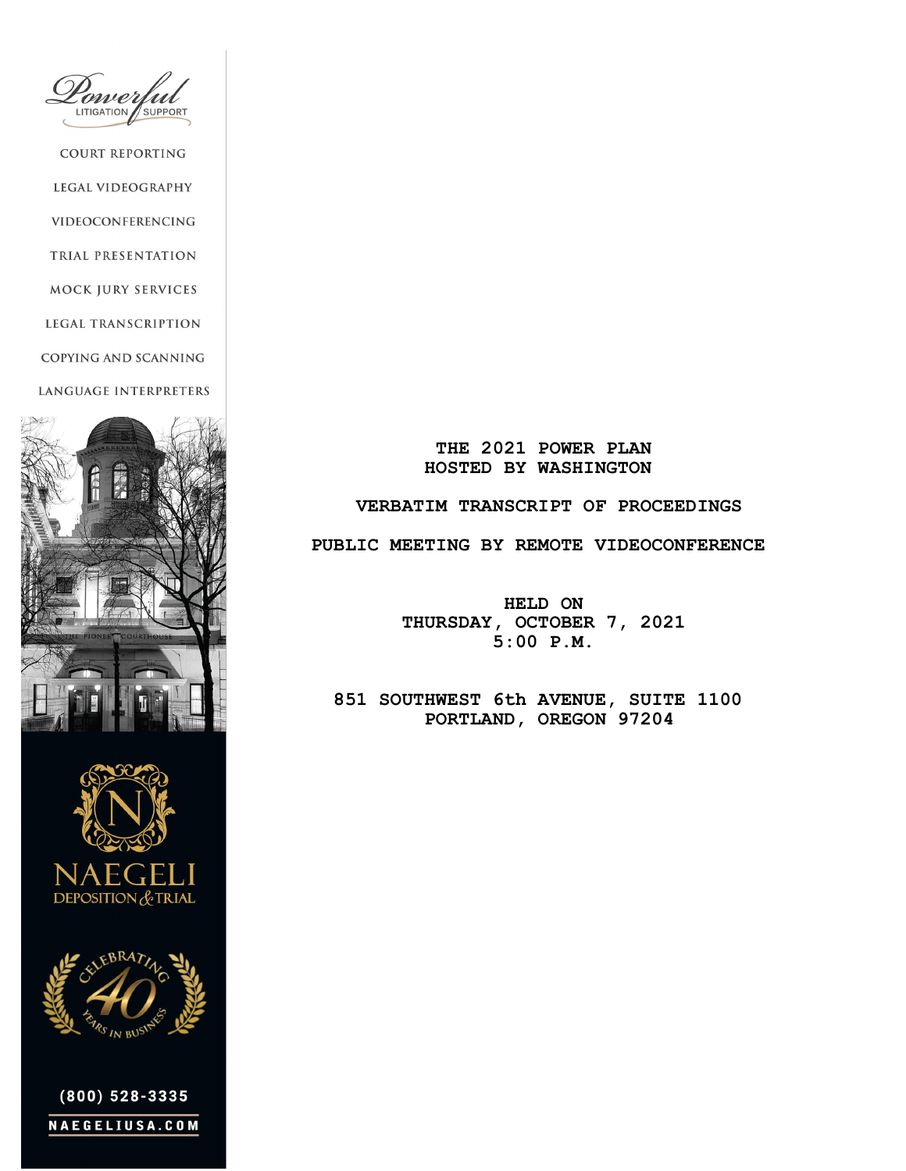ower LITIGATION **SUPPORT** 

**COURT REPORTING** LEGAL VIDEOGRAPHY VIDEOCONFERENCING TRIAL PRESENTATION MOCK JURY SERVICES LEGAL TRANSCRIPTION COPYING AND SCANNING **LANGUAGE INTERPRETERS** 







 $(800)$  528-3335 NAEGELIUSA.COM

 **THE 2021 POWER PLAN HOSTED BY WASHINGTON**

## **VERBATIM TRANSCRIPT OF PROCEEDINGS**

 **PUBLIC MEETING BY REMOTE VIDEOCONFERENCE**

 **HELD ON THURSDAY, OCTOBER 7, 2021 5:00 P.M.**

 **851 SOUTHWEST 6th AVENUE, SUITE 1100 PORTLAND, OREGON 97204**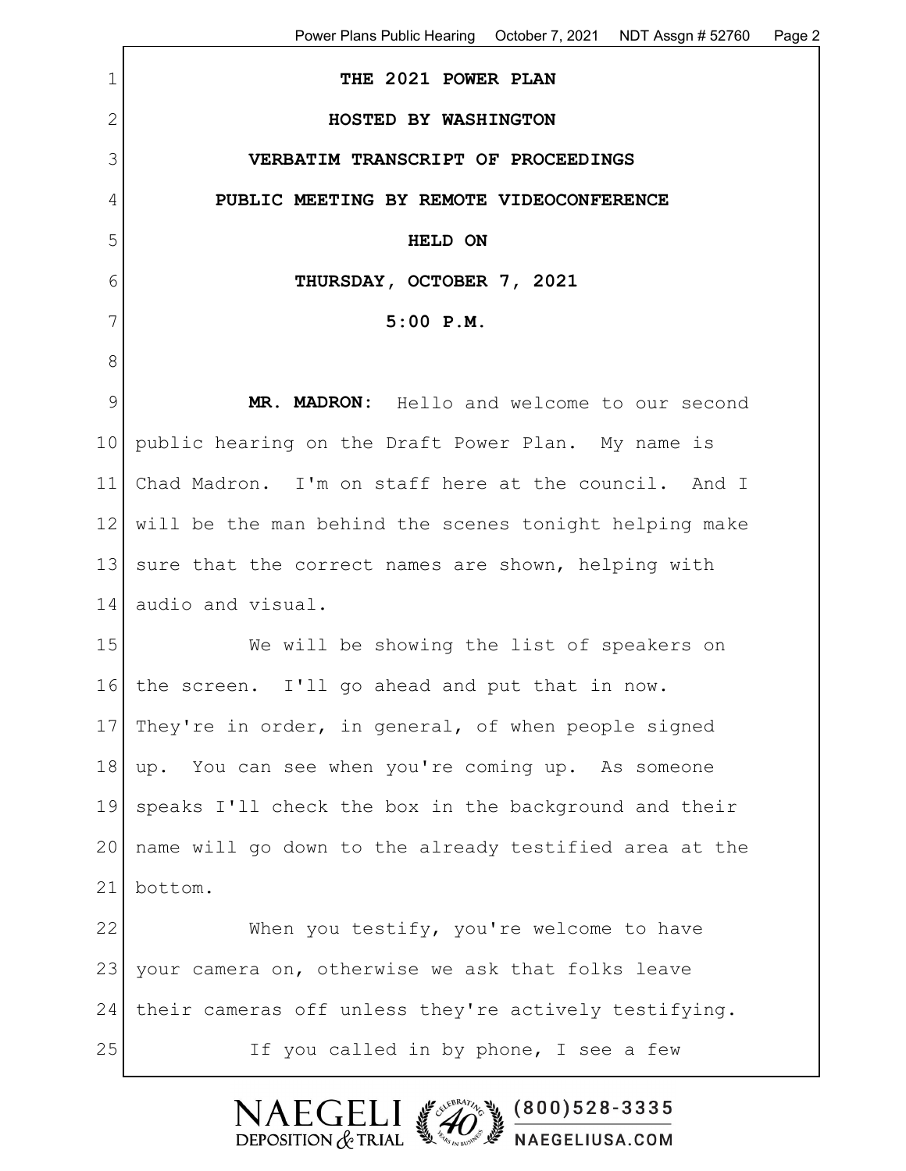1 **THE 2021 POWER PLAN** 2 **HOSTED BY WASHINGTON** 3 **VERBATIM TRANSCRIPT OF PROCEEDINGS** 4 **PUBLIC MEETING BY REMOTE VIDEOCONFERENCE** 5 **HELD ON** 6 **THURSDAY, OCTOBER 7, 2021** 7 **5:00 P.M.** 8 9 **MR. MADRON:** Hello and welcome to our second 10 public hearing on the Draft Power Plan. My name is 11 Chad Madron. I'm on staff here at the council. And I 12 will be the man behind the scenes tonight helping make 13 sure that the correct names are shown, helping with 14 audio and visual. 15 We will be showing the list of speakers on 16 the screen. I'll go ahead and put that in now. 17 They're in order, in general, of when people signed 18 up. You can see when you're coming up. As someone 19 speaks I'll check the box in the background and their 20 name will go down to the already testified area at the 21 bottom. 22 When you testify, you're welcome to have 23 your camera on, otherwise we ask that folks leave 24 | their cameras off unless they're actively testifying. 25 If you called in by phone, I see a few

> **NAEGEI**  $(800)528 - 3335$ DEPOSITION  $&$  TRIAL **A** NAEGELIUSA.COM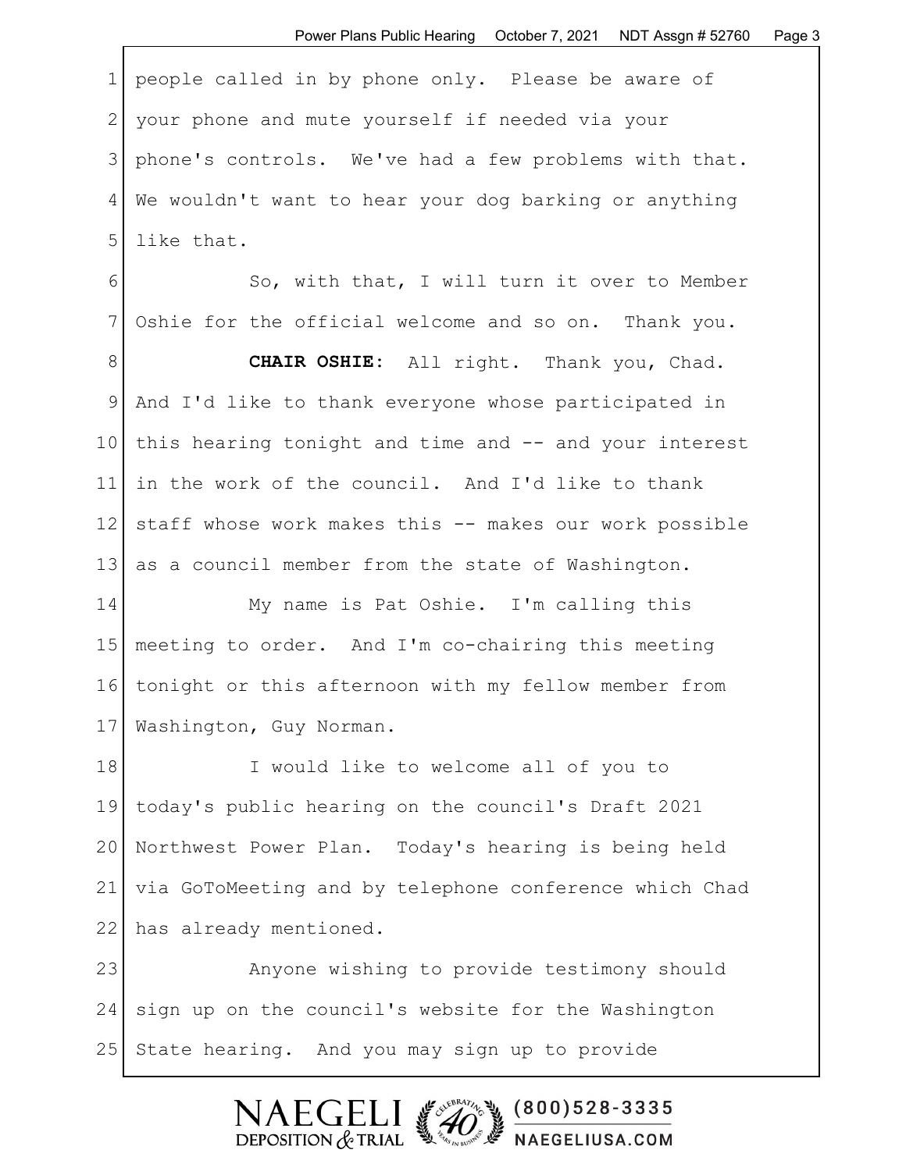1 people called in by phone only. Please be aware of 2 your phone and mute yourself if needed via your 3 | phone's controls. We've had a few problems with that. 4 We wouldn't want to hear your dog barking or anything 5 llike that.

6 So, with that, I will turn it over to Member 7 Oshie for the official welcome and so on. Thank you.

8 **CHAIR OSHIE:** All right. Thank you, Chad. 9 And I'd like to thank everyone whose participated in 10 this hearing tonight and time and -- and your interest 11 in the work of the council. And I'd like to thank 12 staff whose work makes this -- makes our work possible 13 as a council member from the state of Washington.

14 My name is Pat Oshie. I'm calling this 15 meeting to order. And I'm co-chairing this meeting 16 tonight or this afternoon with my fellow member from 17 | Washington, Guy Norman.

18 I would like to welcome all of you to 19 today's public hearing on the council's Draft 2021 20 Northwest Power Plan. Today's hearing is being held 21 via GoToMeeting and by telephone conference which Chad 22 has already mentioned.

23 Anyone wishing to provide testimony should 24 sign up on the council's website for the Washington 25 State hearing. And you may sign up to provide

> $\mathsf{F}\mathsf{C}\mathsf{F}$  $(800)528 - 3335$ DEPOSITION  $&$  TRIAL NAEGELIUSA.COM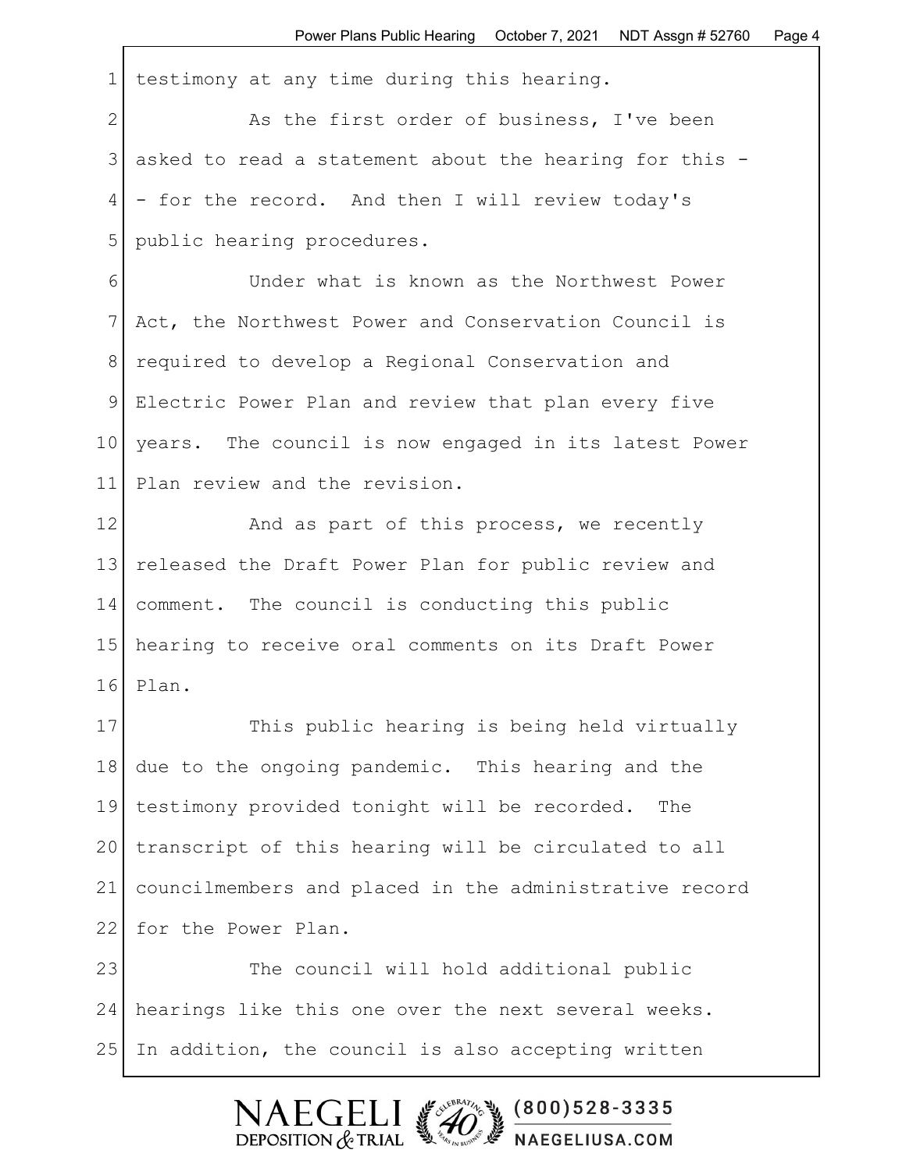1 testimony at any time during this hearing.

2 As the first order of business, I've been 3 asked to read a statement about the hearing for this - 4 - for the record. And then I will review today's 5 | public hearing procedures.

6 Under what is known as the Northwest Power 7 Act, the Northwest Power and Conservation Council is 8 required to develop a Regional Conservation and 9 Electric Power Plan and review that plan every five 10 years. The council is now engaged in its latest Power 11 Plan review and the revision.

12 And as part of this process, we recently 13 released the Draft Power Plan for public review and 14 comment. The council is conducting this public 15 hearing to receive oral comments on its Draft Power 16 Plan.

17 This public hearing is being held virtually 18 due to the ongoing pandemic. This hearing and the 19 testimony provided tonight will be recorded. The 20 transcript of this hearing will be circulated to all 21 councilmembers and placed in the administrative record 22 for the Power Plan.

23 The council will hold additional public 24 hearings like this one over the next several weeks. 25 In addition, the council is also accepting written

 $(800)528 - 3335$ 

NAEGELIUSA.COM

 $F$  GF1

DEPOSITION  $&$  TRIAL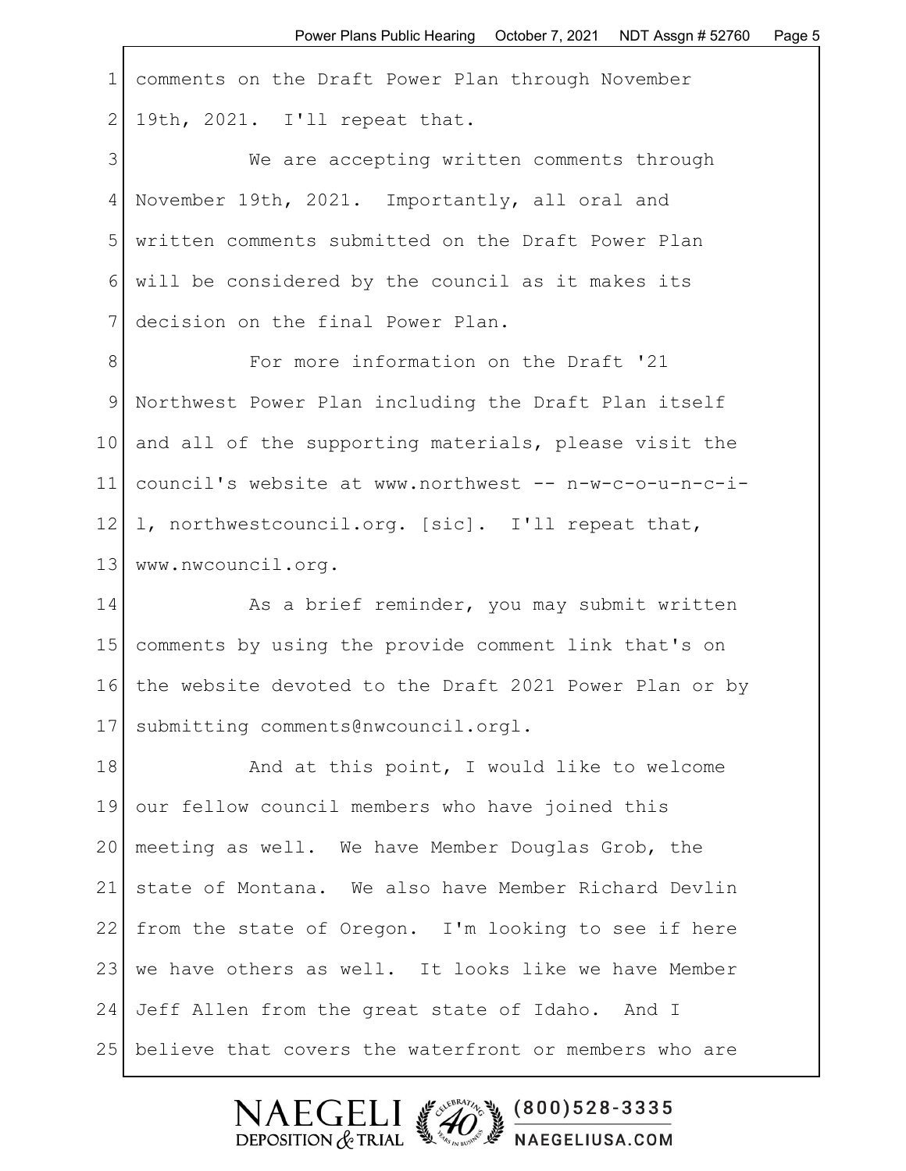| $\mathbf 1$  | comments on the Draft Power Plan through November      |
|--------------|--------------------------------------------------------|
| $\mathbf{2}$ | 19th, 2021. I'll repeat that.                          |
| 3            | We are accepting written comments through              |
| 4            | November 19th, 2021. Importantly, all oral and         |
| 5            | written comments submitted on the Draft Power Plan     |
| 6            | will be considered by the council as it makes its      |
| 7            | decision on the final Power Plan.                      |
| 8            | For more information on the Draft '21                  |
| $\mathsf 9$  | Northwest Power Plan including the Draft Plan itself   |
| 10           | and all of the supporting materials, please visit the  |
| 11           | council's website at www.northwest -- n-w-c-o-u-n-c-i- |
| 12           | 1, northwestcouncil.org. [sic]. I'll repeat that,      |
| 13           | www.nwcouncil.org.                                     |
| 14           | As a brief reminder, you may submit written            |
| 15           | comments by using the provide comment link that's on   |
| 16           | the website devoted to the Draft 2021 Power Plan or by |
| 17           | submitting comments@nwcouncil.orgl.                    |
| 18           | And at this point, I would like to welcome             |
| 19           | our fellow council members who have joined this        |
| 20           | meeting as well. We have Member Douglas Grob, the      |
| 21           | state of Montana. We also have Member Richard Devlin   |
| 22           | from the state of Oregon. I'm looking to see if here   |
| 23           | we have others as well. It looks like we have Member   |
| 24           | Jeff Allen from the great state of Idaho. And I        |
| 25           | believe that covers the waterfront or members who are  |

Г

NAEGELI (200)528-3335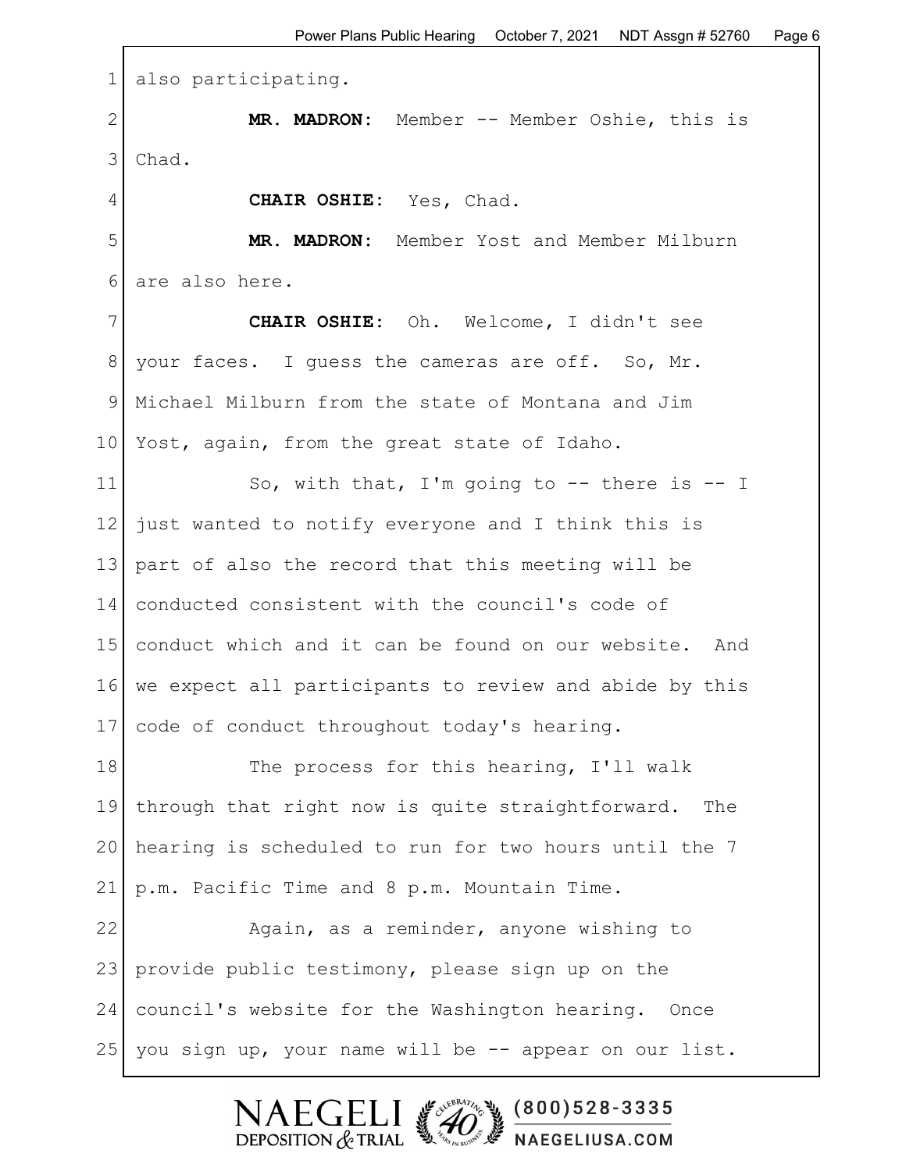1 also participating. 2 | MR. MADRON: Member -- Member Oshie, this is 3 Chad. 4 **CHAIR OSHIE:** Yes, Chad. 5 **MR. MADRON:** Member Yost and Member Milburn 6 are also here. 7 **CHAIR OSHIE:** Oh. Welcome, I didn't see 8 your faces. I guess the cameras are off. So, Mr. 9 Michael Milburn from the state of Montana and Jim 10 Yost, again, from the great state of Idaho. 11 So, with that, I'm going to -- there is -- I 12 just wanted to notify everyone and I think this is 13 part of also the record that this meeting will be 14 conducted consistent with the council's code of 15 conduct which and it can be found on our website. And 16 we expect all participants to review and abide by this 17 code of conduct throughout today's hearing. 18 The process for this hearing, I'll walk 19 through that right now is quite straightforward. The 20 hearing is scheduled to run for two hours until the 7 21 p.m. Pacific Time and 8 p.m. Mountain Time. 22 Again, as a reminder, anyone wishing to 23 provide public testimony, please sign up on the 24 council's website for the Washington hearing. Once 25 you sign up, your name will be -- appear on our list.

> $\mathsf{F}$   $\mathsf{C}$   $\mathsf{F}$  $(800)528 - 3335$ DEPOSITION  $&$  TRIAL NAEGELIUSA.COM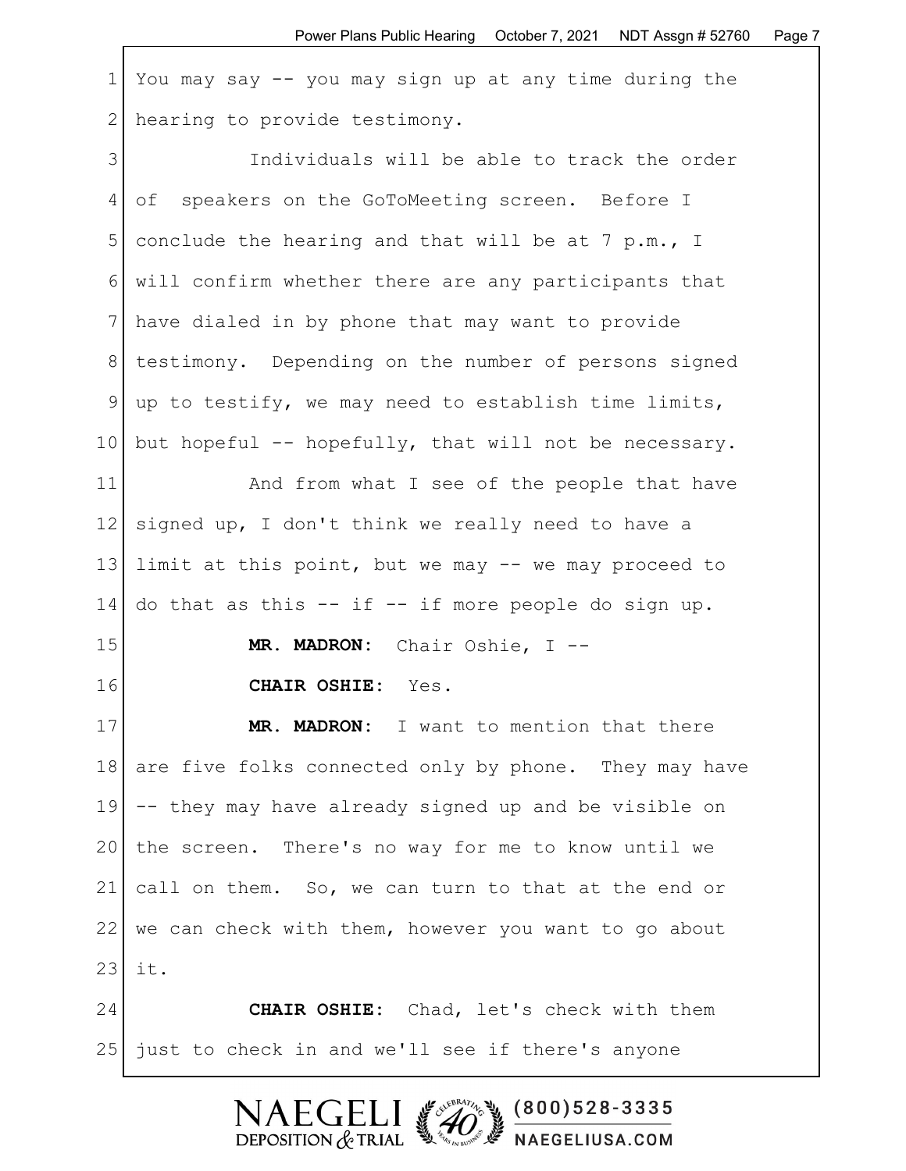1 You may say -- you may sign up at any time during the 2 | hearing to provide testimony.

3 Individuals will be able to track the order 4 of speakers on the GoToMeeting screen. Before I 5 conclude the hearing and that will be at 7 p.m., I 6 will confirm whether there are any participants that 7 have dialed in by phone that may want to provide 8 testimony. Depending on the number of persons signed 9 up to testify, we may need to establish time limits, 10 but hopeful  $-$  hopefully, that will not be necessary. 11 and from what I see of the people that have 12 signed up, I don't think we really need to have a 13 limit at this point, but we may -- we may proceed to 14 do that as this  $--$  if  $--$  if more people do sign up. 15 **MR. MADRON:** Chair Oshie, I -- 16 **CHAIR OSHIE:** Yes.

17 **MR. MADRON:** I want to mention that there 18 are five folks connected only by phone. They may have 19 -- they may have already signed up and be visible on 20 the screen. There's no way for me to know until we 21 call on them. So, we can turn to that at the end or  $22$  we can check with them, however you want to go about  $23$  it.

24 **CHAIR OSHIE:** Chad, let's check with them 25 just to check in and we'll see if there's anyone

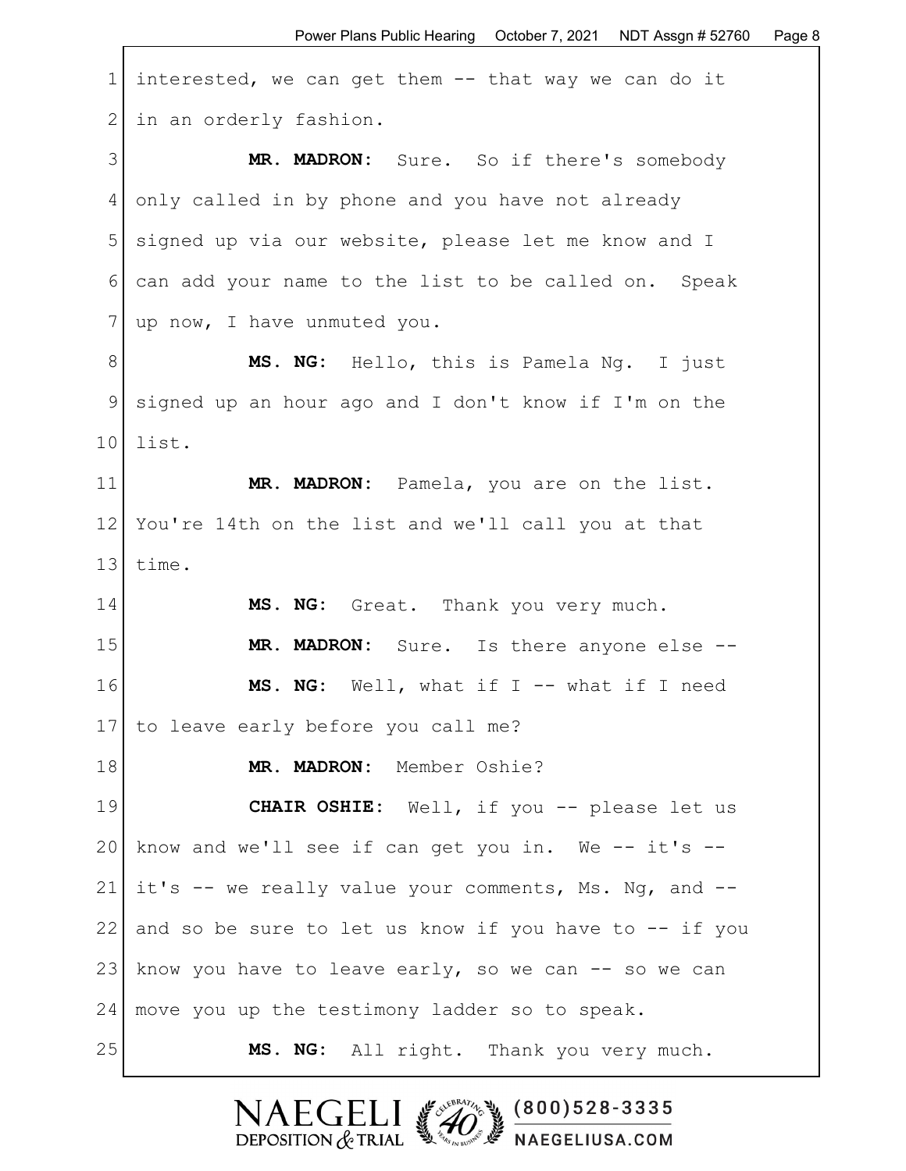1 interested, we can get them -- that way we can do it 2 in an orderly fashion. 3 **MR. MADRON:** Sure. So if there's somebody 4 only called in by phone and you have not already 5 signed up via our website, please let me know and I 6 can add your name to the list to be called on. Speak 7 | up now, I have unmuted you. 8 **MS. NG:** Hello, this is Pamela Ng. I just 9 signed up an hour ago and I don't know if I'm on the 10 list. 11 **MR. MADRON:** Pamela, you are on the list. 12 You're 14th on the list and we'll call you at that 13 time. 14 **MS. NG:** Great. Thank you very much. 15 **MR. MADRON:** Sure. Is there anyone else -- 16 **MS. NG:** Well, what if I -- what if I need 17 to leave early before you call me? 18 | MR. MADRON: Member Oshie? 19 **CHAIR OSHIE:** Well, if you -- please let us 20 know and we'll see if can get you in. We  $-$  it's  $-$ 21 it's  $-$  we really value your comments, Ms. Ng, and  $-$ 22 and so be sure to let us know if you have to -- if you 23 know you have to leave early, so we can  $-$  so we can 24 | move you up the testimony ladder so to speak. 25 **MS. NG:** All right. Thank you very much.

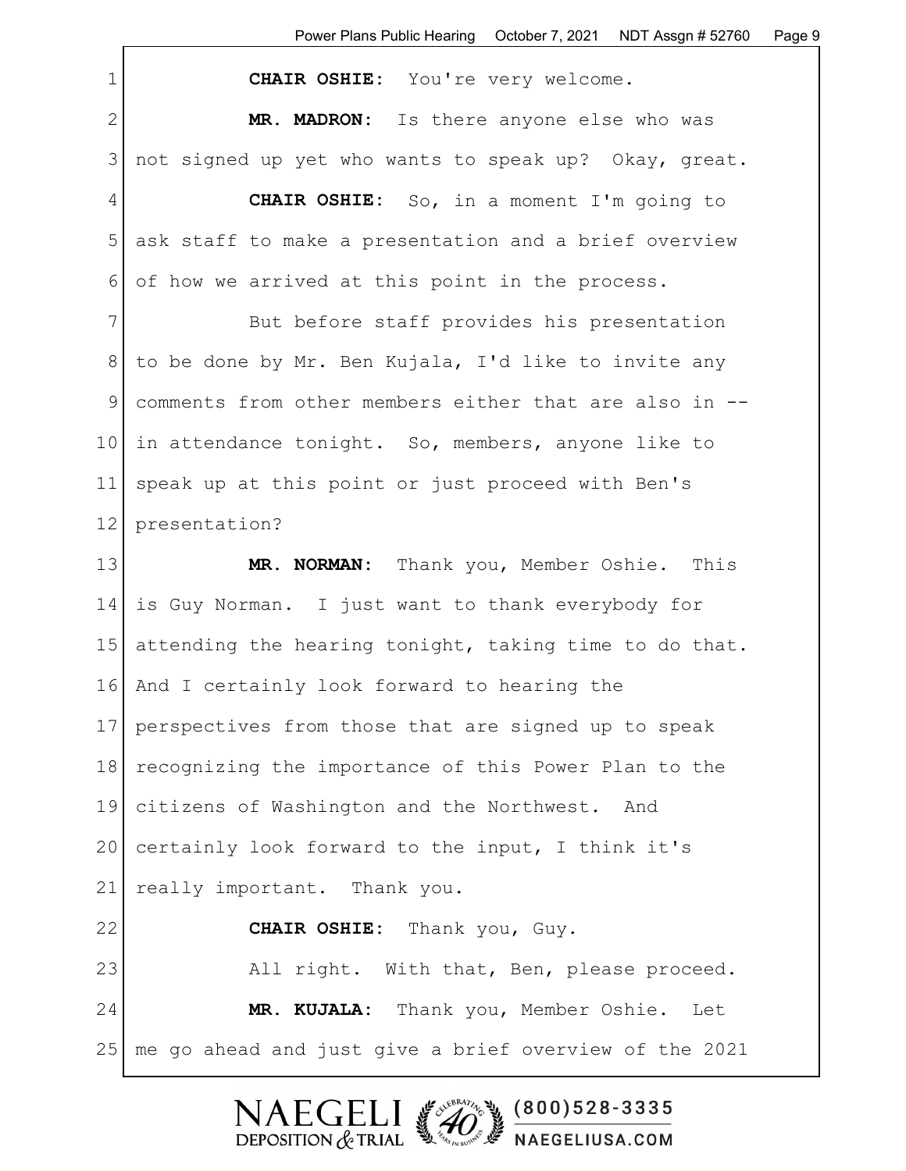| $\mathbf 1$    | CHAIR OSHIE: You're very welcome.                      |
|----------------|--------------------------------------------------------|
| $\overline{2}$ | MR. MADRON: Is there anyone else who was               |
| 3              | not signed up yet who wants to speak up? Okay, great.  |
| 4              | <b>CHAIR OSHIE:</b> So, in a moment I'm going to       |
| 5              | ask staff to make a presentation and a brief overview  |
| 6              | of how we arrived at this point in the process.        |
| 7              | But before staff provides his presentation             |
| 8              | to be done by Mr. Ben Kujala, I'd like to invite any   |
| $\mathcal{G}$  | comments from other members either that are also in -- |
| 10             | in attendance tonight. So, members, anyone like to     |
| 11             | speak up at this point or just proceed with Ben's      |
| 12             | presentation?                                          |
| 13             | MR. NORMAN: Thank you, Member Oshie. This              |
| 14             | is Guy Norman. I just want to thank everybody for      |
| 15             | attending the hearing tonight, taking time to do that. |
| 16             | And I certainly look forward to hearing the            |
| 17             | perspectives from those that are signed up to speak    |
| 18             | recognizing the importance of this Power Plan to the   |
| 19             | citizens of Washington and the Northwest. And          |
| 20             | certainly look forward to the input, I think it's      |
| 21             | really important. Thank you.                           |
| 22             | CHAIR OSHIE: Thank you, Guy.                           |
| 23             | All right. With that, Ben, please proceed.             |
| 24             | MR. KUJALA: Thank you, Member Oshie. Let               |
| 25             | me go ahead and just give a brief overview of the 2021 |

NAEGELI (200)528-3335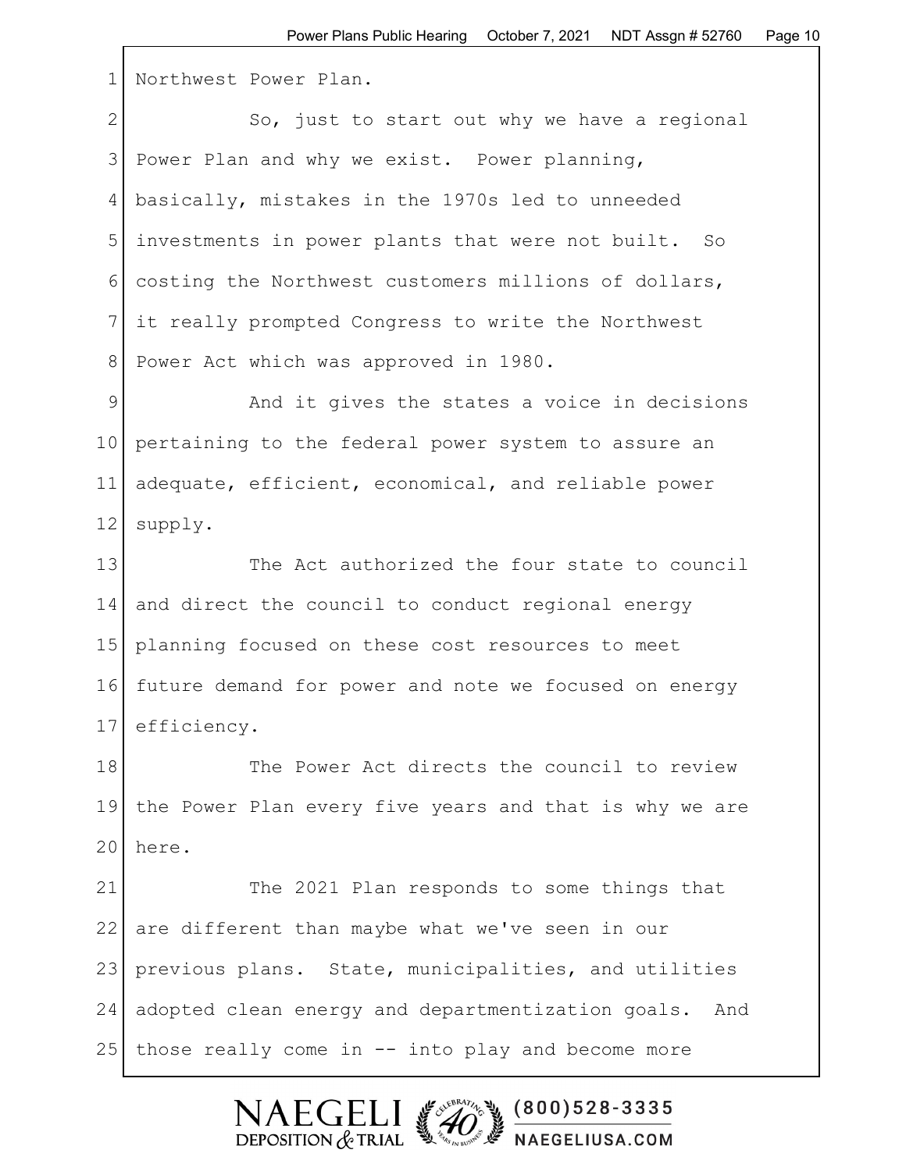1 Northwest Power Plan.

2 So, just to start out why we have a regional 3 Power Plan and why we exist. Power planning, 4 basically, mistakes in the 1970s led to unneeded 5 investments in power plants that were not built. So 6 costing the Northwest customers millions of dollars, 7 it really prompted Congress to write the Northwest 8 Power Act which was approved in 1980.

9 and it gives the states a voice in decisions 10 pertaining to the federal power system to assure an 11 adequate, efficient, economical, and reliable power 12 supply.

13 The Act authorized the four state to council 14 and direct the council to conduct regional energy 15 planning focused on these cost resources to meet 16 future demand for power and note we focused on energy 17 efficiency.

18 The Power Act directs the council to review 19 the Power Plan every five years and that is why we are  $20$  here.

21 The 2021 Plan responds to some things that 22 are different than maybe what we've seen in our 23 previous plans. State, municipalities, and utilities 24 adopted clean energy and departmentization goals. And 25 | those really come in -- into play and become more

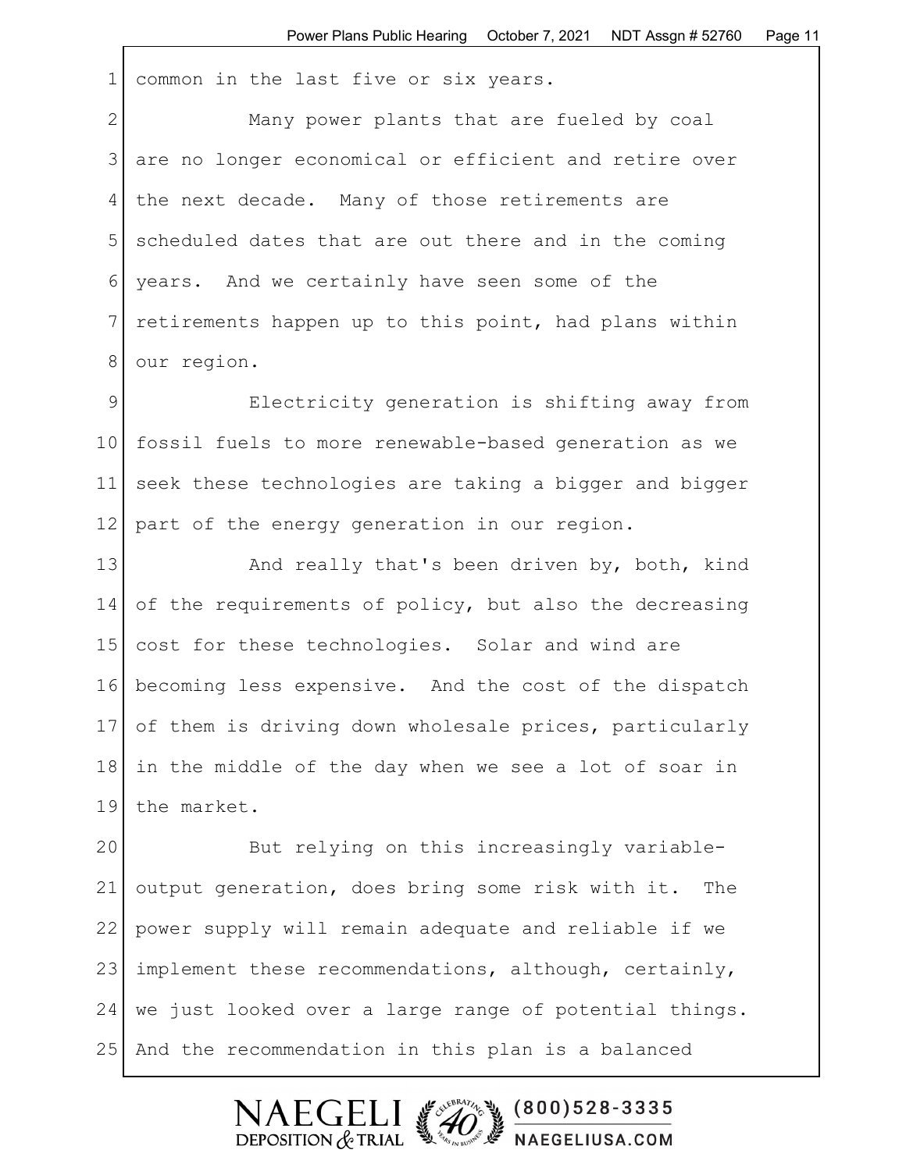1 common in the last five or six years.

2 Many power plants that are fueled by coal 3 are no longer economical or efficient and retire over 4 the next decade. Many of those retirements are 5 scheduled dates that are out there and in the coming 6 years. And we certainly have seen some of the 7 retirements happen up to this point, had plans within 8 our region.

9 Electricity generation is shifting away from 10 fossil fuels to more renewable-based generation as we 11 seek these technologies are taking a bigger and bigger 12 part of the energy generation in our region.

13 and really that's been driven by, both, kind 14 of the requirements of policy, but also the decreasing 15 cost for these technologies. Solar and wind are 16 becoming less expensive. And the cost of the dispatch 17 of them is driving down wholesale prices, particularly 18 in the middle of the day when we see a lot of soar in 19 the market.

20 But relying on this increasingly variable-21 output generation, does bring some risk with it. The 22 power supply will remain adequate and reliable if we 23 implement these recommendations, although, certainly, 24 we just looked over a large range of potential things. 25 And the recommendation in this plan is a balanced

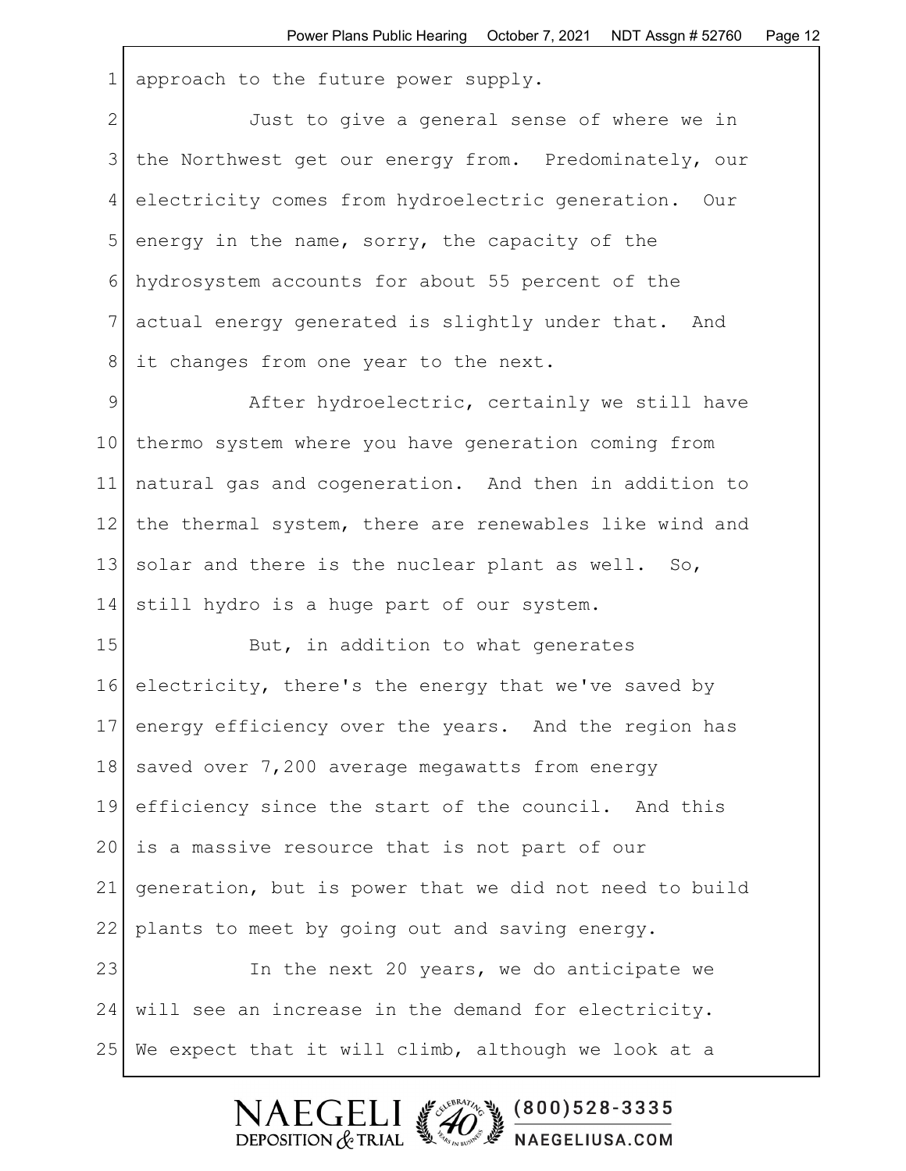1 approach to the future power supply.

2 Just to give a general sense of where we in 3 the Northwest get our energy from. Predominately, our 4 electricity comes from hydroelectric generation. Our 5 energy in the name, sorry, the capacity of the 6 hydrosystem accounts for about 55 percent of the 7 actual energy generated is slightly under that. And 8 at changes from one year to the next.

9 After hydroelectric, certainly we still have 10 thermo system where you have generation coming from 11 natural gas and cogeneration. And then in addition to 12 the thermal system, there are renewables like wind and 13 solar and there is the nuclear plant as well. So, 14 still hydro is a huge part of our system.

15 But, in addition to what generates 16 electricity, there's the energy that we've saved by 17 energy efficiency over the years. And the region has 18 saved over 7,200 average megawatts from energy 19 efficiency since the start of the council. And this 20 is a massive resource that is not part of our 21 generation, but is power that we did not need to build 22 plants to meet by going out and saving energy. 23 In the next 20 years, we do anticipate we

24 will see an increase in the demand for electricity. 25 We expect that it will climb, although we look at a

> SERVERATION OF  $\mathsf{FCFL}$  $(800)528 - 3335$ DEPOSITION  $&$  TRIAL NAEGELIUSA.COM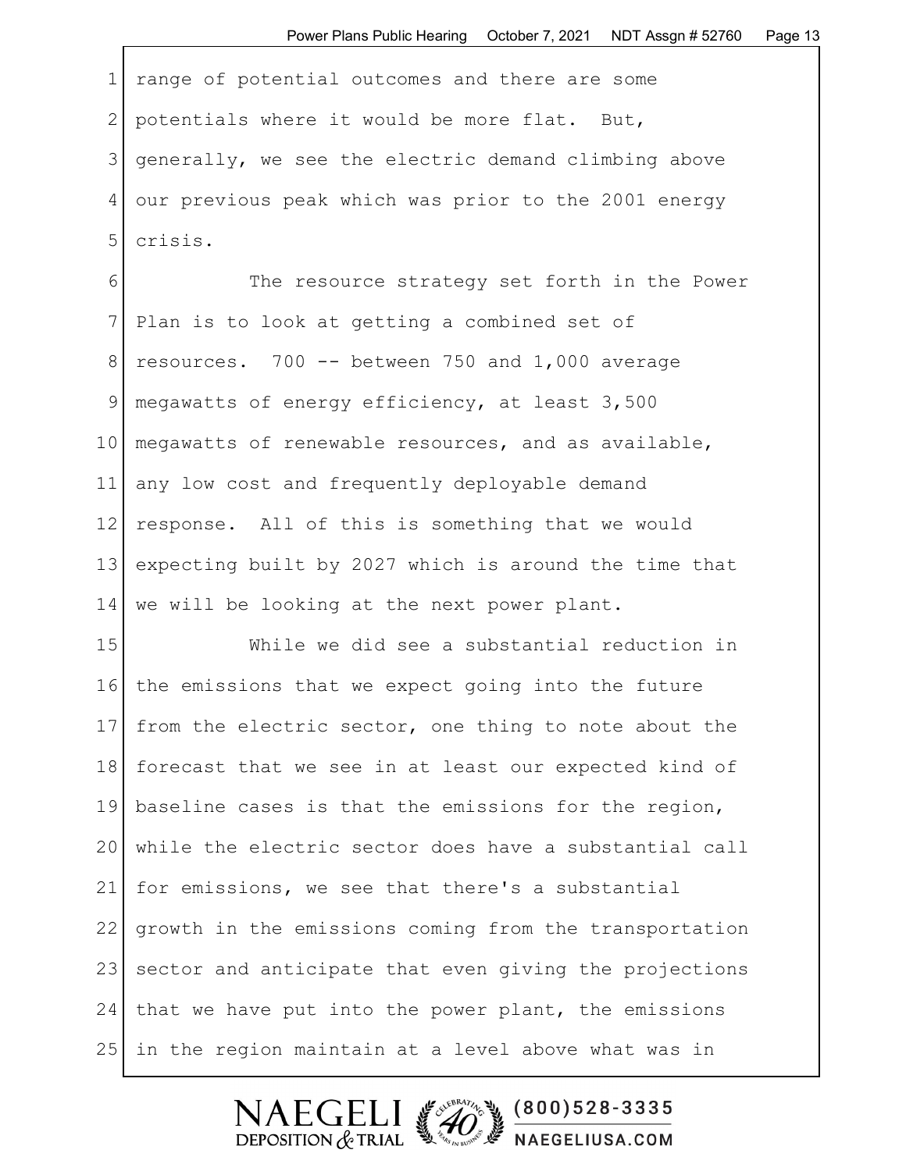1 range of potential outcomes and there are some 2 potentials where it would be more flat. But, 3 generally, we see the electric demand climbing above 4 our previous peak which was prior to the 2001 energy 5 crisis.

6 The resource strategy set forth in the Power 7 Plan is to look at getting a combined set of  $8$  resources. 700 -- between 750 and 1,000 average 9 megawatts of energy efficiency, at least 3,500 10 megawatts of renewable resources, and as available, 11 any low cost and frequently deployable demand 12 response. All of this is something that we would 13 expecting built by 2027 which is around the time that 14 we will be looking at the next power plant.

15 While we did see a substantial reduction in 16 the emissions that we expect going into the future 17 from the electric sector, one thing to note about the 18 forecast that we see in at least our expected kind of 19 baseline cases is that the emissions for the region, 20 while the electric sector does have a substantial call 21 for emissions, we see that there's a substantial 22 growth in the emissions coming from the transportation 23 sector and anticipate that even giving the projections 24 that we have put into the power plant, the emissions 25 in the region maintain at a level above what was in

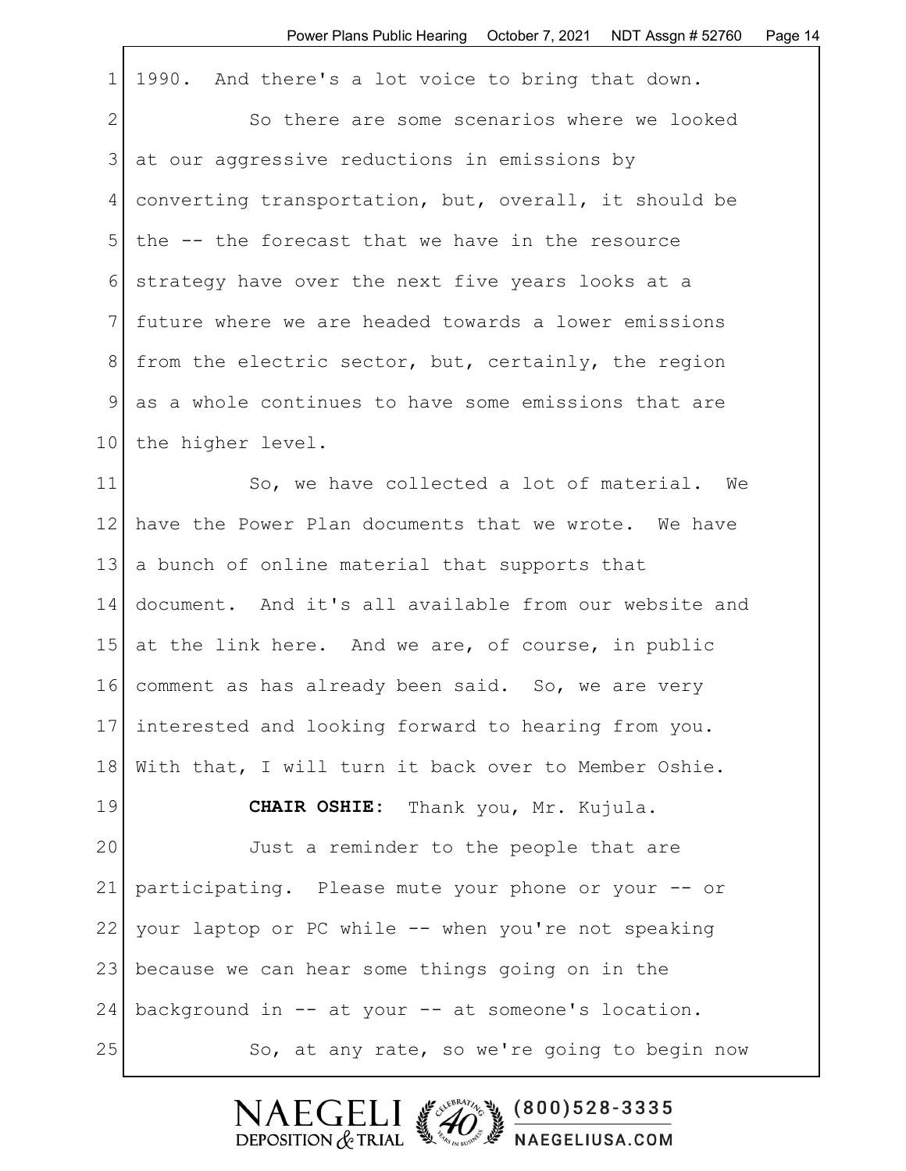| $\mathbf{1}$    | 1990. And there's a lot voice to bring that down.      |
|-----------------|--------------------------------------------------------|
| $\mathbf{2}$    | So there are some scenarios where we looked            |
| 3               | at our aggressive reductions in emissions by           |
| 4               | converting transportation, but, overall, it should be  |
| 5               | the -- the forecast that we have in the resource       |
| 6               | strategy have over the next five years looks at a      |
| 7               | future where we are headed towards a lower emissions   |
| 8               | from the electric sector, but, certainly, the region   |
| 9               | as a whole continues to have some emissions that are   |
| 10 <sub>o</sub> | the higher level.                                      |
| 11              | So, we have collected a lot of material. We            |
| 12 <sup>°</sup> | have the Power Plan documents that we wrote. We have   |
| 13              | a bunch of online material that supports that          |
| 14              | document. And it's all available from our website and  |
| 15              | at the link here. And we are, of course, in public     |
| 16              | comment as has already been said. So, we are very      |
|                 | 17 interested and looking forward to hearing from you. |
| 18              | With that, I will turn it back over to Member Oshie.   |
| 19              | CHAIR OSHIE: Thank you, Mr. Kujula.                    |
| 20              | Just a reminder to the people that are                 |
| 21              | participating. Please mute your phone or your -- or    |
| 22              | your laptop or PC while -- when you're not speaking    |
| 23              | because we can hear some things going on in the        |
| 24              | background in -- at your -- at someone's location.     |
| 25              | So, at any rate, so we're going to begin now           |

Г

NAEGELI (200)528-3335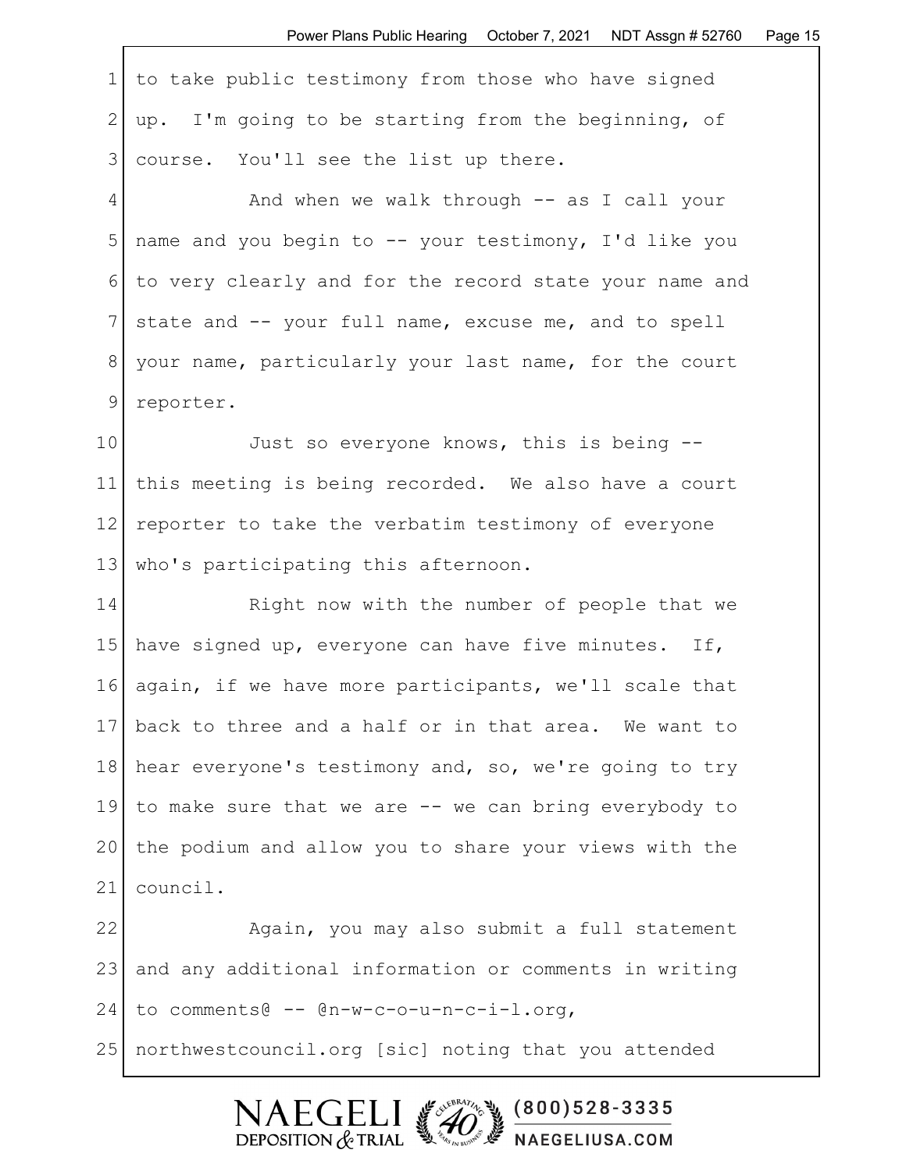1 to take public testimony from those who have signed 2 | up. I'm going to be starting from the beginning, of 3 course. You'll see the list up there.

4 And when we walk through -- as I call your 5 name and you begin to -- your testimony, I'd like you 6 to very clearly and for the record state your name and 7 state and -- your full name, excuse me, and to spell 8 your name, particularly your last name, for the court 9 reporter.

10 Just so everyone knows, this is being --11 this meeting is being recorded. We also have a court 12 reporter to take the verbatim testimony of everyone 13 | who's participating this afternoon.

14 Right now with the number of people that we 15 have signed up, everyone can have five minutes. If, 16 again, if we have more participants, we'll scale that 17 back to three and a half or in that area. We want to 18 hear everyone's testimony and, so, we're going to try 19 to make sure that we are -- we can bring everybody to 20 the podium and allow you to share your views with the 21 council.

22 Again, you may also submit a full statement 23 and any additional information or comments in writing 24 to comments@ -- @n-w-c-o-u-n-c-i-l.org, 25 northwestcouncil.org [sic] noting that you attended

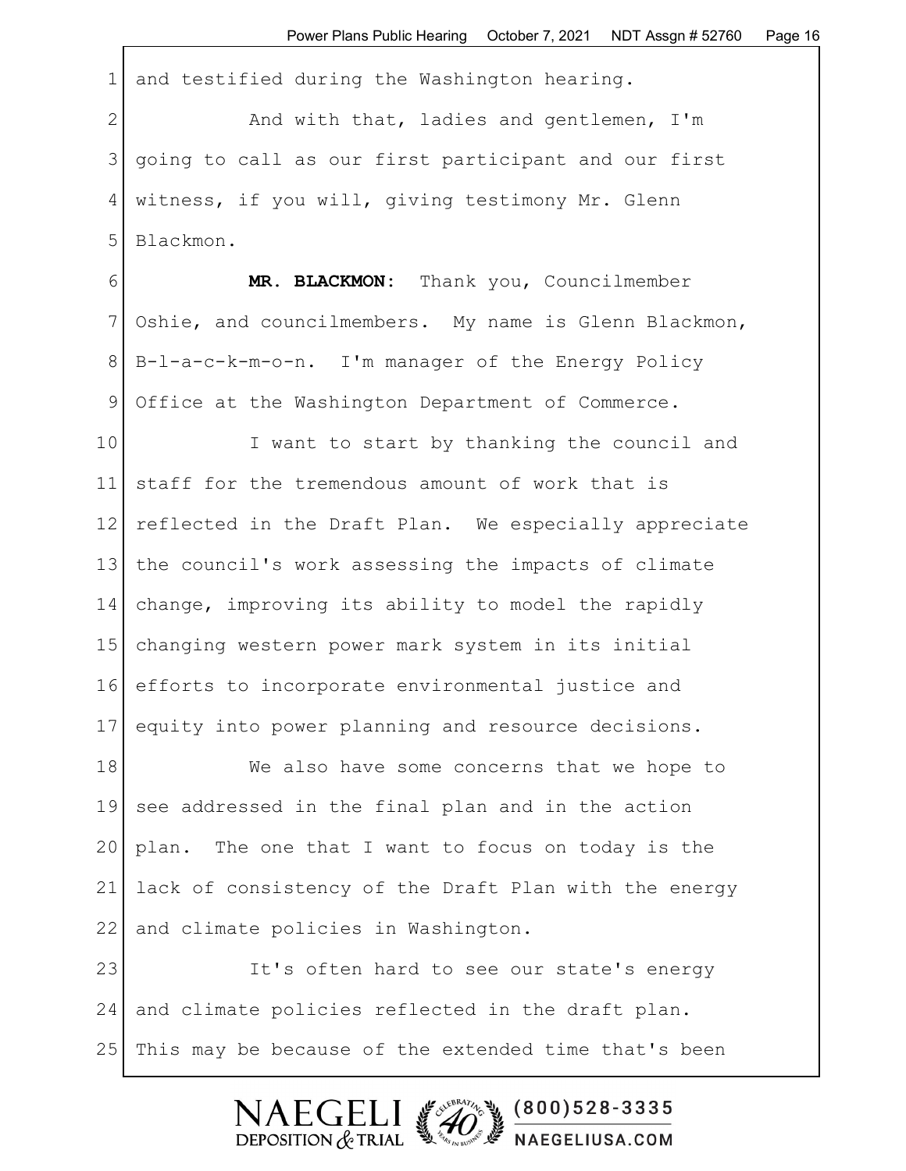1 and testified during the Washington hearing.

2 And with that, ladies and gentlemen, I'm 3 going to call as our first participant and our first 4 witness, if you will, giving testimony Mr. Glenn 5 Blackmon.

6 **MR. BLACKMON:** Thank you, Councilmember 7 Oshie, and councilmembers. My name is Glenn Blackmon, 8 B-l-a-c-k-m-o-n. I'm manager of the Energy Policy 9 Office at the Washington Department of Commerce.

10 I want to start by thanking the council and 11 staff for the tremendous amount of work that is 12 reflected in the Draft Plan. We especially appreciate 13 the council's work assessing the impacts of climate 14 change, improving its ability to model the rapidly 15 changing western power mark system in its initial 16 efforts to incorporate environmental justice and 17 equity into power planning and resource decisions.

18 We also have some concerns that we hope to 19 see addressed in the final plan and in the action 20 plan. The one that I want to focus on today is the 21 lack of consistency of the Draft Plan with the energy 22 and climate policies in Washington.

23 It's often hard to see our state's energy 24 and climate policies reflected in the draft plan. 25 | This may be because of the extended time that's been

> $\mathsf{F}\mathsf{C}\mathsf{F}$  $(800)528 - 3335$ DEPOSITION  $&$  TRIAL NAEGELIUSA.COM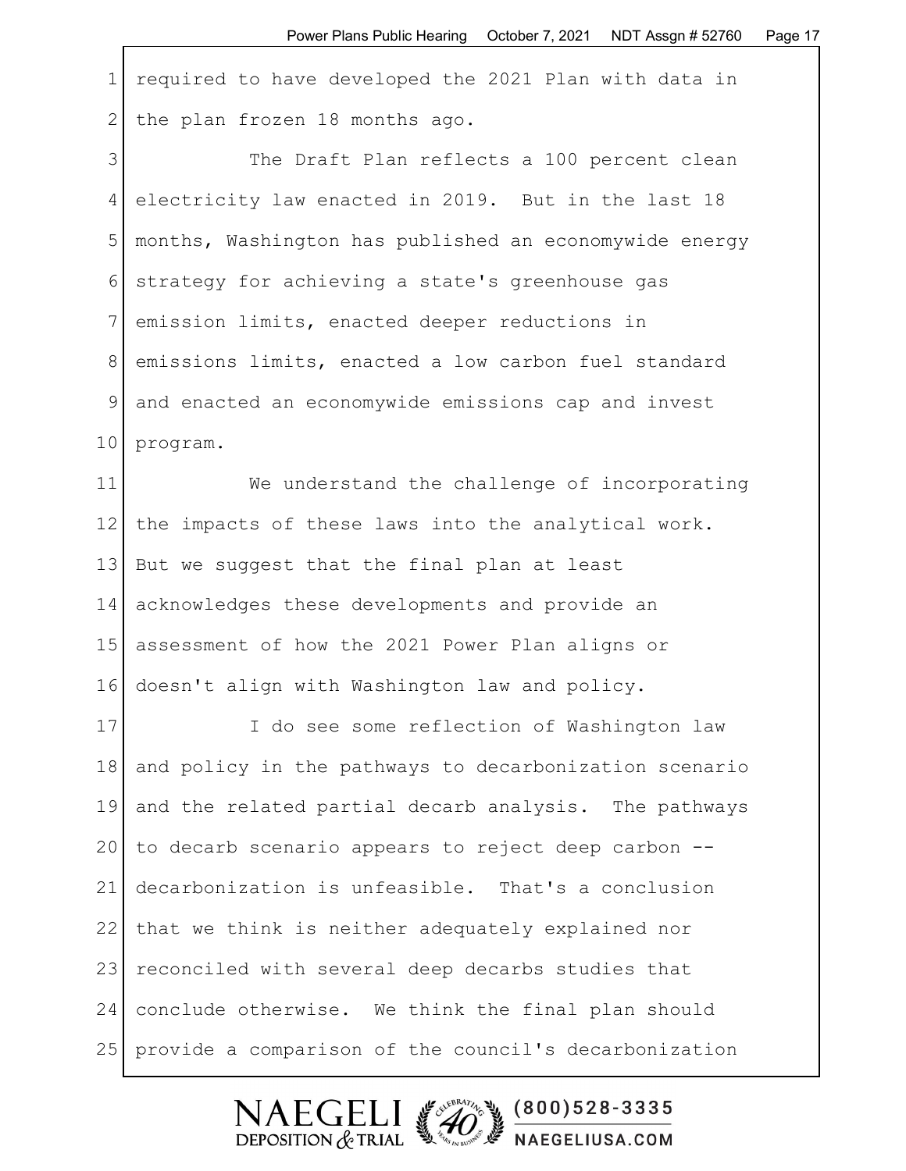1 required to have developed the 2021 Plan with data in 2 the plan frozen 18 months ago.

3 The Draft Plan reflects a 100 percent clean 4 electricity law enacted in 2019. But in the last 18 5 months, Washington has published an economywide energy 6 strategy for achieving a state's greenhouse gas 7 emission limits, enacted deeper reductions in 8 emissions limits, enacted a low carbon fuel standard 9 and enacted an economywide emissions cap and invest 10 program.

11 We understand the challenge of incorporating 12 | the impacts of these laws into the analytical work. 13 But we suggest that the final plan at least 14 acknowledges these developments and provide an 15 assessment of how the 2021 Power Plan aligns or 16 doesn't align with Washington law and policy.

17 I do see some reflection of Washington law 18 and policy in the pathways to decarbonization scenario 19 and the related partial decarb analysis. The pathways  $20$  to decarb scenario appears to reject deep carbon  $-$ -21 decarbonization is unfeasible. That's a conclusion 22 that we think is neither adequately explained nor 23 reconciled with several deep decarbs studies that 24 conclude otherwise. We think the final plan should 25 provide a comparison of the council's decarbonization

> FCF  $(800)528 - 3335$ DEPOSITION  $&$  TRIAL NAEGELIUSA.COM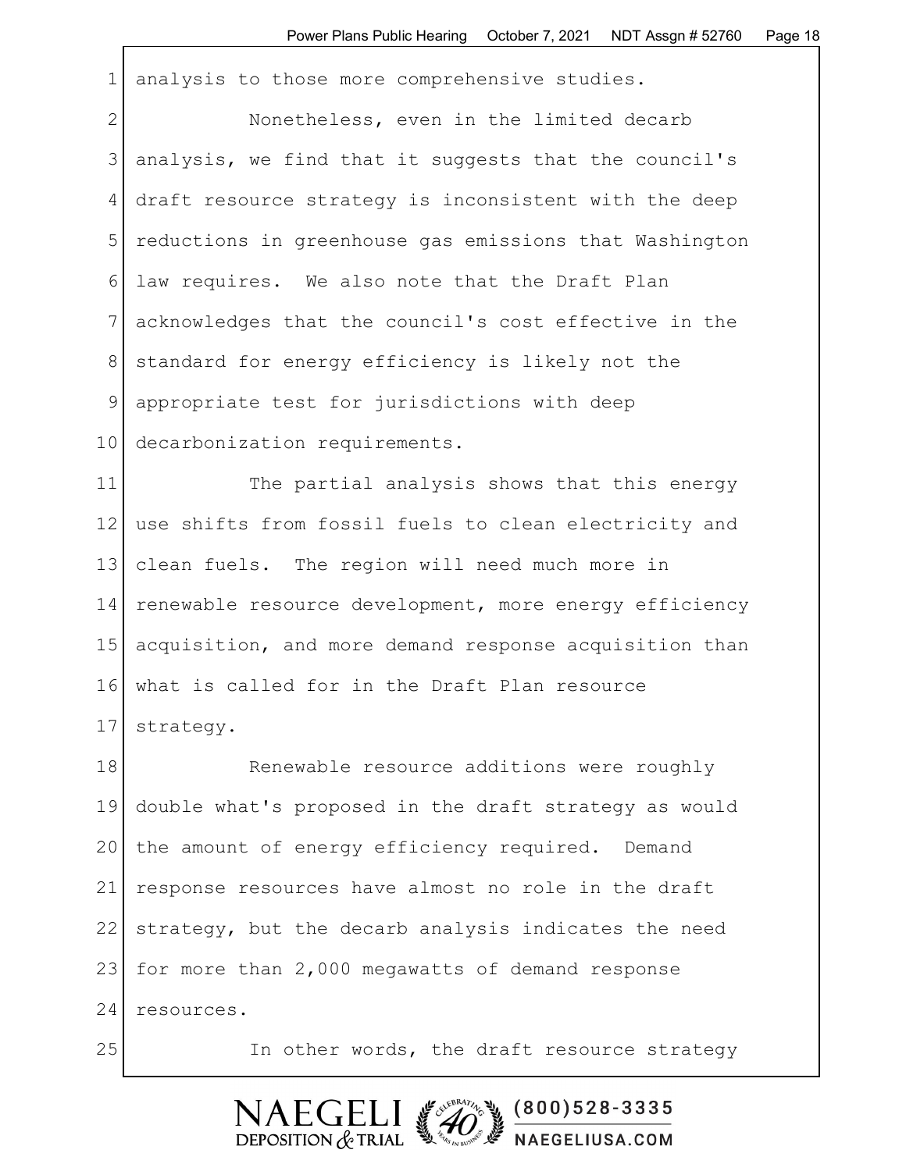1 analysis to those more comprehensive studies.

2 Nonetheless, even in the limited decarb 3 analysis, we find that it suggests that the council's 4 draft resource strategy is inconsistent with the deep 5 reductions in greenhouse gas emissions that Washington 6 law requires. We also note that the Draft Plan 7 acknowledges that the council's cost effective in the 8 standard for energy efficiency is likely not the 9 appropriate test for jurisdictions with deep 10 decarbonization requirements.

11 The partial analysis shows that this energy 12 use shifts from fossil fuels to clean electricity and 13 clean fuels. The region will need much more in 14 renewable resource development, more energy efficiency 15 acquisition, and more demand response acquisition than 16 what is called for in the Draft Plan resource 17 strategy.

18 Renewable resource additions were roughly 19 double what's proposed in the draft strategy as would 20 the amount of energy efficiency required. Demand 21 response resources have almost no role in the draft 22 strategy, but the decarb analysis indicates the need 23 for more than 2,000 megawatts of demand response 24 resources.

25 In other words, the draft resource strategy

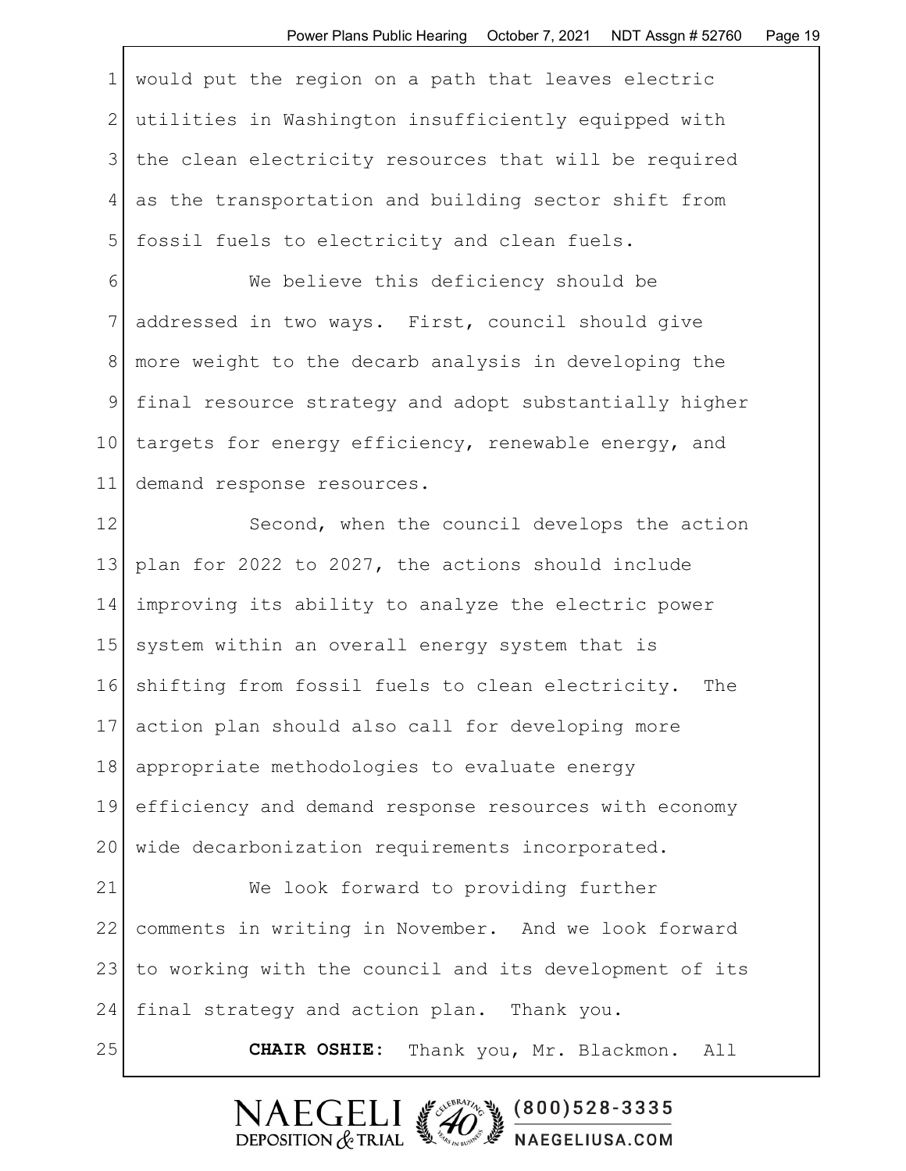1 would put the region on a path that leaves electric 2 utilities in Washington insufficiently equipped with 3 | the clean electricity resources that will be required 4 as the transportation and building sector shift from 5 fossil fuels to electricity and clean fuels.

6 We believe this deficiency should be 7 addressed in two ways. First, council should give 8 more weight to the decarb analysis in developing the 9 final resource strategy and adopt substantially higher 10 targets for energy efficiency, renewable energy, and 11 demand response resources.

12 Second, when the council develops the action 13 plan for 2022 to 2027, the actions should include 14 improving its ability to analyze the electric power 15 system within an overall energy system that is 16 shifting from fossil fuels to clean electricity. The 17 action plan should also call for developing more 18 appropriate methodologies to evaluate energy 19 efficiency and demand response resources with economy 20 | wide decarbonization requirements incorporated. 21 We look forward to providing further 22 comments in writing in November. And we look forward 23 to working with the council and its development of its

24 final strategy and action plan. Thank you.

25 **CHAIR OSHIE:** Thank you, Mr. Blackmon. All

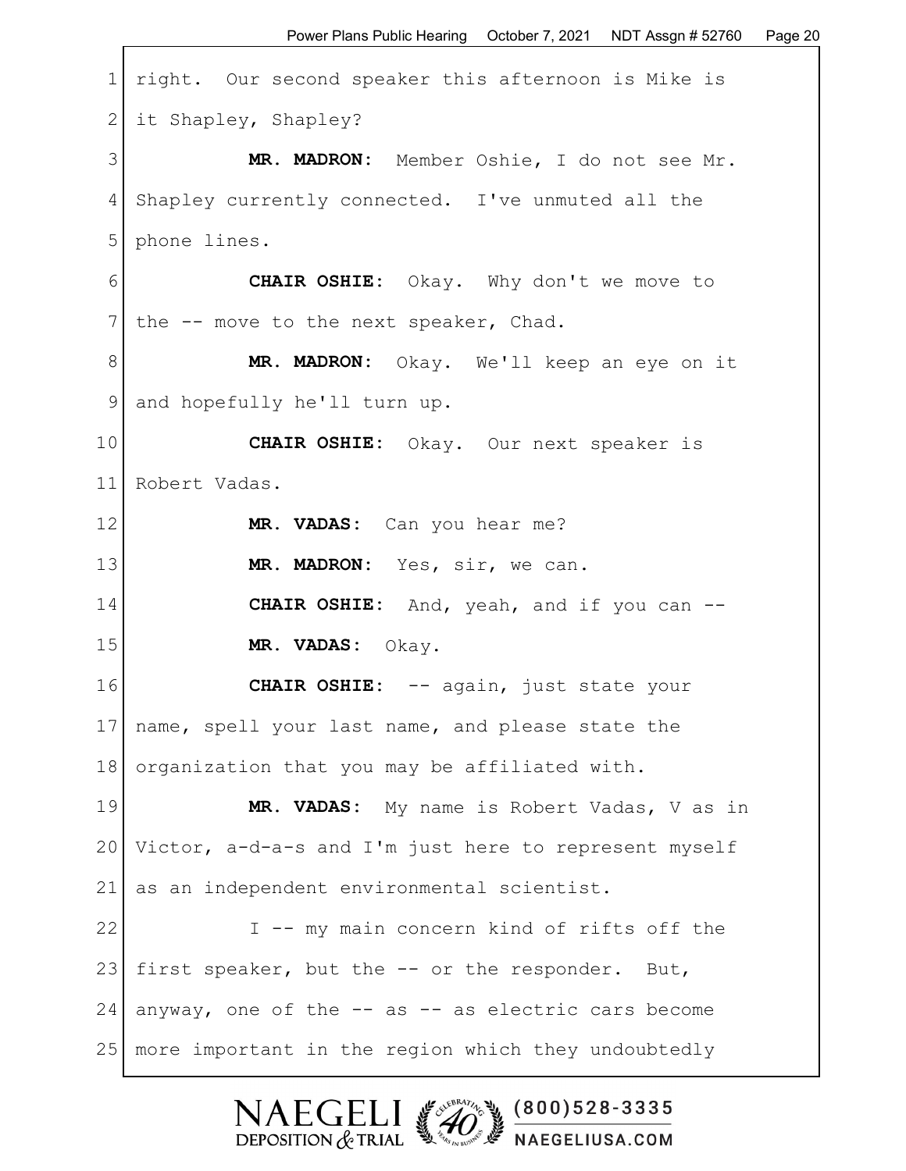1 right. Our second speaker this afternoon is Mike is 2 it Shapley, Shapley? 3 **MR. MADRON:** Member Oshie, I do not see Mr. 4 Shapley currently connected. I've unmuted all the 5 phone lines. 6 **CHAIR OSHIE:** Okay. Why don't we move to 7 the  $-$ - move to the next speaker, Chad. 8 **MR. MADRON:** Okay. We'll keep an eye on it 9 and hopefully he'll turn up. 10 **CHAIR OSHIE:** Okay. Our next speaker is 11 Robert Vadas. 12 **MR. VADAS:** Can you hear me? 13 **MR. MADRON:** Yes, sir, we can. 14 **CHAIR OSHIE:** And, yeah, and if you can -- 15 **MR. VADAS:** Okay. 16 **CHAIR OSHIE:** -- again, just state your 17 | name, spell your last name, and please state the 18 organization that you may be affiliated with. 19 **MR. VADAS:** My name is Robert Vadas, V as in 20 Victor, a-d-a-s and I'm just here to represent myself 21 as an independent environmental scientist. 22 I -- my main concern kind of rifts off the 23 first speaker, but the  $-$  or the responder. But,  $24$  anyway, one of the  $-$  as  $-$  as electric cars become 25 more important in the region which they undoubtedly

> $(800)528 - 3335$ DEPOSITION  $&$  TRIAL **EN EVELY BUSIT FIGELIUSA.COM**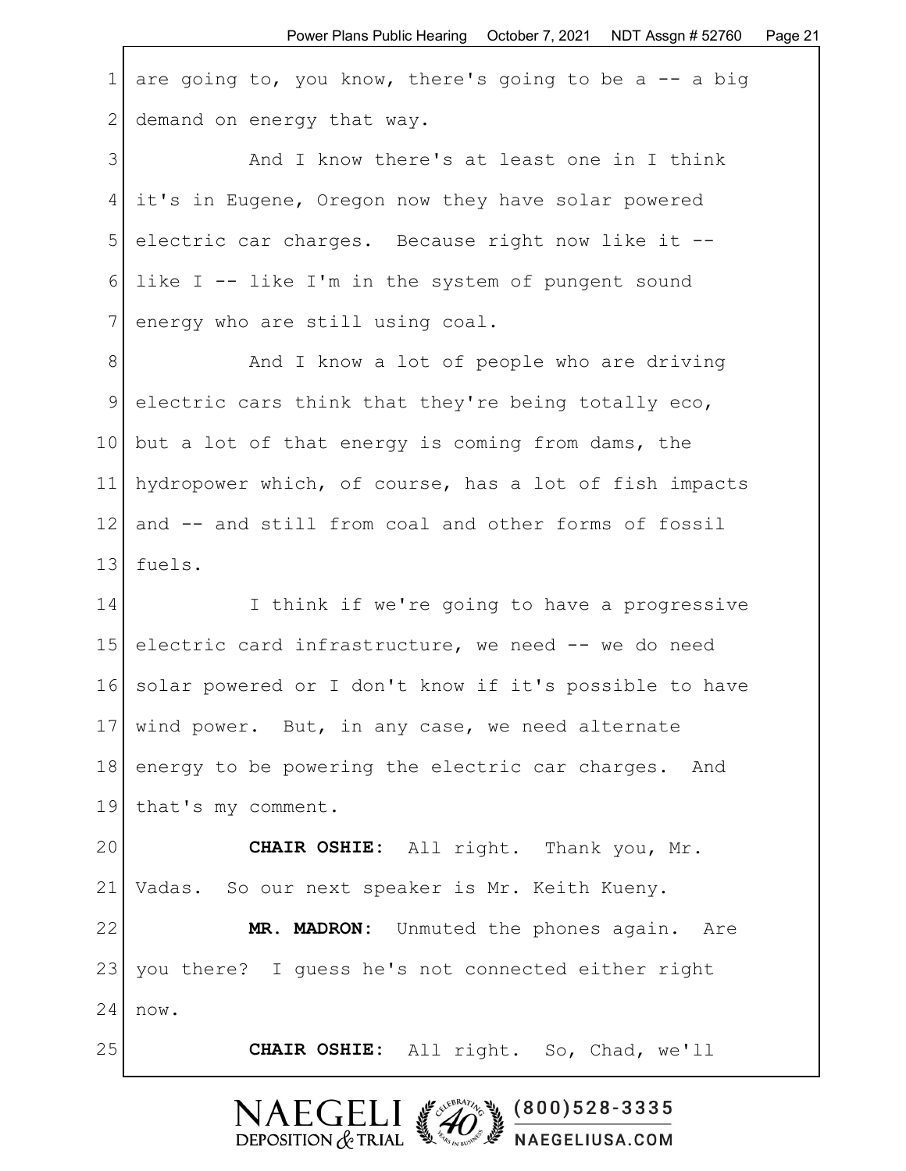1 are going to, you know, there's going to be a  $-$  a big 2 demand on energy that way.

3 and I know there's at least one in I think 4 it's in Eugene, Oregon now they have solar powered 5 electric car charges. Because right now like it -- 6 like I  $-$  like I'm in the system of pungent sound 7 energy who are still using coal.

8 and I know a lot of people who are driving 9 electric cars think that they're being totally eco, 10 but a lot of that energy is coming from dams, the 11 hydropower which, of course, has a lot of fish impacts 12 and -- and still from coal and other forms of fossil 13 fuels.

14 I think if we're going to have a progressive 15 electric card infrastructure, we need -- we do need 16 solar powered or I don't know if it's possible to have 17 | wind power. But, in any case, we need alternate 18 energy to be powering the electric car charges. And 19 that's my comment.

20 CHAIR OSHIE: All right. Thank you, Mr. 21 Vadas. So our next speaker is Mr. Keith Kueny.

22 **MR. MADRON:** Unmuted the phones again. Are 23 you there? I guess he's not connected either right  $24$  now.

25 **CHAIR OSHIE:** All right. So, Chad, we'll

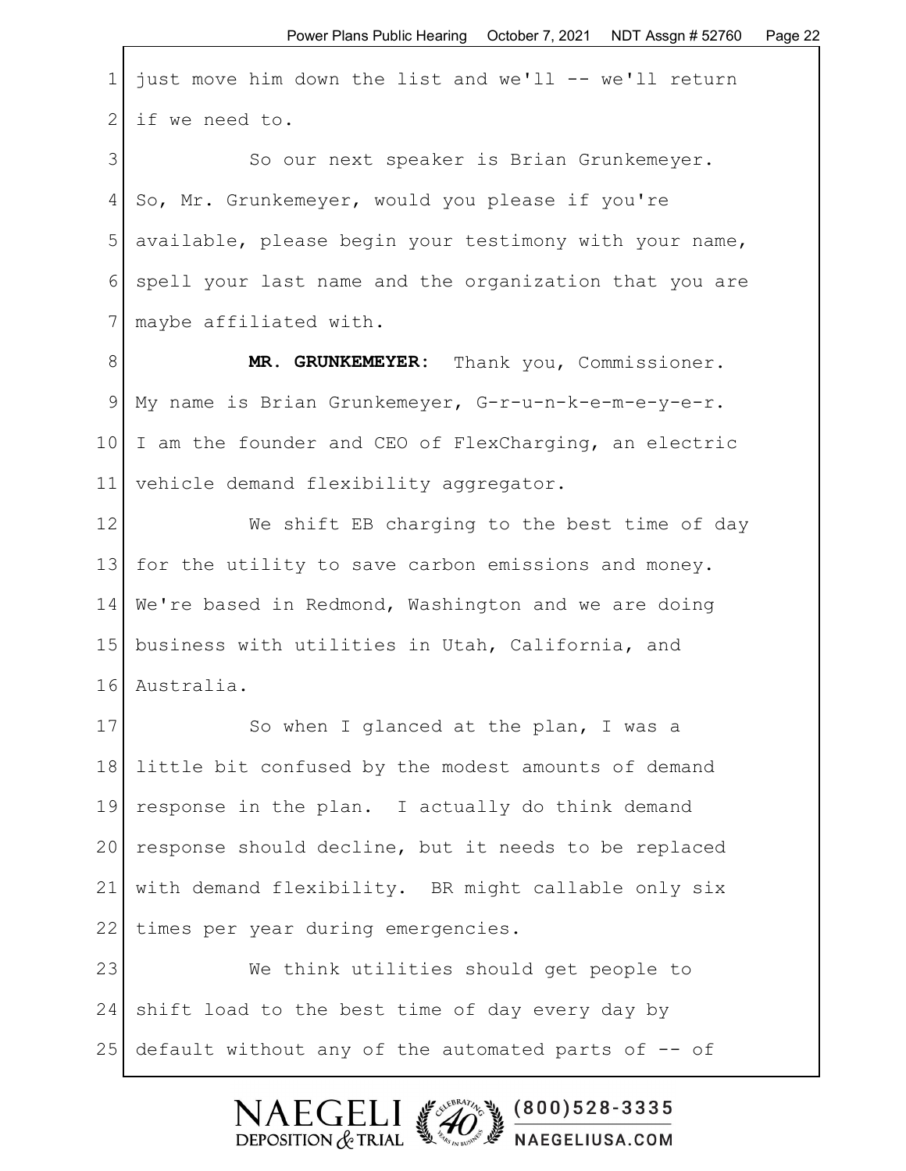1 just move him down the list and we'll  $--$  we'll return  $2$  if we need to.

3 So our next speaker is Brian Grunkemeyer. 4 So, Mr. Grunkemeyer, would you please if you're 5 available, please begin your testimony with your name, 6 spell your last name and the organization that you are 7 maybe affiliated with.

8 **MR. GRUNKEMEYER:** Thank you, Commissioner. 9 My name is Brian Grunkemeyer, G-r-u-n-k-e-m-e-y-e-r. 10 I am the founder and CEO of FlexCharging, an electric 11 vehicle demand flexibility aggregator.

12 We shift EB charging to the best time of day 13 for the utility to save carbon emissions and money. 14 We're based in Redmond, Washington and we are doing 15 business with utilities in Utah, California, and 16 Australia.

17 So when I glanced at the plan, I was a 18 little bit confused by the modest amounts of demand 19 response in the plan. I actually do think demand 20 response should decline, but it needs to be replaced 21 with demand flexibility. BR might callable only six 22 | times per year during emergencies.

23 We think utilities should get people to 24 shift load to the best time of day every day by 25 default without any of the automated parts of -- of

DEPOSITION  $&$  TRIAL

 $(800)528 - 3335$ 

NAEGELIUSA.COM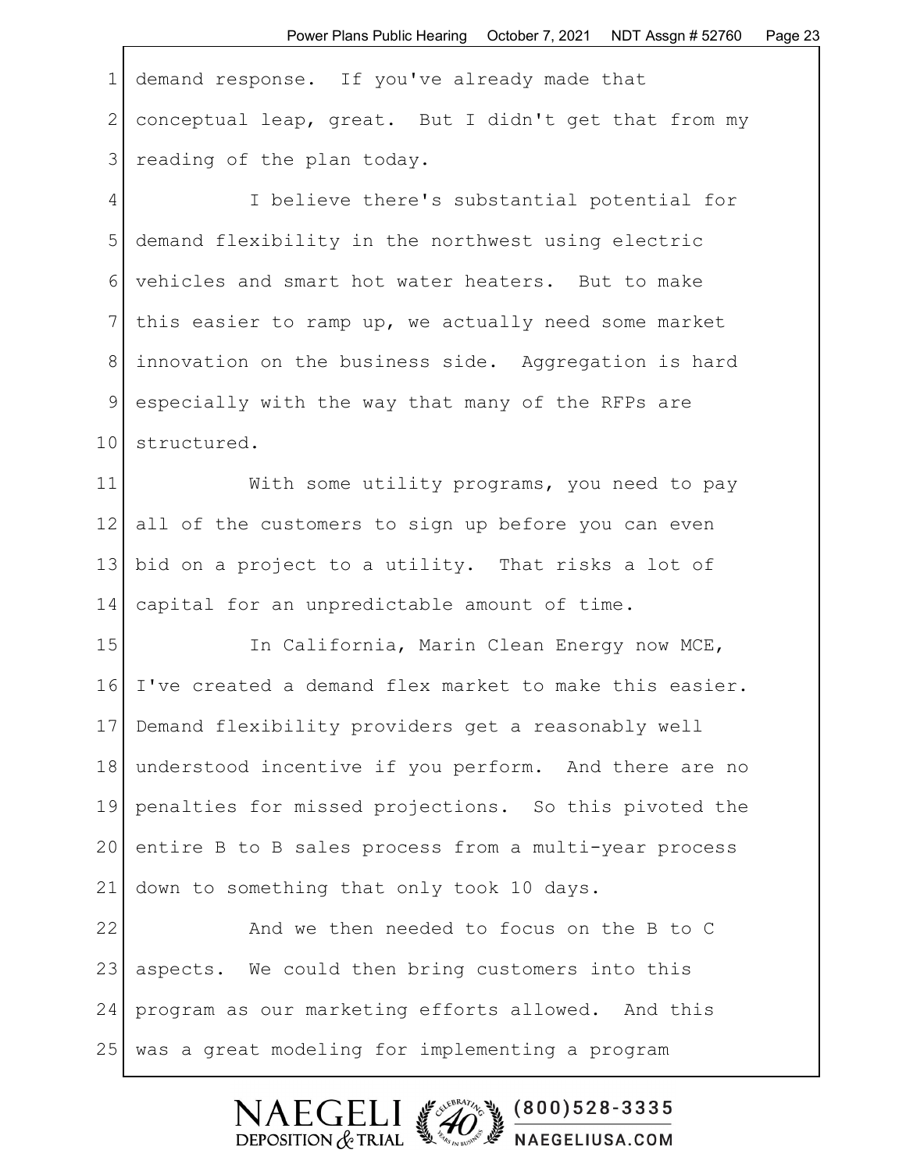1 demand response. If you've already made that 2 conceptual leap, great. But I didn't get that from my 3 | reading of the plan today.

4 I believe there's substantial potential for 5 demand flexibility in the northwest using electric 6 vehicles and smart hot water heaters. But to make 7 this easier to ramp up, we actually need some market 8 innovation on the business side. Aggregation is hard 9 especially with the way that many of the RFPs are 10 structured.

11 With some utility programs, you need to pay 12 all of the customers to sign up before you can even 13 bid on a project to a utility. That risks a lot of 14 capital for an unpredictable amount of time.

15 In California, Marin Clean Energy now MCE, 16 I've created a demand flex market to make this easier. 17 Demand flexibility providers get a reasonably well 18 understood incentive if you perform. And there are no 19 penalties for missed projections. So this pivoted the 20 entire B to B sales process from a multi-year process 21 down to something that only took 10 days.

22 And we then needed to focus on the B to C 23 aspects. We could then bring customers into this 24 program as our marketing efforts allowed. And this 25 was a great modeling for implementing a program

> $(800)528 - 3335$ ECEI DEPOSITION  $&$  TRIAL NAEGELIUSA.COM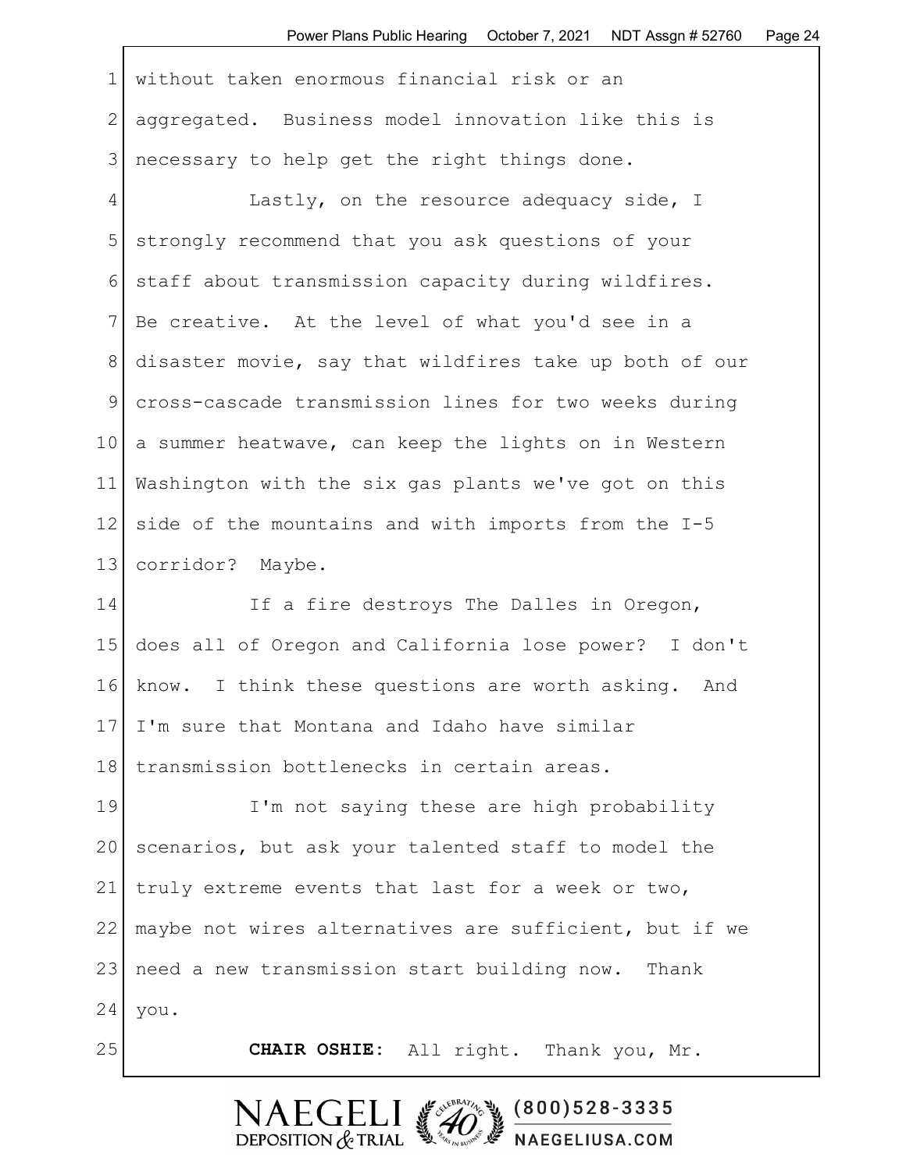1 without taken enormous financial risk or an 2 aggregated. Business model innovation like this is 3 | necessary to help get the right things done.

4 Lastly, on the resource adequacy side, I 5 strongly recommend that you ask questions of your 6 staff about transmission capacity during wildfires. 7 Be creative. At the level of what you'd see in a 8 disaster movie, say that wildfires take up both of our 9 cross-cascade transmission lines for two weeks during 10 a summer heatwave, can keep the lights on in Western 11 Washington with the six gas plants we've got on this 12 side of the mountains and with imports from the I-5 13 corridor? Maybe.

14 If a fire destroys The Dalles in Oregon, 15 does all of Oregon and California lose power? I don't 16 know. I think these questions are worth asking. And 17 I'm sure that Montana and Idaho have similar 18 transmission bottlenecks in certain areas.

19 I'm not saying these are high probability 20 scenarios, but ask your talented staff to model the 21 truly extreme events that last for a week or two, 22 maybe not wires alternatives are sufficient, but if we 23 | need a new transmission start building now. Thank  $24$  you.

25 **CHAIR OSHIE:** All right. Thank you, Mr.

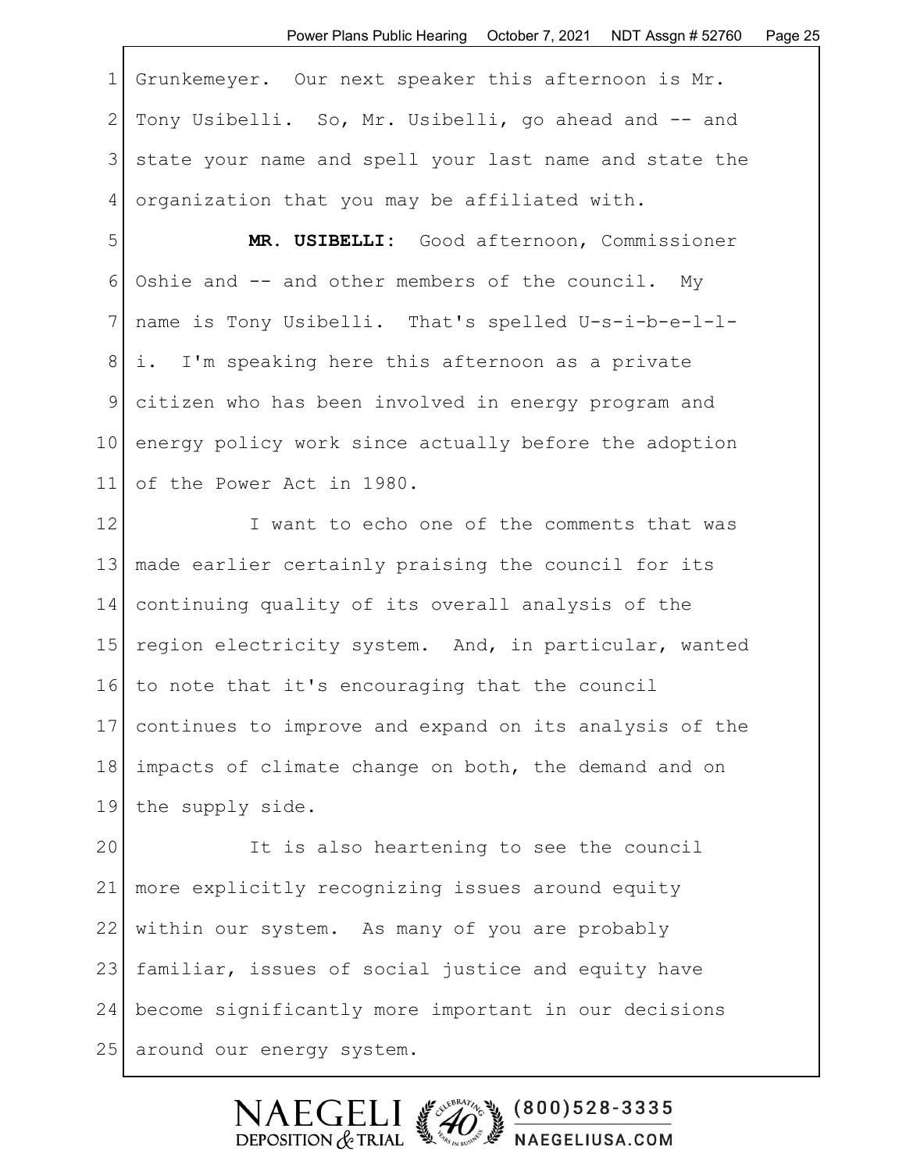1 Grunkemeyer. Our next speaker this afternoon is Mr. 2 Tony Usibelli. So, Mr. Usibelli, go ahead and -- and 3 state your name and spell your last name and state the 4 organization that you may be affiliated with.

5 **MR. USIBELLI:** Good afternoon, Commissioner 6 Oshie and -- and other members of the council. My 7 name is Tony Usibelli. That's spelled U-s-i-b-e-l-l-8 | i. I'm speaking here this afternoon as a private 9 citizen who has been involved in energy program and 10 energy policy work since actually before the adoption 11 of the Power Act in 1980.

12 I want to echo one of the comments that was 13 made earlier certainly praising the council for its 14 continuing quality of its overall analysis of the 15 region electricity system. And, in particular, wanted 16 to note that it's encouraging that the council 17 continues to improve and expand on its analysis of the 18 impacts of climate change on both, the demand and on 19 the supply side.

20 It is also heartening to see the council 21 more explicitly recognizing issues around equity 22 within our system. As many of you are probably 23 familiar, issues of social justice and equity have 24 become significantly more important in our decisions 25 around our energy system.

> $\mathsf{F}\mathsf{C}\mathsf{F}$  $(800)528 - 3335$ DEPOSITION  $&$  TRIAL NAEGELIUSA.COM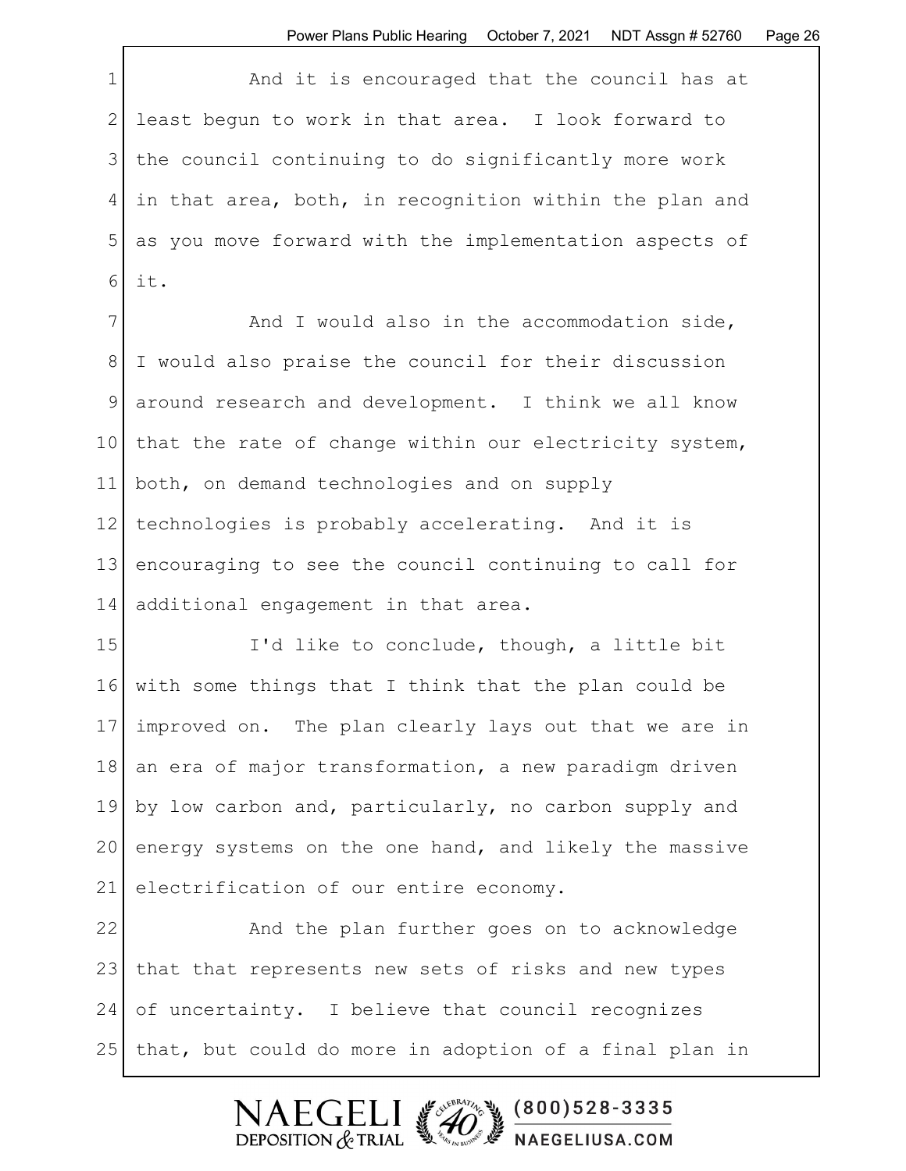1 and it is encouraged that the council has at 2 least begun to work in that area. I look forward to 3 the council continuing to do significantly more work 4 in that area, both, in recognition within the plan and 5 as you move forward with the implementation aspects of 6 it.

7 and I would also in the accommodation side, 8 I would also praise the council for their discussion 9 around research and development. I think we all know 10 that the rate of change within our electricity system, 11 both, on demand technologies and on supply 12 | technologies is probably accelerating. And it is 13 encouraging to see the council continuing to call for 14 additional engagement in that area.

15 I'd like to conclude, though, a little bit 16 with some things that I think that the plan could be 17 improved on. The plan clearly lays out that we are in 18 an era of major transformation, a new paradigm driven 19 by low carbon and, particularly, no carbon supply and 20 energy systems on the one hand, and likely the massive 21 electrification of our entire economy.

22 And the plan further goes on to acknowledge 23 | that that represents new sets of risks and new types 24 of uncertainty. I believe that council recognizes 25 | that, but could do more in adoption of a final plan in

> \$ 000) 528-3335  $FCF$ DEPOSITION  $&$  TRIAL **WE NAEGELIUSA.COM**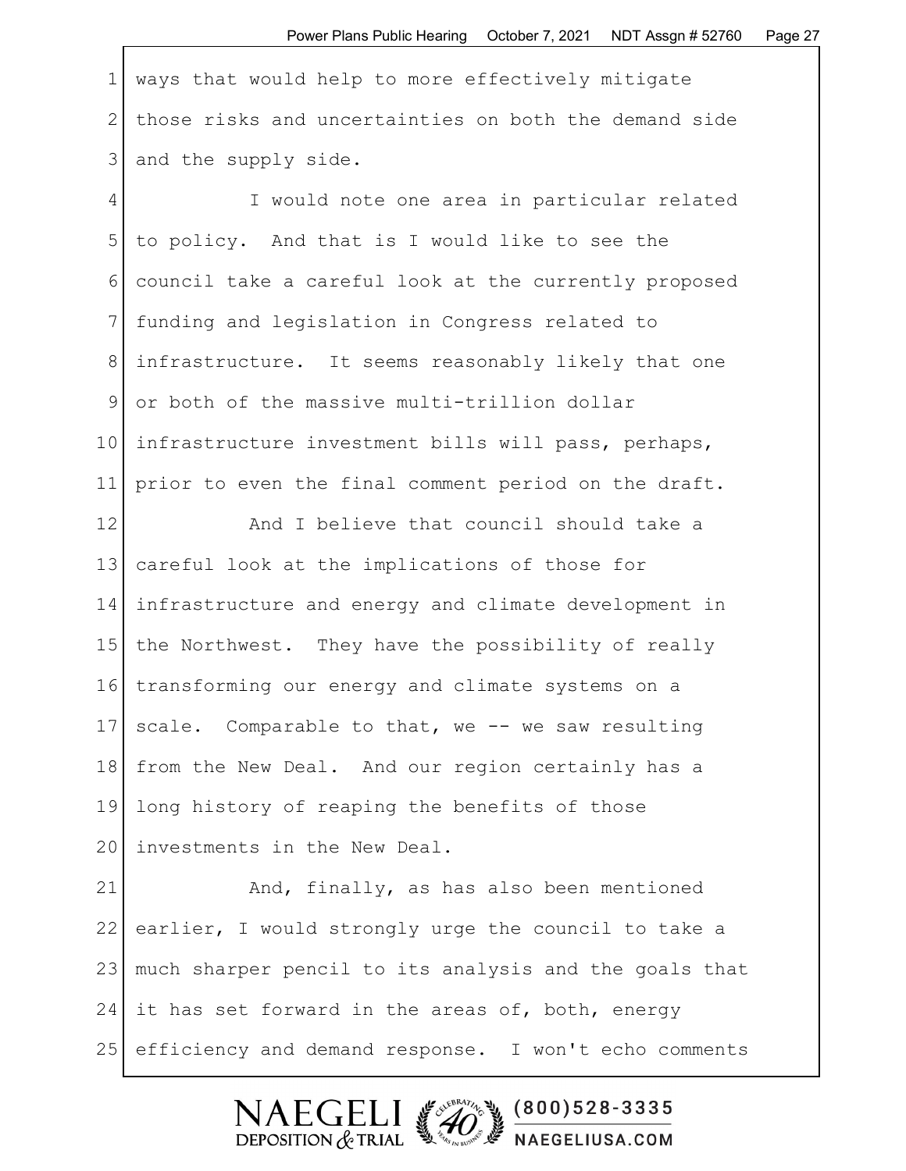1 ways that would help to more effectively mitigate 2 those risks and uncertainties on both the demand side 3 and the supply side.

4 I would note one area in particular related 5 to policy. And that is I would like to see the 6 council take a careful look at the currently proposed 7 funding and legislation in Congress related to 8 infrastructure. It seems reasonably likely that one 9 or both of the massive multi-trillion dollar 10 infrastructure investment bills will pass, perhaps, 11 prior to even the final comment period on the draft.

12 **And I believe that council should take a** 13 careful look at the implications of those for 14 infrastructure and energy and climate development in 15 the Northwest. They have the possibility of really 16 transforming our energy and climate systems on a 17 scale. Comparable to that, we  $-$  we saw resulting 18 from the New Deal. And our region certainly has a 19 long history of reaping the benefits of those 20 investments in the New Deal.

21 And, finally, as has also been mentioned 22 earlier, I would strongly urge the council to take a 23 much sharper pencil to its analysis and the goals that 24 it has set forward in the areas of, both, energy 25 efficiency and demand response. I won't echo comments

 $(800)528 - 3335$ 

NAEGELIUSA.COM

FGELI

DEPOSITION  $&$  TRIAL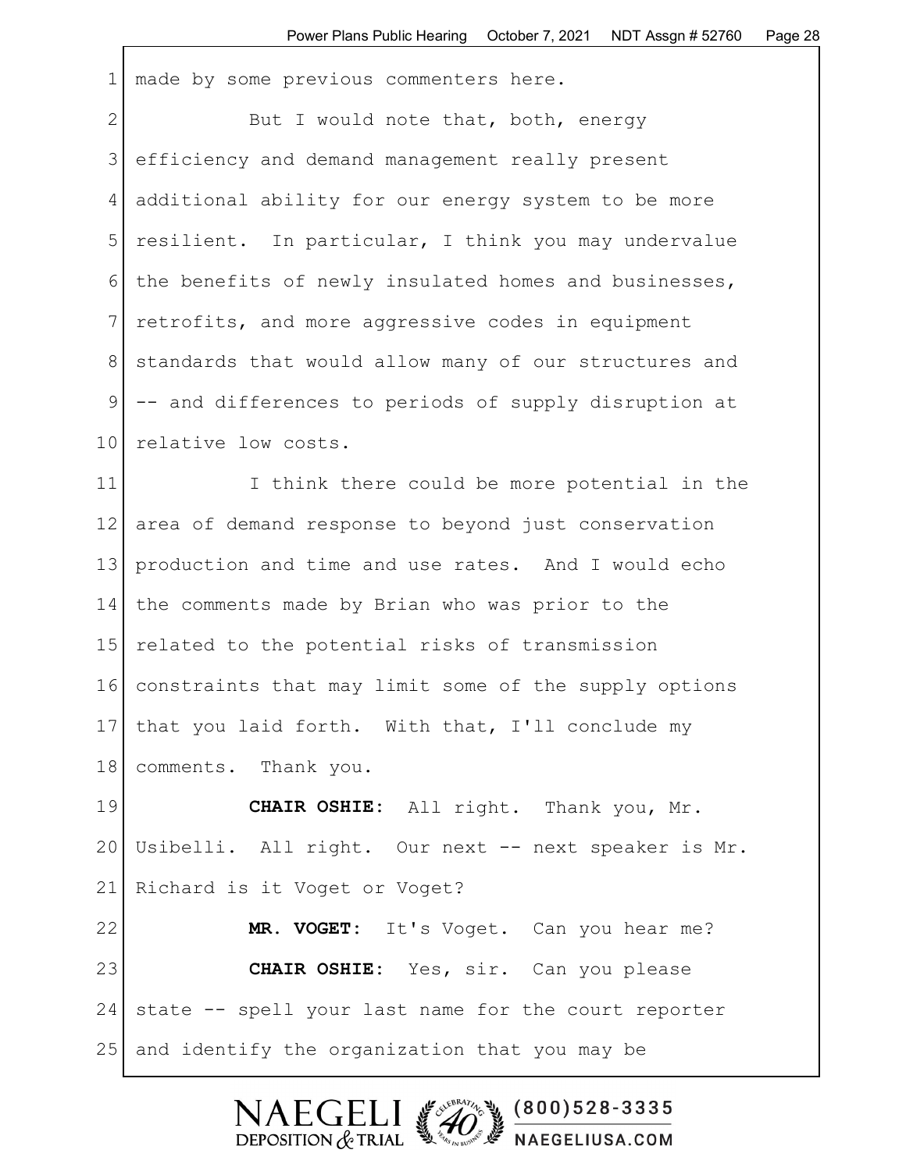1 made by some previous commenters here.

2 But I would note that, both, energy 3 efficiency and demand management really present 4 additional ability for our energy system to be more 5 resilient. In particular, I think you may undervalue 6 the benefits of newly insulated homes and businesses, 7 retrofits, and more aggressive codes in equipment 8 | standards that would allow many of our structures and 9 -- and differences to periods of supply disruption at 10 relative low costs.

11 I think there could be more potential in the 12 area of demand response to beyond just conservation 13 production and time and use rates. And I would echo 14 the comments made by Brian who was prior to the 15 related to the potential risks of transmission 16 constraints that may limit some of the supply options 17 | that you laid forth. With that, I'll conclude my 18 comments. Thank you.

19 **CHAIR OSHIE:** All right. Thank you, Mr. 20 Usibelli. All right. Our next -- next speaker is Mr. 21 Richard is it Voget or Voget? 22 MR. VOGET: It's Voget. Can you hear me? 23 **CHAIR OSHIE:** Yes, sir. Can you please 24 state -- spell your last name for the court reporter 25 and identify the organization that you may be

DEPOSITION  $&$  TRIAL

SERVERATION OF

 $(800)528 - 3335$ 

NAEGELIUSA.COM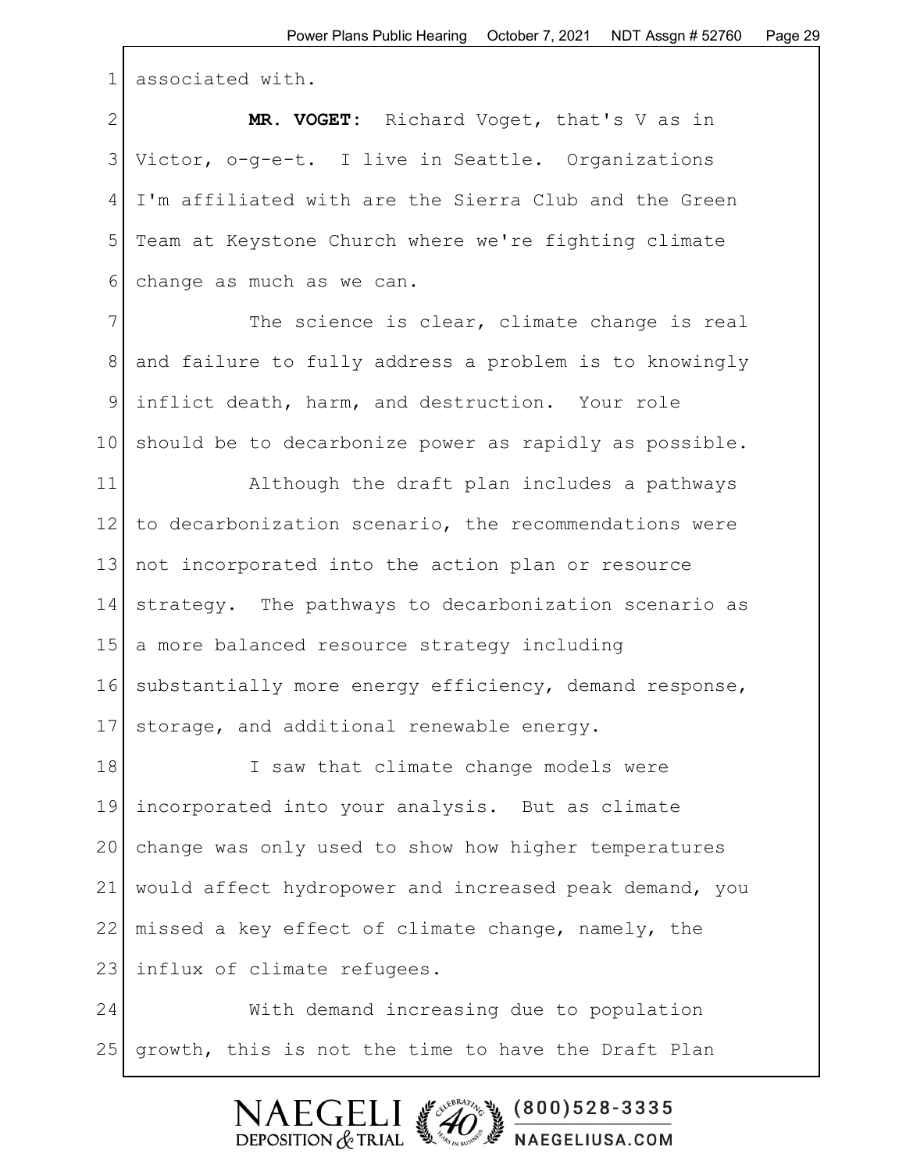1 associated with.

2 **MR. VOGET:** Richard Voget, that's V as in 3 Victor, o-g-e-t. I live in Seattle. Organizations 4 I'm affiliated with are the Sierra Club and the Green 5 Team at Keystone Church where we're fighting climate 6 change as much as we can.

7 The science is clear, climate change is real 8 and failure to fully address a problem is to knowingly 9 inflict death, harm, and destruction. Your role 10 should be to decarbonize power as rapidly as possible.

11 Although the draft plan includes a pathways 12 to decarbonization scenario, the recommendations were 13 not incorporated into the action plan or resource 14 strategy. The pathways to decarbonization scenario as 15 | a more balanced resource strategy including 16 substantially more energy efficiency, demand response, 17 storage, and additional renewable energy.

18 I saw that climate change models were 19 incorporated into your analysis. But as climate 20 change was only used to show how higher temperatures 21 would affect hydropower and increased peak demand, you 22 missed a key effect of climate change, namely, the 23 influx of climate refugees.

24 With demand increasing due to population 25 growth, this is not the time to have the Draft Plan

> $(800)528 - 3335$ DEPOSITION  $&$  TRIAL NAEGELIUSA.COM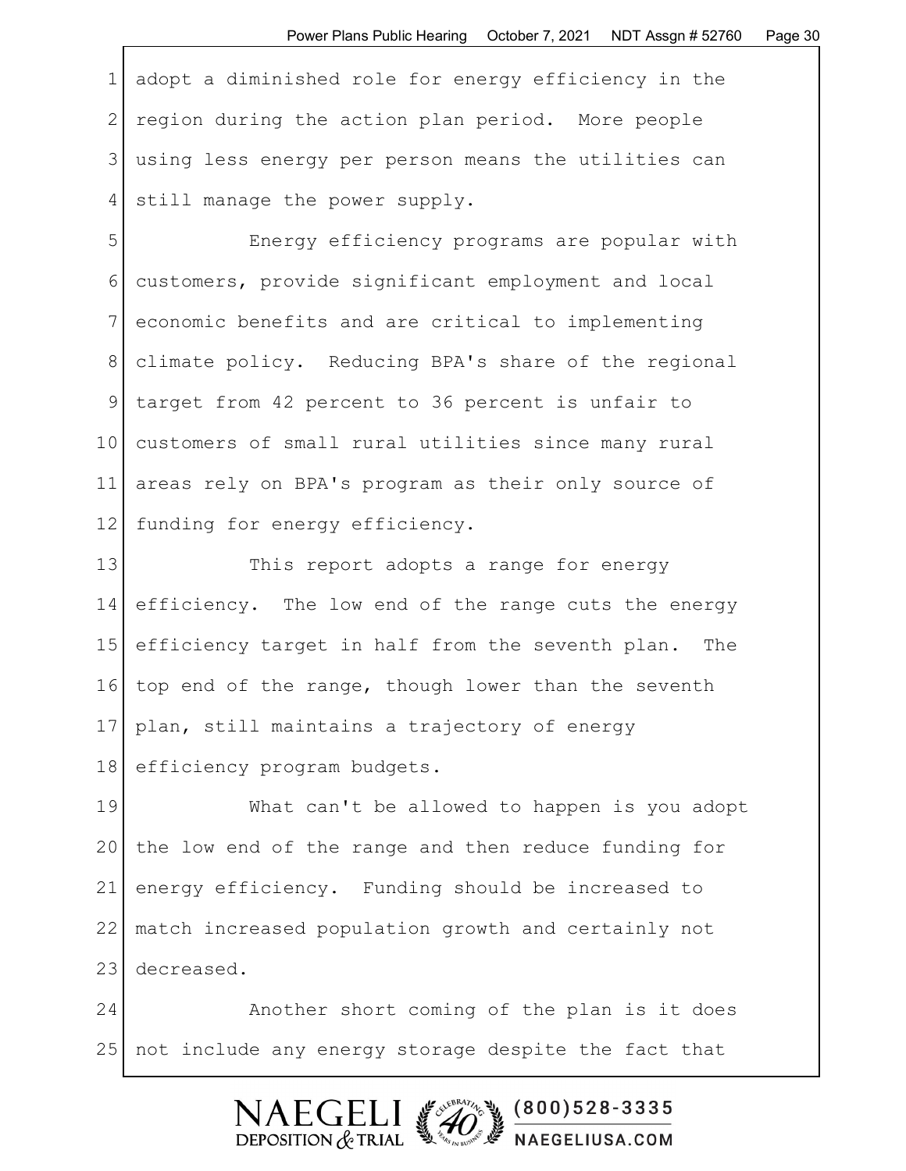1 adopt a diminished role for energy efficiency in the 2 region during the action plan period. More people 3 using less energy per person means the utilities can 4 still manage the power supply.

5 Energy efficiency programs are popular with 6 customers, provide significant employment and local 7 economic benefits and are critical to implementing 8 climate policy. Reducing BPA's share of the regional 9 target from 42 percent to 36 percent is unfair to 10 customers of small rural utilities since many rural 11 areas rely on BPA's program as their only source of 12 funding for energy efficiency.

13 This report adopts a range for energy 14 efficiency. The low end of the range cuts the energy 15 efficiency target in half from the seventh plan. The 16 top end of the range, though lower than the seventh 17 plan, still maintains a trajectory of energy 18 efficiency program budgets.

19 What can't be allowed to happen is you adopt 20 the low end of the range and then reduce funding for 21 energy efficiency. Funding should be increased to 22 match increased population growth and certainly not 23 decreased.

24 Another short coming of the plan is it does 25 | not include any energy storage despite the fact that

## $\mathsf{FCFT}$  $(800)528 - 3335$ DEPOSITION  $&$  TRIAL NAEGELIUSA.COM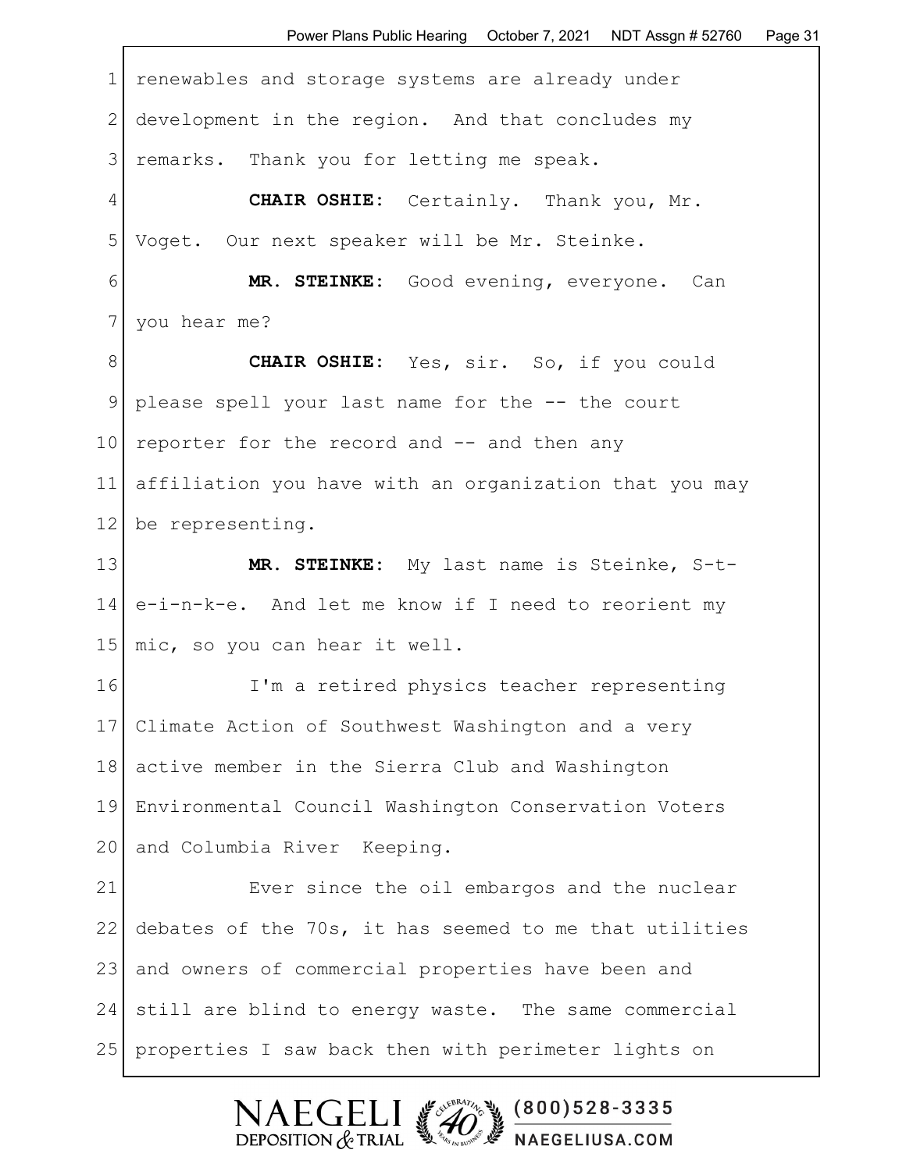1 renewables and storage systems are already under 2 development in the region. And that concludes my 3 remarks. Thank you for letting me speak. 4 **CHAIR OSHIE:** Certainly. Thank you, Mr. 5 Voget. Our next speaker will be Mr. Steinke. 6 **MR. STEINKE:** Good evening, everyone. Can 7 you hear me? 8 **CHAIR OSHIE:** Yes, sir. So, if you could 9 please spell your last name for the -- the court 10 reporter for the record and  $-$  and then any 11 affiliation you have with an organization that you may 12 be representing. 13 **MR. STEINKE:** My last name is Steinke, S-t-14 e-i-n-k-e. And let me know if I need to reorient my 15 | mic, so you can hear it well. 16 I'm a retired physics teacher representing 17 Climate Action of Southwest Washington and a very 18 active member in the Sierra Club and Washington 19 Environmental Council Washington Conservation Voters 20 and Columbia River Keeping. 21 Ever since the oil embargos and the nuclear 22 debates of the 70s, it has seemed to me that utilities 23 and owners of commercial properties have been and 24 still are blind to energy waste. The same commercial 25 properties I saw back then with perimeter lights on

> $(800)528 - 3335$ DEPOSITION  $&$  TRIAL NAEGELIUSA.COM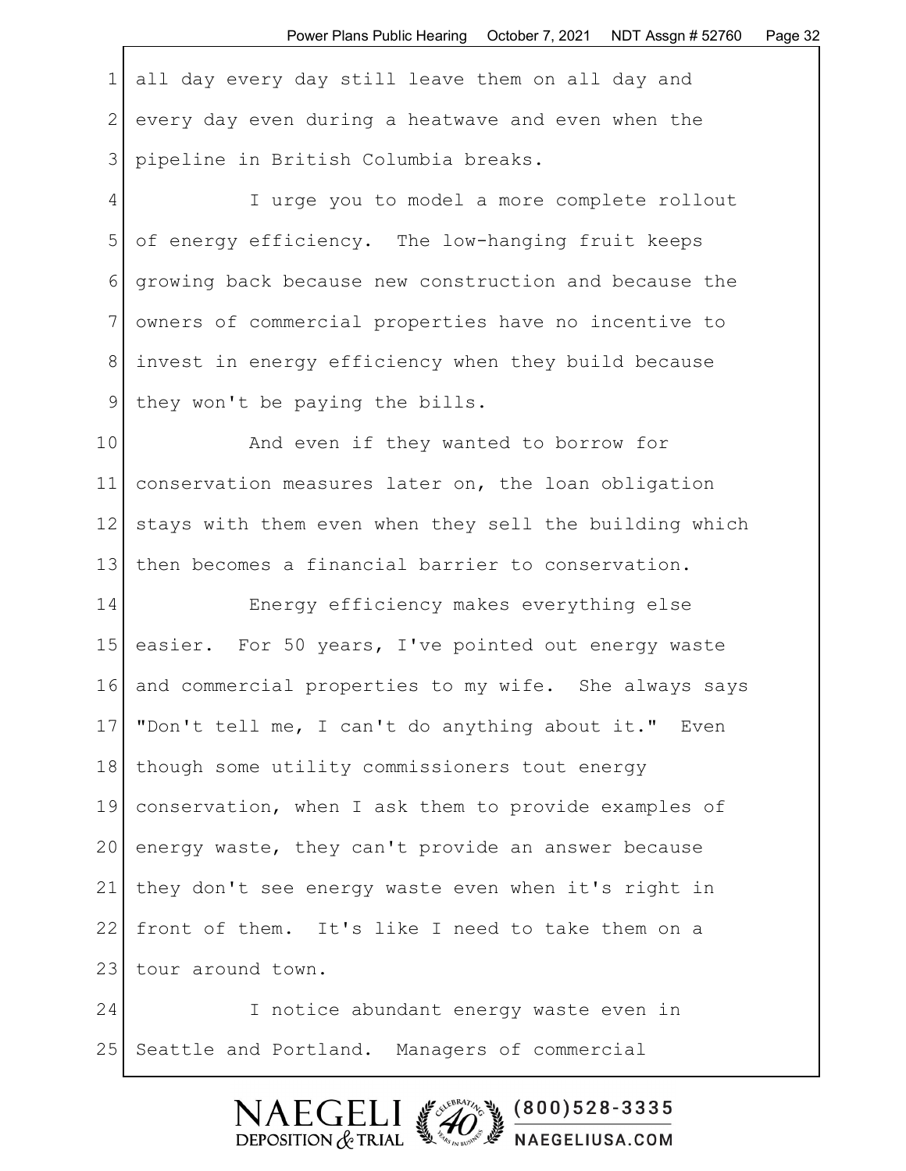1 all day every day still leave them on all day and 2 every day even during a heatwave and even when the 3 pipeline in British Columbia breaks.

4 I urge you to model a more complete rollout 5 of energy efficiency. The low-hanging fruit keeps 6 growing back because new construction and because the 7 owners of commercial properties have no incentive to 8 invest in energy efficiency when they build because 9 | they won't be paying the bills.

10 and even if they wanted to borrow for 11 conservation measures later on, the loan obligation 12 stays with them even when they sell the building which 13 then becomes a financial barrier to conservation.

14 Energy efficiency makes everything else 15 easier. For 50 years, I've pointed out energy waste 16 and commercial properties to my wife. She always says 17 | "Don't tell me, I can't do anything about it." Even 18 | though some utility commissioners tout energy 19 conservation, when I ask them to provide examples of 20 energy waste, they can't provide an answer because 21 they don't see energy waste even when it's right in 22 front of them. It's like I need to take them on a 23 tour around town. 24 I notice abundant energy waste even in

25 Seattle and Portland. Managers of commercial

 $(800)528 - 3335$ DEPOSITION  $&$  TRIAL NAEGELIUSA.COM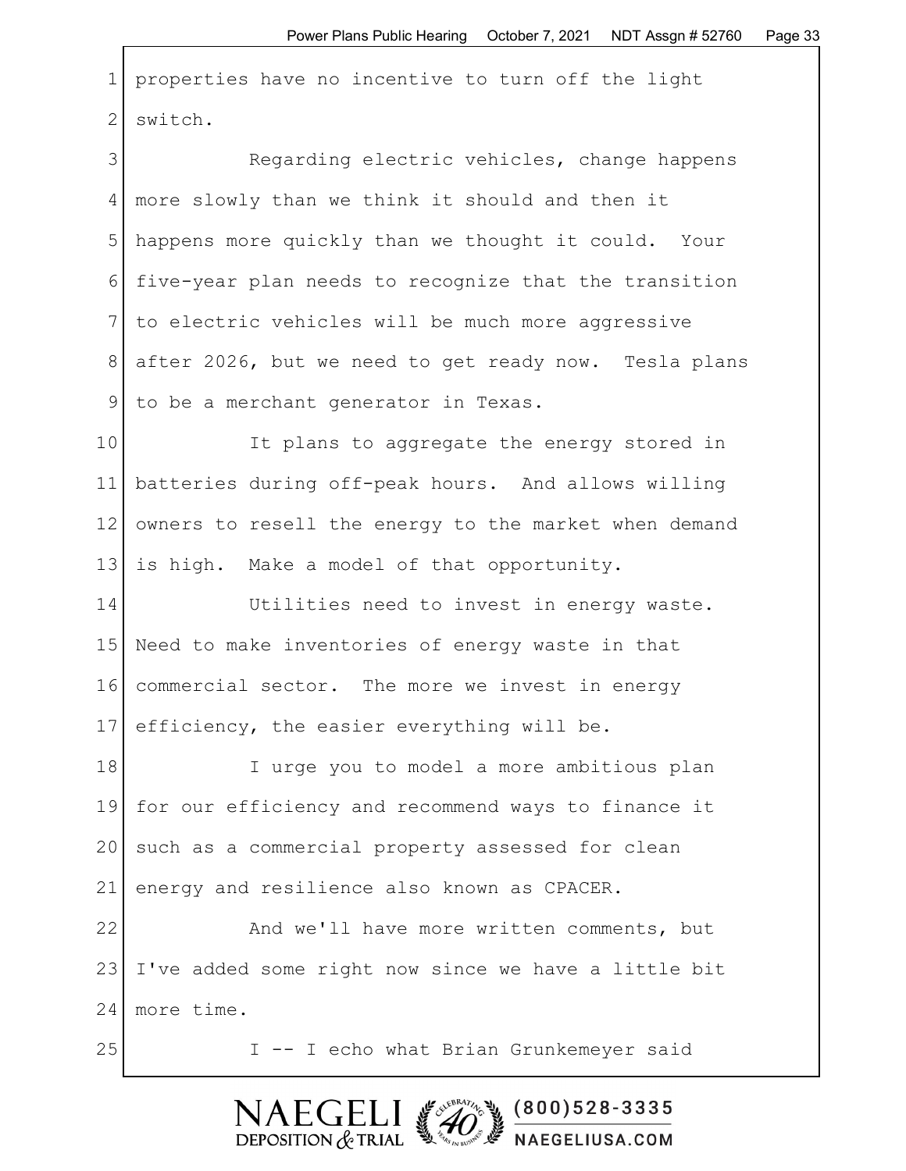1 properties have no incentive to turn off the light 2 switch.

3 Regarding electric vehicles, change happens 4 more slowly than we think it should and then it 5 happens more quickly than we thought it could. Your 6 five-year plan needs to recognize that the transition 7 to electric vehicles will be much more aggressive 8 after 2026, but we need to get ready now. Tesla plans 9 to be a merchant generator in Texas.

10 It plans to aggregate the energy stored in 11 batteries during off-peak hours. And allows willing 12 owners to resell the energy to the market when demand 13 is high. Make a model of that opportunity.

14 Utilities need to invest in energy waste. 15 Need to make inventories of energy waste in that 16 commercial sector. The more we invest in energy 17 efficiency, the easier everything will be.

18 I urge you to model a more ambitious plan 19 for our efficiency and recommend ways to finance it 20 such as a commercial property assessed for clean 21 energy and resilience also known as CPACER.

22 And we'll have more written comments, but 23 I've added some right now since we have a little bit 24 more time.

25 I -- I echo what Brian Grunkemeyer said

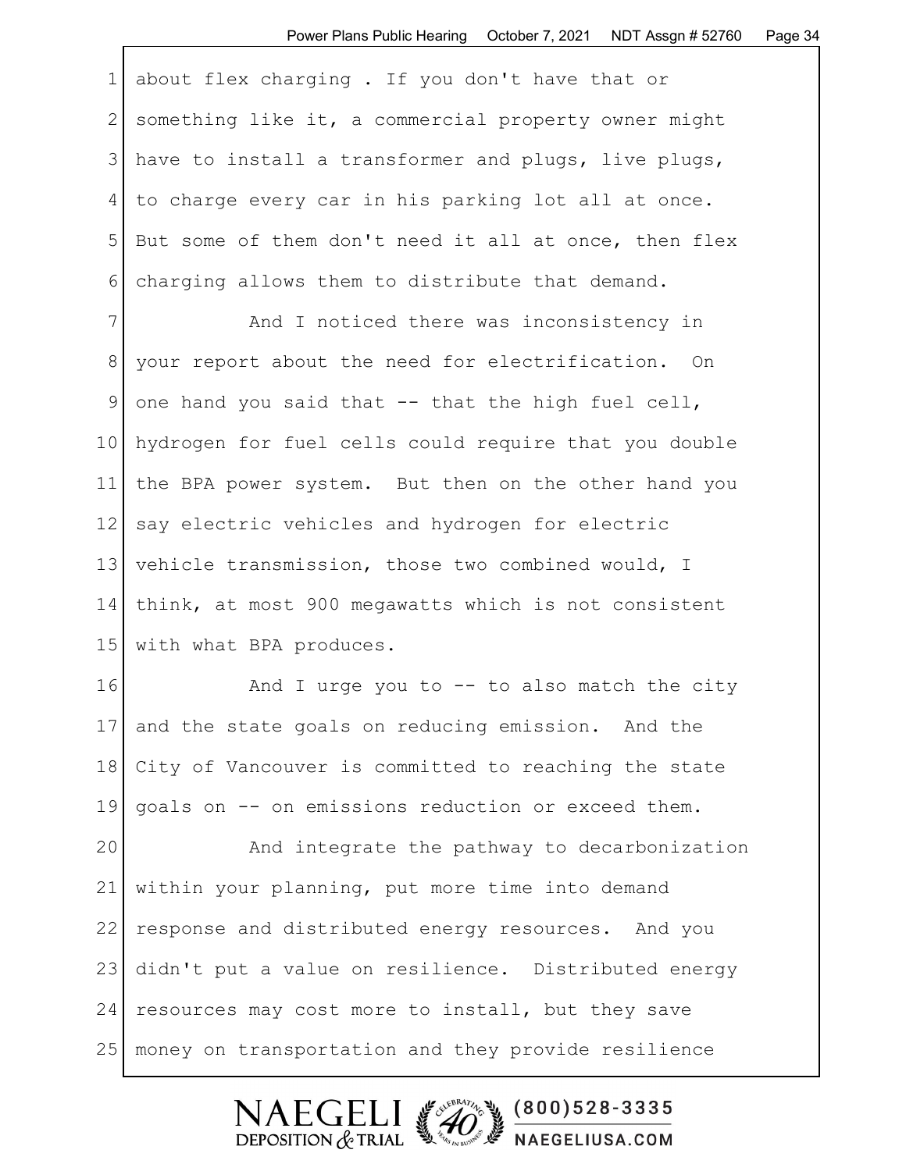|            | 1 about flex charging. If you don't have that or       |
|------------|--------------------------------------------------------|
|            | 2 something like it, a commercial property owner might |
| $\lceil$ 3 | have to install a transformer and plugs, live plugs,   |
|            | to charge every car in his parking lot all at once.    |
| 5          | But some of them don't need it all at once, then flex  |
| 6          | charging allows them to distribute that demand.        |

7 And I noticed there was inconsistency in 8 your report about the need for electrification. On 9 one hand you said that  $-$  that the high fuel cell, 10 hydrogen for fuel cells could require that you double 11 the BPA power system. But then on the other hand you 12 say electric vehicles and hydrogen for electric 13 vehicle transmission, those two combined would, I 14 think, at most 900 megawatts which is not consistent 15 with what BPA produces.

 $16$  And I urge you to  $-$  to also match the city 17 and the state goals on reducing emission. And the 18 City of Vancouver is committed to reaching the state 19 goals on -- on emissions reduction or exceed them.

20 And integrate the pathway to decarbonization 21 within your planning, put more time into demand 22 response and distributed energy resources. And you 23 didn't put a value on resilience. Distributed energy 24 resources may cost more to install, but they save 25 money on transportation and they provide resilience

> NAEGELI #20 800)528-3335 NAEGELIUSA.COM DEPOSITION  $&$  TRIAL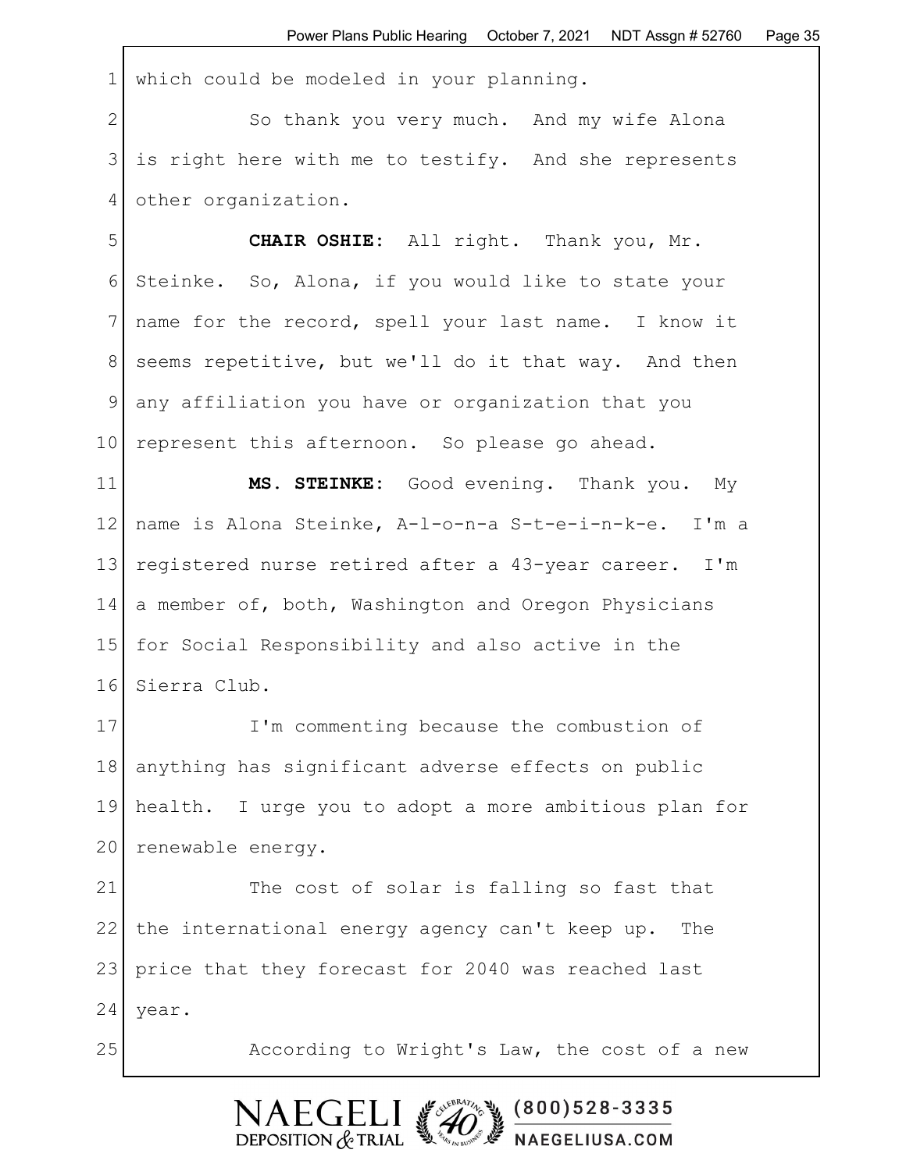1 which could be modeled in your planning.

2 So thank you very much. And my wife Alona 3 is right here with me to testify. And she represents 4 other organization.

5 CHAIR OSHIE: All right. Thank you, Mr. 6 Steinke. So, Alona, if you would like to state your 7 name for the record, spell your last name. I know it 8 seems repetitive, but we'll do it that way. And then 9 any affiliation you have or organization that you 10 represent this afternoon. So please go ahead.

11 **MS. STEINKE:** Good evening. Thank you. My 12 name is Alona Steinke, A-l-o-n-a S-t-e-i-n-k-e. I'm a 13 registered nurse retired after a 43-year career. I'm 14 a member of, both, Washington and Oregon Physicians 15 for Social Responsibility and also active in the 16 Sierra Club.

17 I'm commenting because the combustion of 18 anything has significant adverse effects on public 19 health. I urge you to adopt a more ambitious plan for 20 renewable energy.

21 The cost of solar is falling so fast that 22 the international energy agency can't keep up. The 23 price that they forecast for 2040 was reached last 24 | year.

25 According to Wright's Law, the cost of a new

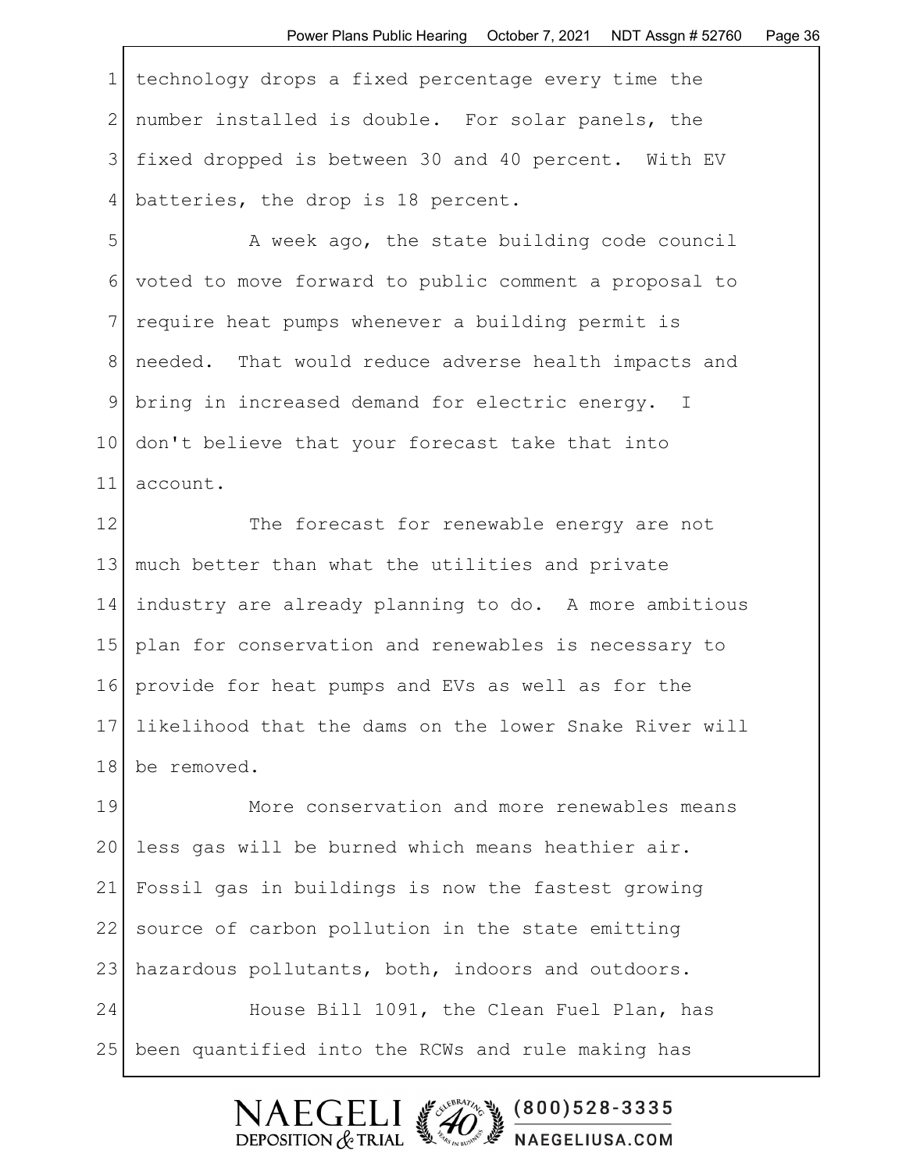1 technology drops a fixed percentage every time the 2 number installed is double. For solar panels, the 3 fixed dropped is between 30 and 40 percent. With EV 4 batteries, the drop is 18 percent.

5 A week ago, the state building code council 6 voted to move forward to public comment a proposal to 7 require heat pumps whenever a building permit is 8 needed. That would reduce adverse health impacts and 9 bring in increased demand for electric energy. I 10 don't believe that your forecast take that into 11 account.

12 The forecast for renewable energy are not 13 much better than what the utilities and private 14 industry are already planning to do. A more ambitious 15 plan for conservation and renewables is necessary to 16 provide for heat pumps and EVs as well as for the 17 likelihood that the dams on the lower Snake River will 18 be removed.

19 More conservation and more renewables means 20 less gas will be burned which means heathier air. 21 Fossil gas in buildings is now the fastest growing 22 source of carbon pollution in the state emitting 23 hazardous pollutants, both, indoors and outdoors. 24 House Bill 1091, the Clean Fuel Plan, has 25 been quantified into the RCWs and rule making has

> SUEBRATIN S  $(800)528 - 3335$ DEPOSITION  $&$  TRIAL NAEGELIUSA.COM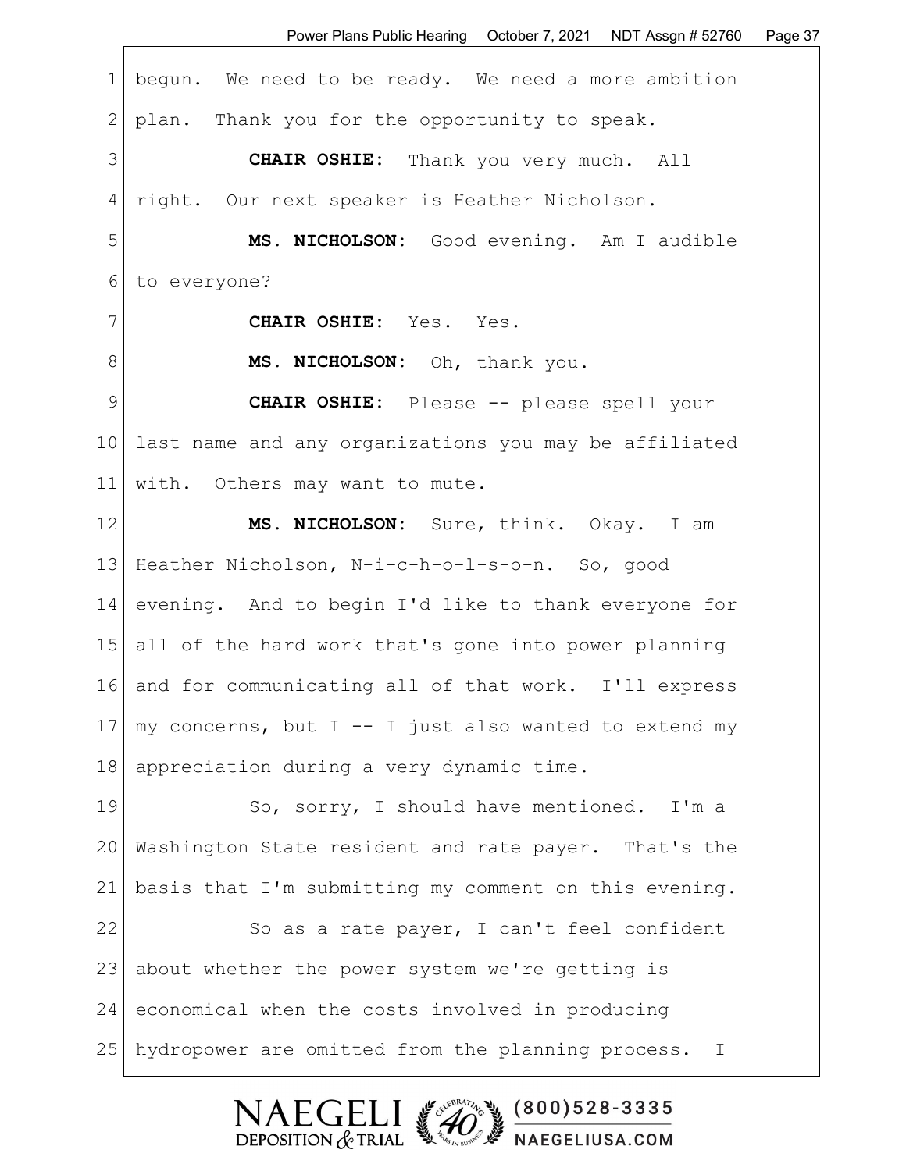| $\mathbf 1$     | begun. We need to be ready. We need a more ambition    |
|-----------------|--------------------------------------------------------|
| $\mathbf{2}$    | plan. Thank you for the opportunity to speak.          |
| 3               | <b>CHAIR OSHIE:</b> Thank you very much. All           |
| 4               | right. Our next speaker is Heather Nicholson.          |
| 5               | MS. NICHOLSON: Good evening. Am I audible              |
| 6               | to everyone?                                           |
| 7               | CHAIR OSHIE: Yes. Yes.                                 |
| 8               | MS. NICHOLSON: Oh, thank you.                          |
| 9               | CHAIR OSHIE: Please -- please spell your               |
| 10 <sub>1</sub> | last name and any organizations you may be affiliated  |
| 11              | with. Others may want to mute.                         |
| 12              | MS. NICHOLSON: Sure, think. Okay. I am                 |
| 13              | Heather Nicholson, N-i-c-h-o-l-s-o-n. So, good         |
| 14              | evening. And to begin I'd like to thank everyone for   |
| 15              | all of the hard work that's gone into power planning   |
| 16              | and for communicating all of that work. I'll express   |
| 17              | my concerns, but I -- I just also wanted to extend my  |
| 18              | appreciation during a very dynamic time.               |
| 19              | So, sorry, I should have mentioned. I'm a              |
| 20              | Washington State resident and rate payer. That's the   |
| 21              | basis that I'm submitting my comment on this evening.  |
| 22              | So as a rate payer, I can't feel confident             |
| 23              | about whether the power system we're getting is        |
| 24              | economical when the costs involved in producing        |
| 25              | hydropower are omitted from the planning process.<br>Ι |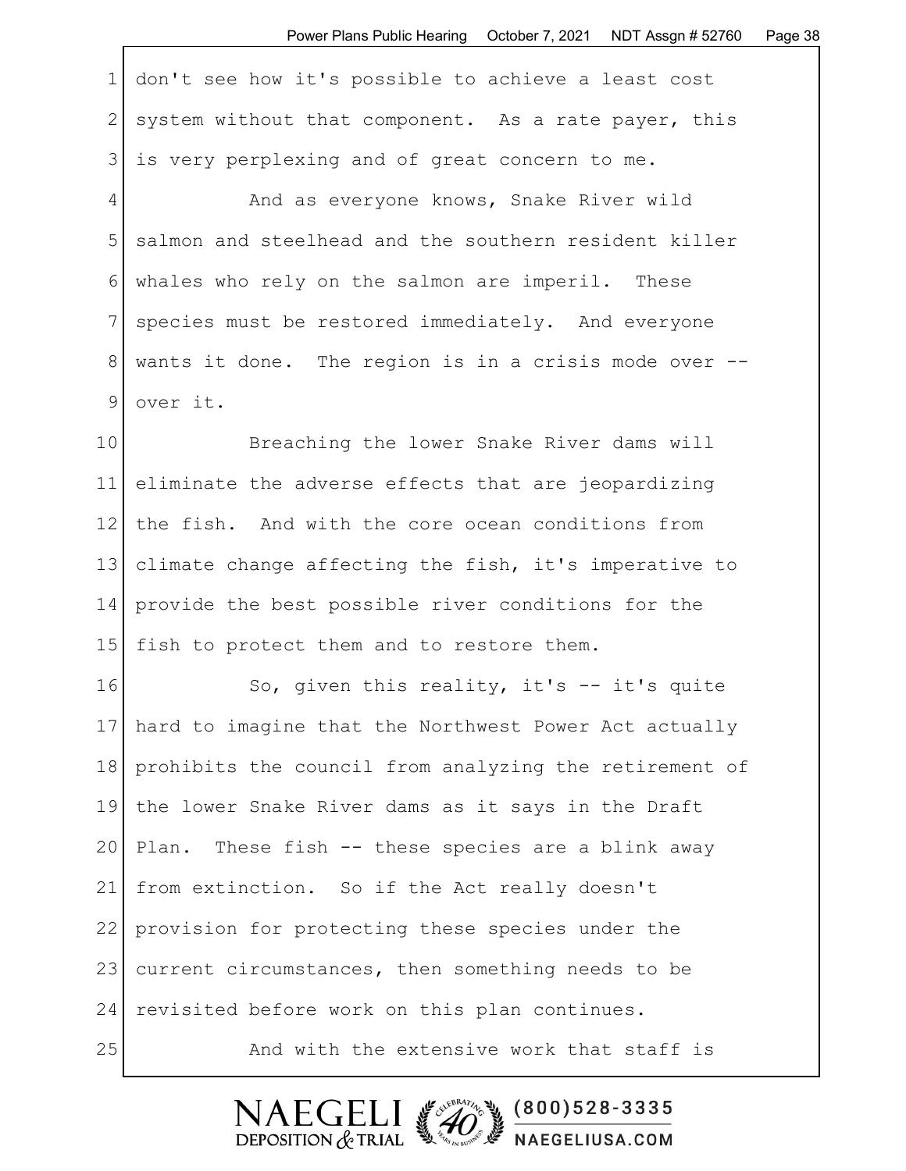1 don't see how it's possible to achieve a least cost 2 system without that component. As a rate payer, this 3 is very perplexing and of great concern to me.

4 And as everyone knows, Snake River wild 5 salmon and steelhead and the southern resident killer 6 whales who rely on the salmon are imperil. These 7 species must be restored immediately. And everyone 8 wants it done. The region is in a crisis mode over -- 9 over it.

10 Breaching the lower Snake River dams will 11 eliminate the adverse effects that are jeopardizing 12 the fish. And with the core ocean conditions from 13 climate change affecting the fish, it's imperative to 14 provide the best possible river conditions for the 15 fish to protect them and to restore them.

16 So, given this reality, it's -- it's quite 17 hard to imagine that the Northwest Power Act actually 18 prohibits the council from analyzing the retirement of 19 the lower Snake River dams as it says in the Draft 20 Plan. These fish -- these species are a blink away 21 from extinction. So if the Act really doesn't 22 provision for protecting these species under the 23 current circumstances, then something needs to be 24 revisited before work on this plan continues. 25 And with the extensive work that staff is

 $(800)528 - 3335$ 

NAEGELIUSA.COM

**NAEGE** 

DEPOSITION  $&$  TRIAL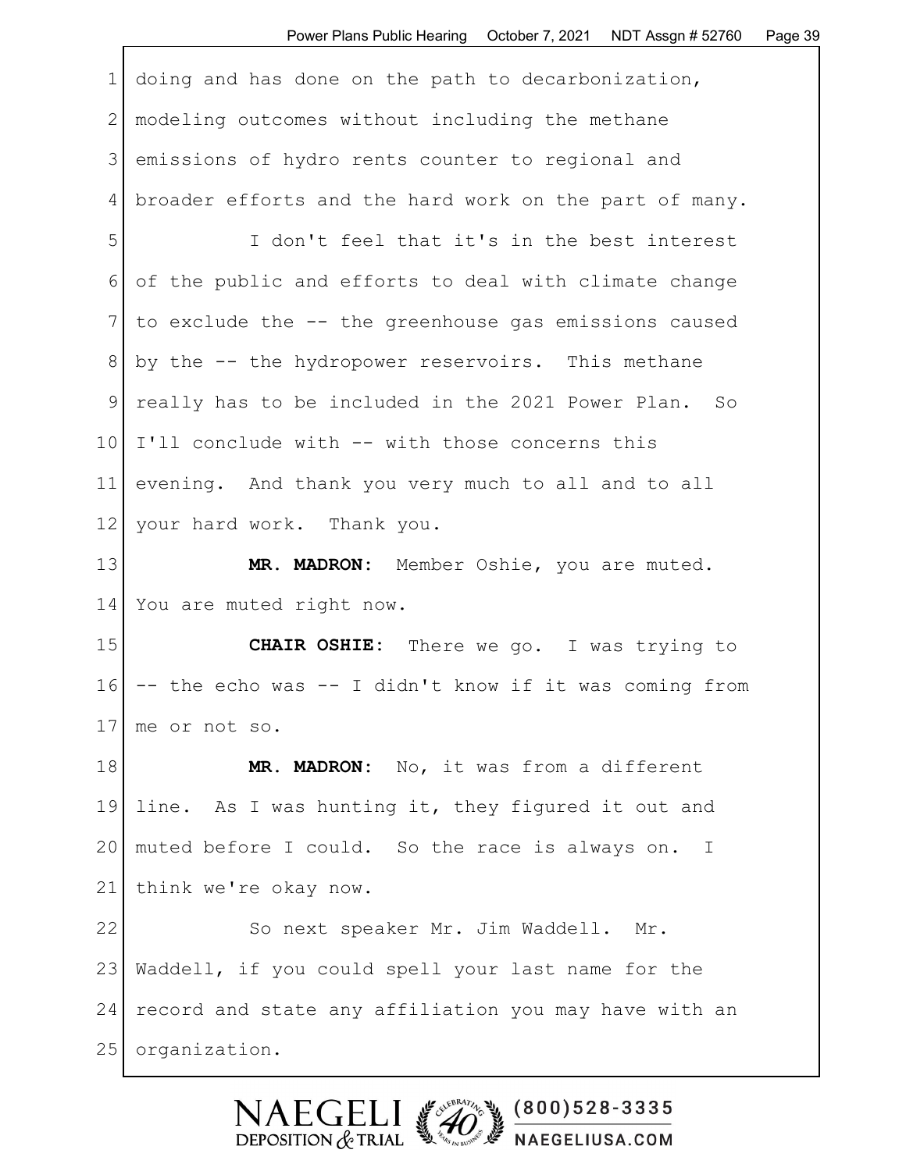| 1              | doing and has done on the path to decarbonization,           |
|----------------|--------------------------------------------------------------|
| 2 <sup>1</sup> | modeling outcomes without including the methane              |
| 3              | emissions of hydro rents counter to regional and             |
| 4 <sup>1</sup> | broader efforts and the hard work on the part of many.       |
| 5              | I don't feel that it's in the best interest                  |
| $6 \mid$       | of the public and efforts to deal with climate change        |
|                | $7$ to exclude the $-$ - the greenhouse gas emissions caused |
|                | $8$ by the $-$ the hydropower reservoirs. This methane       |
| 9 <sup>1</sup> | really has to be included in the 2021 Power Plan. So         |
|                | 10 I'll conclude with -- with those concerns this            |

11 evening. And thank you very much to all and to all 12 your hard work. Thank you.

13 | MR. MADRON: Member Oshie, you are muted. 14 You are muted right now.

15 **CHAIR OSHIE:** There we go. I was trying to  $16$  -- the echo was -- I didn't know if it was coming from 17 me or not so.

18 | MR. MADRON: No, it was from a different 19 line. As I was hunting it, they figured it out and 20 | muted before I could. So the race is always on. I 21 think we're okay now.

22 So next speaker Mr. Jim Waddell. Mr. 23 Waddell, if you could spell your last name for the 24 record and state any affiliation you may have with an 25 | organization.

> 2000 13 28-3335 EGELI. DEPOSITION  $&$  TRIAL **We are the MAEGELIUSA.COM**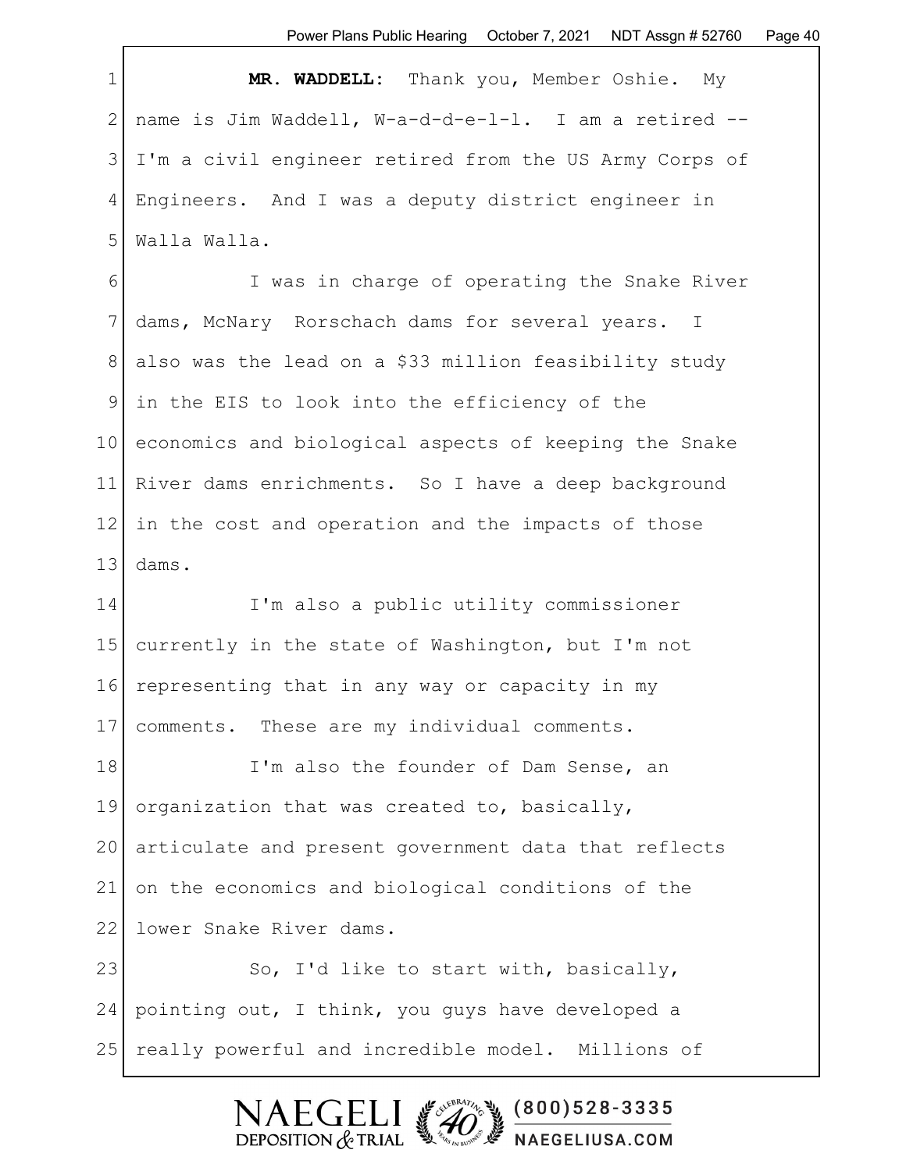1 **MR. WADDELL:** Thank you, Member Oshie. My 2 name is Jim Waddell, W-a-d-d-e-l-l. I am a retired -- 3 I'm a civil engineer retired from the US Army Corps of 4 Engineers. And I was a deputy district engineer in 5 | Walla Walla.

6 I was in charge of operating the Snake River 7 dams, McNary Rorschach dams for several years. I 8 also was the lead on a \$33 million feasibility study 9 in the EIS to look into the efficiency of the 10 economics and biological aspects of keeping the Snake 11 River dams enrichments. So I have a deep background  $12$  in the cost and operation and the impacts of those  $13$  dams.

14 I'm also a public utility commissioner 15 currently in the state of Washington, but I'm not 16 representing that in any way or capacity in my 17 comments. These are my individual comments.

18 I'm also the founder of Dam Sense, an 19 organization that was created to, basically, 20 articulate and present government data that reflects 21 on the economics and biological conditions of the 22 lower Snake River dams.

23 So, I'd like to start with, basically, 24 pointing out, I think, you guys have developed a 25 really powerful and incredible model. Millions of

DEPOSITION  $&$  TRIAL

 $(800)528 - 3335$ 

NAEGELIUSA.COM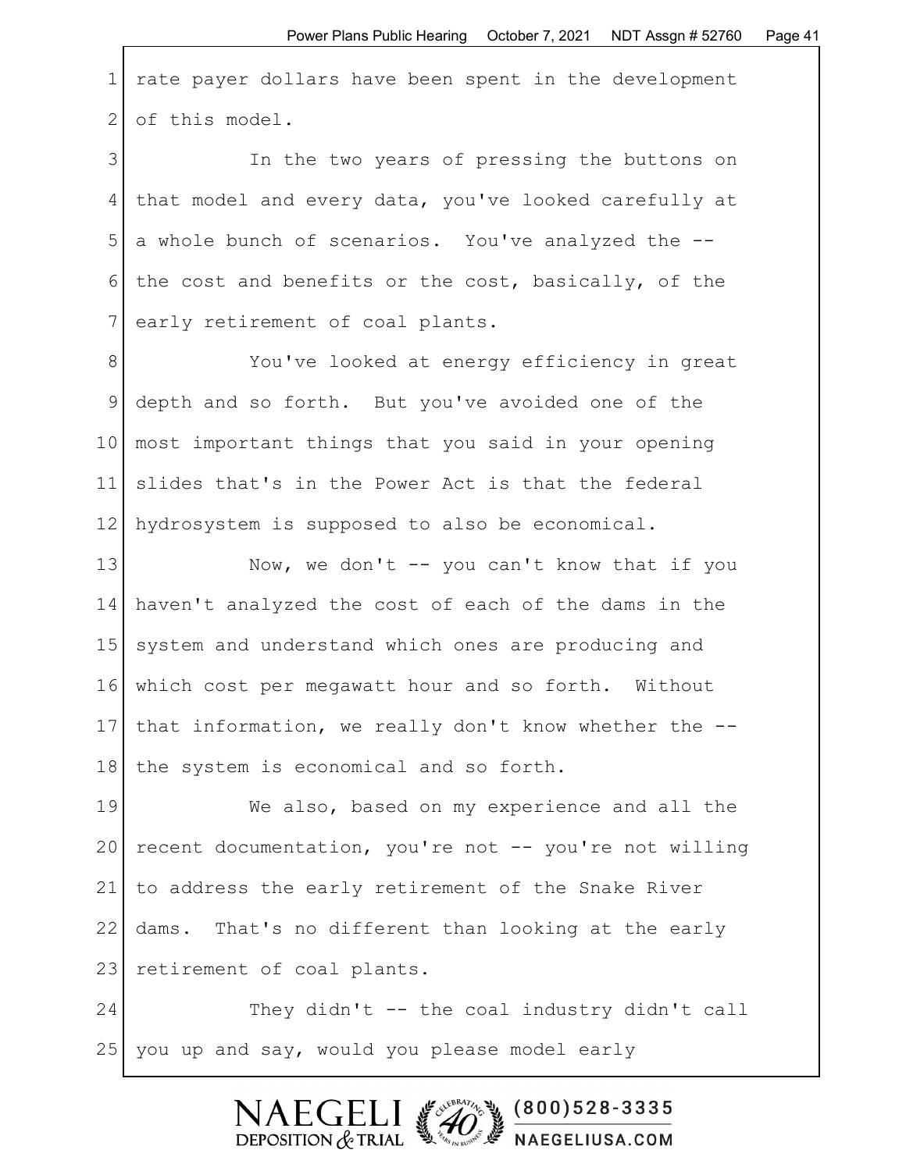1 rate payer dollars have been spent in the development 2 of this model.

3 In the two years of pressing the buttons on 4 that model and every data, you've looked carefully at 5 a whole bunch of scenarios. You've analyzed the -- 6 the cost and benefits or the cost, basically, of the 7 early retirement of coal plants.

8 You've looked at energy efficiency in great 9 depth and so forth. But you've avoided one of the 10 most important things that you said in your opening 11 slides that's in the Power Act is that the federal 12 hydrosystem is supposed to also be economical.

13 Now, we don't -- you can't know that if you 14 haven't analyzed the cost of each of the dams in the 15 system and understand which ones are producing and 16 which cost per megawatt hour and so forth. Without 17 that information, we really don't know whether the -- 18 | the system is economical and so forth.

19 We also, based on my experience and all the 20 recent documentation, you're not -- you're not willing 21 to address the early retirement of the Snake River 22 dams. That's no different than looking at the early 23 retirement of coal plants.

24 They didn't -- the coal industry didn't call 25 you up and say, would you please model early

> FCF  $(800)528 - 3335$ DEPOSITION  $&$  TRIAL NAEGELIUSA.COM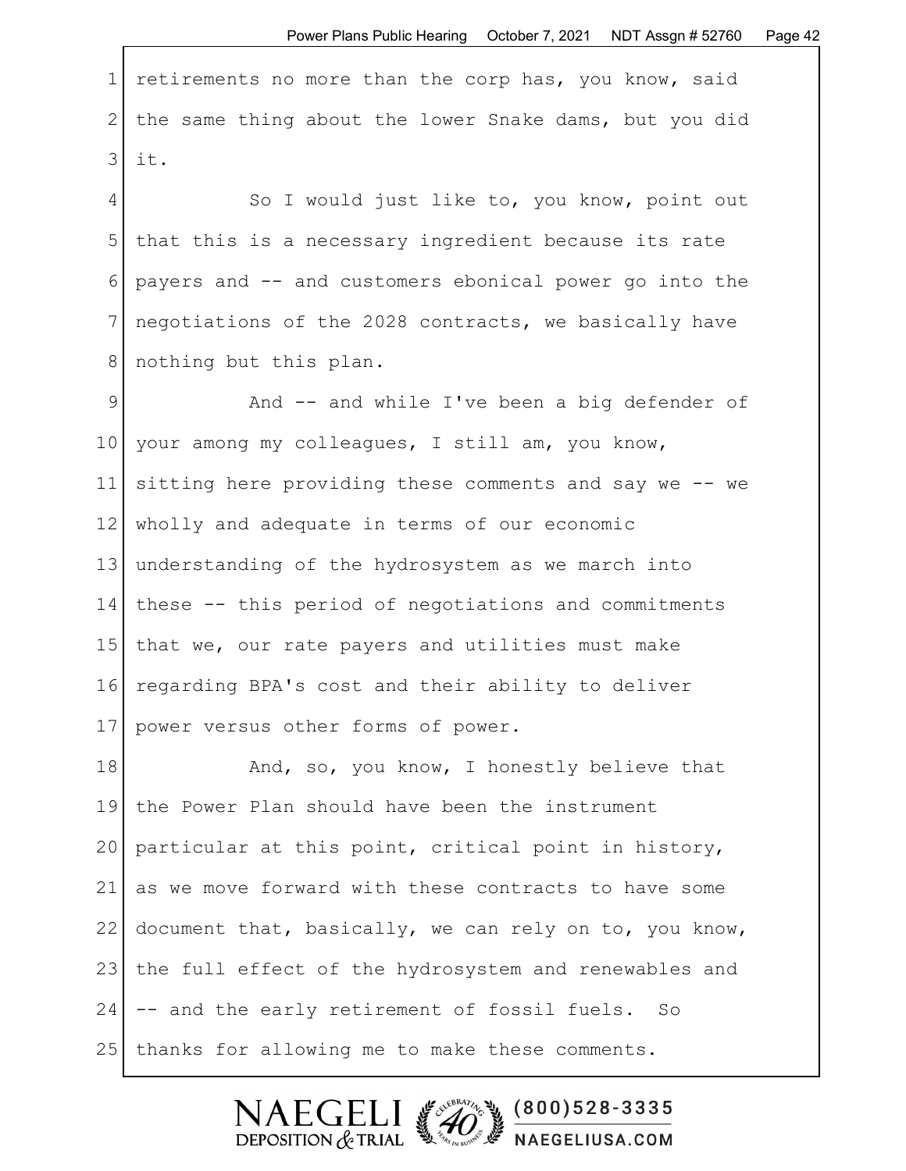1 retirements no more than the corp has, you know, said 2 the same thing about the lower Snake dams, but you did 3 it.

4 So I would just like to, you know, point out 5 that this is a necessary ingredient because its rate 6 payers and -- and customers ebonical power go into the 7 negotiations of the 2028 contracts, we basically have 8 | nothing but this plan.

9 And -- and while I've been a big defender of 10 your among my colleagues, I still am, you know, 11 sitting here providing these comments and say we -- we 12 wholly and adequate in terms of our economic 13 understanding of the hydrosystem as we march into 14 these -- this period of negotiations and commitments 15 that we, our rate payers and utilities must make 16 regarding BPA's cost and their ability to deliver 17 | power versus other forms of power.

18 And, so, you know, I honestly believe that 19 the Power Plan should have been the instrument 20 particular at this point, critical point in history, 21 as we move forward with these contracts to have some 22 document that, basically, we can rely on to, you know, 23 | the full effect of the hydrosystem and renewables and 24 -- and the early retirement of fossil fuels. So 25 | thanks for allowing me to make these comments.

> $(800)528 - 3335$  $\mathsf{F}\mathsf{C}\mathsf{F}$ DEPOSITION  $&$  TRIAL NAEGELIUSA.COM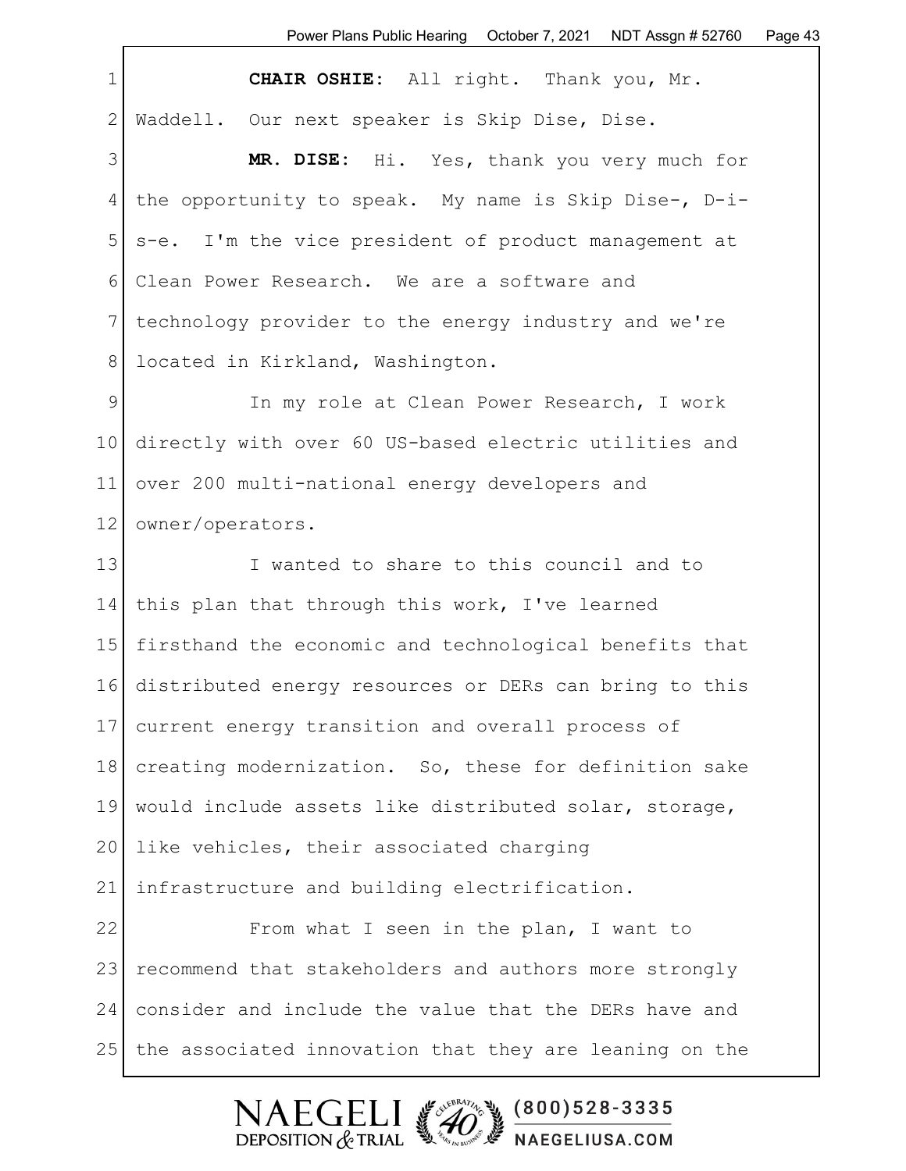1 **CHAIR OSHIE:** All right. Thank you, Mr. 2 Waddell. Our next speaker is Skip Dise, Dise. 3 **MR. DISE:** Hi. Yes, thank you very much for 4 the opportunity to speak. My name is Skip Dise-, D-i-5 s-e. I'm the vice president of product management at 6 Clean Power Research. We are a software and 7 technology provider to the energy industry and we're 8 | located in Kirkland, Washington. 9 In my role at Clean Power Research, I work 10 directly with over 60 US-based electric utilities and 11 over 200 multi-national energy developers and 12 | owner/operators. 13 I wanted to share to this council and to 14 this plan that through this work, I've learned 15 firsthand the economic and technological benefits that 16 distributed energy resources or DERs can bring to this 17 current energy transition and overall process of 18 creating modernization. So, these for definition sake 19 would include assets like distributed solar, storage, 20 like vehicles, their associated charging 21 infrastructure and building electrification. 22 From what I seen in the plan, I want to 23 recommend that stakeholders and authors more strongly 24 consider and include the value that the DERs have and



25 | the associated innovation that they are leaning on the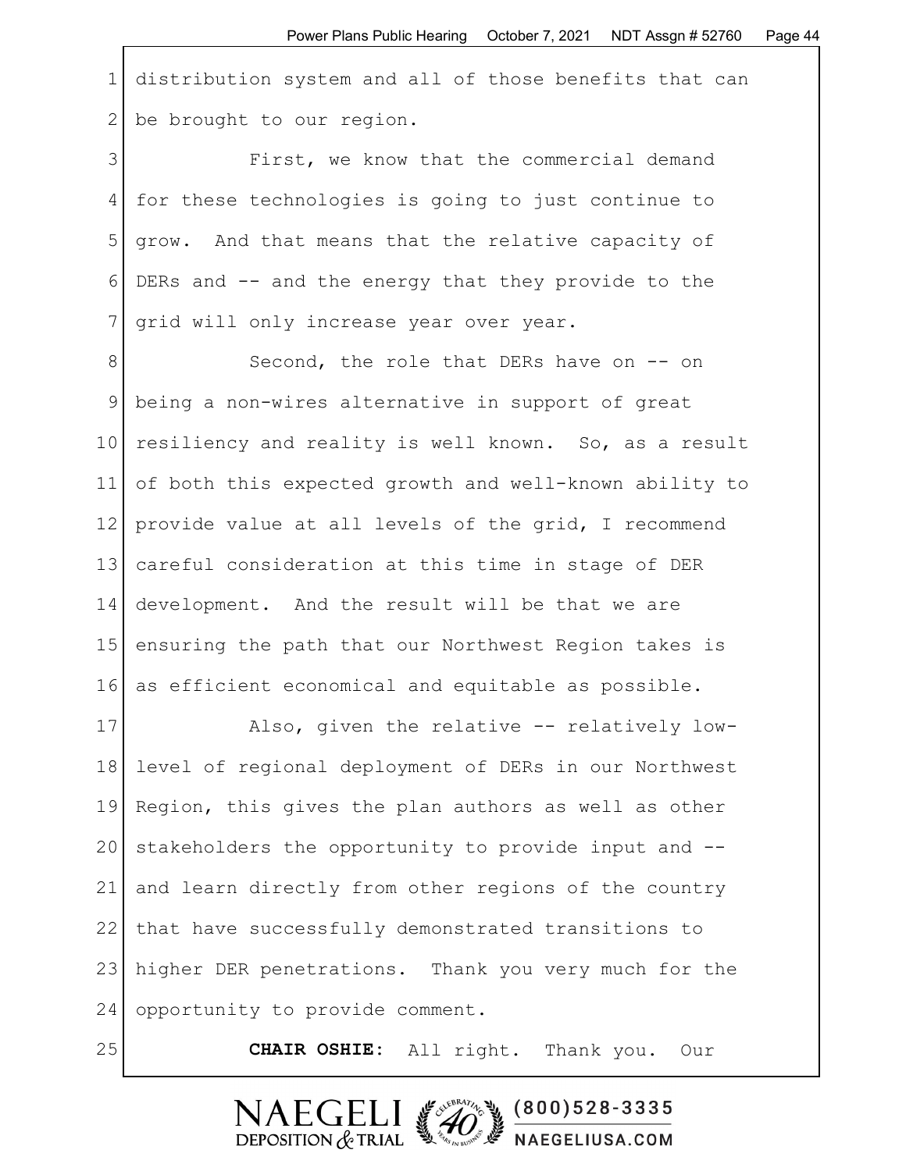1 distribution system and all of those benefits that can 2 be brought to our region.

3 First, we know that the commercial demand 4 for these technologies is going to just continue to 5 grow. And that means that the relative capacity of 6 DERs and -- and the energy that they provide to the 7 | grid will only increase year over year.

8 Second, the role that DERs have on -- on 9 being a non-wires alternative in support of great 10 resiliency and reality is well known. So, as a result 11 of both this expected growth and well-known ability to 12 provide value at all levels of the grid, I recommend 13 careful consideration at this time in stage of DER 14 development. And the result will be that we are 15 ensuring the path that our Northwest Region takes is 16 as efficient economical and equitable as possible.

17 Also, given the relative -- relatively low-18 level of regional deployment of DERs in our Northwest 19 Region, this gives the plan authors as well as other 20 stakeholders the opportunity to provide input and -- 21 and learn directly from other regions of the country 22 | that have successfully demonstrated transitions to 23 higher DER penetrations. Thank you very much for the 24 opportunity to provide comment.

25 **CHAIR OSHIE:** All right. Thank you. Our

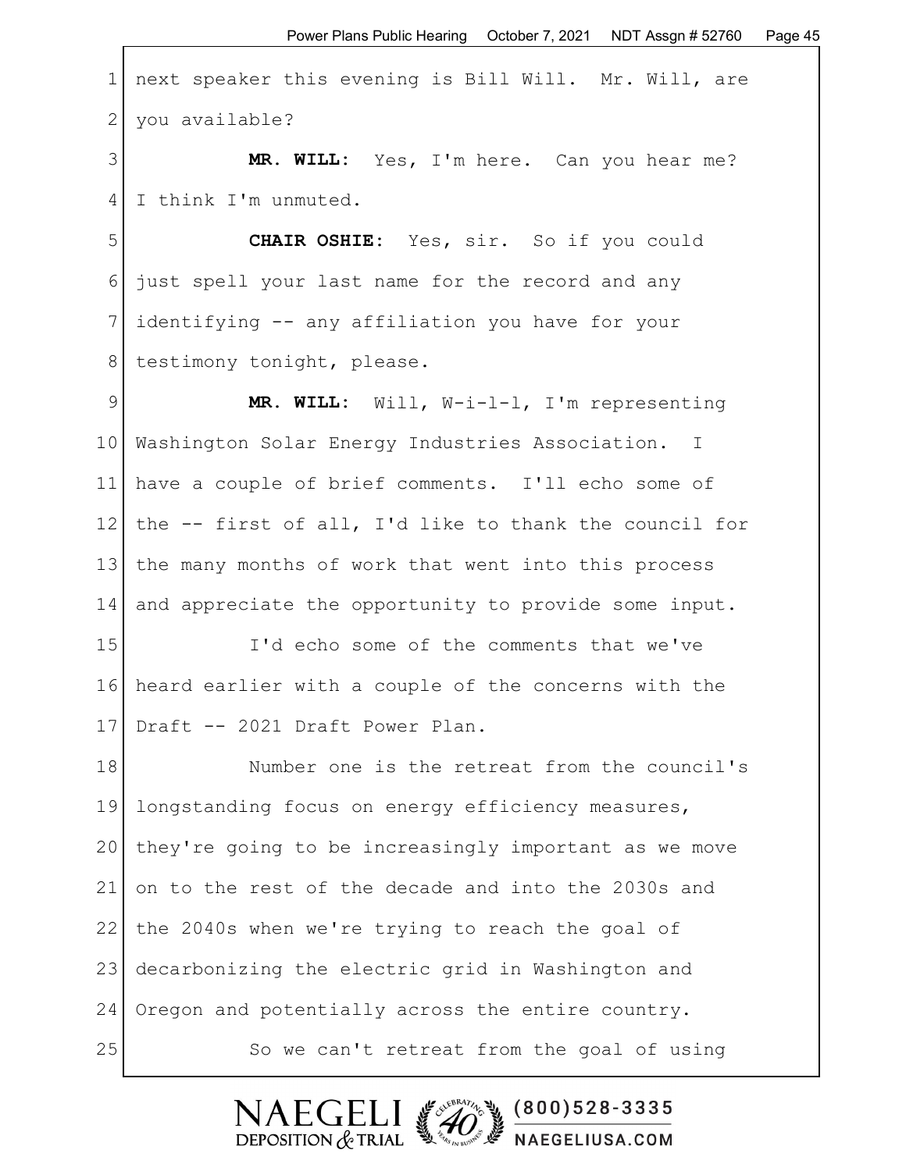1 next speaker this evening is Bill Will. Mr. Will, are 2 you available?

3 **MR. WILL:** Yes, I'm here. Can you hear me? 4 I think I'm unmuted.

5 **CHAIR OSHIE:** Yes, sir. So if you could 6 just spell your last name for the record and any 7 identifying -- any affiliation you have for your 8 | testimony tonight, please.

9 **MR. WILL:** Will, W-i-l-l, I'm representing 10 Washington Solar Energy Industries Association. I 11 have a couple of brief comments. I'll echo some of 12 | the -- first of all, I'd like to thank the council for 13 | the many months of work that went into this process 14 and appreciate the opportunity to provide some input.

15 I'd echo some of the comments that we've 16 heard earlier with a couple of the concerns with the 17 Draft -- 2021 Draft Power Plan.

18 Number one is the retreat from the council's 19 longstanding focus on energy efficiency measures, 20 they're going to be increasingly important as we move 21 on to the rest of the decade and into the 2030s and 22 the 2040s when we're trying to reach the goal of 23 decarbonizing the electric grid in Washington and 24 Oregon and potentially across the entire country. 25 So we can't retreat from the goal of using

DEPOSITION  $&$  TRIAL

 $(800)528 - 3335$ 

NAEGELIUSA.COM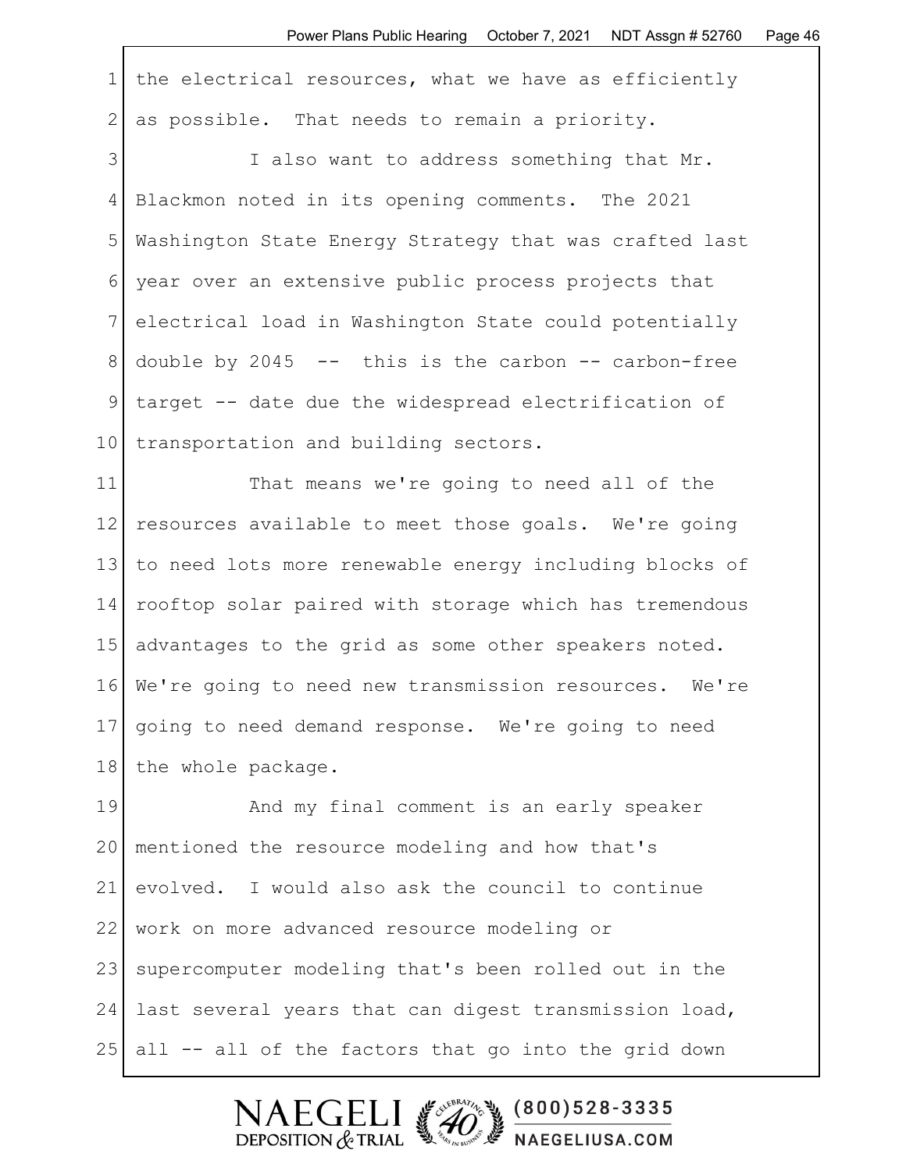| $\mathbf 1$   | the electrical resources, what we have as efficiently   |
|---------------|---------------------------------------------------------|
| $\mathbf{2}$  | as possible. That needs to remain a priority.           |
| 3             | I also want to address something that Mr.               |
| 4             | Blackmon noted in its opening comments. The 2021        |
| 5             | Washington State Energy Strategy that was crafted last  |
| 6             | year over an extensive public process projects that     |
| 7             | electrical load in Washington State could potentially   |
| 8             | double by 2045 $--$ this is the carbon $--$ carbon-free |
| $\mathcal{G}$ | target -- date due the widespread electrification of    |
| 10            | transportation and building sectors.                    |
| 11            | That means we're going to need all of the               |
| 12            | resources available to meet those goals. We're going    |
| 13            | to need lots more renewable energy including blocks of  |
| 14            | rooftop solar paired with storage which has tremendous  |
| 15            | advantages to the grid as some other speakers noted.    |
| 16            | We're going to need new transmission resources. We're   |
| 17            | going to need demand response. We're going to need      |
| 18            | the whole package.                                      |
| 19            | And my final comment is an early speaker                |
| 20            | mentioned the resource modeling and how that's          |
| 21            | evolved. I would also ask the council to continue       |
| 22            | work on more advanced resource modeling or              |
| 23            | supercomputer modeling that's been rolled out in the    |
| 24            | last several years that can digest transmission load,   |
| 25            | all -- all of the factors that go into the grid down    |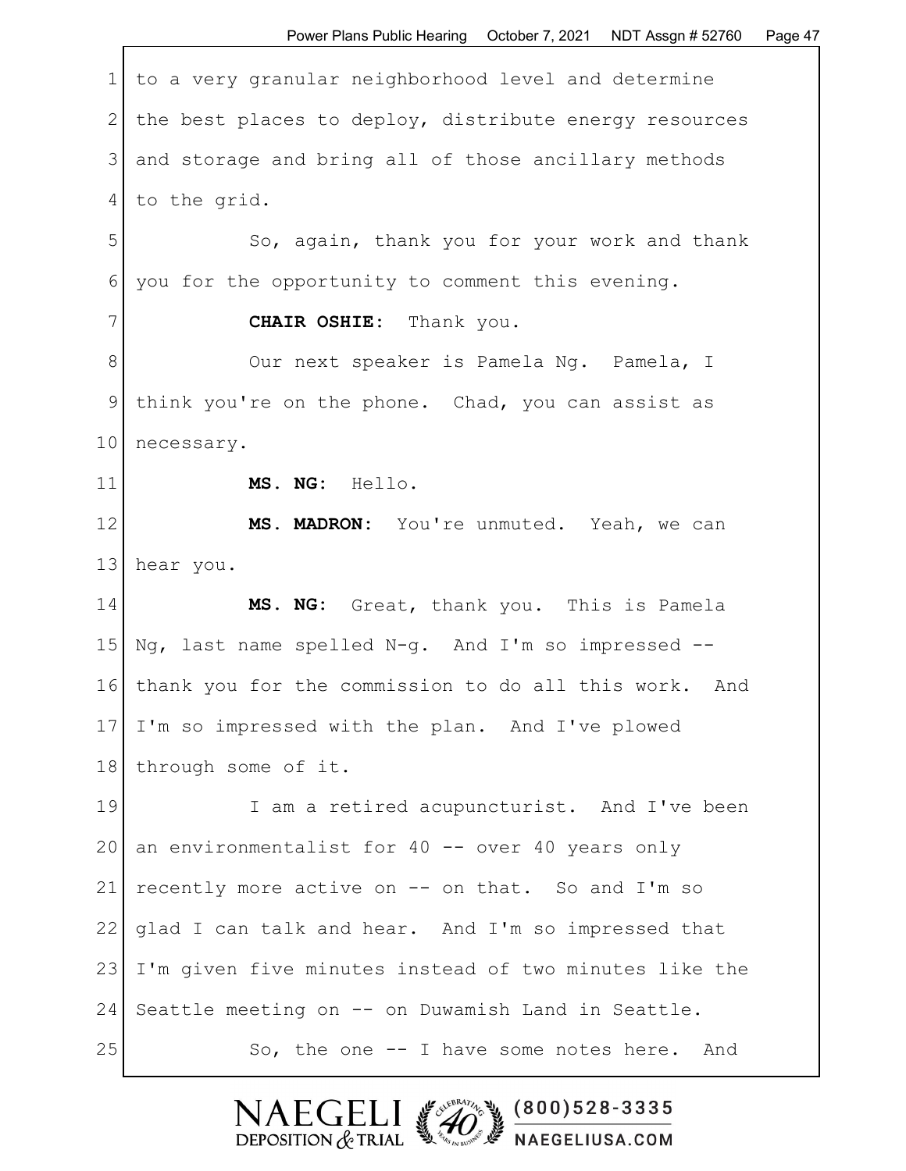1 to a very granular neighborhood level and determine 2 the best places to deploy, distribute energy resources 3 and storage and bring all of those ancillary methods 4 to the grid. 5 So, again, thank you for your work and thank 6 you for the opportunity to comment this evening. 7 | **CHAIR OSHIE:** Thank you. 8 Our next speaker is Pamela Ng. Pamela, I 9 think you're on the phone. Chad, you can assist as 10 necessary. 11 **MS. NG:** Hello. 12 | MS. MADRON: You're unmuted. Yeah, we can 13 hear you. 14 **MS. NG:** Great, thank you. This is Pamela 15  $\sqrt{a}$ , last name spelled  $N-q$ . And I'm so impressed --16 thank you for the commission to do all this work. And 17 I'm so impressed with the plan. And I've plowed 18 through some of it. 19 I am a retired acupuncturist. And I've been 20 an environmentalist for  $40$  -- over  $40$  years only 21 recently more active on  $--$  on that. So and I'm so 22 glad I can talk and hear. And I'm so impressed that 23 | I'm given five minutes instead of two minutes like the 24 Seattle meeting on -- on Duwamish Land in Seattle.  $25$  So, the one  $-$  I have some notes here. And

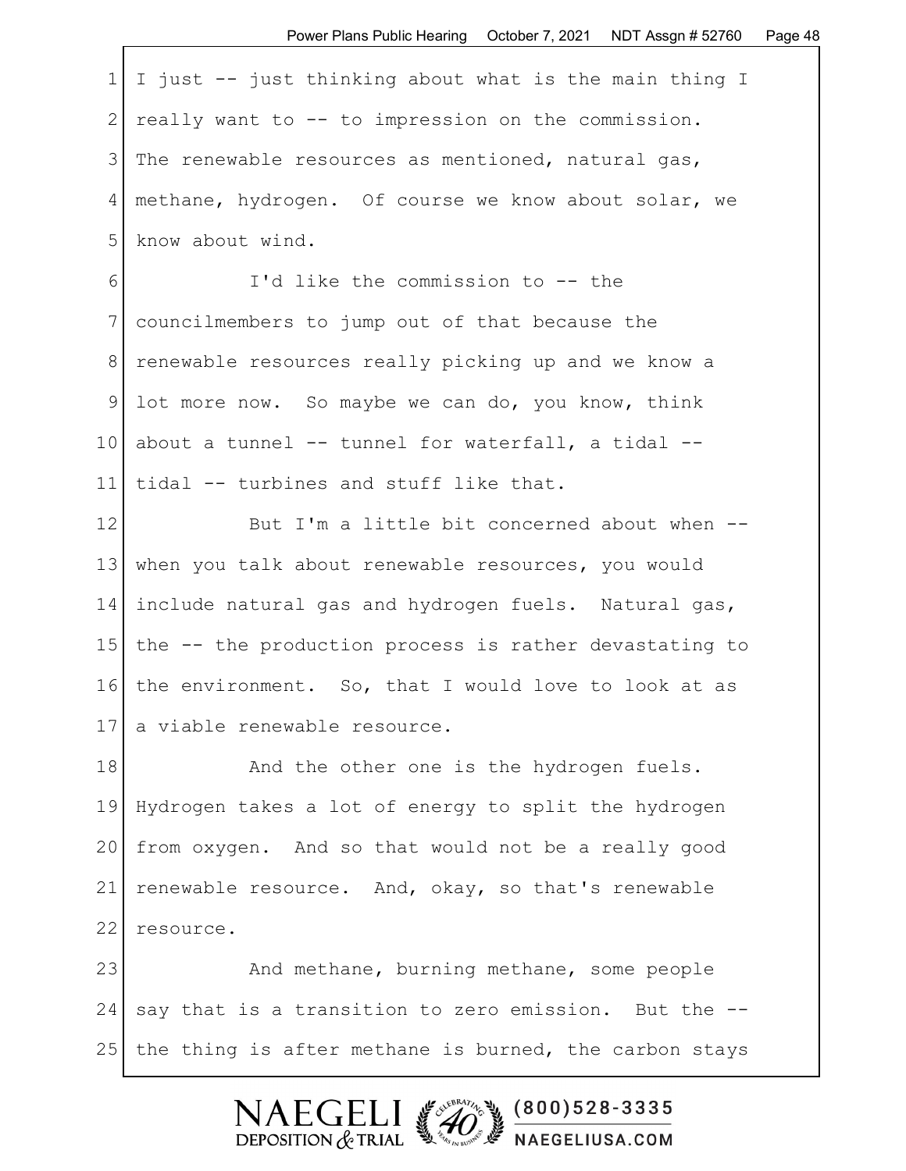| $1$ I just -- just thinking about what is the main thing I |
|------------------------------------------------------------|
| 2 really want to $--$ to impression on the commission.     |
| The renewable resources as mentioned, natural gas,         |
| 4 methane, hydrogen. Of course we know about solar, we     |
| 5 know about wind.                                         |

6 I'd like the commission to -- the 7 councilmembers to jump out of that because the 8 renewable resources really picking up and we know a 9 lot more now. So maybe we can do, you know, think 10 about a tunnel  $--$  tunnel for waterfall, a tidal  $--$ 11 tidal -- turbines and stuff like that.

12 But I'm a little bit concerned about when --13 when you talk about renewable resources, you would 14 include natural gas and hydrogen fuels. Natural gas, 15 the -- the production process is rather devastating to 16 the environment. So, that I would love to look at as 17 a viable renewable resource.

18 And the other one is the hydrogen fuels. 19 Hydrogen takes a lot of energy to split the hydrogen 20 from oxygen. And so that would not be a really good 21 renewable resource. And, okay, so that's renewable 22 resource.

23 And methane, burning methane, some people 24 say that is a transition to zero emission. But the  $-$ - $25$  the thing is after methane is burned, the carbon stays

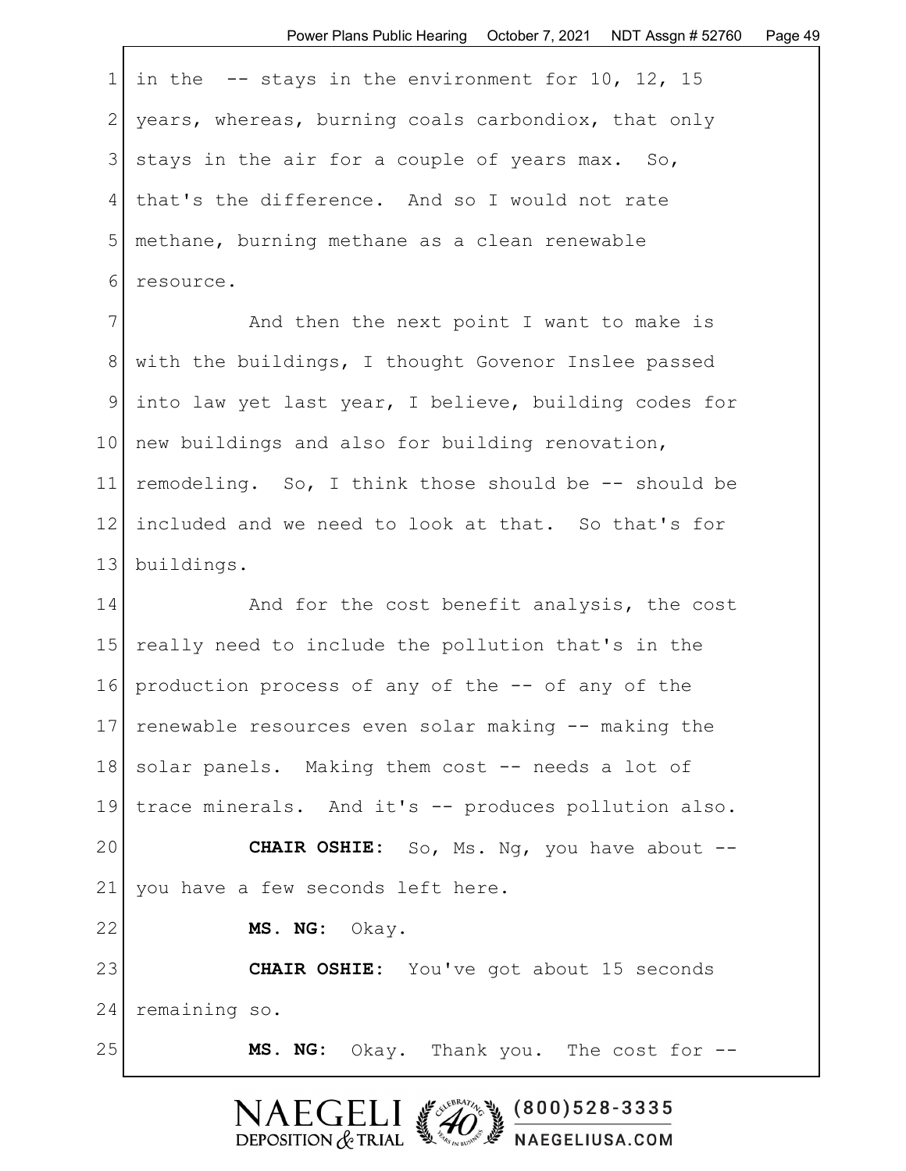1 in the  $-$ - stays in the environment for 10, 12, 15 2 years, whereas, burning coals carbondiox, that only 3 stays in the air for a couple of years max. So, 4 that's the difference. And so I would not rate 5 methane, burning methane as a clean renewable 6 fesource.

7 And then the next point I want to make is 8 with the buildings, I thought Govenor Inslee passed 9 into law yet last year, I believe, building codes for 10 new buildings and also for building renovation, 11 remodeling. So, I think those should be -- should be 12 included and we need to look at that. So that's for 13 buildings.

14 And for the cost benefit analysis, the cost 15 really need to include the pollution that's in the 16 production process of any of the -- of any of the 17 renewable resources even solar making -- making the 18 solar panels. Making them cost -- needs a lot of 19 trace minerals. And it's -- produces pollution also. 20 **CHAIR OSHIE:** So, Ms. Ng, you have about -- 21 you have a few seconds left here. 22 **MS. NG:** Okay. 23 **CHAIR OSHIE:** You've got about 15 seconds 24 remaining so. 25 **MS. NG:** Okay. Thank you. The cost for --

DEPOSITION  $&$  TRIAL

 $(800)528 - 3335$ 

NAEGELIUSA.COM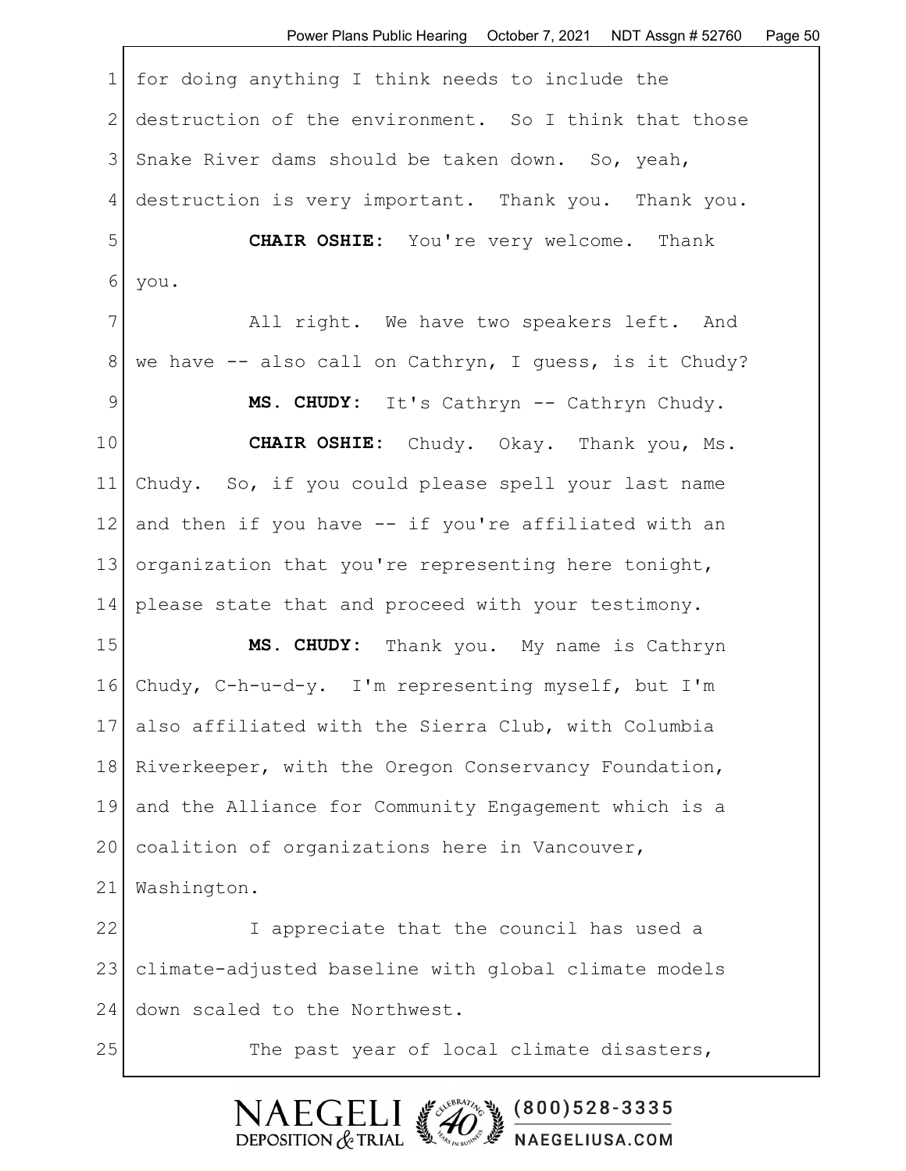1 for doing anything I think needs to include the 2 destruction of the environment. So I think that those 3 Snake River dams should be taken down. So, yeah, 4 destruction is very important. Thank you. Thank you. 5 **CHAIR OSHIE:** You're very welcome. Thank 6 you. 7 All right. We have two speakers left. And 8 | we have -- also call on Cathryn, I guess, is it Chudy? 9 **MS. CHUDY:** It's Cathryn -- Cathryn Chudy. 10 **CHAIR OSHIE:** Chudy. Okay. Thank you, Ms. 11 Chudy. So, if you could please spell your last name 12 and then if you have -- if you're affiliated with an 13 organization that you're representing here tonight, 14 please state that and proceed with your testimony. 15 **MS. CHUDY:** Thank you. My name is Cathryn 16 Chudy, C-h-u-d-y. I'm representing myself, but I'm 17 also affiliated with the Sierra Club, with Columbia 18 Riverkeeper, with the Oregon Conservancy Foundation, 19 and the Alliance for Community Engagement which is a 20 coalition of organizations here in Vancouver, 21 Washington. 22 I appreciate that the council has used a 23 climate-adjusted baseline with global climate models 24 down scaled to the Northwest. 25 The past year of local climate disasters,

> $(800)528 - 3335$ DEPOSITION  $&$  TRIAL NAEGELIUSA.COM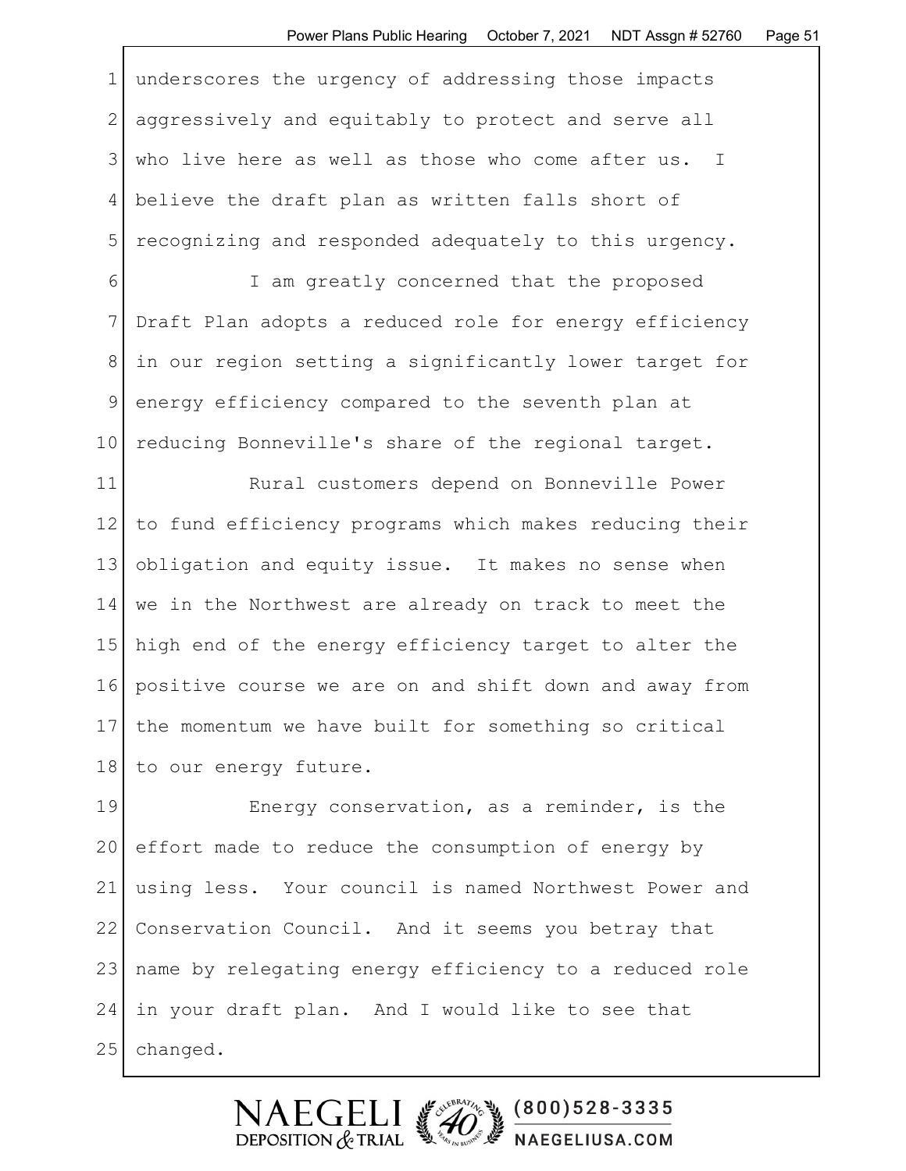1 underscores the urgency of addressing those impacts 2 aggressively and equitably to protect and serve all 3 who live here as well as those who come after us. I 4 believe the draft plan as written falls short of 5 recognizing and responded adequately to this urgency.

6 I am greatly concerned that the proposed 7 Draft Plan adopts a reduced role for energy efficiency 8 in our region setting a significantly lower target for 9 energy efficiency compared to the seventh plan at 10 reducing Bonneville's share of the regional target.

11 Rural customers depend on Bonneville Power 12 to fund efficiency programs which makes reducing their 13 obligation and equity issue. It makes no sense when 14 we in the Northwest are already on track to meet the 15 high end of the energy efficiency target to alter the 16 positive course we are on and shift down and away from 17 the momentum we have built for something so critical 18 to our energy future.

19 Energy conservation, as a reminder, is the 20 effort made to reduce the consumption of energy by 21 using less. Your council is named Northwest Power and 22 Conservation Council. And it seems you betray that 23 name by relegating energy efficiency to a reduced role 24 in your draft plan. And I would like to see that 25 changed.

> $(800)528 - 3335$ DEPOSITION  $&$  TRIAL NAEGELIUSA.COM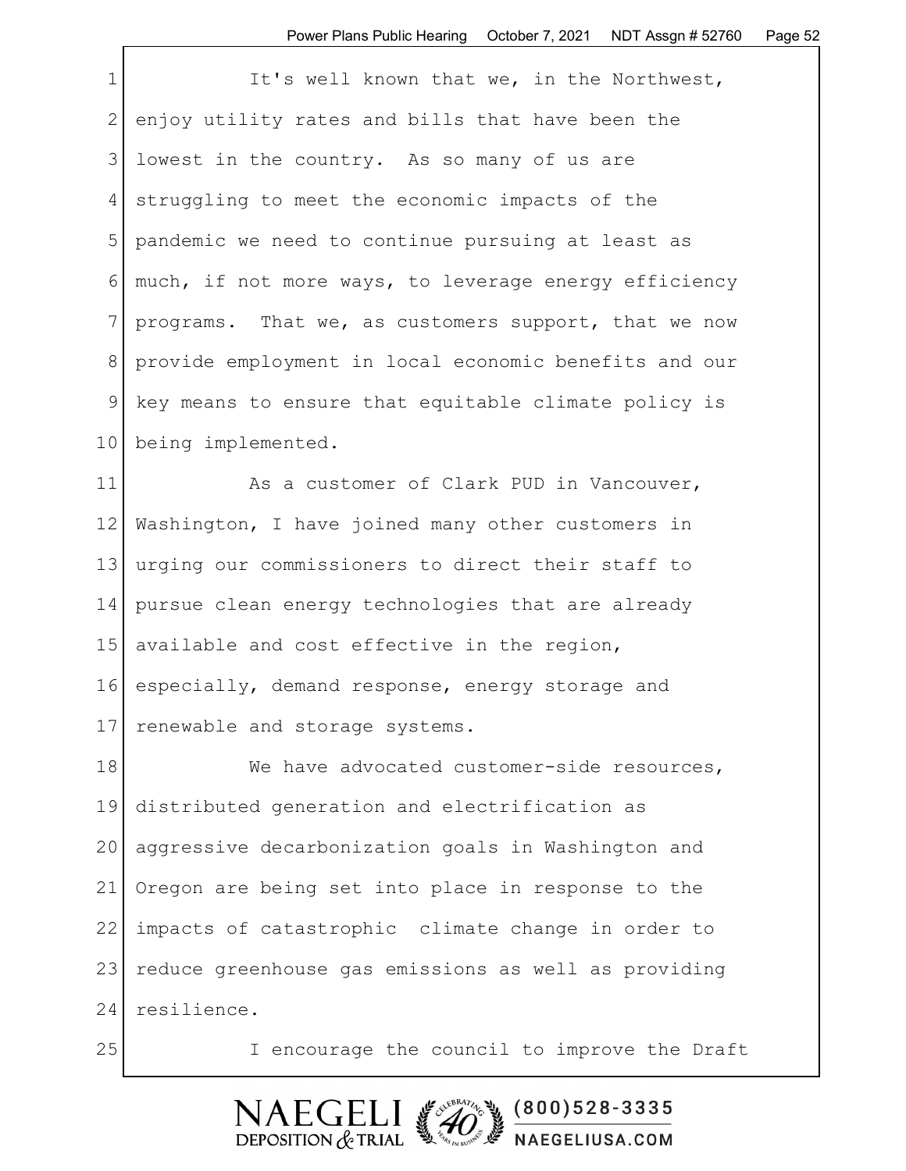| $\mathbf 1$  | It's well known that we, in the Northwest,            |
|--------------|-------------------------------------------------------|
| $\mathbf{2}$ | enjoy utility rates and bills that have been the      |
| 3            | lowest in the country. As so many of us are           |
| 4            | struggling to meet the economic impacts of the        |
| 5            | pandemic we need to continue pursuing at least as     |
| 6            | much, if not more ways, to leverage energy efficiency |
| 7            | programs. That we, as customers support, that we now  |
| 8            | provide employment in local economic benefits and our |
| 9            | key means to ensure that equitable climate policy is  |
| 10           | being implemented.                                    |
| 11           | As a customer of Clark PUD in Vancouver,              |
| 12           | Washington, I have joined many other customers in     |
| 13           | urging our commissioners to direct their staff to     |
| 14           | pursue clean energy technologies that are already     |
| 15           | available and cost effective in the region,           |
| 16           | especially, demand response, energy storage and       |
| 17           | renewable and storage systems.                        |
| 18           | We have advocated customer-side resources,            |
| 19           | distributed generation and electrification as         |
| 20           | aggressive decarbonization goals in Washington and    |
| 21           | Oregon are being set into place in response to the    |
| 22           | impacts of catastrophic climate change in order to    |
| 23           | reduce greenhouse gas emissions as well as providing  |
| 24           | resilience.                                           |
| 25           | I encourage the council to improve the Draft          |

Г

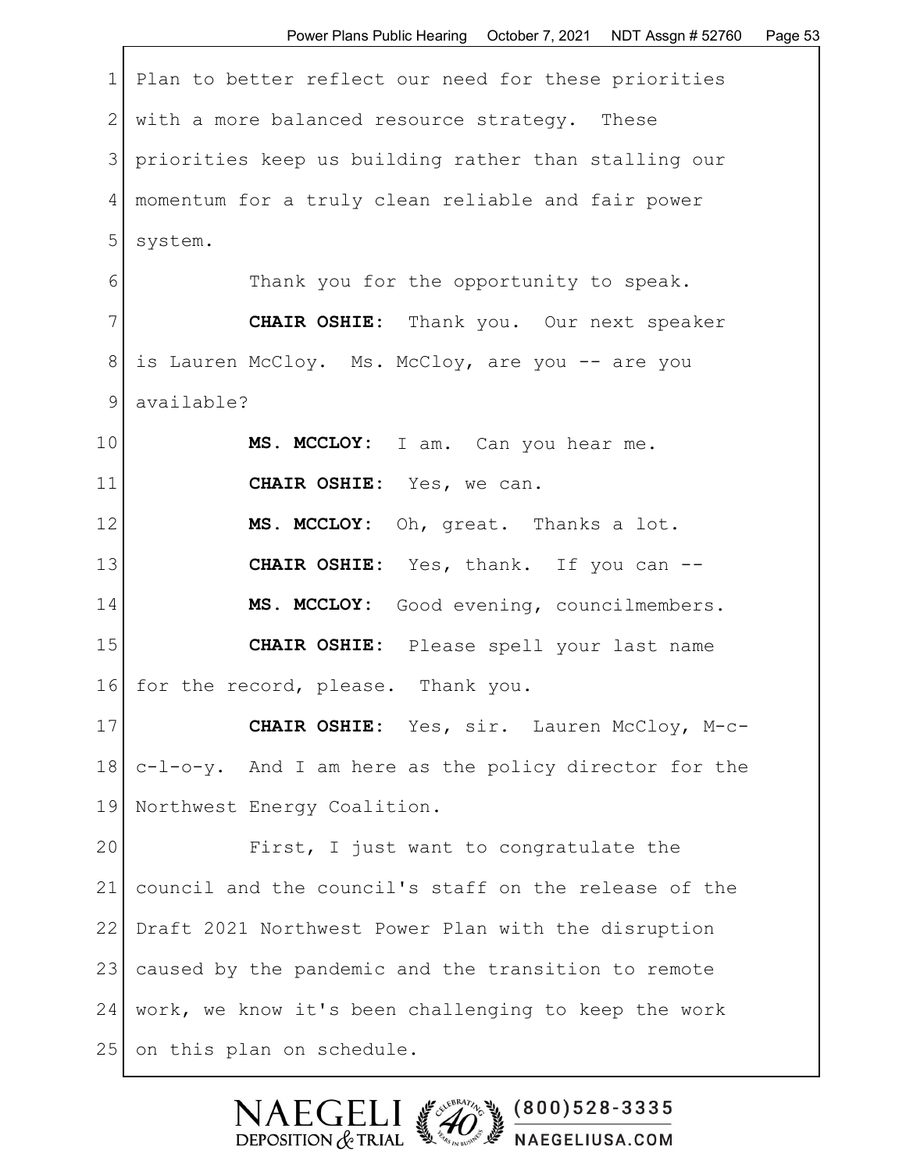1 Plan to better reflect our need for these priorities 2 with a more balanced resource strategy. These 3 priorities keep us building rather than stalling our 4 momentum for a truly clean reliable and fair power 5 system. 6 Thank you for the opportunity to speak. 7 **CHAIR OSHIE:** Thank you. Our next speaker 8 is Lauren McCloy. Ms. McCloy, are you -- are you 9 available? 10 | MS. MCCLOY: I am. Can you hear me. 11 **CHAIR OSHIE:** Yes, we can. 12 | MS. MCCLOY: Oh, great. Thanks a lot. 13 **CHAIR OSHIE:** Yes, thank. If you can -- 14 **MS. MCCLOY:** Good evening, councilmembers. 15 **CHAIR OSHIE:** Please spell your last name 16 for the record, please. Thank you. 17 **CHAIR OSHIE:** Yes, sir. Lauren McCloy, M-c-18 c-l-o-y. And I am here as the policy director for the 19 Northwest Energy Coalition. 20 First, I just want to congratulate the 21 council and the council's staff on the release of the 22 Draft 2021 Northwest Power Plan with the disruption 23 caused by the pandemic and the transition to remote 24 work, we know it's been challenging to keep the work

25 on this plan on schedule.

 $(800)528 - 3335$ DEPOSITION  $&$  TRIAL **F** NAEGELIUSA.COM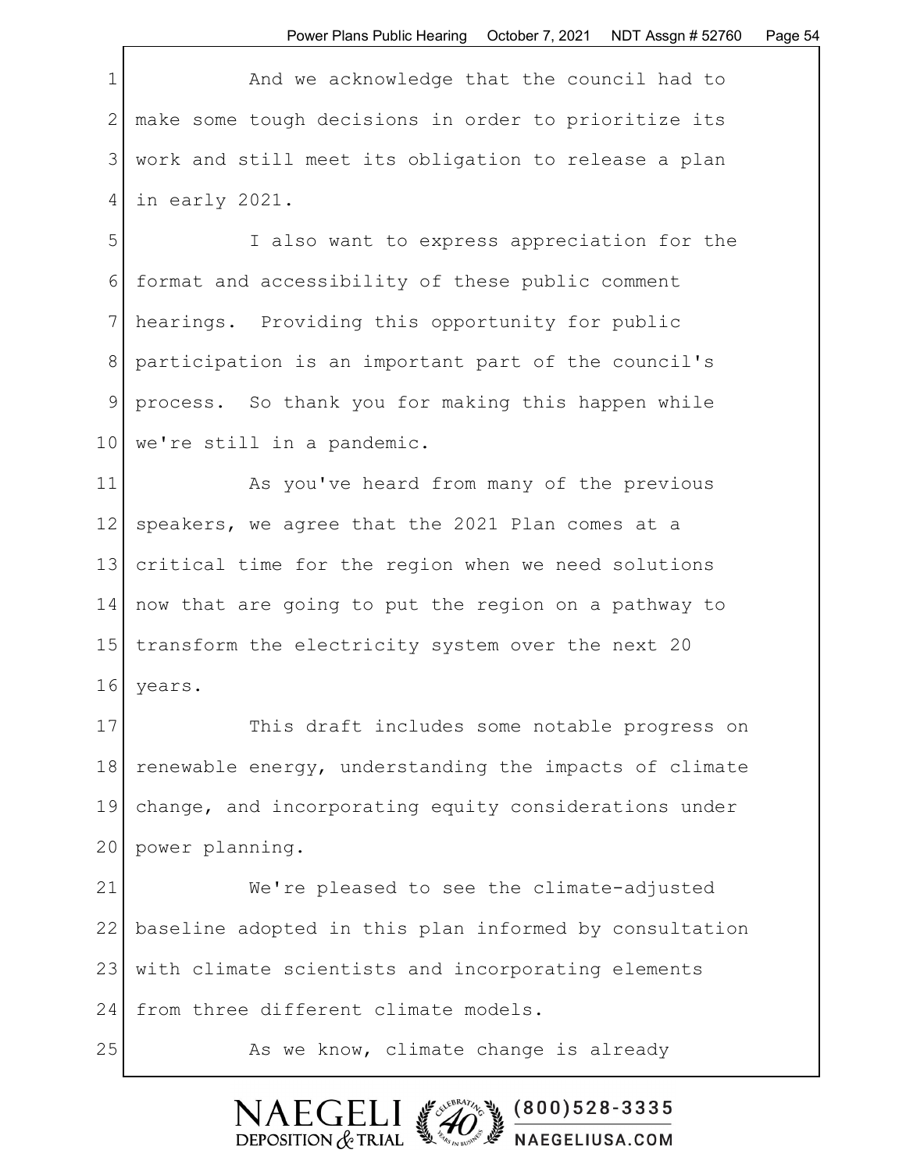1 and we acknowledge that the council had to 2 make some tough decisions in order to prioritize its 3 work and still meet its obligation to release a plan 4 in early 2021.

5 I also want to express appreciation for the 6 format and accessibility of these public comment 7 hearings. Providing this opportunity for public 8 participation is an important part of the council's 9 process. So thank you for making this happen while 10 | we're still in a pandemic.

11 As you've heard from many of the previous 12 | speakers, we agree that the 2021 Plan comes at a 13 critical time for the region when we need solutions 14 now that are going to put the region on a pathway to 15 transform the electricity system over the next 20 16 years.

17 This draft includes some notable progress on 18 renewable energy, understanding the impacts of climate 19 change, and incorporating equity considerations under 20 power planning.

21 We're pleased to see the climate-adjusted 22 baseline adopted in this plan informed by consultation 23 | with climate scientists and incorporating elements 24 from three different climate models.

DEPOSITION  $&$  TRIAL

25 As we know, climate change is already

 $(800)528 - 3335$ 

NAEGELIUSA.COM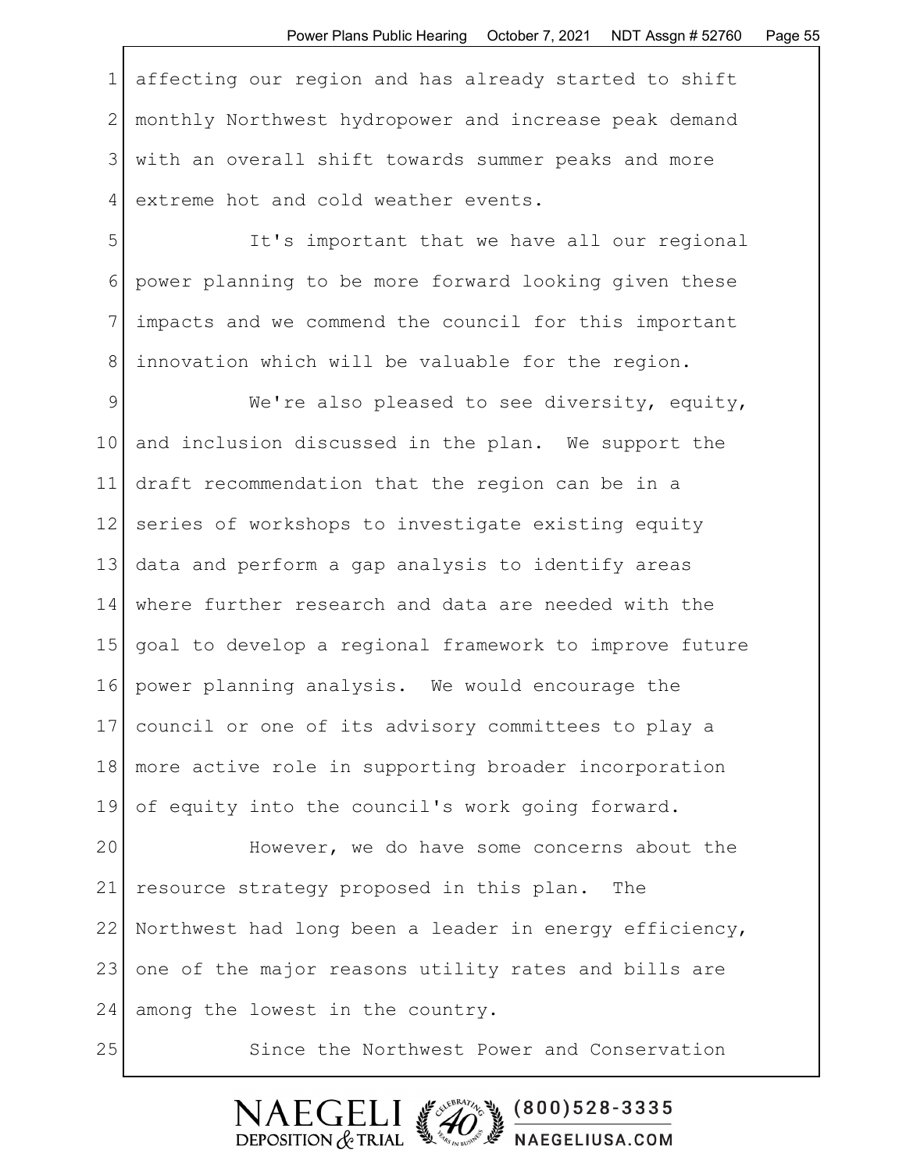1 affecting our region and has already started to shift 2 monthly Northwest hydropower and increase peak demand 3 with an overall shift towards summer peaks and more 4 extreme hot and cold weather events.

5 It's important that we have all our regional 6 power planning to be more forward looking given these 7 impacts and we commend the council for this important 8 | innovation which will be valuable for the region.

9 We're also pleased to see diversity, equity, 10 and inclusion discussed in the plan. We support the 11 draft recommendation that the region can be in a 12 series of workshops to investigate existing equity 13 data and perform a gap analysis to identify areas 14 where further research and data are needed with the 15 goal to develop a regional framework to improve future 16 power planning analysis. We would encourage the 17 council or one of its advisory committees to play a 18 more active role in supporting broader incorporation 19 of equity into the council's work going forward.

20 However, we do have some concerns about the 21 resource strategy proposed in this plan. The 22 Northwest had long been a leader in energy efficiency, 23 one of the major reasons utility rates and bills are 24 among the lowest in the country.

25 Since the Northwest Power and Conservation

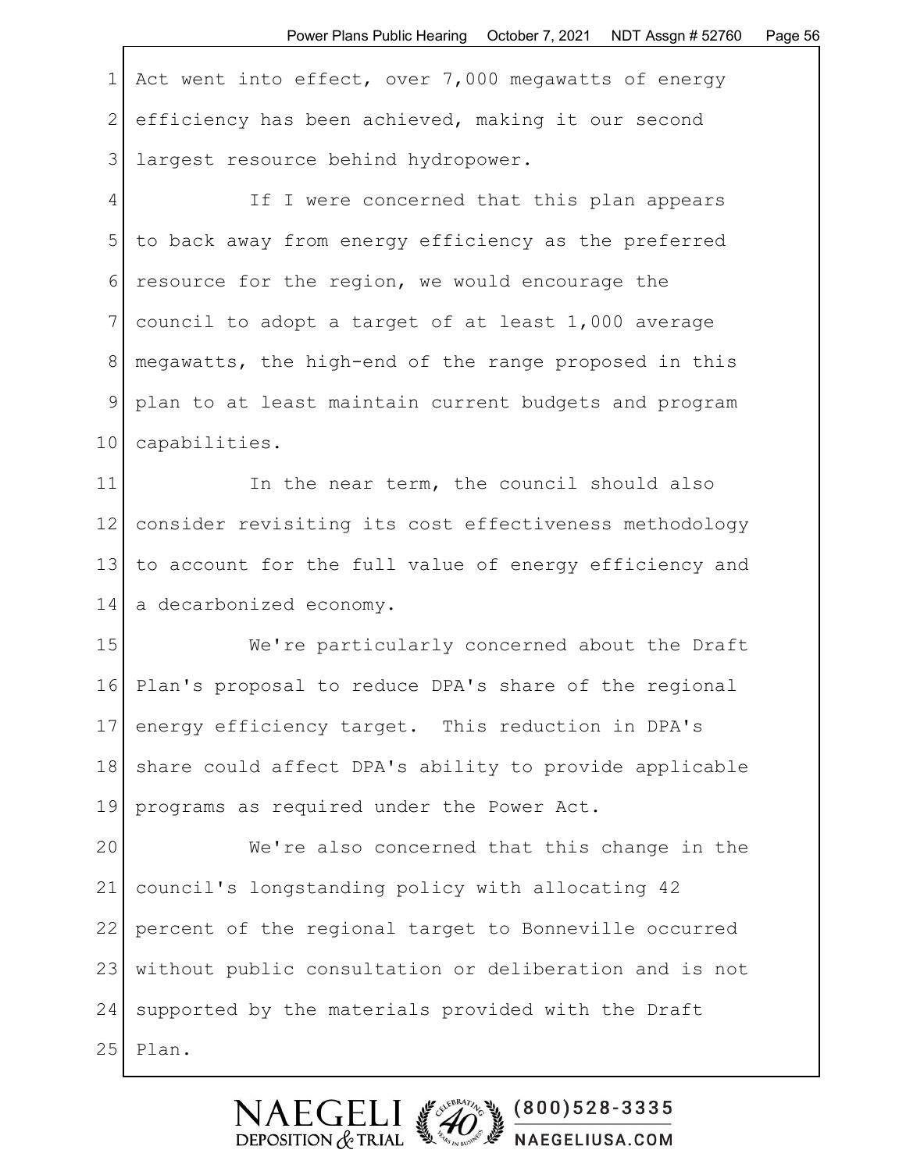1 Act went into effect, over 7,000 megawatts of energy 2 efficiency has been achieved, making it our second 3 largest resource behind hydropower.

4 If I were concerned that this plan appears 5 to back away from energy efficiency as the preferred 6 resource for the region, we would encourage the 7 council to adopt a target of at least 1,000 average 8 megawatts, the high-end of the range proposed in this 9 plan to at least maintain current budgets and program 10 capabilities.

11 In the near term, the council should also 12 consider revisiting its cost effectiveness methodology 13 to account for the full value of energy efficiency and 14 a decarbonized economy.

15 We're particularly concerned about the Draft 16 Plan's proposal to reduce DPA's share of the regional 17 energy efficiency target. This reduction in DPA's 18 | share could affect DPA's ability to provide applicable 19 programs as required under the Power Act.

20 We're also concerned that this change in the 21 council's longstanding policy with allocating 42 22 percent of the regional target to Bonneville occurred 23 | without public consultation or deliberation and is not 24 supported by the materials provided with the Draft  $25$ | Plan.

> $(800)528 - 3335$ DEPOSITION  $&$  TRIAL NAEGELIUSA.COM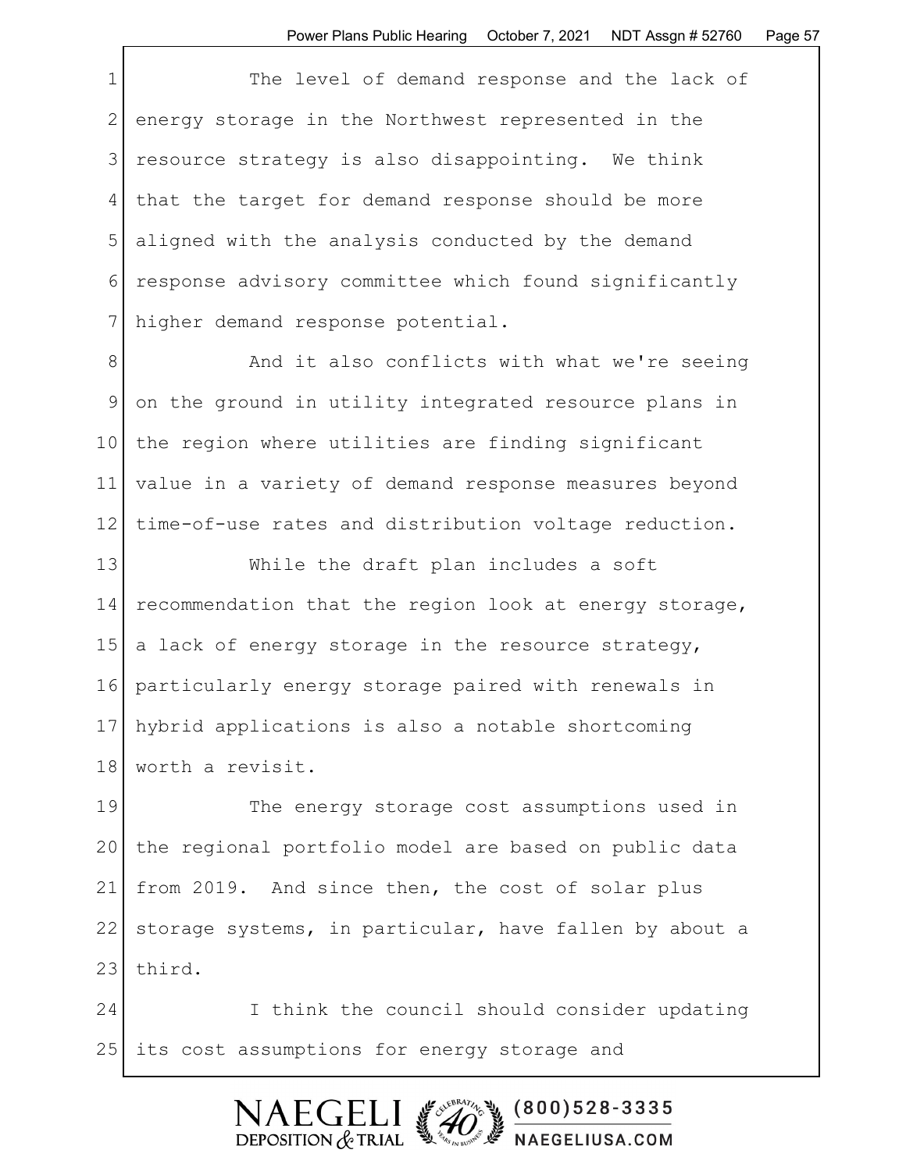|                | The level of demand response and the lack of          |
|----------------|-------------------------------------------------------|
| 2              | energy storage in the Northwest represented in the    |
| 3 <sup>1</sup> | resource strategy is also disappointing. We think     |
| 4              | that the target for demand response should be more    |
| 5              | aligned with the analysis conducted by the demand     |
| 6              | response advisory committee which found significantly |
|                | higher demand response potential.                     |

8 And it also conflicts with what we're seeing 9 on the ground in utility integrated resource plans in 10 the region where utilities are finding significant 11 value in a variety of demand response measures beyond 12 time-of-use rates and distribution voltage reduction.

13 While the draft plan includes a soft 14 recommendation that the region look at energy storage, 15 a lack of energy storage in the resource strategy, 16 particularly energy storage paired with renewals in 17 hybrid applications is also a notable shortcoming 18 worth a revisit.

19 The energy storage cost assumptions used in 20 the regional portfolio model are based on public data 21 from 2019. And since then, the cost of solar plus 22 storage systems, in particular, have fallen by about a 23 third.

24 I think the council should consider updating 25 | its cost assumptions for energy storage and

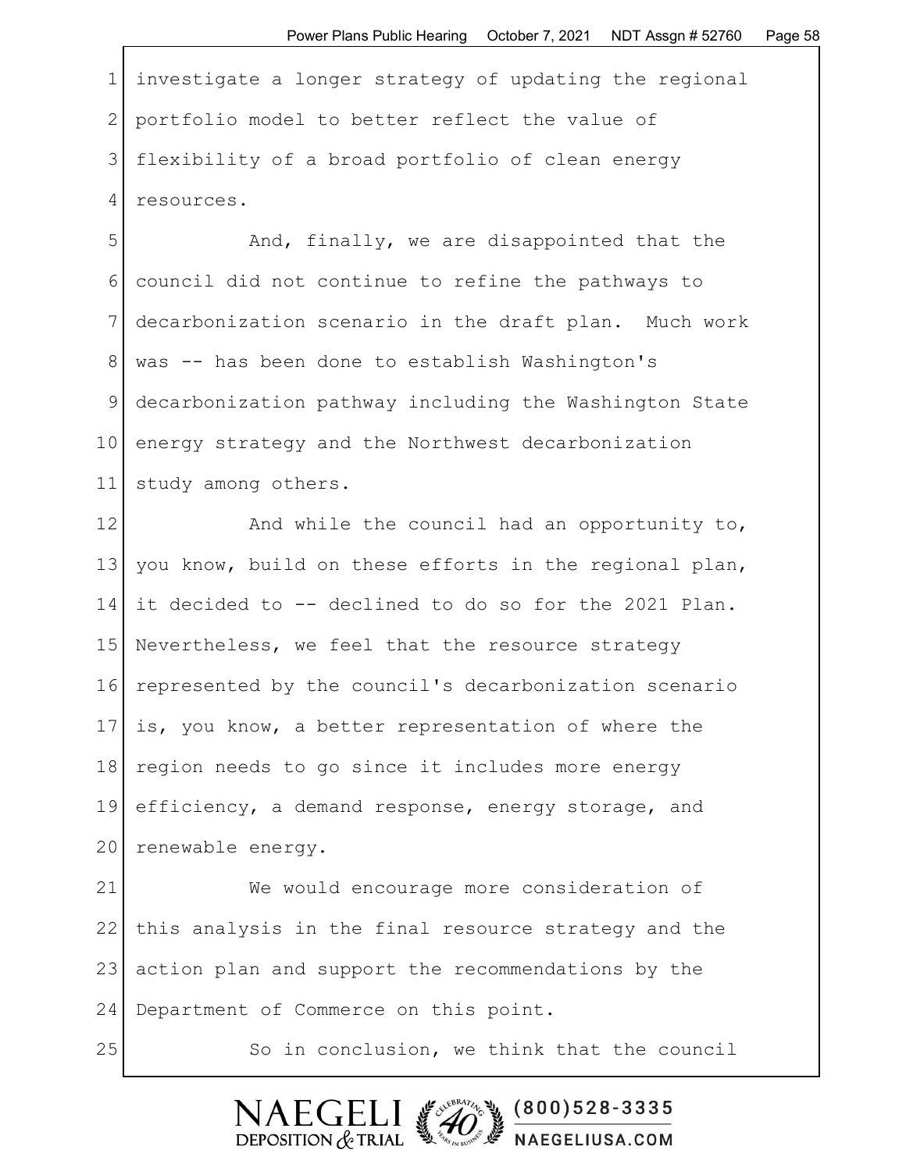1 investigate a longer strategy of updating the regional 2 portfolio model to better reflect the value of 3| flexibility of a broad portfolio of clean energy 4 resources.

5 And, finally, we are disappointed that the 6 council did not continue to refine the pathways to 7 decarbonization scenario in the draft plan. Much work 8 was -- has been done to establish Washington's 9 decarbonization pathway including the Washington State 10 energy strategy and the Northwest decarbonization 11 study among others.

12 and while the council had an opportunity to, 13 you know, build on these efforts in the regional plan, 14 it decided to -- declined to do so for the 2021 Plan. 15 Nevertheless, we feel that the resource strategy 16 represented by the council's decarbonization scenario  $17$  is, you know, a better representation of where the 18 region needs to go since it includes more energy 19 efficiency, a demand response, energy storage, and 20 renewable energy.

21 We would encourage more consideration of 22 this analysis in the final resource strategy and the 23 action plan and support the recommendations by the 24 Department of Commerce on this point.

25 So in conclusion, we think that the council

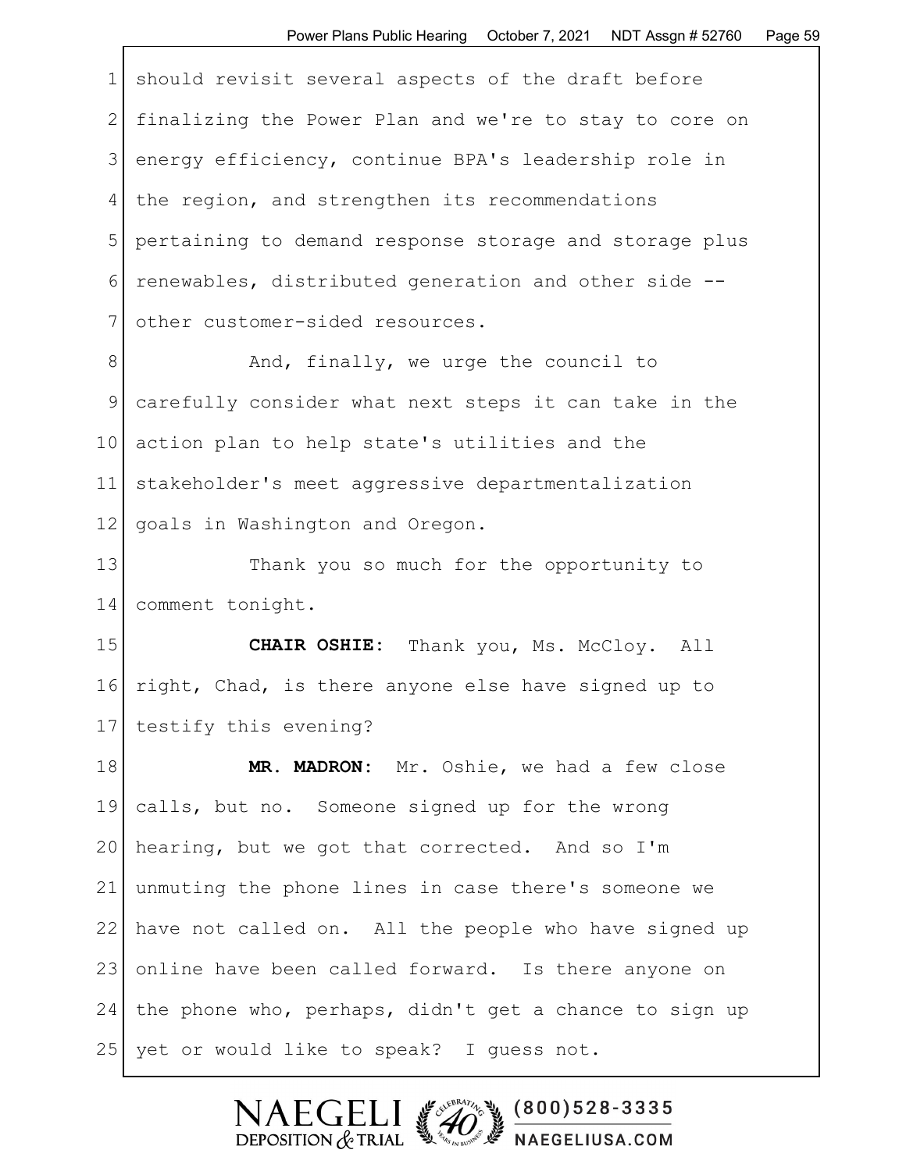| $\mathbf 1$     | should revisit several aspects of the draft before     |
|-----------------|--------------------------------------------------------|
| 2               | finalizing the Power Plan and we're to stay to core on |
| 3               | energy efficiency, continue BPA's leadership role in   |
| 4               | the region, and strengthen its recommendations         |
| 5               | pertaining to demand response storage and storage plus |
| 6               | renewables, distributed generation and other side --   |
| 7               | other customer-sided resources.                        |
| 8               | And, finally, we urge the council to                   |
| $\mathcal{G}$   | carefully consider what next steps it can take in the  |
| 10              | action plan to help state's utilities and the          |
| 11              | stakeholder's meet aggressive departmentalization      |
| 12 <sup>°</sup> | goals in Washington and Oregon.                        |
| 13              | Thank you so much for the opportunity to               |
| 14              | comment tonight.                                       |
| 15              | CHAIR OSHIE: Thank you, Ms. McCloy. All                |
| 16              | right, Chad, is there anyone else have signed up to    |
| 17              | testify this evening?                                  |
| 18              | MR. MADRON:<br>Mr. Oshie, we had a few close           |
|                 |                                                        |

19 calls, but no. Someone signed up for the wrong 20 hearing, but we got that corrected. And so  $I'm$ 21 unmuting the phone lines in case there's someone we 22 have not called on. All the people who have signed up 23 online have been called forward. Is there anyone on  $24$  the phone who, perhaps, didn't get a chance to sign up 25 yet or would like to speak? I guess not.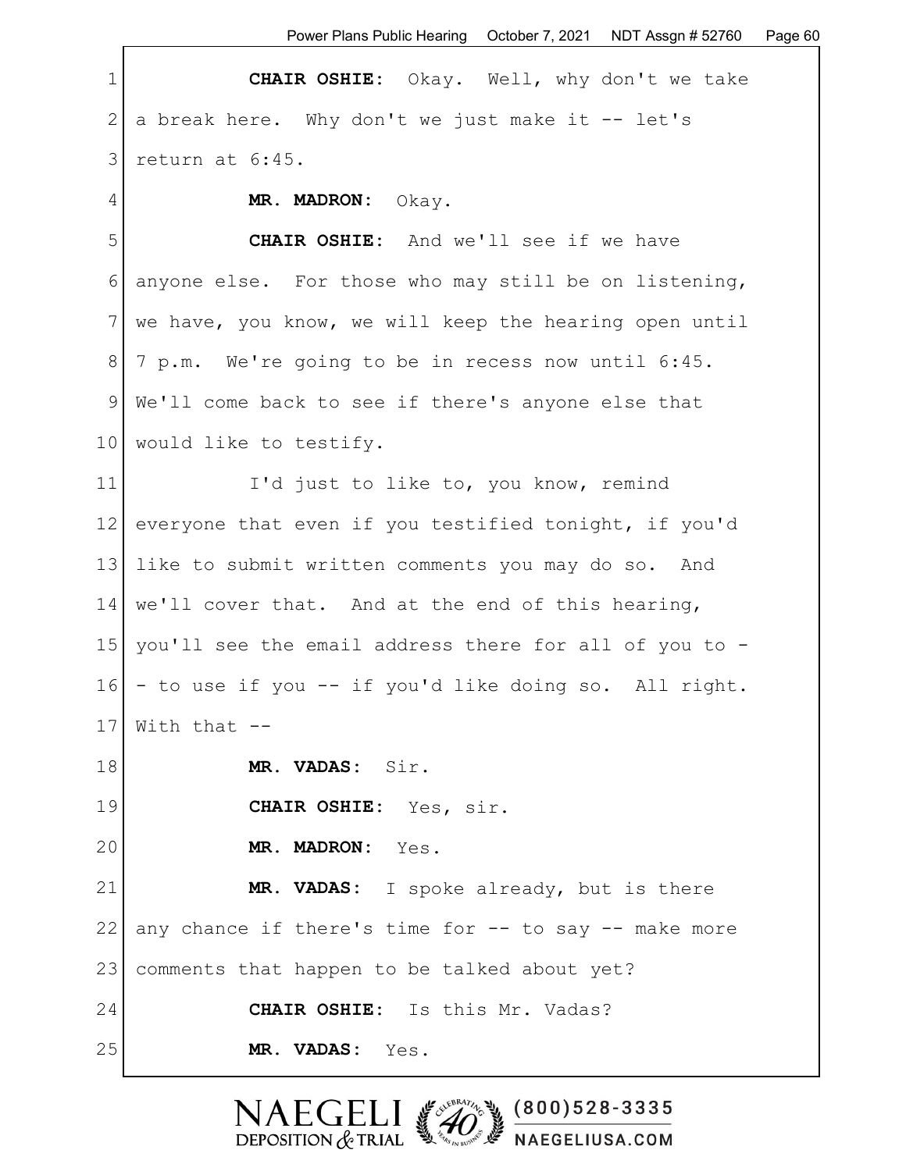Power Plans Public Hearing October 7, 2021 NDT Assgn # 52760 Page 60

| $\mathbf 1$     | CHAIR OSHIE: Okay. Well, why don't we take             |
|-----------------|--------------------------------------------------------|
| 2               | a break here. Why don't we just make it -- let's       |
| 3               | return at 6:45.                                        |
| 4               | MR. MADRON: Okay.                                      |
| 5               | <b>CHAIR OSHIE:</b> And we'll see if we have           |
| 6               | anyone else. For those who may still be on listening,  |
| 7 <sup>1</sup>  | we have, you know, we will keep the hearing open until |
| 8               | 7 p.m. We're going to be in recess now until 6:45.     |
| 9               | We'll come back to see if there's anyone else that     |
| 10 <sub>1</sub> | would like to testify.                                 |
| 11              | I'd just to like to, you know, remind                  |
| 12              | everyone that even if you testified tonight, if you'd  |
| 13              | like to submit written comments you may do so. And     |
| 14              | we'll cover that. And at the end of this hearing,      |
| 15              | you'll see the email address there for all of you to - |
| 16              | - to use if you -- if you'd like doing so. All right.  |
| 17              | With that $--$                                         |
| 18              | MR. VADAS: Sir.                                        |
| 19              | CHAIR OSHIE: Yes, sir.                                 |
| 20              | MR. MADRON: Yes.                                       |
| 21              | MR. VADAS: I spoke already, but is there               |
| 22              | any chance if there's time for -- to say -- make more  |
| 23              | comments that happen to be talked about yet?           |
| 24              | CHAIR OSHIE: Is this Mr. Vadas?                        |
| 25              | MR. VADAS: Yes.                                        |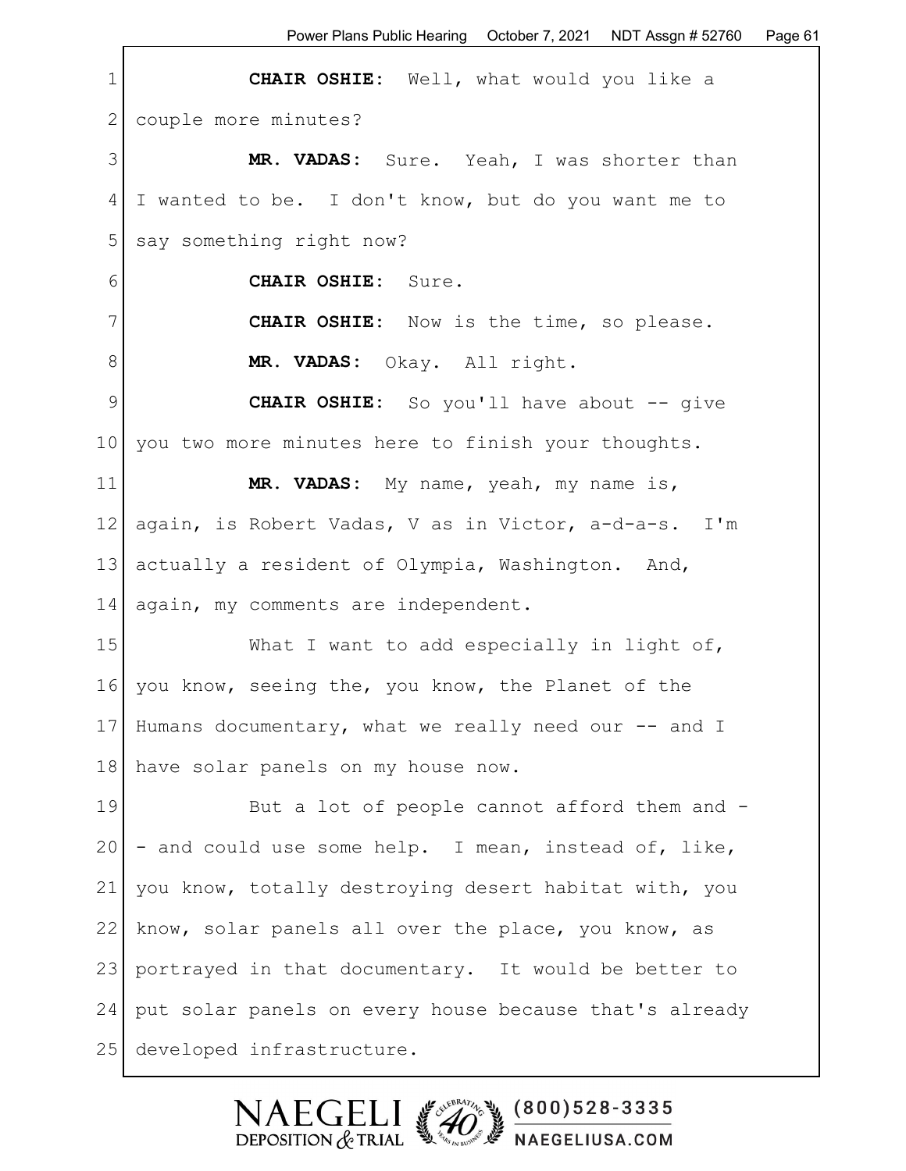1 **CHAIR OSHIE:** Well, what would you like a 2 couple more minutes? 3 **MR. VADAS:** Sure. Yeah, I was shorter than 4 I wanted to be. I don't know, but do you want me to 5 say something right now? 6 **CHAIR OSHIE:** Sure. 7 **CHAIR OSHIE:** Now is the time, so please. 8 **MR. VADAS:** Okay. All right. 9 **CHAIR OSHIE:** So you'll have about -- give 10 you two more minutes here to finish your thoughts. 11 **MR. VADAS:** My name, yeah, my name is, 12 again, is Robert Vadas, V as in Victor, a-d-a-s. I'm 13 actually a resident of Olympia, Washington. And, 14 again, my comments are independent. 15 What I want to add especially in light of, 16 you know, seeing the, you know, the Planet of the 17 Humans documentary, what we really need our -- and I 18 have solar panels on my house now. 19 But a lot of people cannot afford them and - $20$  - and could use some help. I mean, instead of, like, 21 you know, totally destroying desert habitat with, you 22 know, solar panels all over the place, you know, as 23 portrayed in that documentary. It would be better to 24 put solar panels on every house because that's already 25 developed infrastructure.

> $(800)528 - 3335$ DEPOSITION  $&$  TRIAL NAEGELIUSA.COM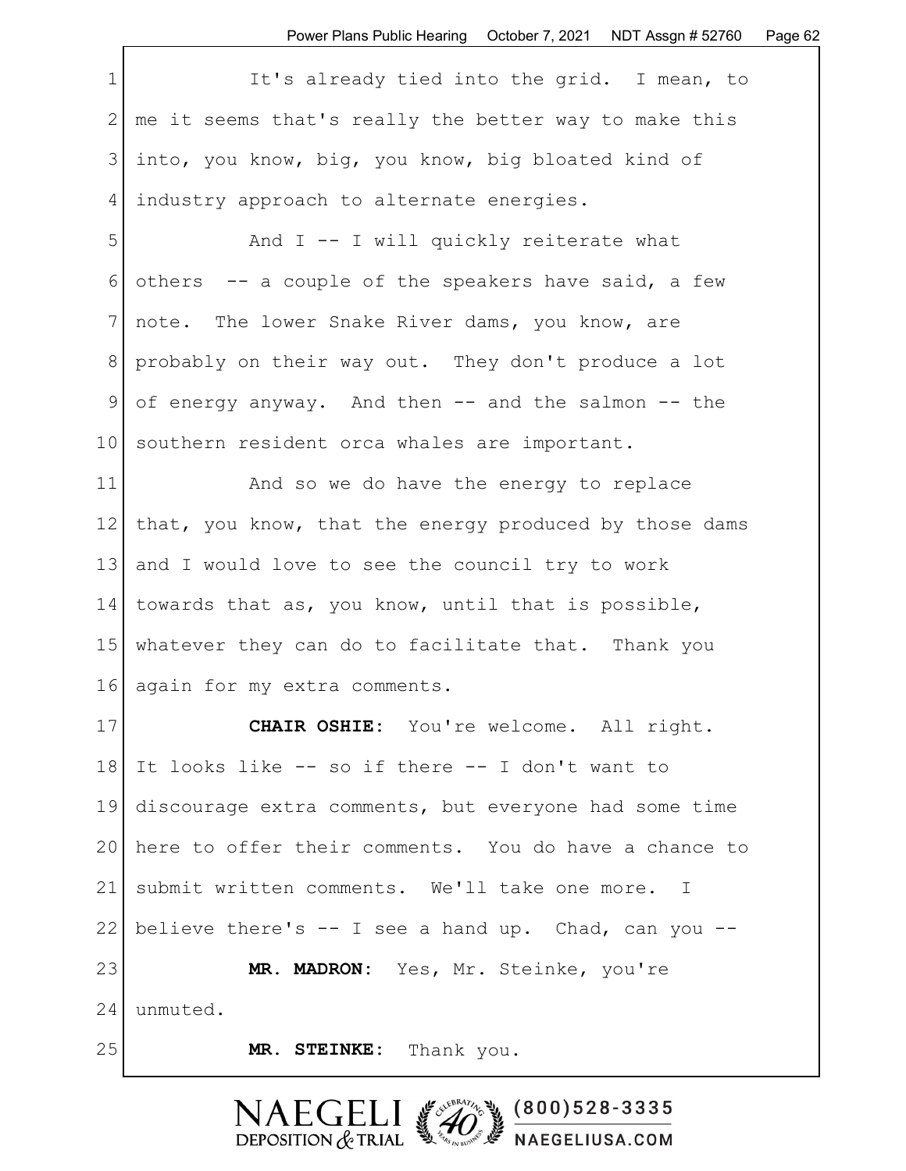1 It's already tied into the grid. I mean, to 2 | me it seems that's really the better way to make this 3 into, you know, big, you know, big bloated kind of 4 | industry approach to alternate energies.

5 And I -- I will quickly reiterate what 6 others  $-$  a couple of the speakers have said, a few 7 | note. The lower Snake River dams, you know, are 8 probably on their way out. They don't produce a lot 9 of energy anyway. And then -- and the salmon -- the 10 southern resident orca whales are important.

11 And so we do have the energy to replace 12 | that, you know, that the energy produced by those dams 13 and I would love to see the council try to work 14 towards that as, you know, until that is possible, 15 whatever they can do to facilitate that. Thank you 16 again for my extra comments.

17 **CHAIR OSHIE:** You're welcome. All right. 18 It looks like -- so if there -- I don't want to 19 discourage extra comments, but everyone had some time 20 here to offer their comments. You do have a chance to 21 submit written comments. We'll take one more. I 22 believe there's  $-$  I see a hand up. Chad, can you  $-$ 23 **MR. MADRON:** Yes, Mr. Steinke, you're 24 unmuted. 25 **MR. STEINKE:** Thank you.

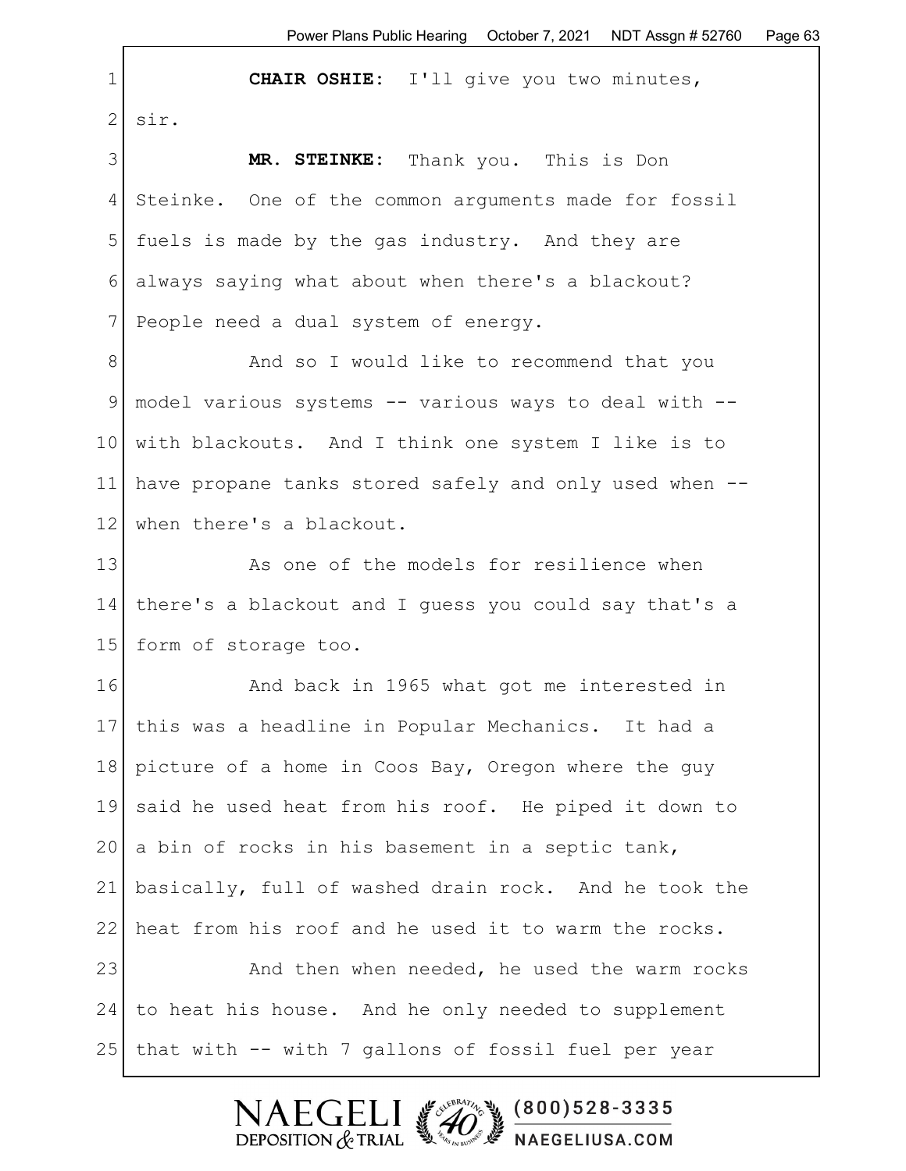1 **CHAIR OSHIE:** I'll give you two minutes,  $2$ | sir.

3 **MR. STEINKE:** Thank you. This is Don 4 Steinke. One of the common arguments made for fossil 5 fuels is made by the gas industry. And they are 6 always saying what about when there's a blackout? 7 People need a dual system of energy.

8 And so I would like to recommend that you 9 model various systems -- various ways to deal with -- 10 | with blackouts. And I think one system I like is to 11 have propane tanks stored safely and only used when -- 12 when there's a blackout.

13 As one of the models for resilience when 14 there's a blackout and I guess you could say that's a 15 form of storage too.

16 **And back in 1965 what got me interested in** 17 this was a headline in Popular Mechanics. It had a 18 picture of a home in Coos Bay, Oregon where the guy 19 said he used heat from his roof. He piped it down to 20 a bin of rocks in his basement in a septic tank, 21 basically, full of washed drain rock. And he took the 22 heat from his roof and he used it to warm the rocks. 23 And then when needed, he used the warm rocks

24 to heat his house. And he only needed to supplement 25 | that with -- with 7 gallons of fossil fuel per year

**NAEGELI** 

DEPOSITION  $&$  TRIAL

SUEBRAZIL NO

 $(800)528 - 3335$ 

**A** NAEGELIUSA.COM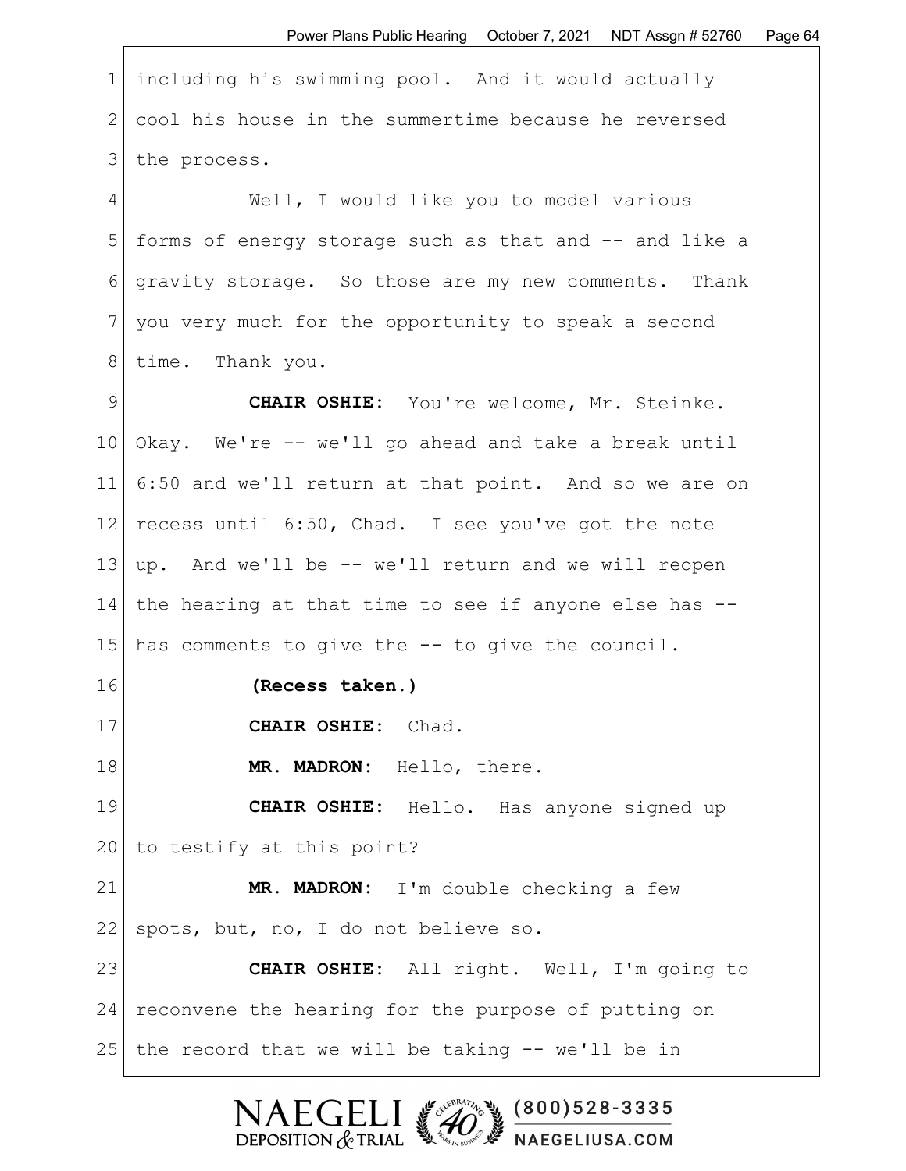| $\mathbf 1$    | including his swimming pool. And it would actually     |
|----------------|--------------------------------------------------------|
| 2              | cool his house in the summertime because he reversed   |
| 3              | the process.                                           |
| 4              | Well, I would like you to model various                |
| 5              | forms of energy storage such as that and -- and like a |
| 6              | gravity storage. So those are my new comments. Thank   |
| $7\phantom{.}$ | you very much for the opportunity to speak a second    |
| 8              | time. Thank you.                                       |
| $\mathcal{G}$  | CHAIR OSHIE: You're welcome, Mr. Steinke.              |
| 10             | Okay. We're -- we'll go ahead and take a break until   |
| 11             | 6:50 and we'll return at that point. And so we are on  |
| 12             | recess until 6:50, Chad. I see you've got the note     |
| 13             | up. And we'll be -- we'll return and we will reopen    |
| 14             | the hearing at that time to see if anyone else has --  |
| 15             | has comments to give the -- to give the council.       |
| 16             | (Recess taken.)                                        |
| 17             | CHAIR OSHIE: Chad.                                     |
| 18             | MR. MADRON: Hello, there.                              |
| 19             | <b>CHAIR OSHIE:</b> Hello. Has anyone signed up        |
| 20             | to testify at this point?                              |
| 21             | MR. MADRON: I'm double checking a few                  |
| 22             | spots, but, no, I do not believe so.                   |
| 23             | CHAIR OSHIE: All right. Well, I'm going to             |
| 24             | reconvene the hearing for the purpose of putting on    |
| 25             | the record that we will be taking -- we'll be in       |

Г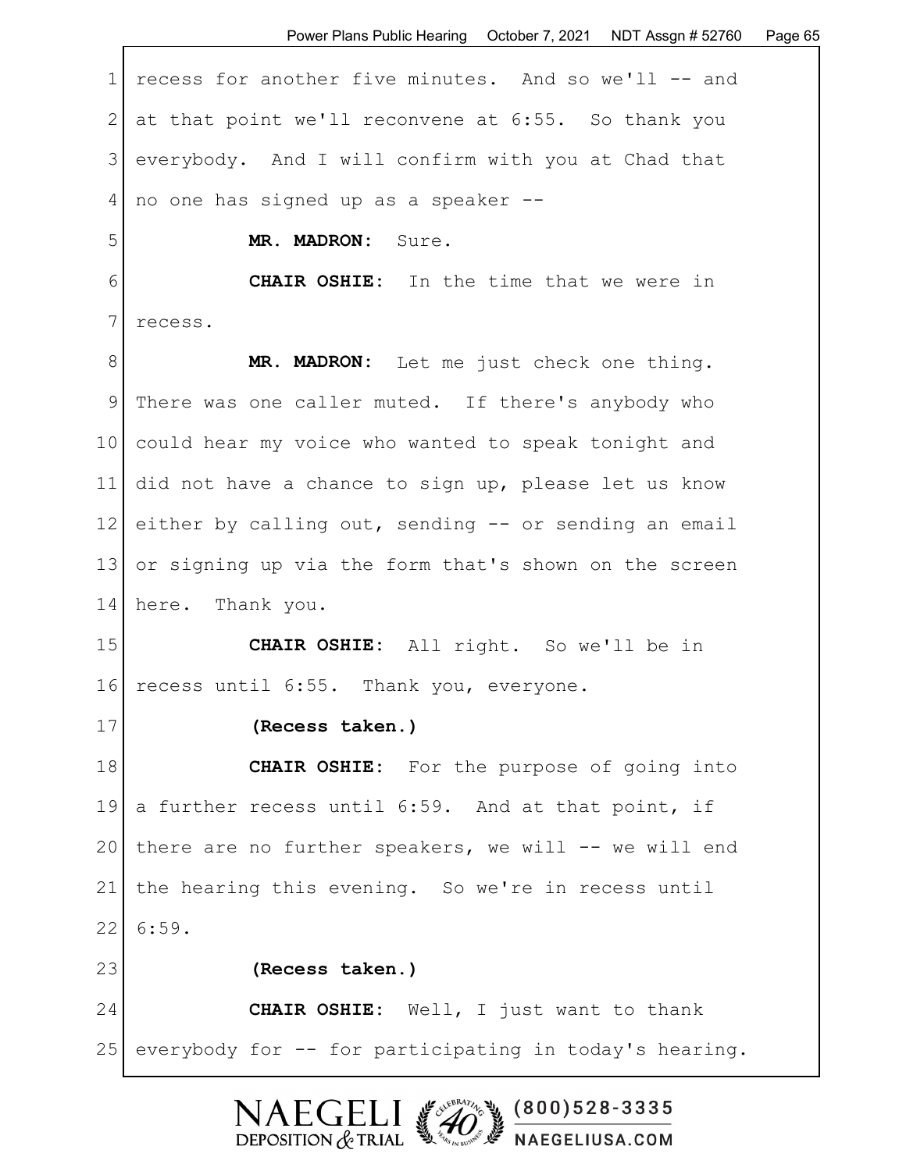3 everybody. And I will confirm with you at Chad that 4 no one has signed up as a speaker --

5 **MR. MADRON:** Sure.

6 **CHAIR OSHIE:** In the time that we were in 7 recess.

8 MR. MADRON: Let me just check one thing. 9 There was one caller muted. If there's anybody who 10 could hear my voice who wanted to speak tonight and 11 did not have a chance to sign up, please let us know 12 either by calling out, sending  $-$  or sending an email 13 or signing up via the form that's shown on the screen 14 here. Thank you.

15 **CHAIR OSHIE:** All right. So we'll be in 16 recess until 6:55. Thank you, everyone.

17 **(Recess taken.)**

18 **CHAIR OSHIE:** For the purpose of going into 19 a further recess until 6:59. And at that point, if 20 there are no further speakers, we will  $-$  we will end 21 | the hearing this evening. So we're in recess until 22 6:59.

23 **(Recess taken.)** 24 CHAIR OSHIE: Well, I just want to thank 25 everybody for -- for participating in today's hearing.

> $(800)528 - 3335$ DEPOSITION  $&$  TRIAL NAEGELIUSA.COM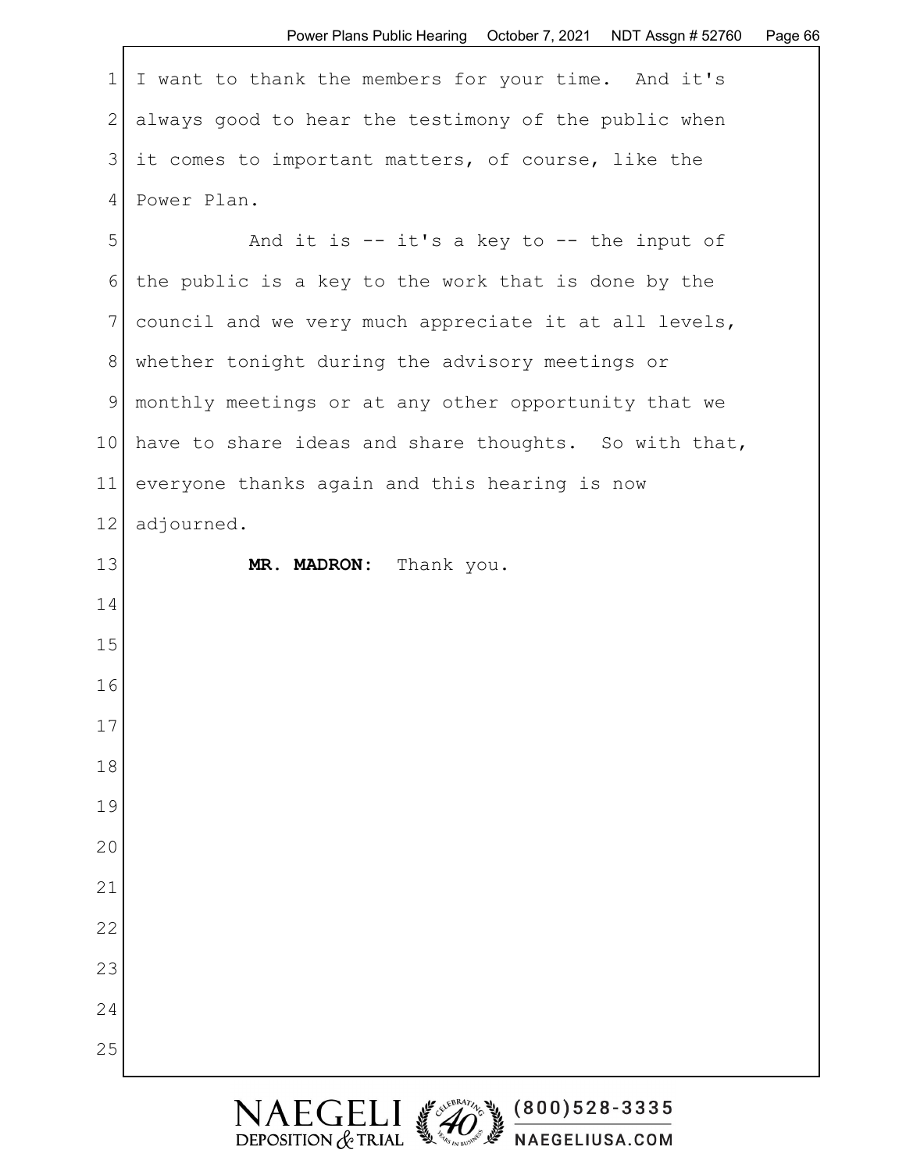1 I want to thank the members for your time. And it's 2 always good to hear the testimony of the public when 3 it comes to important matters, of course, like the 4 Power Plan.

5 And it is -- it's a key to -- the input of 6 the public is a key to the work that is done by the 7 council and we very much appreciate it at all levels, 8 whether tonight during the advisory meetings or 9 monthly meetings or at any other opportunity that we 10 have to share ideas and share thoughts. So with that, 11 everyone thanks again and this hearing is now 12 adjourned. 13 MR. MADRON: Thank you. 14 15 16 17 18 19 20 21 22 23 24 25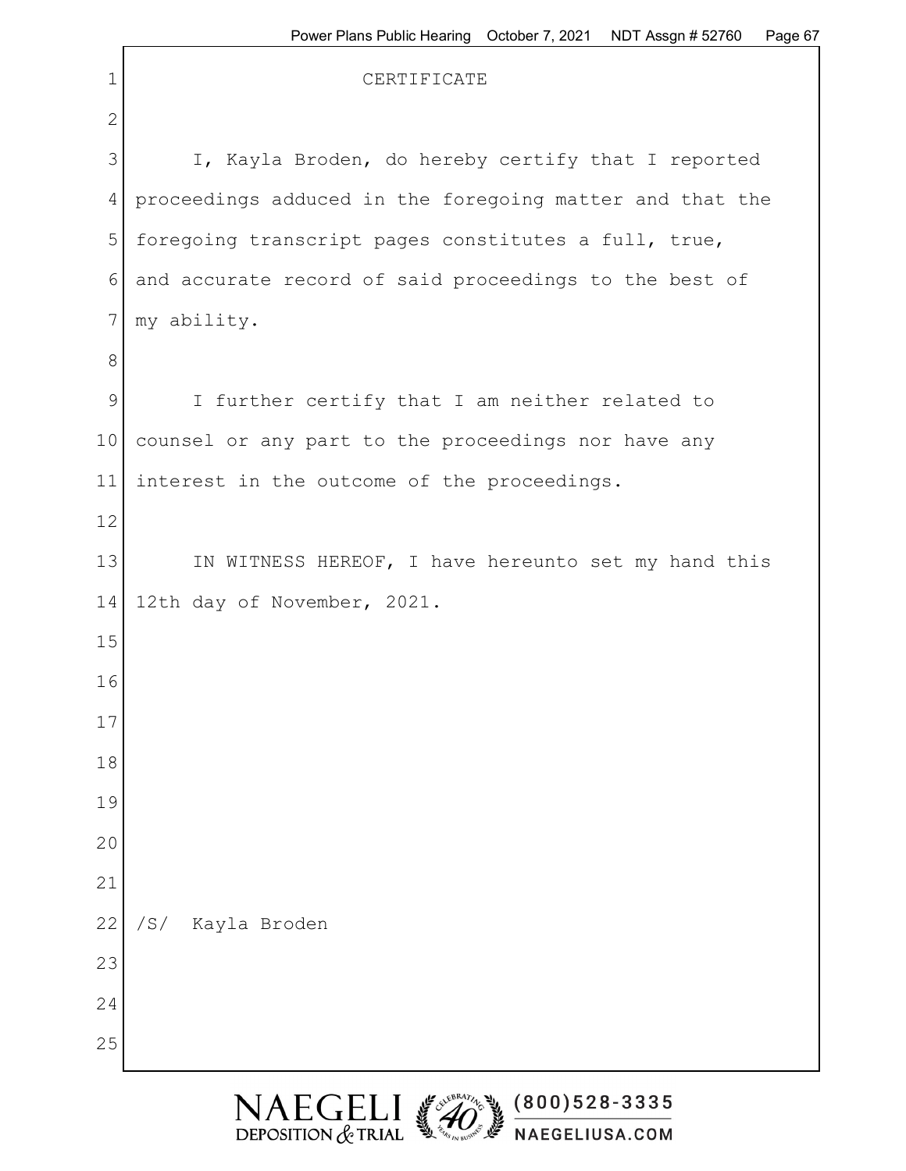| $\mathbf 1$ | i vww i iano i avio i ivaniy<br>n uyu ur<br>CERTIFICATE  |  |  |  |  |
|-------------|----------------------------------------------------------|--|--|--|--|
| $\sqrt{2}$  |                                                          |  |  |  |  |
| 3           | I, Kayla Broden, do hereby certify that I reported       |  |  |  |  |
| 4           | proceedings adduced in the foregoing matter and that the |  |  |  |  |
| 5           | foregoing transcript pages constitutes a full, true,     |  |  |  |  |
| 6           | and accurate record of said proceedings to the best of   |  |  |  |  |
| 7           | my ability.                                              |  |  |  |  |
| 8           |                                                          |  |  |  |  |
| $\mathsf 9$ | I further certify that I am neither related to           |  |  |  |  |
| 10          | counsel or any part to the proceedings nor have any      |  |  |  |  |
| 11          | interest in the outcome of the proceedings.              |  |  |  |  |
| 12          |                                                          |  |  |  |  |
| 13          | IN WITNESS HEREOF, I have hereunto set my hand this      |  |  |  |  |
| 14          | 12th day of November, 2021.                              |  |  |  |  |
| 15          |                                                          |  |  |  |  |
| 16          |                                                          |  |  |  |  |
| 17          |                                                          |  |  |  |  |
| 18          |                                                          |  |  |  |  |
| 19          |                                                          |  |  |  |  |
| 20          |                                                          |  |  |  |  |
| 21          |                                                          |  |  |  |  |
| 22          | /S/<br>Kayla Broden                                      |  |  |  |  |
| 23          |                                                          |  |  |  |  |
| 24          |                                                          |  |  |  |  |
| 25          |                                                          |  |  |  |  |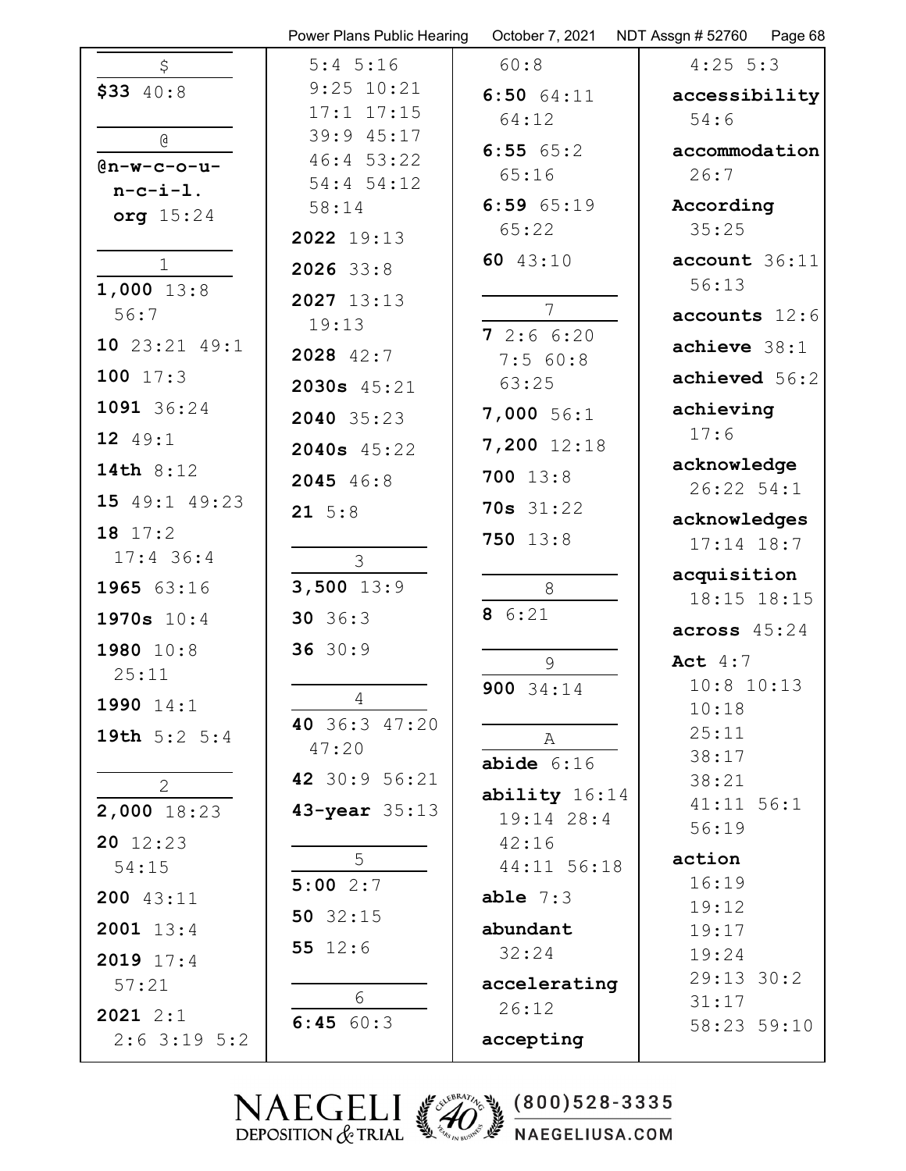|                                | Power Plans Public Hearing | October 7, 2021     | NDT Assgn # 52760   Page 68 |
|--------------------------------|----------------------------|---------------------|-----------------------------|
| \$                             | $5:4$ 5:16                 | 60:8                | $4:25$ 5:3                  |
| $$33$ 40:8                     | $9:25$ $10:21$             | $6:50$ $64:11$      | accessibility               |
|                                | $17:1$ $17:15$             | 64:12               | 54:6                        |
| Q                              | 39:9 45:17<br>46:453:22    | 6:5565:2            | accommodation               |
| $@n-w-c-o-u-$                  | 54:4 54:12                 | 65:16               | 26:7                        |
| $n-c-i-1$ .<br>org 15:24       | 58:14                      | 6:5965:19           | According                   |
|                                | 2022 19:13                 | 65:22               | 35:25                       |
| $\mathbf{1}$                   | 2026 33:8                  | 60 43:10            | account 36:11               |
| $1,000$ 13:8                   | 2027 13:13                 |                     | 56:13                       |
| 56:7                           | 19:13                      | 7                   | $accounts$ 12:6             |
| 10 23:21 49:1                  | 2028 42:7                  | 72:66:20<br>7:560:8 | $achieve$ $38:1$            |
| 100 17:3                       | 2030s 45:21                | 63:25               | achieved 56:2               |
| 1091 36:24                     | 2040 35:23                 | $7,000$ 56:1        | achieving                   |
| 12 49:1                        |                            | 7,200 12:18         | 17:6                        |
| 14th 8:12                      | 2040s 45:22                | $700$ 13:8          | acknowledge                 |
| 15 49:1 49:23                  | 2045 46:8                  |                     | $26:22$ 54:1                |
| 18 17:2                        | $21 \t5:8$                 | <b>70s</b> 31:22    | acknowledges                |
| $17:4$ 36:4                    | 3                          | 750 13:8            | $17:14$ $18:7$              |
| 1965 63:16                     | $3,500$ 13:9               | 8                   | acquisition                 |
| 1970s 10:4                     | 30 36:3                    | 8 6:21              | 18:15 18:15                 |
| 1980 10:8                      | 3630:9                     |                     | across 45:24                |
| 25:11                          |                            | 9                   | Act $4:7$                   |
| 1990 14:1                      | 4                          | 900 34:14           | $10:8$ $10:13$              |
|                                | 40 36:3 47:20              |                     | 10:18<br>25:11              |
| 19th $5:2$ $5:4$               | 47:20                      | А                   | 38:17                       |
| $\overline{2}$                 | 42 30:9 56:21              | $abide$ 6:16        | 38:21                       |
| 2,000 18:23                    | 43-year 35:13              | ability 16:14       | 41:11 56:1                  |
| $20 \t12:23$                   |                            | 19:14 28:4<br>42:16 | 56:19                       |
| 54:15                          | 5                          | 44:11 56:18         | action                      |
| 200 43:11                      | 5:002:7                    | able $7:3$          | 16:19                       |
| 2001 13:4                      | 50 $32:15$                 | abundant            | 19:12                       |
|                                | 55 $12:6$                  | 32:24               | 19:17<br>19:24              |
| 2019 17:4<br>57:21             |                            | accelerating        | 29:13 30:2                  |
|                                | 6                          | 26:12               | 31:17                       |
| $2021$ $2:1$<br>$2:6$ 3:19 5:2 | 6:45 60:3                  | accepting           | 58:23 59:10                 |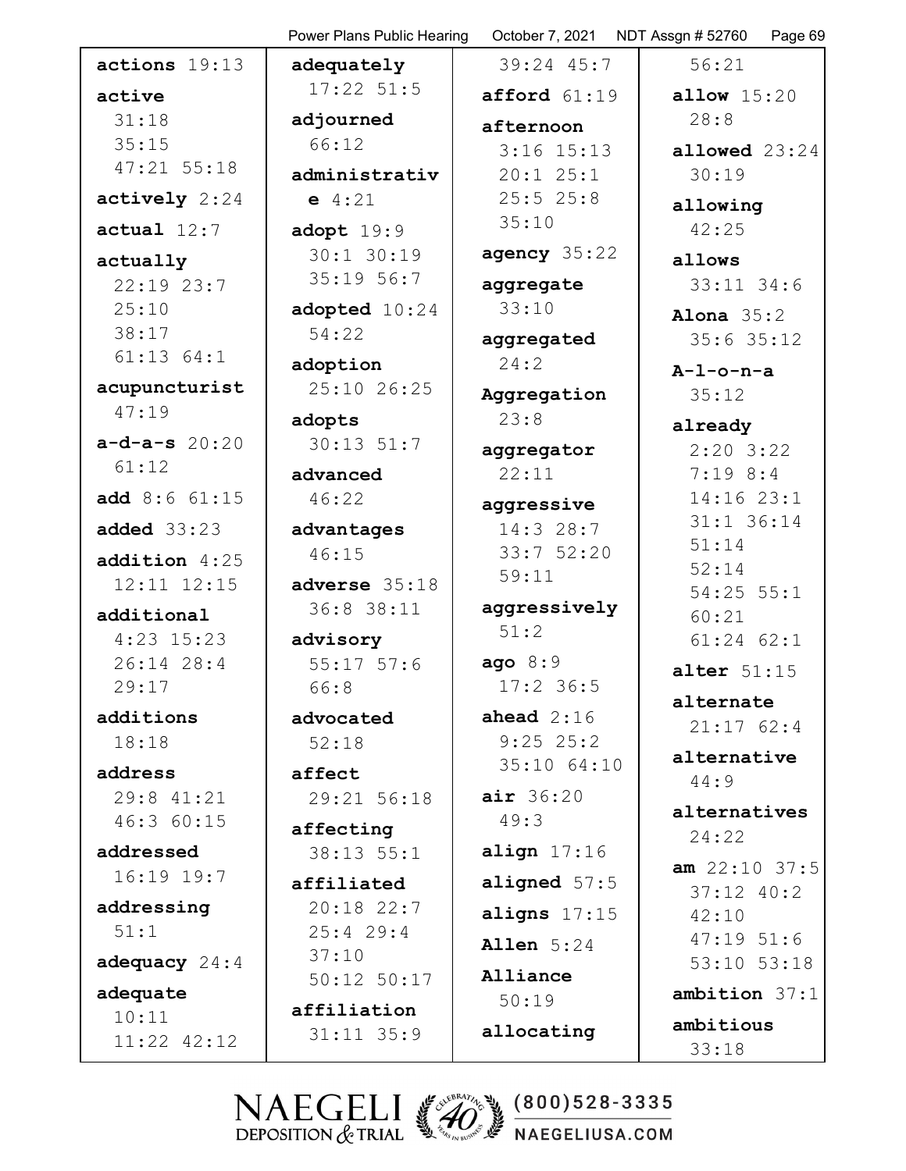|                       | Power Plans Public Hearing | October 7, 2021 NDT Assgn #52760 | Page 69                 |
|-----------------------|----------------------------|----------------------------------|-------------------------|
| actions 19:13         | adequately                 | 39:24 45:7                       | 56:21                   |
| active                | $17:22$ 51:5               | afford 61:19                     | <b>allow</b> $15:20$    |
| 31:18                 | adjourned                  | afternoon                        | 28:8                    |
| 35:15                 | 66:12                      | $3:16$ $15:13$                   | allowed $23:24$         |
| $47:21$ 55:18         | administrativ              | $20:1$ $25:1$                    | 30:19                   |
| actively 2:24         | $e$ 4:21                   | $25:5$ 25:8                      | allowing                |
| actual 12:7           | adopt $19:9$               | 35:10                            | 42:25                   |
| actually              | 30:1 30:19                 | agency 35:22                     | allows                  |
| $22:19$ $23:7$        | 35:19 56:7                 | aggregate                        | $33:11$ $34:6$          |
| 25:10                 | adopted 10:24              | 33:10                            | Alona $35:2$            |
| 38:17                 | 54:22                      | aggregated                       | $35:6$ 35:12            |
| $61:13$ $64:1$        | adoption                   | 24:2                             |                         |
| acupuncturist         | 25:10 26:25                |                                  | $A-1$ -o-n-a<br>35:12   |
| 47:19                 |                            | Aggregation<br>23:8              |                         |
| $a-d-a-s$ 20:20       | adopts<br>$30:13$ $51:7$   |                                  | already                 |
| 61:12                 |                            | aggregator                       | $2:20$ 3:22             |
|                       | advanced                   | 22:11                            | $7:19$ 8:4              |
| add 8:6 61:15         | 46:22                      | aggressive                       | 14:16 23:1              |
| added $33:23$         | advantages                 | 14:328:7                         | 31:1 36:14              |
| addition 4:25         | 46:15                      | 33:7 52:20                       | 51:14                   |
| 12:11 12:15           | adverse 35:18              | 59:11                            | 52:14<br>$54:25$ $55:1$ |
| additional            | 36:8 38:11                 | aggressively                     | 60:21                   |
| $4:23$ 15:23          | advisory                   | 51:2                             | $61:24$ $62:1$          |
| 26:14 28:4            | $55:17$ $57:6$             | ago 8:9                          | alter $51:15$           |
| 29:17                 | 66:8                       | $17:2$ 36:5                      |                         |
| additions             | advocated                  | ahead $2:16$                     | alternate               |
| 18:18                 | 52:18                      | $9:25$ 25:2                      | 21:1762:4               |
|                       |                            | 35:10 64:10                      | alternative             |
| address<br>29:8 41:21 | affect<br>29:21 56:18      | air 36:20                        | 44:9                    |
| 46:3 60:15            |                            | 49:3                             | alternatives            |
|                       | affecting                  |                                  | 24:22                   |
| addressed             | $38:13$ $55:1$             | align $17:16$                    | $am$ 22:10 37:5         |
| $16:19$ $19:7$        | affiliated                 | aligned $57:5$                   | $37:12$ 40:2            |
| addressing            | $20:18$ 22:7               | aligns $17:15$                   | 42:10                   |
| 51:1                  | $25:4$ 29:4                | <b>Allen</b> 5:24                | 47:1951:6               |
| adequacy $24:4$       | 37:10                      | Alliance                         | 53:10 53:18             |
| adequate              | $50:12$ $50:17$            | 50:19                            | ambition 37:1           |
| 10:11                 | affiliation                |                                  | ambitious               |
| 11:22 42:12           | $31:11$ $35:9$             | allocating                       | 33:18                   |
|                       |                            |                                  |                         |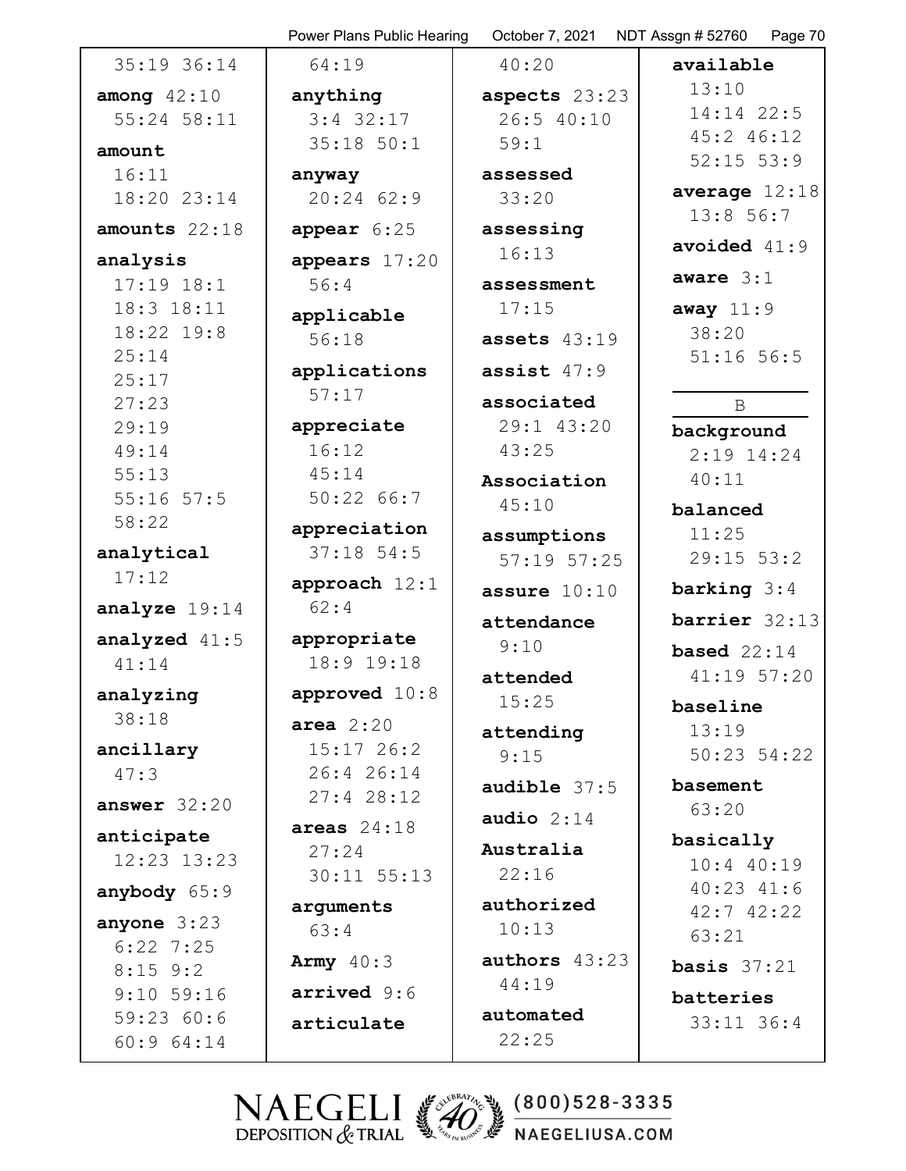|                           | Power Plans Public Hearing | October 7, 2021   | NDT Assgn # 52760   Page 70         |
|---------------------------|----------------------------|-------------------|-------------------------------------|
| 35:19 36:14               | 64:19                      | 40:20             | available                           |
| among $42:10$             | anything                   | aspects 23:23     | 13:10                               |
| 55:24 58:11               | $3:4$ 32:17                | 26:5 40:10        | 14:14 22:5                          |
| amount                    | $35:18$ $50:1$             | 59:1              | 45:2 46:12                          |
| 16:11                     | anyway                     | assessed          | $52:15$ $53:9$                      |
| 18:20 23:14               | $20:24$ 62:9               | 33:20             | average $12:18$                     |
| amounts 22:18             | appear 6:25                | assessing         | 13:856:7                            |
| analysis                  | appears 17:20              | 16:13             | avoided $41:9$                      |
| $17:19$ $18:1$            | 56:4                       | assessment        | aware $3:1$                         |
| 18:3 18:11                | applicable                 | 17:15             | away $11:9$                         |
| 18:22 19:8                | 56:18                      | assets $43:19$    | 38:20                               |
| 25:14<br>25:17            | applications               | assist $47:9$     | $51:16$ 56:5                        |
| 27:23                     | 57:17                      | associated        | $\mathbf B$                         |
| 29:19                     | appreciate                 | 29:1 43:20        | background                          |
| 49:14                     | 16:12                      | 43:25             | $2:19$ 14:24                        |
| 55:13                     | 45:14                      | Association       | 40:11                               |
| $55:16$ $57:5$            | 50:2266:7                  | 45:10             | balanced                            |
| 58:22                     | appreciation               | assumptions       | 11:25                               |
| analytical                | $37:18$ 54:5               | 57:19 57:25       | $29:15$ 53:2                        |
| 17:12                     | approach 12:1              | assure $10:10$    | barking $3:4$                       |
| analyze 19:14             | 62:4                       | attendance        | barrier 32:13                       |
| analyzed $41:5$           | appropriate                | 9:10              |                                     |
| 41:14                     | 18:9 19:18                 |                   | <b>based</b> $22:14$<br>41:19 57:20 |
| analyzing                 | approved 10:8              | attended<br>15:25 |                                     |
| 38:18                     | area $2:20$                |                   | baseline<br>13:19                   |
| ancillary                 | $15:17$ 26:2               | attending<br>9:15 | 50:23 54:22                         |
| 47:3                      | 26:4 26:14                 |                   |                                     |
| answer $32:20$            | 27:428:12                  | audible 37:5      | basement<br>63:20                   |
| anticipate                | areas $24:18$              | audio $2:14$      |                                     |
| 12:23 13:23               | 27:24                      | Australia         | basically<br>$10:4$ 40:19           |
|                           | $30:11$ $55:13$            | 22:16             | $40:23$ $41:6$                      |
| anybody $65:9$            | arguments                  | authorized        | $42:7$ $42:22$                      |
| anyone $3:23$             | 63:4                       | 10:13             | 63:21                               |
| $6:22$ 7:25               | Army $40:3$                | authors 43:23     | <b>basis</b> $37:21$                |
| $8:15$ 9:2                | arrived 9:6                | 44:19             |                                     |
| $9:10$ 59:16<br>59:2360:6 |                            | automated         | batteries                           |
| 60:9 64:14                | articulate                 | 22:25             | $33:11$ $36:4$                      |
|                           |                            |                   |                                     |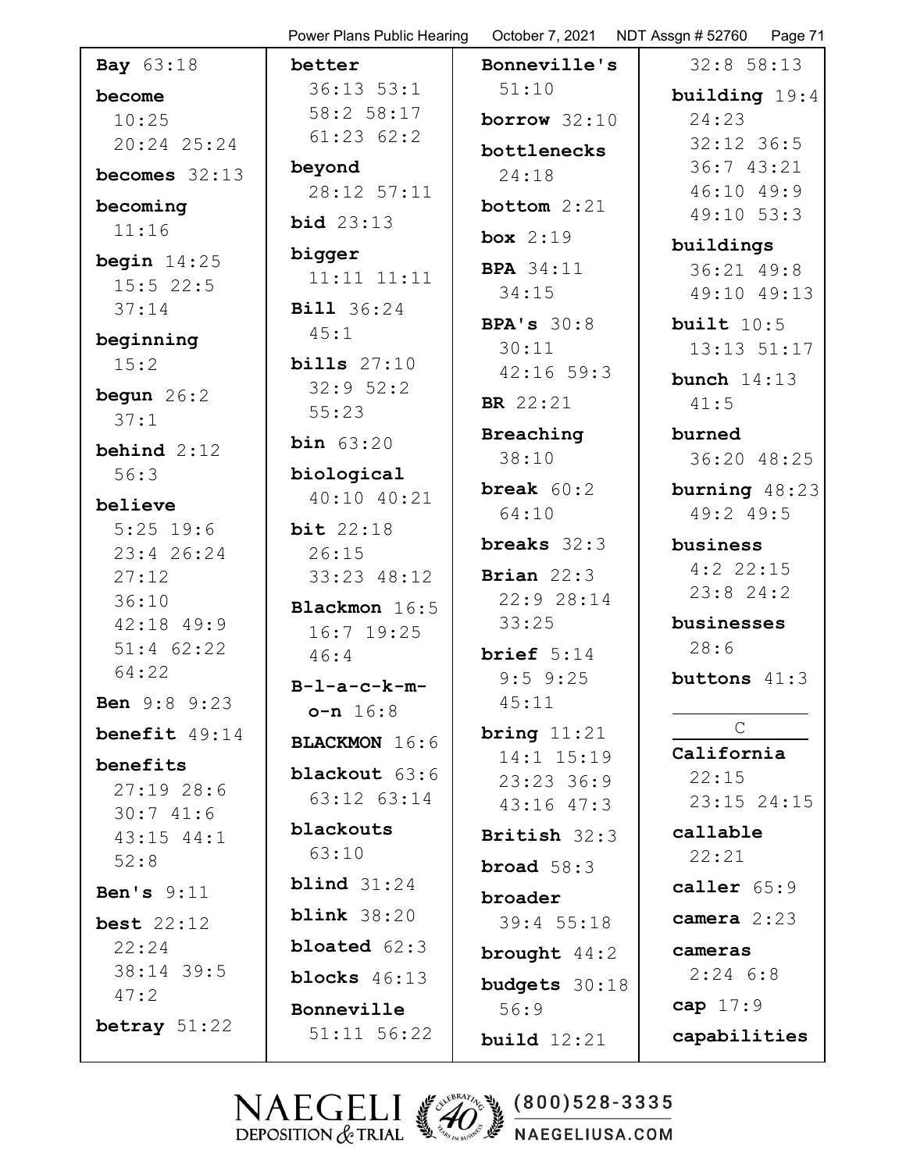|                            | Power Plans Public Hearing | October 7, 2021             | NDT Assgn # 52760<br>Page 71 |
|----------------------------|----------------------------|-----------------------------|------------------------------|
| <b>Bay</b> 63:18           | better                     | Bonneville's                | $32:8$ 58:13                 |
| become                     | $36:13$ $53:1$             | 51:10                       | building 19:4                |
| 10:25                      | 58:2 58:17                 | borrow $32:10$              | 24:23                        |
| 20:24 25:24                | 61:2362:2                  | bottlenecks                 | $32:12$ 36:5                 |
| becomes $32:13$            | beyond                     | 24:18                       | 36:7 43:21                   |
| becoming                   | 28:12 57:11                | bottom $2:21$               | 46:10 49:9<br>49:10 53:3     |
| 11:16                      | <b>bid</b> 23:13           | box $2:19$                  |                              |
| begin $14:25$              | bigger                     |                             | buildings                    |
| $15:5$ 22:5                | $11:11$ $11:11$            | <b>BPA</b> 34:11<br>34:15   | 36:21 49:8<br>49:10 49:13    |
| 37:14                      | <b>Bill</b> 36:24          |                             |                              |
| beginning                  | 45:1                       | BPA's $30:8$<br>30:11       | built $10:5$                 |
| 15:2                       | bills $27:10$              | $42:16$ 59:3                | 13:13 51:17                  |
| begun $26:2$               | 32:952:2                   |                             | bunch $14:13$                |
| 37:1                       | 55:23                      | <b>BR</b> 22:21             | 41:5                         |
| behind $2:12$              | <b>bin</b> $63:20$         | Breaching                   | burned                       |
| 56:3                       | biological                 | 38:10                       | 36:20 48:25                  |
| believe                    | 40:10 40:21                | <b>break</b> $60:2$         | burning 48:23                |
| $5:25$ 19:6                | bit $22:18$                | 64:10                       | 49:2 49:5                    |
| 23:4 26:24                 | 26:15                      | breaks $32:3$               | business                     |
| 27:12                      | 33:23 48:12                | Brian $22:3$                | $4:2$ 22:15<br>23:824:2      |
| 36:10                      | Blackmon 16:5              | 22:9 28:14                  |                              |
| $42:18$ $49:9$             | $16:7$ 19:25               | 33:25                       | businesses                   |
| $51:4$ 62:22<br>64:22      | 46:4                       | brief $5:14$                | 28:6                         |
| <b>Ben</b> 9:8 9:23        | $B-L-a-c-k-m-$             | $9:5$ $9:25$<br>45:11       | buttons 41:3                 |
|                            | $o-n 16:8$                 |                             | $\mathsf{C}$                 |
| benefit $49:14$            | <b>BLACKMON</b> 16:6       | bring $11:21$<br>14:1 15:19 | California                   |
| benefits                   | <b>blackout</b> 63:6       | 23:23:36:9                  | 22:15                        |
| 27:1928:6                  | 63:12 63:14                | $43:16$ $47:3$              | 23:15 24:15                  |
| 30:741:6<br>$43:15$ $44:1$ | blackouts                  | British 32:3                | callable                     |
| 52:8                       | 63:10                      |                             | 22:21                        |
| Ben's $9:11$               | blind $31:24$              | broad $58:3$                | caller $65:9$                |
| best $22:12$               | blink $38:20$              | broader<br>39:4 55:18       | camera $2:23$                |
| 22:24                      | <b>bloated</b> $62:3$      | brought $44:2$              | cameras                      |
| 38:14 39:5                 | blocks $46:13$             | budgets 30:18               | $2:24$ 6:8                   |
| 47:2                       | Bonneville                 | 56:9                        | cap $17:9$                   |
| betray $51:22$             | 51:11 56:22                | build $12:21$               | capabilities                 |
|                            |                            |                             |                              |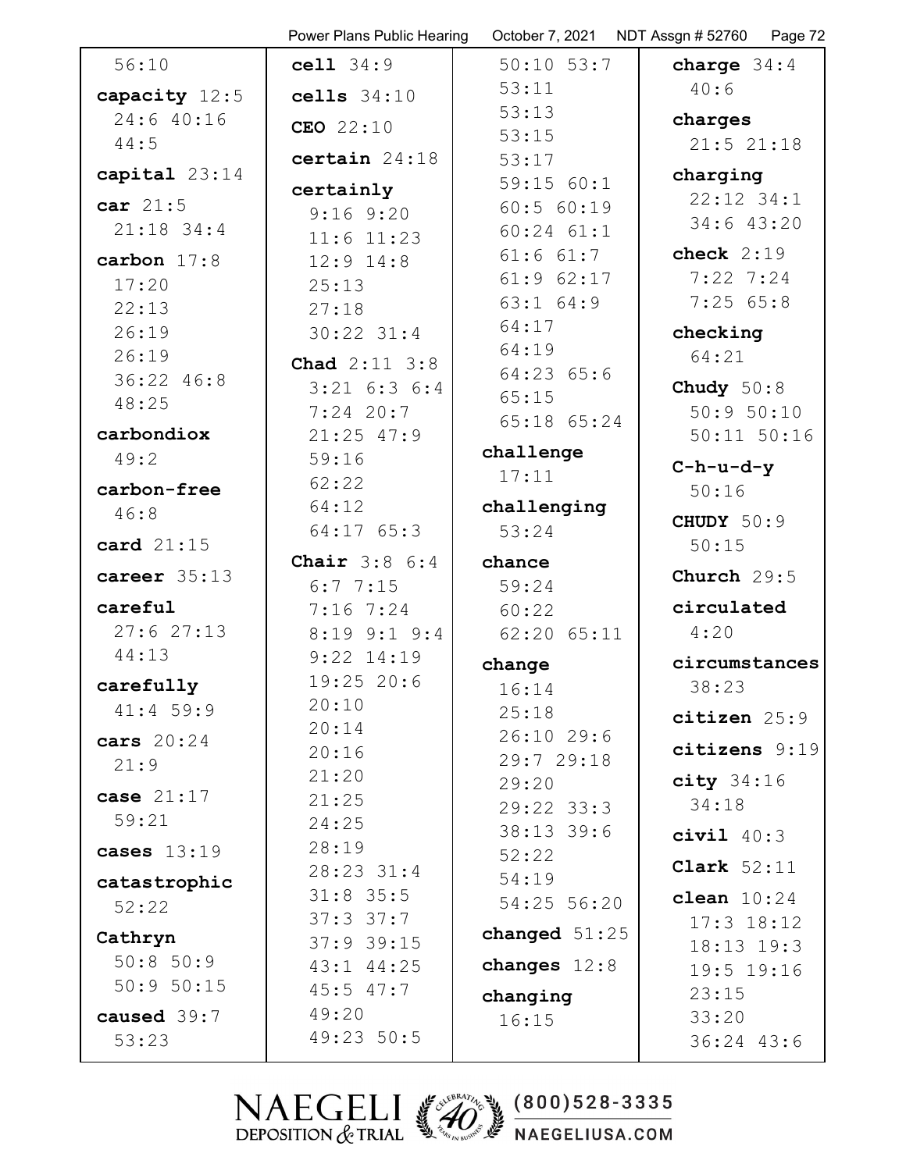|                 | Power Plans Public Hearing | October 7, 2021 | NDT Assgn # 52760   Page 72 |
|-----------------|----------------------------|-----------------|-----------------------------|
| 56:10           | cell 34:9                  | $50:10$ $53:7$  | charge $34:4$               |
| capacity 12:5   | cells $34:10$              | 53:11           | 40:6                        |
| 24:640:16       | CEO 22:10                  | 53:13           | charges                     |
| 44:5            |                            | 53:15           | 21:521:18                   |
| capital $23:14$ | certain $24:18$            | 53:17           | charging                    |
|                 | certainly                  | 59:15 60:1      | 22:12 34:1                  |
| car $21:5$      | $9:16$ $9:20$              | 60:5 60:19      | 34:6 43:20                  |
| $21:18$ 34:4    | $11:6$ $11:23$             | $60:24$ $61:1$  |                             |
| carbon $17:8$   | $12:9$ $14:8$              | $61:6$ $61:7$   | check $2:19$                |
| 17:20           | 25:13                      | $61:9$ $62:17$  | $7:22$ 7:24                 |
| 22:13           | 27:18                      | $63:1$ $64:9$   | 7:2565:8                    |
| 26:19           | $30:22$ $31:4$             | 64:17           | checking                    |
| 26:19           | <b>Chad</b> 2:11 3:8       | 64:19           | 64:21                       |
| 36:22 46:8      | $3:21$ 6:3 6:4             | $64:23$ $65:6$  | Chudy $50:8$                |
| 48:25           | $7:24$ 20:7                | 65:15           | 50:950:10                   |
| carbondiox      | $21:25$ 47:9               | 65:18 65:24     | $50:11$ $50:16$             |
| 49:2            | 59:16                      | challenge       |                             |
|                 | 62:22                      | 17:11           | $C-h-u-d-y$                 |
| carbon-free     | 64:12                      | challenging     | 50:16                       |
| 46:8            | $64:17$ $65:3$             | 53:24           | CHUDY 50:9                  |
| card 21:15      |                            |                 | 50:15                       |
| career 35:13    | <b>Chair</b> $3:8 \ 6:4$   | chance          | Church $29:5$               |
|                 | 6:77:15                    | 59:24           |                             |
| careful         | $7:16$ $7:24$              | 60:22           | circulated                  |
| 27:627:13       | $8:19$ $9:1$ $9:4$         | $62:20$ $65:11$ | 4:20                        |
| 44:13           | $9:22$ 14:19               | change          | circumstances               |
| carefully       | 19:2520:6                  | 16:14           | 38:23                       |
| $41:4$ 59:9     | 20:10                      | 25:18           | citizen 25:9                |
| cars $20:24$    | 20:14                      | $26:10$ 29:6    |                             |
| 21:9            | 20:16                      | 29:729:18       | citizens 9:19               |
| case $21:17$    | 21:20                      | 29:20           | $city$ 34:16                |
|                 | 21:25                      | $29:22$ 33:3    | 34:18                       |
| 59:21           | 24:25                      | $38:13$ 39:6    | civil $40:3$                |
| cases $13:19$   | 28:19                      | 52:22           | Clark $52:11$               |
| catastrophic    | 28:23 31:4                 | 54:19           |                             |
| 52:22           | $31:8$ 35:5                | 54:25 56:20     | clean $10:24$               |
| Cathryn         | $37:3$ $37:7$              | changed $51:25$ | $17:3$ $18:12$              |
| 50:8 50:9       | $37:9$ 39:15               |                 | $18:13$ $19:3$              |
| 50:950:15       | $43:1$ $44:25$             | changes $12:8$  | 19:5 19:16                  |
|                 | $45:5$ $47:7$              | changing        | 23:15                       |
| caused 39:7     | 49:20                      | 16:15           | 33:20                       |
| 53:23           | 49:23 50:5                 |                 | 36:24 43:6                  |
|                 |                            |                 |                             |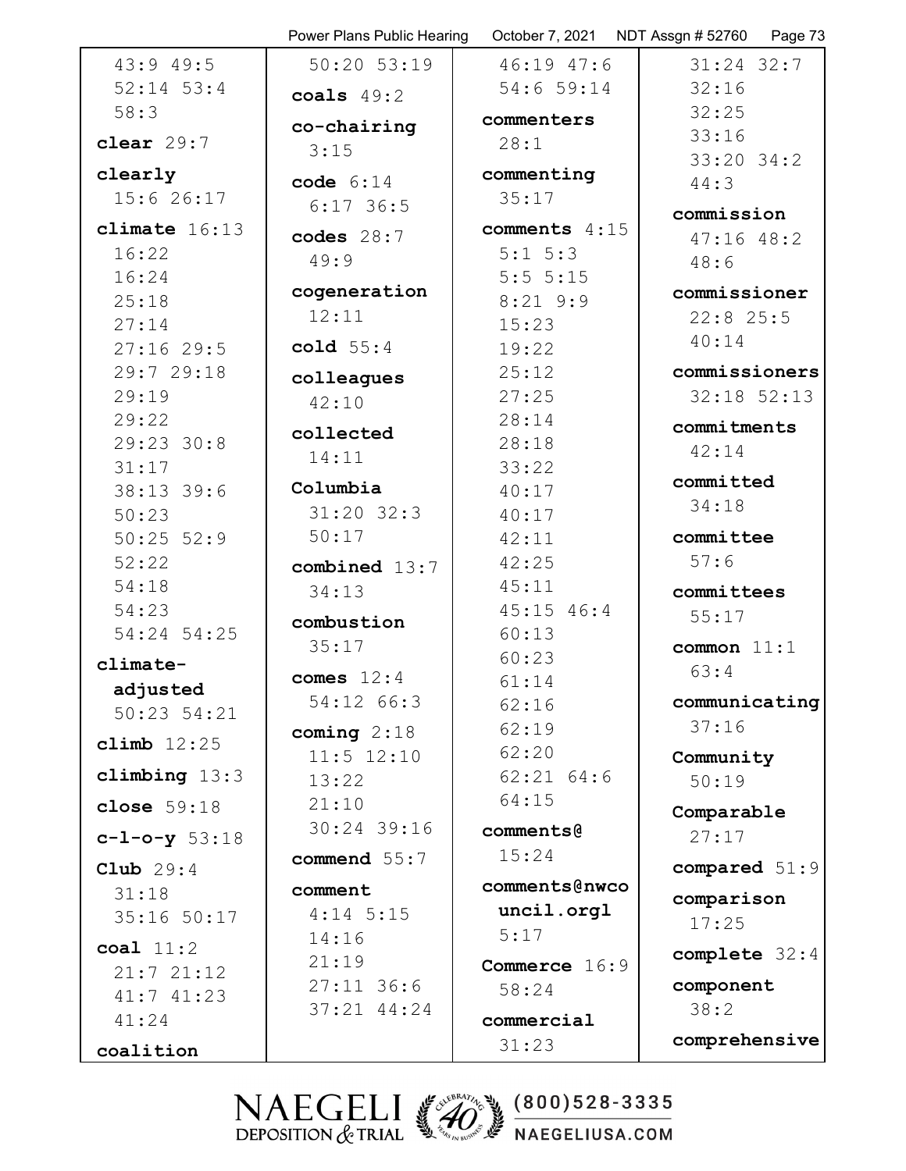|                 | Power Plans Public Hearing | October 7, 2021 | NDT Assgn # 52760<br>Page 73 |
|-----------------|----------------------------|-----------------|------------------------------|
| 43:949:5        | 50:20 53:19                | 46:19 47:6      | $31:24$ 32:7                 |
| $52:14$ $53:4$  | coals $49:2$               | 54:6 59:14      | 32:16                        |
| 58:3            |                            | commenters      | 32:25                        |
| clear $29:7$    | co-chairing                | 28:1            | 33:16                        |
|                 | 3:15                       |                 | $33:20$ $34:2$               |
| clearly         | code $6:14$                | commenting      | 44:3                         |
| 15:626:17       | $6:17$ 36:5                | 35:17           | commission                   |
| climate $16:13$ | codes $28:7$               | comments 4:15   | $47:16$ $48:2$               |
| 16:22           | 49:9                       | $5:1 \ 5:3$     | 48:6                         |
| 16:24           |                            | 5:55:15         |                              |
| 25:18           | cogeneration               | $8:21$ 9:9      | commissioner                 |
| 27:14           | 12:11                      | 15:23           | $22:8$ 25:5                  |
| 27:1629:5       | cold $55:4$                | 19:22           | 40:14                        |
| 29:7 29:18      | colleagues                 | 25:12           | commissioners                |
| 29:19           | 42:10                      | 27:25           | $32:18$ $52:13$              |
| 29:22           | collected                  | 28:14           | commitments                  |
| 29:23 30:8      |                            | 28:18           | 42:14                        |
| 31:17           | 14:11                      | 33:22           |                              |
| 38:13 39:6      | Columbia                   | 40:17           | committed                    |
| 50:23           | $31:20$ $32:3$             | 40:17           | 34:18                        |
| $50:25$ $52:9$  | 50:17                      | 42:11           | committee                    |
| 52:22           | combined 13:7              | 42:25           | 57:6                         |
| 54:18           | 34:13                      | 45:11           | committees                   |
| 54:23           | combustion                 | $45:15$ $46:4$  | 55:17                        |
| 54:24 54:25     | 35:17                      | 60:13           | common $11:1$                |
| climate-        |                            | 60:23           |                              |
| adjusted        | comes $12:4$               | 61:14           | 63:4                         |
| $50:23$ $54:21$ | 54:12 66:3                 | 62:16           | communicating                |
|                 | coming $2:18$              | 62:19           | 37:16                        |
| climb $12:25$   | $11:5$ $12:10$             | 62:20           | Community                    |
| climbing $13:3$ | 13:22                      | $62:21$ $64:6$  | 50:19                        |
| close $59:18$   | 21:10                      | 64:15           | Comparable                   |
| $c-1-o-y$ 53:18 | 30:24 39:16                | comments@       | 27:17                        |
|                 | commend 55:7               | 15:24           |                              |
| Club $29:4$     |                            | comments@nwco   | compared 51:9                |
| 31:18           | comment                    |                 | comparison                   |
| 35:16 50:17     | $4:14$ 5:15                | uncil.orgl      | 17:25                        |
| coal $11:2$     | 14:16                      | 5:17            | complete 32:4                |
| 21:721:12       | 21:19                      | Commerce 16:9   |                              |
| 41:741:23       | $27:11$ 36:6               | 58:24           | component                    |
| 41:24           | $37:21$ $44:24$            | commercial      | 38:2                         |
| coalition       |                            | 31:23           | comprehensive                |
|                 |                            |                 |                              |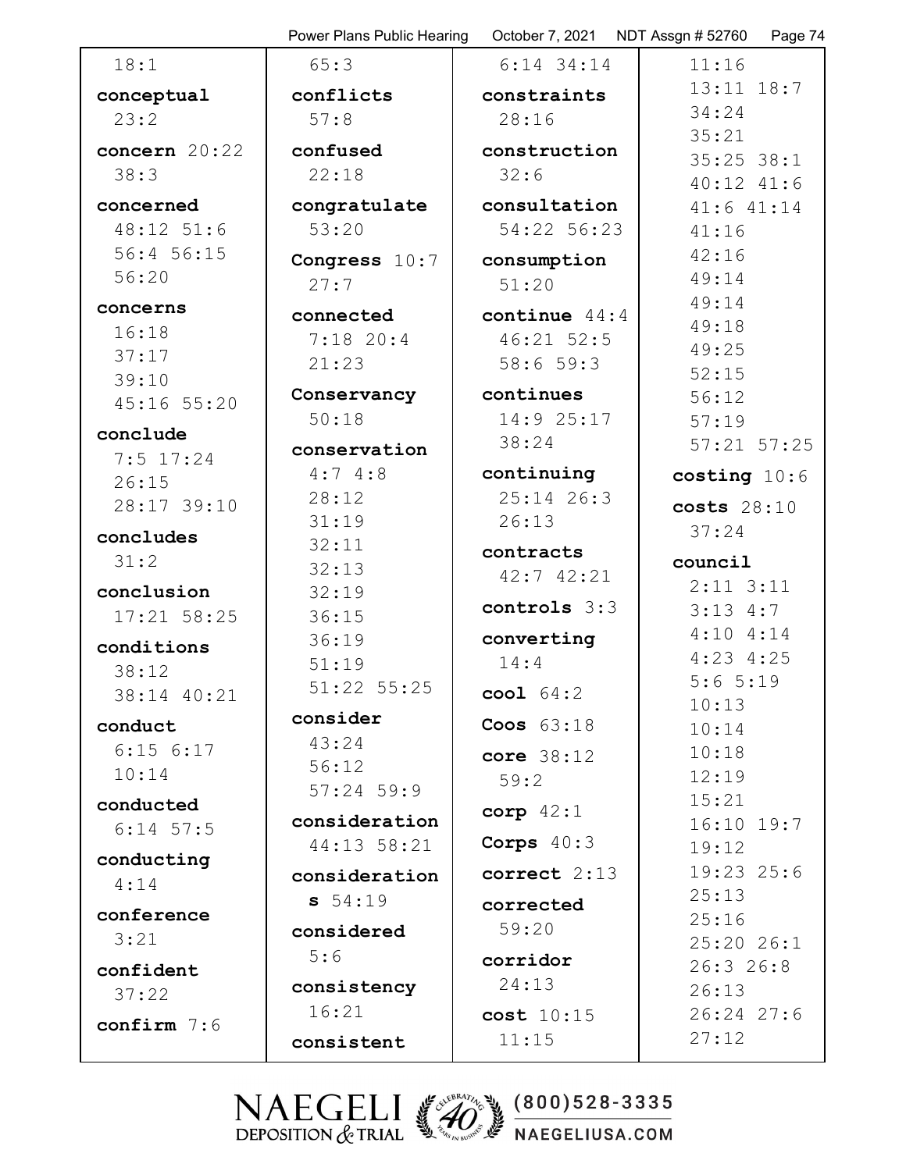|                        | Power Plans Public Hearing | October 7, 2021    NDT Assgn # 52760 | Page 74                          |
|------------------------|----------------------------|--------------------------------------|----------------------------------|
| 18:1                   | 65:3                       | $6:14$ 34:14                         | 11:16                            |
| conceptual             | conflicts                  | constraints                          | $13:11$ $18:7$                   |
| 23:2                   | 57:8                       | 28:16                                | 34:24                            |
| concern 20:22          | confused                   | construction                         | 35:21                            |
| 38:3                   | 22:18                      | 32:6                                 | $35:25$ $38:1$<br>$40:12$ $41:6$ |
| concerned              | congratulate               | consultation                         | 41:6 41:14                       |
| 48:12 51:6             | 53:20                      | 54:22 56:23                          | 41:16                            |
| 56:4 56:15             | Congress 10:7              | consumption                          | 42:16                            |
| 56:20                  | 27:7                       | 51:20                                | 49:14                            |
| concerns               |                            |                                      | 49:14                            |
| 16:18                  | connected<br>$7:18$ 20:4   | continue $44:4$<br>$46:21$ 52:5      | 49:18                            |
| 37:17                  | 21:23                      | 58:659:3                             | 49:25                            |
| 39:10                  |                            |                                      | 52:15                            |
| 45:16 55:20            | Conservancy                | continues                            | 56:12                            |
| conclude               | 50:18                      | 14:9 25:17                           | 57:19                            |
| $7:5$ 17:24            | conservation               | 38:24                                | $57:21$ $57:25$                  |
| 26:15                  | 4:74:8                     | continuing                           | costing $10:6$                   |
| 28:17 39:10            | 28:12                      | $25:14$ 26:3                         | costs 28:10                      |
| concludes              | 31:19                      | 26:13                                | 37:24                            |
| 31:2                   | 32:11                      | contracts                            | council                          |
|                        | 32:13                      | 42:7 42:21                           | $2:11$ $3:11$                    |
| conclusion             | 32:19                      | controls 3:3                         | $3:13$ 4:7                       |
| 17:21 58:25            | 36:15                      |                                      | 4:104:14                         |
| conditions             | 36:19                      | converting<br>14:4                   | $4:23$ $4:25$                    |
| 38:12                  | 51:19                      |                                      | 5:65:19                          |
| 38:14 40:21            | 51:22 55:25                | $\text{cool}$ $64:2$                 | 10:13                            |
| conduct                | consider                   | Coos $63:18$                         | 10:14                            |
| $6:15$ $6:17$          | 43:24                      | core $38:12$                         | 10:18                            |
| 10:14                  | 56:12                      | 59:2                                 | 12:19                            |
| conducted              | $57:24$ 59:9               | corp $42:1$                          | 15:21                            |
| $6:14$ 57:5            | consideration              |                                      | $16:10$ $19:7$                   |
| conducting             | 44:13 58:21                | Corps $40:3$                         | 19:12                            |
| 4:14                   | consideration              | correct 2:13                         | 19:23 25:6                       |
|                        | 54:19                      | corrected                            | 25:13                            |
| conference             | considered                 | 59:20                                | 25:16                            |
| 3:21                   | 5:6                        | corridor                             | 25:20 26:1                       |
| confident              | consistency                | 24:13                                | 26:326:8                         |
| 37:22                  | 16:21                      |                                      | 26:13                            |
| $\texttt{confirm}$ 7:6 |                            | cost 10:15                           | 26:24 27:6<br>27:12              |
|                        | consistent                 | 11:15                                |                                  |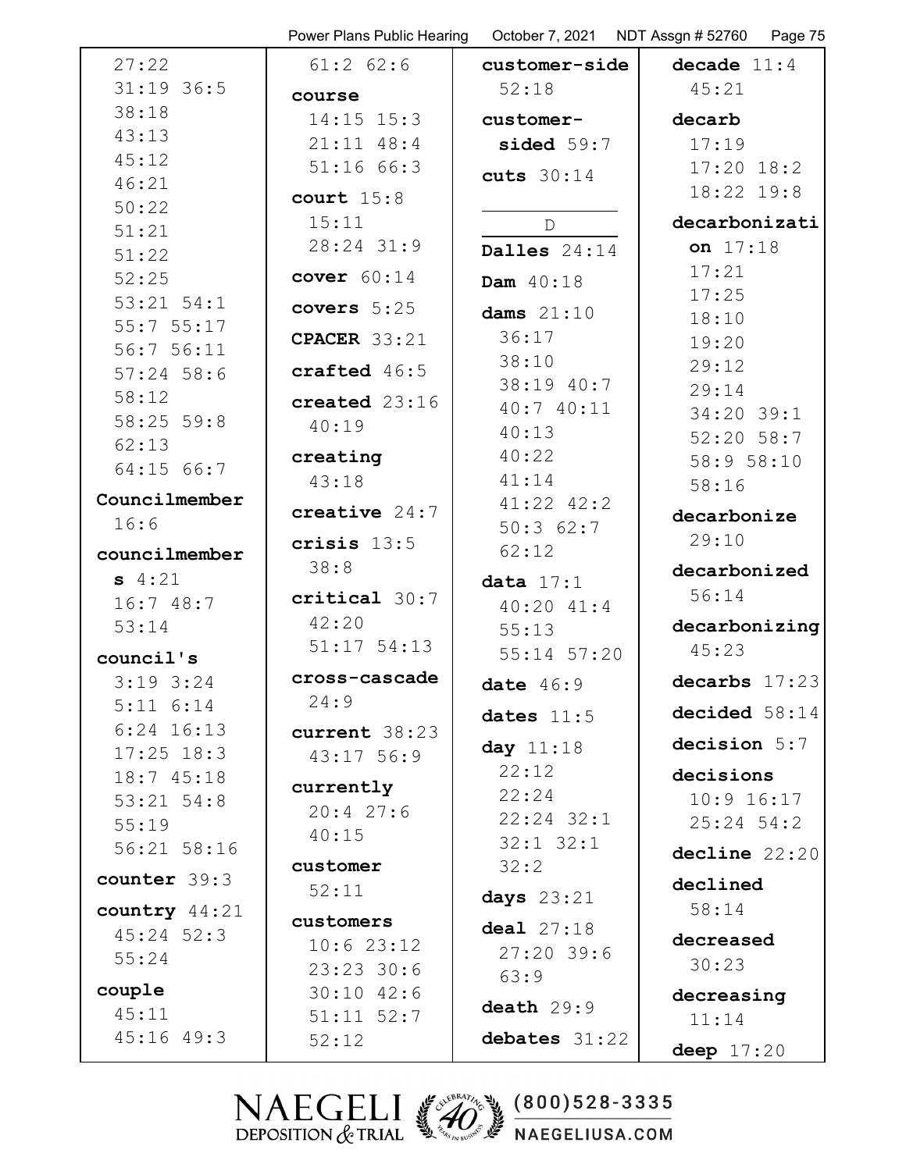|                   | Power Plans Public Hearing |                | October 7, 2021    NDT Assgn # 52760    Page 75 |
|-------------------|----------------------------|----------------|-------------------------------------------------|
| 27:22             | $61:2$ $62:6$              | customer-side  | decade $11:4$                                   |
| $31:19$ 36:5      | course                     | 52:18          | 45:21                                           |
| 38:18             | $14:15$ $15:3$             | customer-      | decarb                                          |
| 43:13             | $21:11$ 48:4               | sided $59:7$   | 17:19                                           |
| 45:12             | 51:1666:3                  |                | $17:20$ $18:2$                                  |
| 46:21             |                            | cuts $30:14$   | 18:22 19:8                                      |
| 50:22             | court $15:8$               |                |                                                 |
| 51:21             | 15:11                      | $\mathbb D$    | decarbonizati                                   |
| 51:22             | 28:24 31:9                 | Dalles $24:14$ | on $17:18$                                      |
| 52:25             | cover $60:14$              | Dam 40:18      | 17:21                                           |
| $53:21$ $54:1$    | covers $5:25$              | dams $21:10$   | 17:25                                           |
| 55:755:17         | <b>CPACER</b> 33:21        | 36:17          | 18:10                                           |
| 56:756:11         |                            | 38:10          | 19:20                                           |
| $57:24$ 58:6      | crafted 46:5               | 38:19 40:7     | 29:12                                           |
| 58:12             | created 23:16              | 40:7 40:11     | 29:14                                           |
| $58:25$ 59:8      | 40:19                      | 40:13          | 34:20 39:1                                      |
| 62:13             | creating                   | 40:22          | $52:20$ 58:7                                    |
| 64:15 66:7        | 43:18                      | 41:14          | 58:9 58:10                                      |
| Councilmember     |                            | $41:22$ $42:2$ | 58:16                                           |
| 16:6              | creative $24:7$            | 50:362:7       | decarbonize                                     |
| councilmember     | crisis $13:5$              | 62:12          | 29:10                                           |
| $s$ 4:21          | 38:8                       | data $17:1$    | decarbonized                                    |
| 16:748:7          | critical 30:7              | $40:20$ $41:4$ | 56:14                                           |
| 53:14             | 42:20                      | 55:13          | decarbonizing                                   |
|                   | $51:17$ $54:13$            | 55:14 57:20    | 45:23                                           |
| council's         | cross-cascade              |                |                                                 |
| $3:19$ $3:24$     | 24:9                       | date $46:9$    | decarbs $17:23$                                 |
| $5:11 \quad 6:14$ |                            | dates $11:5$   | decided 58:14                                   |
| $6:24$ 16:13      | current 38:23              | day 11:18      | decision 5:7                                    |
| $17:25$ $18:3$    | $43:17$ 56:9               | 22:12          | decisions                                       |
| 18:745:18         | currently                  | 22:24          | $10:9$ 16:17                                    |
| $53:21$ $54:8$    | 20:427:6                   | $22:24$ $32:1$ | $25:24$ 54:2                                    |
| 55:19             | 40:15                      | $32:1$ $32:1$  |                                                 |
| 56:21 58:16       | customer                   | 32:2           | decline 22:20                                   |
| counter 39:3      | 52:11                      |                | declined                                        |
| country 44:21     |                            | days $23:21$   | 58:14                                           |
| $45:24$ 52:3      | customers                  | deal 27:18     | decreased                                       |
| 55:24             | 10:623:12<br>23:23:30:6    | $27:20$ 39:6   | 30:23                                           |
| couple            | $30:10$ 42:6               | 63:9           |                                                 |
| 45:11             | $51:11$ $52:7$             | death 29:9     | decreasing                                      |
| $45:16$ $49:3$    | 52:12                      | debates 31:22  | 11:14                                           |
|                   |                            |                | deep $17:20$                                    |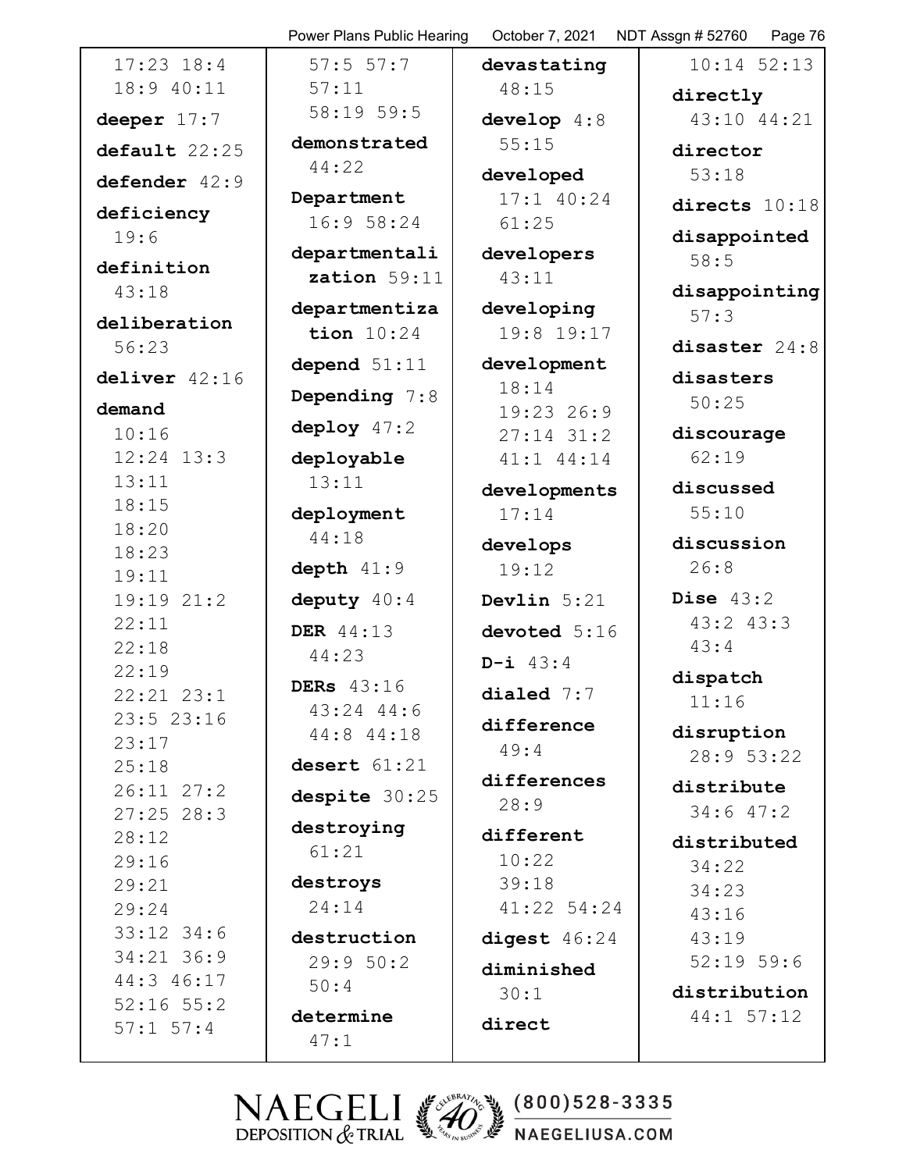| $17:23$ $18:4$<br>18:9 40:11 |  |
|------------------------------|--|
| deeper $17:7$                |  |
| default 22:25                |  |
| defender 42:9                |  |
| deficiency                   |  |
| 19:6                         |  |
| definition                   |  |
| 43:18                        |  |
| deliberation                 |  |
| 56:23                        |  |
| deliver 42:16                |  |
|                              |  |
| demand                       |  |
| 10:16                        |  |
| 12:24 13:3<br>13:11          |  |
| 18:15                        |  |
| 18:20                        |  |
| 18:23                        |  |
| 19:11                        |  |
| 19:19 21:2                   |  |
| 22:11                        |  |
| 22:18                        |  |
| 22:19                        |  |
| 22:21 23:<br>1               |  |
| 23:5 23:16                   |  |
| 23:17                        |  |
| 25:18                        |  |
| 26:11 27:2                   |  |
| 27:25 28:3                   |  |
| 28:12                        |  |
| 29:16                        |  |
| 29:21                        |  |
| 29:24                        |  |
| 33:12 34:6                   |  |
| 34:21 36:9                   |  |
| 44:3 46:17                   |  |
| $52:16$ $55:2$               |  |
| $57:1$ $57:4$                |  |

Power Plans Public Hearing October 7, 2021 NDT Assgn # 52760 Page 76 57:5 57:7 57:11 58:19 59:5 **demonstrated** 44:22 **Department** 16:9 58:24 **departmentali zation** 59:11 **departmentiza tion** 10:24 **depend** 51:11 **Depending** 7:8 **deploy** 47:2 **deployable** 13:11 **deployment** 44:18 **depth** 41:9 **deputy** 40:4 **DER** 44:13 44:23 **DERs** 43:16 43:24 44:6 44:8 44:18 **desert** 61:21 **despite** 30:25 **destroying** 61:21 **destroys** 24:14 **destruction** 29:9 50:2 50:4 **determine** 47:1

**devastating** 48:15

**develop** 4:8 55:15

**developed** 17:1 40:24 61:25

**developers** 43:11

**developing** 19:8 19:17

**development** 18:14 19:23 26:9 27:14 31:2 41:1 44:14

**developments** 17:14

**develops** 19:12 **Devlin** 5:21 **devoted** 5:16 **D-i** 43:4 **dialed** 7:7 **difference**

49:4 **differences**

28:9 **different**

10:22 39:18 41:22 54:24 **digest** 46:24 **diminished** 30:1 **direct**

10:14 52:13 **directly**

43:10 44:21

**director** 53:18

**directs** 10:18

**disappointed** 58:5

**disappointing** 57:3

**disaster** 24:8

**disasters** 50:25

**discourage** 62:19

**discussed** 55:10

**discussion** 26:8

**Dise** 43:2 43:2 43:3 43:4

**dispatch** 11:16

**disruption** 28:9 53:22

**distribute** 34:6 47:2

**distributed** 34:22 34:23 43:16 43:19 52:19 59:6 **distribution**

44:1 57:12

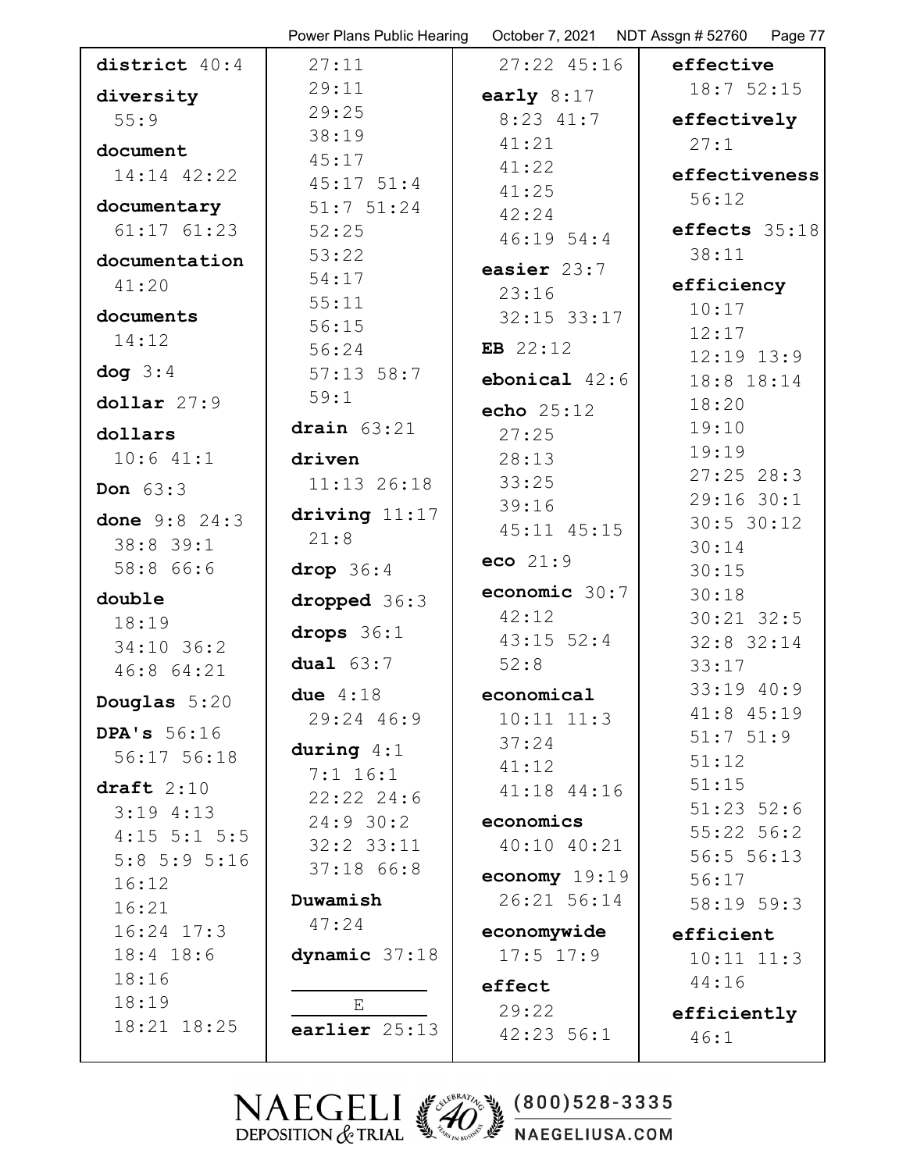|                      | Power Plans Public Hearing | October 7, 2021 | NDT Assgn # 52760<br>Page 77 |
|----------------------|----------------------------|-----------------|------------------------------|
| district 40:4        | 27:11                      | $27:22$ 45:16   | effective                    |
| diversity            | 29:11                      | early $8:17$    | 18:752:15                    |
| 55:9                 | 29:25                      | $8:23$ 41:7     | effectively                  |
| document             | 38:19                      | 41:21           | 27:1                         |
| 14:14 42:22          | 45:17                      | 41:22           | effectiveness                |
|                      | $45:17$ $51:4$             | 41:25           | 56:12                        |
| documentary          | $51:7$ $51:24$             | 42:24           |                              |
| $61:17$ $61:23$      | 52:25                      | 46:1954:4       | effects 35:18                |
| documentation        | 53:22                      | easier 23:7     | 38:11                        |
| 41:20                | 54:17                      | 23:16           | efficiency                   |
| documents            | 55:11                      | $32:15$ $33:17$ | 10:17                        |
| 14:12                | 56:15                      | EB $22:12$      | 12:17                        |
| $\log 3:4$           | 56:24<br>$57:13$ 58:7      |                 | $12:19$ $13:9$               |
|                      | 59:1                       | ebonical $42:6$ | 18:8 18:14                   |
| $dollar$ 27:9        |                            | echo $25:12$    | 18:20                        |
| dollars              | drain $63:21$              | 27:25           | 19:10                        |
| $10:6$ $41:1$        | driven                     | 28:13           | 19:19                        |
| Don 63:3             | $11:13$ 26:18              | 33:25           | $27:25$ 28:3                 |
| done 9:8 24:3        | driving $11:17$            | 39:16           | 29:16 30:1<br>$30:5$ 30:12   |
| 38:8 39:1            | 21:8                       | 45:11 45:15     | 30:14                        |
| 58:8 66:6            | drop $36:4$                | eco $21:9$      | 30:15                        |
| double               | dropped 36:3               | economic 30:7   | 30:18                        |
| 18:19                |                            | 42:12           | $30:21$ $32:5$               |
| $34:10$ 36:2         | drops $36:1$               | $43:15$ 52:4    | 32:8 32:14                   |
| 46:8 64:21           | dual $63:7$                | 52:8            | 33:17                        |
| Douglas $5:20$       | due $4:18$                 | economical      | 33:19 40:9                   |
|                      | $29:24$ 46:9               | $10:11$ $11:3$  | 41:8 45:19                   |
| <b>DPA's</b> 56:16   | during $4:1$               | 37:24           | $51:7$ $51:9$                |
| 56:17 56:18          | $7:1$ 16:1                 | 41:12           | 51:12                        |
| draft $2:10$         | $22:22$ $24:6$             | $41:18$ $44:16$ | 51:15                        |
| $3:19$ 4:13          | 24:930:2                   | economics       | $51:23$ $52:6$               |
| $4:15$ 5:1 5:5       | $32:2$ $33:11$             | $40:10$ $40:21$ | $55:22$ 56:2                 |
| $5:8$ 5:9 5:16       | $37:18$ 66:8               | economy $19:19$ | 56:5 56:13<br>56:17          |
| 16:12                | Duwamish                   | 26:21 56:14     | 58:19 59:3                   |
| 16:21                | 47:24                      |                 |                              |
| $16:24$ 17:3         |                            | economywide     | efficient                    |
| $18:4$ 18:6<br>18:16 | dynamic 37:18              | $17:5$ $17:9$   | $10:11$ $11:3$               |
| 18:19                |                            | effect          | 44:16                        |
| 18:21 18:25          | $\mathbf E$                | 29:22           | efficiently                  |
|                      | earlier 25:13              | 42:23 56:1      | 46:1                         |
|                      |                            |                 |                              |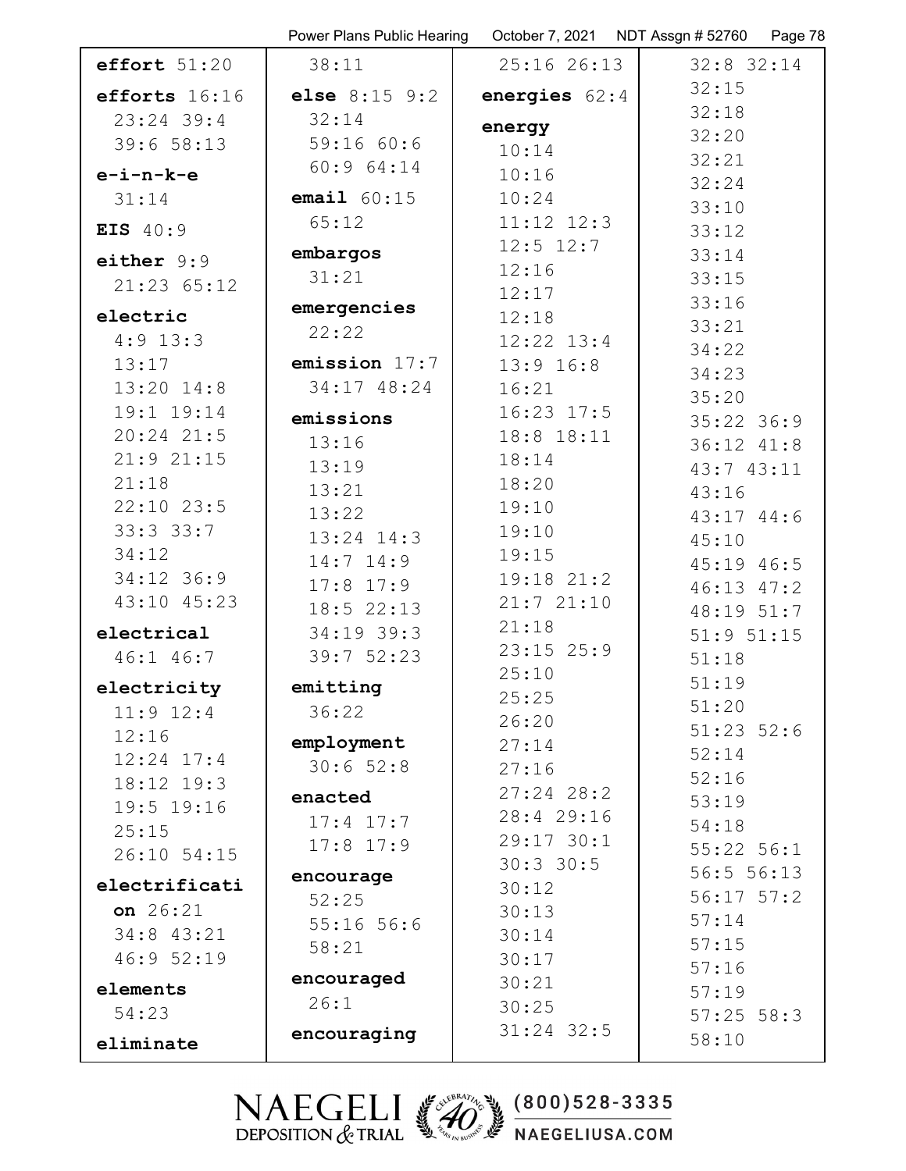|                | Power Plans Public Hearing | October 7, 2021 | NDT Assgn # 52760<br>Page 78 |
|----------------|----------------------------|-----------------|------------------------------|
| effort $51:20$ | 38:11                      | 25:16 26:13     | $32:8$ 32:14                 |
| efforts 16:16  | else $8:15$ $9:2$          | energies $62:4$ | 32:15                        |
| $23:24$ 39:4   | 32:14                      |                 | 32:18                        |
| 39:6 58:13     | 59:1660:6                  | energy<br>10:14 | 32:20                        |
| $e-i-n-k-e$    | 60:964:14                  | 10:16           | 32:21                        |
| 31:14          | email $60:15$              | 10:24           | 32:24                        |
|                | 65:12                      | $11:12$ $12:3$  | 33:10                        |
| EIS 40:9       |                            | $12:5$ $12:7$   | 33:12                        |
| either $9:9$   | embargos                   | 12:16           | 33:14                        |
| 21:23 65:12    | 31:21                      | 12:17           | 33:15                        |
| electric       | emergencies                | 12:18           | 33:16                        |
| $4:9$ 13:3     | 22:22                      | $12:22$ $13:4$  | 33:21                        |
| 13:17          | emission 17:7              | $13:9$ $16:8$   | 34:22                        |
| $13:20$ $14:8$ | 34:17 48:24                | 16:21           | 34:23                        |
| 19:1 19:14     |                            | $16:23$ $17:5$  | 35:20                        |
| $20:24$ 21:5   | emissions                  | 18:8 18:11      | $35:22$ 36:9                 |
| 21:921:15      | 13:16                      | 18:14           | 36:12 41:8                   |
| 21:18          | 13:19                      | 18:20           | 43:7 43:11                   |
| $22:10$ $23:5$ | 13:21<br>13:22             | 19:10           | 43:16                        |
| 33:33:7        | $13:24$ $14:3$             | 19:10           | $43:17$ $44:6$               |
| 34:12          | $14:7$ $14:9$              | 19:15           | 45:10<br>45:19 46:5          |
| 34:12 36:9     | $17:8$ 17:9                | 19:18 21:2      | 46:13 47:2                   |
| 43:10 45:23    | $18:5$ 22:13               | 21:721:10       | 48:19 51:7                   |
| electrical     | $34:19$ 39:3               | 21:18           | $51:9$ $51:15$               |
| 46:1 46:7      | 39:752:23                  | $23:15$ $25:9$  | 51:18                        |
| electricity    | emitting                   | 25:10           | 51:19                        |
| $11:9$ $12:4$  | 36:22                      | 25:25           | 51:20                        |
| 12:16          |                            | 26:20           | $51:23$ $52:6$               |
| $12:24$ $17:4$ | employment                 | 27:14           | 52:14                        |
| 18:12 19:3     | 30:652:8                   | 27:16           | 52:16                        |
| 19:5 19:16     | enacted                    | $27:24$ 28:2    | 53:19                        |
| 25:15          | $17:4$ $17:7$              | 28:4 29:16      | 54:18                        |
| 26:10 54:15    | $17:8$ 17:9                | 29:17 30:1      | $55:22$ $56:1$               |
| electrificati  | encourage                  | $30:3$ 30:5     | 56:556:13                    |
| on 26:21       | 52:25                      | 30:12           | $56:17$ $57:2$               |
| 34:8 43:21     | $55:16$ 56:6               | 30:13           | 57:14                        |
| 46:9 52:19     | 58:21                      | 30:14<br>30:17  | 57:15                        |
|                | encouraged                 | 30:21           | 57:16                        |
| elements       | 26:1                       | 30:25           | 57:19                        |
| 54:23          |                            | $31:24$ 32:5    | $57:25$ 58:3                 |
| eliminate      | encouraging                |                 | 58:10                        |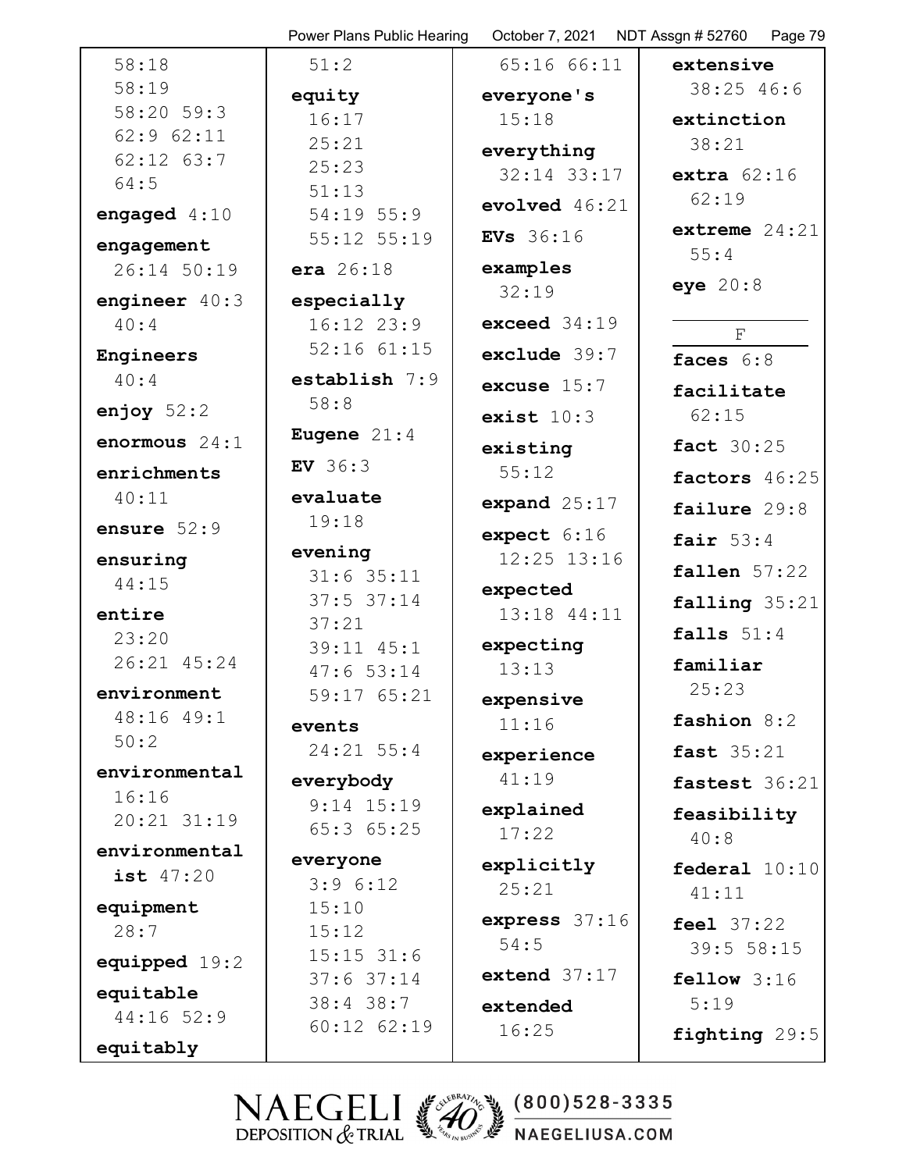|                 | Power Plans Public Hearing | October 7, 2021 NDT Assgn # 52760 | Page 79             |
|-----------------|----------------------------|-----------------------------------|---------------------|
| 58:18           | 51:2                       | 65:1666:11                        | extensive           |
| 58:19           | equity                     | everyone's                        | 38:25 46:6          |
| 58:20 59:3      | 16:17                      | 15:18                             | extinction          |
| 62:9 62:11      | 25:21                      | everything                        | 38:21               |
| $62:12$ $63:7$  | 25:23                      | $32:14$ $33:17$                   | extra $62:16$       |
| 64:5            | 51:13                      | evolved $46:21$                   | 62:19               |
| engaged $4:10$  | $54:19$ 55:9               |                                   | extreme $24:21$     |
| engagement      | 55:12 55:19                | <b>EVs</b> 36:16                  | 55:4                |
| 26:14 50:19     | <b>era</b> $26:18$         | examples                          |                     |
| engineer $40:3$ | especially                 | 32:19                             | eye $20:8$          |
| 40:4            | 16:12 23:9                 | exceed $34:19$                    | $\mathbf{F}$        |
| Engineers       | $52:16$ $61:15$            | exclude 39:7                      | faces $6:8$         |
| 40:4            | establish $7:9$            | excuse $15:7$                     | facilitate          |
| enjoy $52:2$    | 58:8                       | exist $10:3$                      | 62:15               |
| enormous 24:1   | Eugene $21:4$              | existing                          | <b>fact</b> 30:25   |
| enrichments     | <b>EV</b> $36:3$           | 55:12                             | factors 46:25       |
| 40:11           | evaluate                   | expand $25:17$                    | failure 29:8        |
| ensure $52:9$   | 19:18                      | expect 6:16                       |                     |
| ensuring        | evening                    | $12:25$ $13:16$                   | fair $53:4$         |
| 44:15           | $31:6$ 35:11               | expected                          | fallen $57:22$      |
| entire          | $37:5$ 37:14               | 13:18 44:11                       | falling 35:21       |
| 23:20           | 37:21                      |                                   | falls $51:4$        |
| 26:21 45:24     | 39:11 45:1<br>47:653:14    | expecting<br>13:13                | familiar            |
| environment     | 59:17 65:21                | expensive                         | 25:23               |
| 48:16 49:1      | events                     | 11:16                             | fashion 8:2         |
| 50:2            | 24:21 55:4                 | experience                        | <b>fast</b> 35:21   |
| environmental   | everybody                  | 41:19                             | fastest 36:21       |
| 16:16           | $9:14$ 15:19               | explained                         |                     |
| $20:21$ $31:19$ | 65:3 65:25                 | 17:22                             | feasibility<br>40:8 |
| environmental   | everyone                   |                                   |                     |
| ist 47:20       | 3:96:12                    | explicitly<br>25:21               | federal $10:10$     |
| equipment       | 15:10                      |                                   | 41:11               |
| 28:7            | 15:12                      | express 37:16                     | feel 37:22          |
| equipped 19:2   | $15:15$ 31:6               | 54:5                              | 39:5 58:15          |
| equitable       | $37:6$ 37:14               | extend $37:17$                    | fellow $3:16$       |
| 44:16 52:9      | 38:4 38:7                  | extended                          | 5:19                |
|                 | $60:12$ $62:19$            | 16:25                             | fighting 29:5       |
| equitably       |                            |                                   |                     |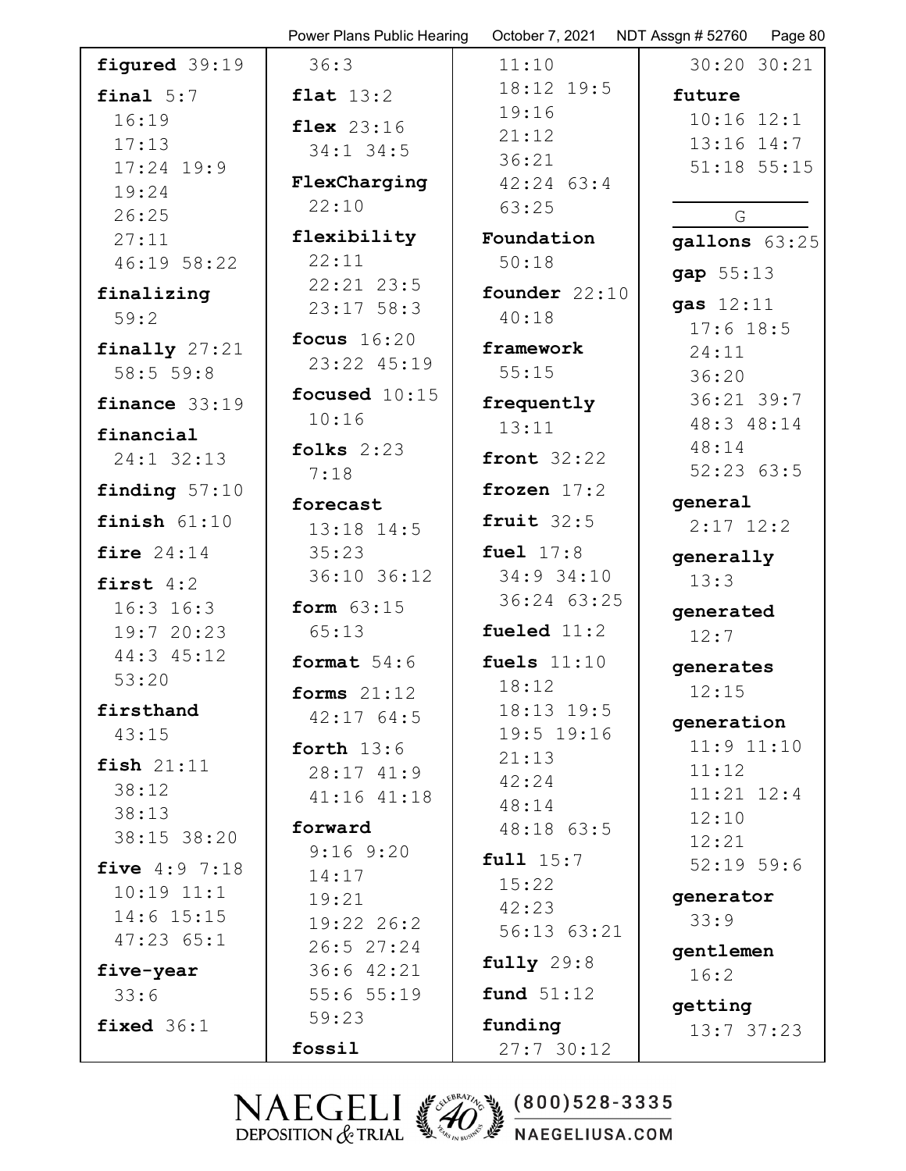|                          | Power Plans Public Hearing   | October 7, 2021       | NDT Assgn # 52760<br>Page 80 |
|--------------------------|------------------------------|-----------------------|------------------------------|
| figured 39:19            | 36:3                         | 11:10                 | 30:20 30:21                  |
| final $5:7$              | flat $13:2$                  | 18:12 19:5            | future                       |
| 16:19                    | flex $23:16$                 | 19:16                 | $10:16$ $12:1$               |
| 17:13                    | $34:1$ 34:5                  | 21:12                 | $13:16$ $14:7$               |
| $17:24$ 19:9             | FlexCharging                 | 36:21<br>$42:24$ 63:4 | 51:18 55:15                  |
| 19:24                    | 22:10                        | 63:25                 |                              |
| 26:25                    |                              |                       | G                            |
| 27:11                    | flexibility<br>22:11         | Foundation            | gallons 63:25                |
| 46:19 58:22              | $22:21$ $23:5$               | 50:18                 | gap 55:13                    |
| finalizing               | $23:17$ 58:3                 | founder $22:10$       | gas $12:11$                  |
| 59:2                     |                              | 40:18                 | $17:6$ 18:5                  |
| finally $27:21$          | focus $16:20$<br>23:22 45:19 | framework             | 24:11                        |
| 58:5559:8                |                              | 55:15                 | 36:20                        |
| finance $33:19$          | focused 10:15                | frequently            | 36:21 39:7                   |
| financial                | 10:16                        | 13:11                 | 48:3 48:14                   |
| 24:1 32:13               | folks $2:23$                 | front $32:22$         | 48:14                        |
| finding $57:10$          | 7:18                         | frozen $17:2$         | 52:2363:5                    |
|                          | forecast                     |                       | general                      |
| finish $61:10$           | $13:18$ $14:5$               | fruit $32:5$          | $2:17$ 12:2                  |
| fire $24:14$             | 35:23                        | fuel $17:8$           | generally                    |
| first $4:2$              | 36:10 36:12                  | 34:9 34:10            | 13:3                         |
| $16:3$ $16:3$            | form $63:15$                 | 36:24 63:25           | generated                    |
| 19:7 20:23               | 65:13                        | fueled $11:2$         | 12:7                         |
| 44:3 45:12               | format $54:6$                | fuels $11:10$         | generates                    |
| 53:20                    | forms $21:12$                | 18:12                 | 12:15                        |
| firsthand                | 42:1764:5                    | $18:13$ $19:5$        | qeneration                   |
| 43:15                    | forth $13:6$                 | 19:5 19:16            | $11:9$ $11:10$               |
| fish $21:11$             | 28:1741:9                    | 21:13<br>42:24        | 11:12                        |
| 38:12                    | $41:16$ $41:18$              | 48:14                 | $11:21$ $12:4$               |
| 38:13                    | forward                      | 48:18 63:5            | 12:10                        |
| 38:15 38:20              | $9:16$ $9:20$                | full $15:7$           | 12:21                        |
| <b>five</b> $4:9$ $7:18$ | 14:17                        | 15:22                 | $52:19$ 59:6                 |
| $10:19$ $11:1$           | 19:21                        | 42:23                 | generator                    |
| $14:6$ $15:15$           | $19:22$ $26:2$               | 56:13 63:21           | 33:9                         |
| $47:23$ $65:1$           | 26:527:24                    | fully 29:8            | gentlemen                    |
| five-year                | $36:6$ $42:21$               |                       | 16:2                         |
| 33:6                     | 55:655:19<br>59:23           | fund $51:12$          | getting                      |
| fixed $36:1$             |                              | funding               | 13:737:23                    |
|                          | fossil                       | 27:730:12             |                              |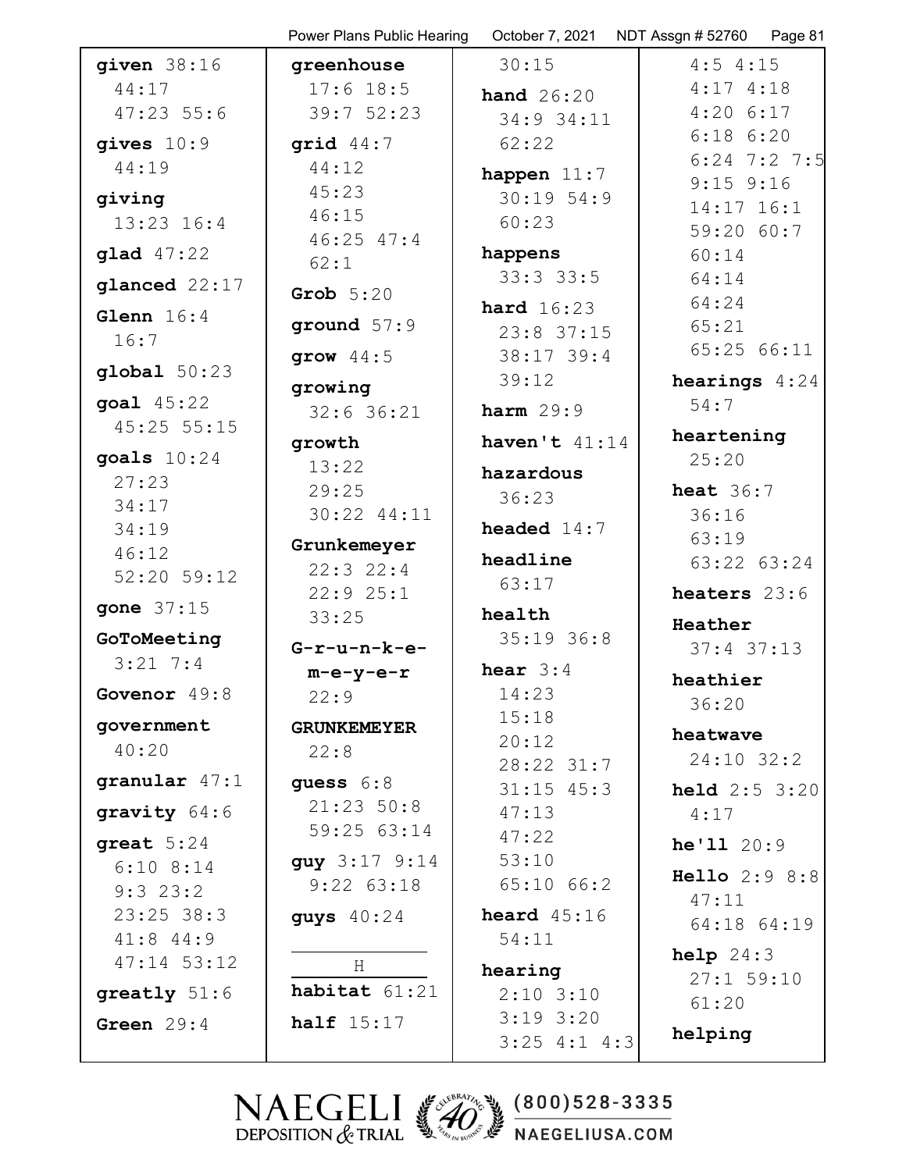|                           | Power Plans Public Hearing | October 7, 2021 | NDT Assgn # 52760<br>Page 81 |
|---------------------------|----------------------------|-----------------|------------------------------|
| given $38:16$             | greenhouse                 | 30:15           | $4:5$ 4:15                   |
| 44:17                     | $17:6$ 18:5                | hand $26:20$    | $4:17$ $4:18$                |
| $47:23$ 55:6              | 39:752:23                  | 34:9 34:11      | $4:20$ 6:17                  |
| gives $10:9$              | grid $44:7$                | 62:22           | $6:18$ $6:20$                |
| 44:19                     | 44:12                      | happen $11:7$   | $6:24$ 7:2 7:5               |
| giving                    | 45:23                      | $30:19$ 54:9    | $9:15$ $9:16$                |
| $13:23$ $16:4$            | 46:15                      | 60:23           | 14:17 16:1                   |
|                           | $46:25$ $47:4$             |                 | 59:20 60:7                   |
| glad 47:22                | 62:1                       | happens         | 60:14                        |
| glanced 22:17             | Grob $5:20$                | 33:33:3         | 64:14                        |
| Glenn $16:4$              |                            | hard $16:23$    | 64:24                        |
| 16:7                      | ground $57:9$              | $23:8$ 37:15    | 65:21                        |
| global 50:23              | grow $44:5$                | $38:17$ 39:4    | 65:25 66:11                  |
|                           | growing                    | 39:12           | <b>hearings</b> $4:24$       |
| goal 45:22<br>45:25 55:15 | $32:6$ 36:21               | harm $29:9$     | 54:7                         |
|                           | growth                     | haven't $41:14$ | heartening                   |
| goals $10:24$<br>27:23    | 13:22                      | hazardous       | 25:20                        |
| 34:17                     | 29:25                      | 36:23           | heat $36:7$                  |
| 34:19                     | 30:22 44:11                | headed $14:7$   | 36:16                        |
| 46:12                     | Grunkemeyer                |                 | 63:19                        |
| 52:20 59:12               | $22:3$ 22:4                | headline        | 63:22 63:24                  |
|                           | 22:925:1                   | 63:17           | heaters 23:6                 |
| gone 37:15                | 33:25                      | health          | Heather                      |
| GoToMeeting               | $G-r-u-n-k-e-$             | $35:19$ 36:8    | $37:4$ 37:13                 |
| $3:21 \ 7:4$              | $m-e-y-e-r$                | hear $3:4$      | heathier                     |
| Govenor 49:8              | 22:9                       | 14:23           | 36:20                        |
| government                | <b>GRUNKEMEYER</b>         | 15:18           |                              |
| 40:20                     | 22:8                       | 20:12           | heatwave                     |
|                           |                            | $28:22$ $31:7$  | 24:10 32:2                   |
| granular $47:1$           | guess $6:8$                | $31:15$ 45:3    | <b>held</b> $2:5$ $3:20$     |
| gravity $64:6$            | 21:23 50:8                 | 47:13           | 4:17                         |
| qreat $5:24$              | 59:25 63:14                | 47:22           | he'1120:9                    |
| $6:10$ $8:14$             | guy 3:17 9:14              | 53:10           | Hello 2:9 8:8                |
| $9:3$ 23:2                | $9:22$ $63:18$             | $65:10$ $66:2$  | 47:11                        |
| $23:25$ 38:3              | guys $40:24$               | heard $45:16$   | 64:18 64:19                  |
| $41:8$ $44:9$             |                            | 54:11           |                              |
| $47:14$ 53:12             | H                          | hearing         | help 24:3<br>$27:1$ 59:10    |
| $grealty 51:6$            | habitat 61:21              | $2:10$ 3:10     | 61:20                        |
| Green $29:4$              | half $15:17$               | $3:19$ $3:20$   |                              |
|                           |                            | $3:25$ 4:1 4:3  | helping                      |
|                           |                            |                 |                              |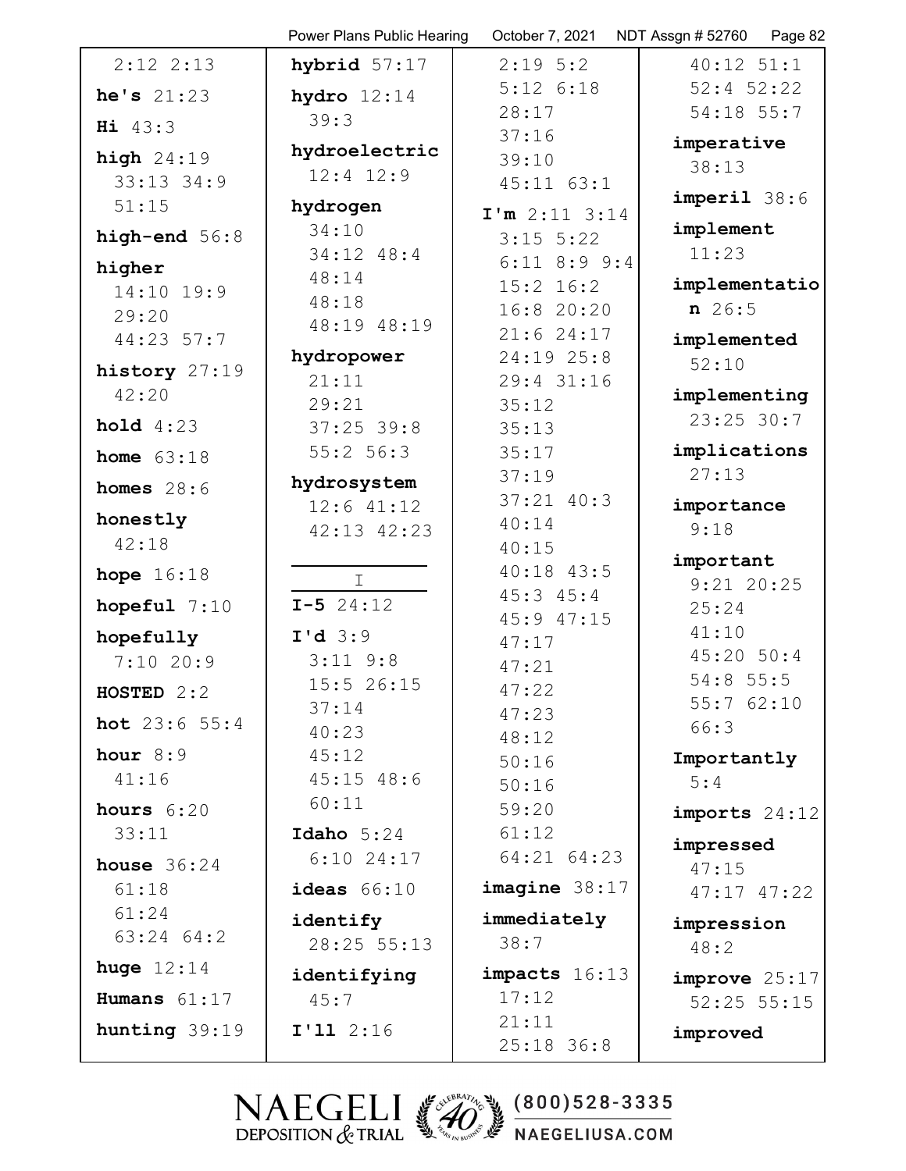|                          | Power Plans Public Hearing | October 7, 2021         | NDT Assgn # 52760<br>Page 82 |
|--------------------------|----------------------------|-------------------------|------------------------------|
| $2:12$ $2:13$            | hybrid $57:17$             | $2:19$ 5:2              | $40:12$ $51:1$               |
| he's 21:23               | hydro $12:14$              | $5:12$ $6:18$           | $52:4$ $52:22$               |
| Hi 43:3                  | 39:3                       | 28:17                   | 54:18 55:7                   |
| high $24:19$             | hydroelectric              | 37:16                   | imperative                   |
| $33:13$ $34:9$           | $12:4$ $12:9$              | 39:10                   | 38:13                        |
| 51:15                    | hydrogen                   | $45:11$ $63:1$          | $imperi1$ 38:6               |
|                          | 34:10                      | $I'm$ 2:11 3:14         | implement                    |
| high-end $56:8$          | 34:12 48:4                 | $3:15$ 5:22             | 11:23                        |
| higher                   | 48:14                      | $6:11$ $8:9$ $9:4$      |                              |
| 14:10 19:9               | 48:18                      | $15:2$ 16:2             | implementatio                |
| 29:20                    | 48:19 48:19                | 16:8 20:20              | $n \ 26:5$                   |
| 44:23 57:7               |                            | 21:624:17               | implemented                  |
| history 27:19            | hydropower                 | 24:19 25:8              | 52:10                        |
| 42:20                    | 21:11                      | 29:4 31:16              | implementing                 |
|                          | 29:21                      | 35:12                   | $23:25$ 30:7                 |
| hold 4:23                | $37:25$ 39:8               | 35:13                   |                              |
| home $63:18$             | 55:2 56:3                  | 35:17                   | implications                 |
| homes $28:6$             | hydrosystem                | 37:19                   | 27:13                        |
| honestly                 | $12:6$ $41:12$             | $37:21$ $40:3$          | importance                   |
| 42:18                    | 42:13 42:23                | 40:14                   | 9:18                         |
|                          |                            | 40:15<br>$40:18$ $43:5$ | important                    |
| hope $16:18$             | Ι                          | $45:3$ $45:4$           | $9:21$ 20:25                 |
| hopeful $7:10$           | $I - 5$ 24:12              | 45:9 47:15              | 25:24                        |
| hopefully                | $I'd$ 3:9                  | 47:17                   | 41:10                        |
| 7:1020:9                 | $3:11$ $9:8$               | 47:21                   | 45:20 50:4                   |
| HOSTED $2:2$             | 15:5 26:15                 | 47:22                   | 54:8 55:5                    |
|                          | 37:14                      | 47:23                   | 55:762:10                    |
| <b>hot</b> $23:6$ $55:4$ | 40:23                      | 48:12                   | 66:3                         |
| hour $8:9$               | 45:12                      | 50:16                   | Importantly                  |
| 41:16                    | $45:15$ $48:6$             | 50:16                   | 5:4                          |
| hours $6:20$             | 60:11                      | 59:20                   | imports $24:12$              |
| 33:11                    | Idaho $5:24$               | 61:12                   |                              |
| house $36:24$            | $6:10$ 24:17               | 64:21 64:23             | impressed<br>47:15           |
| 61:18                    | ideas $66:10$              | imagine 38:17           | $47:17$ $47:22$              |
| 61:24                    |                            |                         |                              |
| 63:24 64:2               | identify                   | immediately<br>38:7     | impression                   |
| huge $12:14$             | 28:25 55:13                |                         | 48:2                         |
|                          | identifying                | impacts 16:13           | improve 25:17                |
| Humans $61:17$           | 45:7                       | 17:12                   | $52:25$ $55:15$              |
| hunting 39:19            | $I'11$ 2:16                | 21:11                   | improved                     |
|                          |                            | $25:18$ 36:8            |                              |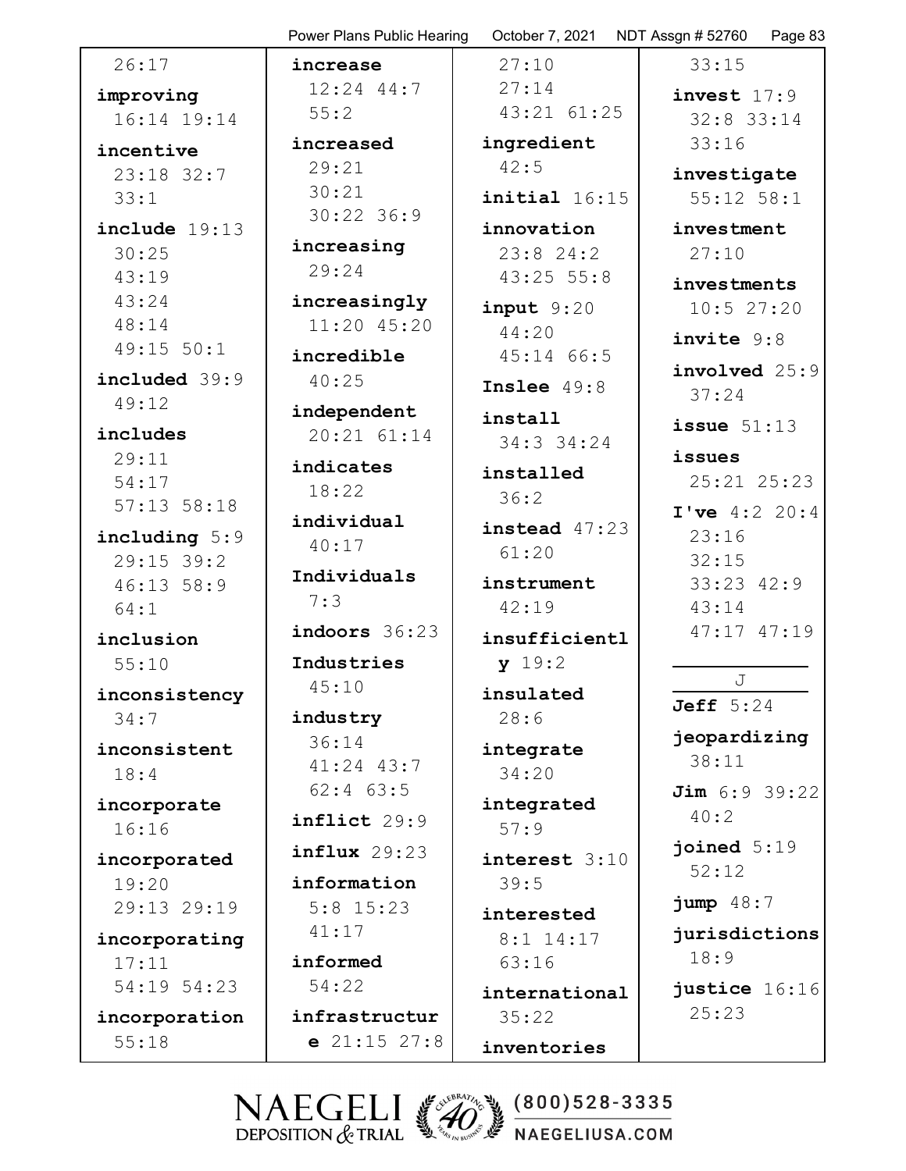|                 | Power Plans Public Hearing | October 7, 2021       | NDT Assgn # 52760<br>Page 8 |
|-----------------|----------------------------|-----------------------|-----------------------------|
| 26:17           | increase                   | 27:10                 | 33:15                       |
| improving       | $12:24$ 44:7               | 27:14                 | invest $17:9$               |
| 16:14 19:14     | 55:2                       | 43:21 61:25           | $32:8$ 33:14                |
| incentive       | increased                  | ingredient            | 33:16                       |
| $23:18$ 32:7    | 29:21                      | 42:5                  | investigate                 |
| 33:1            | 30:21                      | $initial$ 16:15       | $55:12$ $58:1$              |
| include 19:13   | $30:22$ 36:9               | innovation            | investment                  |
| 30:25           | increasing                 | 23:824:2              | 27:10                       |
| 43:19           | 29:24                      | $43:25$ 55:8          |                             |
| 43:24           | increasingly               |                       | investments                 |
| 48:14           | 11:20 45:20                | $input$ 9:20<br>44:20 | 10:527:20                   |
| 49:15 50:1      | incredible                 | 45:14 66:5            | invite 9:8                  |
| included 39:9   | 40:25                      |                       | involved 25:9               |
| 49:12           |                            | Inslee $49:8$         | 37:24                       |
|                 | independent                | install               | issue $51:13$               |
| includes        | 20:21 61:14                | 34:3 34:24            |                             |
| 29:11           | indicates                  | installed             | issues                      |
| 54:17           | 18:22                      | 36:2                  | $25:21$ $25:23$             |
| $57:13$ $58:18$ | individual                 | instead $47:23$       | I've 4:2 20:4               |
| including 5:9   | 40:17                      | 61:20                 | 23:16                       |
| 29:15 39:2      | Individuals                |                       | 32:15                       |
| 46:13 58:9      | 7:3                        | instrument            | $33:23$ $42:9$              |
| 64:1            |                            | 42:19                 | 43:14                       |
| inclusion       | indoors 36:23              | insufficientl         | 47:17 47:19                 |
| 55:10           | Industries                 | y 19:2                |                             |
| inconsistency   | 45:10                      | insulated             | J                           |
| 34:7            | industry                   | 28:6                  | Jeff $5:24$                 |
| inconsistent    | 36:14                      | integrate             | jeopardizing                |
| 18:4            | 41:24 43:7                 | 34:20                 | 38:11                       |
|                 | $62:4$ $63:5$              |                       | Jim 6:9 39:22               |
| incorporate     | inflict 29:9               | integrated            | 40:2                        |
| 16:16           |                            | 57:9                  | joined $5:19$               |
| incorporated    | $influx$ 29:23             | interest 3:10         | 52:12                       |
| 19:20           | information                | 39:5                  |                             |
| 29:13 29:19     | $5:8$ 15:23                | interested            | jump 48:7                   |
| incorporating   | 41:17                      | $8:1$ 14:17           | jurisdictions               |
| 17:11           | informed                   | 63:16                 | 18:9                        |
| 54:19 54:23     | 54:22                      | international         | justice 16:16               |
| incorporation   | infrastructur              | 35:22                 | 25:23                       |
| 55:18           | $e$ 21:15 27:8             | inventories           |                             |
|                 |                            |                       |                             |

Page 83

 $(800)528 - 3335$ NAEGELI (20 NAEGELIUSA.COM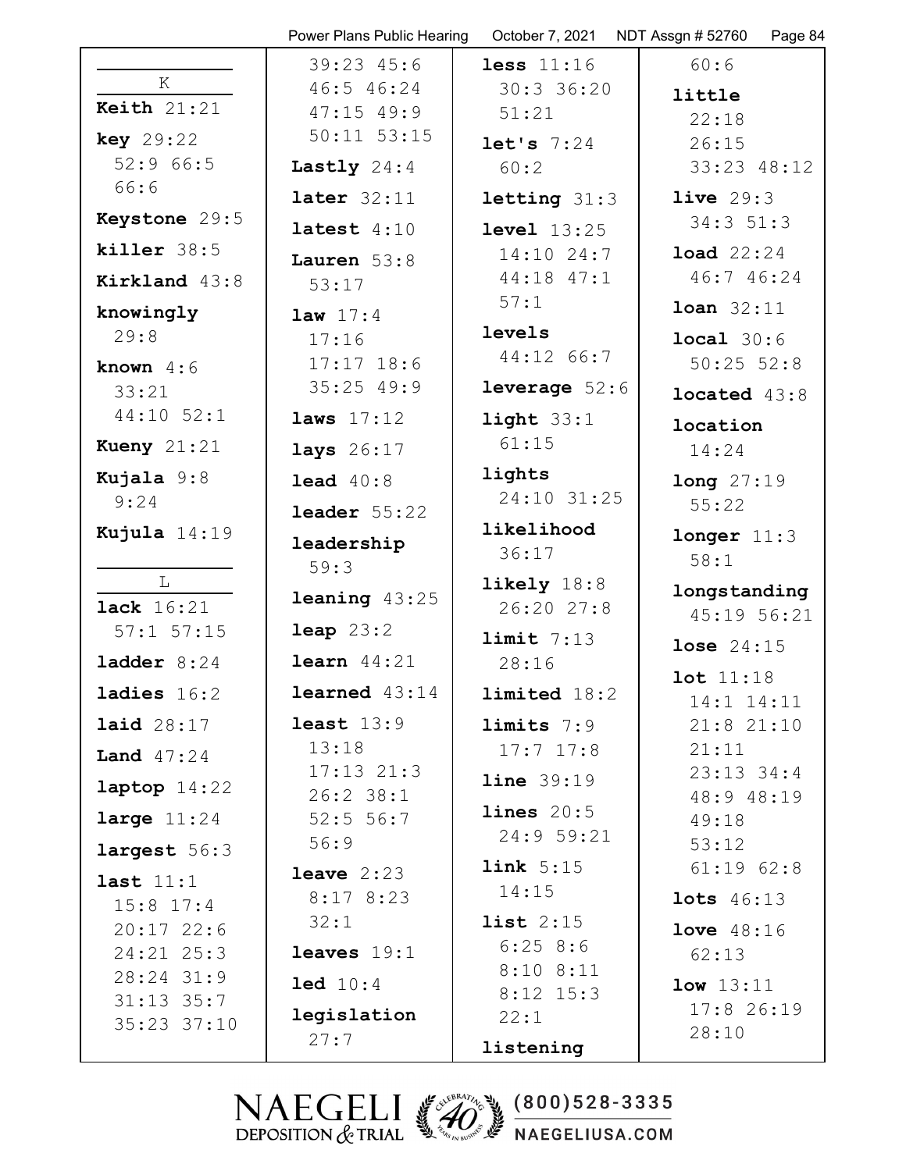|                             | Power Plans Public Hearing    | October 7, 2021        | NDT Assgn # 52760<br>Page 84 |
|-----------------------------|-------------------------------|------------------------|------------------------------|
|                             | $39:23$ 45:6                  | less $11:16$           | 60:6                         |
| К                           | 46:5 46:24                    | $30:3$ 36:20           | little                       |
| Keith $21:21$               | $47:15$ 49:9                  | 51:21                  | 22:18                        |
| key 29:22                   | $50:11$ $53:15$               | let's 7:24             | 26:15                        |
| 52:966:5                    | Lastly $24:4$                 | 60:2                   | 33:23 48:12                  |
| 66:6                        | later $32:11$                 | letting 31:3           | live $29:3$                  |
| Keystone 29:5               | latest $4:10$                 | level 13:25            | $34:3$ $51:3$                |
| killer 38:5                 | Lauren $53:8$                 | $14:10$ 24:7           | <b>load</b> $22:24$          |
| Kirkland 43:8               | 53:17                         | 44:18 47:1             | 46:7 46:24                   |
| knowingly                   | <b>law</b> $17:4$             | 57:1                   | $Ioan 32:11$                 |
| 29:8                        | 17:16                         | levels                 | local 30:6                   |
| known $4:6$                 | $17:17$ $18:6$                | 44:12 66:7             | $50:25$ $52:8$               |
| 33:21                       | $35:25$ 49:9                  | <b>leverage</b> $52:6$ | located $43:8$               |
| $44:10$ 52:1                | laws $17:12$                  | light $33:1$           | location                     |
| Kueny $21:21$               | lays $26:17$                  | 61:15                  | 14:24                        |
| Kujala 9:8                  | lead $40:8$                   | lights                 | long 27:19                   |
| 9:24                        | leader $55:22$                | 24:10 31:25            | 55:22                        |
| Kujula 14:19                | leadership                    | likelihood             | longer 11:3                  |
|                             | 59:3                          | 36:17                  | 58:1                         |
| L                           |                               | likely $18:8$          | longstanding                 |
| <b>lack</b> 16:21           | <b>leaning</b> $43:25$        | 26:20 27:8             | 45:19 56:21                  |
| $57:1$ $57:15$              | $\text{leap } 23:2$           | limit 7:13             | <b>lose</b> $24:15$          |
| ladder $8:24$               | learn $44:21$                 | 28:16                  | lot 11:18                    |
| ladies $16:2$               | <b>learned</b> $43:14$        | limited 18:2           | 14:1 14:11                   |
| <b>laid</b> 28:17           | least $13:9$                  | limits 7:9             | 21:821:10                    |
| Land $47:24$                | 13:18                         | $17:7$ $17:8$          | 21:11                        |
| laptop $14:22$              | $17:13$ $21:3$<br>$26:2$ 38:1 | line 39:19             | $23:13$ $34:4$               |
| large $11:24$               | 52:5 56:7                     | lines 20:5             | 48:9 48:19<br>49:18          |
|                             | 56:9                          | 24:9 59:21             | 53:12                        |
| largest 56:3                | leave $2:23$                  | link 5:15              | $61:19$ $62:8$               |
| last $11:1$                 | 8:178:23                      | 14:15                  | <b>lots</b> 46:13            |
| $15:8$ 17:4<br>$20:17$ 22:6 | 32:1                          | list $2:15$            | <b>love</b> $48:16$          |
| $24:21$ $25:3$              | leaves $19:1$                 | 6:258:6                | 62:13                        |
| 28:24 31:9                  | 1ed 10:4                      | $8:10$ $8:11$          |                              |
| $31:13$ $35:7$              |                               | $8:12$ 15:3            | low 13:11<br>$17:8$ 26:19    |
| 35:23 37:10                 | legislation                   | 22:1                   | 28:10                        |
|                             | 27:7                          | listening              |                              |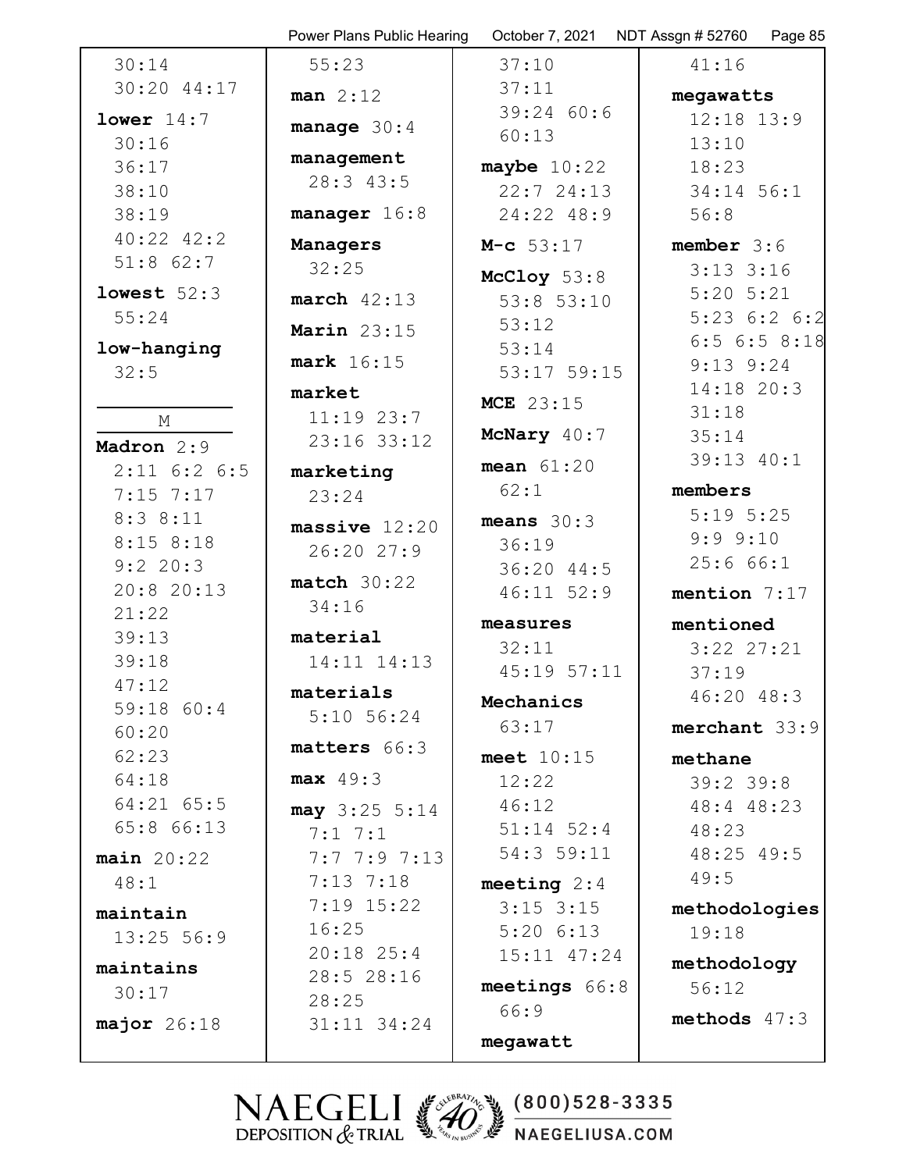|                     | Power Plans Public Hearing | October 7, 2021  | NDT Assgn #52760 Page 85 |
|---------------------|----------------------------|------------------|--------------------------|
| 30:14               | 55:23                      | 37:10            | 41:16                    |
| 30:20 44:17         | $man$ 2:12                 | 37:11            | megawatts                |
| lower $14:7$        | manage $30:4$              | 39:2460:6        | $12:18$ $13:9$           |
| 30:16               |                            | 60:13            | 13:10                    |
| 36:17               | management                 | maybe $10:22$    | 18:23                    |
| 38:10               | 28:3 43:5                  | 22:724:13        | 34:14 56:1               |
| 38:19               | manager $16:8$             | 24:22 48:9       | 56:8                     |
| $40:22$ $42:2$      | Managers                   | $M-c$ 53:17      | member $3:6$             |
| $51:8$ 62:7         | 32:25                      | McCloy $53:8$    | $3:13$ $3:16$            |
| lowest $52:3$       | $march$ 42:13              | $53:8$ $53:10$   | $5:20$ $5:21$            |
| 55:24               | Marin $23:15$              | 53:12            | $5:23$ $6:2$ $6:2$       |
| low-hanging         |                            | 53:14            | $6:5$ $6:5$ $8:18$       |
| 32:5                | mark 16:15                 | $53:17$ $59:15$  | $9:13$ $9:24$            |
|                     | market                     | <b>MCE</b> 23:15 | $14:18$ 20:3             |
| М                   | $11:19$ 23:7               | McNary 40:7      | 31:18                    |
| Madron 2:9          | 23:16 33:12                |                  | 35:14<br>39:13 40:1      |
| $2:11$ 6:2 6:5      | marketing                  | mean $61:20$     |                          |
| $7:15$ 7:17         | 23:24                      | 62:1             | members                  |
| 8:38:11             | massive $12:20$            | means $30:3$     | $5:19$ $5:25$            |
| $8:15$ $8:18$       | 26:20 27:9                 | 36:19            | 9:9.9:10<br>25:666:1     |
| 9:2 20:3            | match 30:22                | 36:20 44:5       |                          |
| 20:8 20:13<br>21:22 | 34:16                      | $46:11$ 52:9     | mention $7:17$           |
| 39:13               | material                   | measures         | mentioned                |
| 39:18               | 14:11 14:13                | 32:11            | $3:22$ $27:21$           |
| 47:12               |                            | $45:19$ $57:11$  | 37:19                    |
| 59:18 60:4          | materials<br>$5:10$ 56:24  | Mechanics        | 46:20 48:3               |
| 60:20               |                            | 63:17            | merchant 33:9            |
| 62:23               | matters 66:3               | meet $10:15$     | methane                  |
| 64:18               | $max$ 49:3                 | 12:22            | $39:2$ 39:8              |
| 64:21 65:5          | $may$ 3:25 5:14            | 46:12            | 48:4 48:23               |
| 65:8 66:13          | $7:1 \ 7:1$                | $51:14$ $52:4$   | 48:23                    |
| $main$ 20:22        | 7:7.7:9.7:13               | 54:3 59:11       | 48:25 49:5               |
| 48:1                | $7:13$ $7:18$              | meeting $2:4$    | 49:5                     |
| maintain            | $7:19$ 15:22               | $3:15$ $3:15$    | methodologies            |
| $13:25$ 56:9        | 16:25                      | $5:20$ $6:13$    | 19:18                    |
| maintains           | $20:18$ 25:4               | $15:11$ $47:24$  | methodology              |
| 30:17               | 28:5 28:16                 | meetings 66:8    | 56:12                    |
| major $26:18$       | 28:25<br>31:11 34:24       | 66:9             | methods $47:3$           |
|                     |                            | megawatt         |                          |
|                     |                            |                  |                          |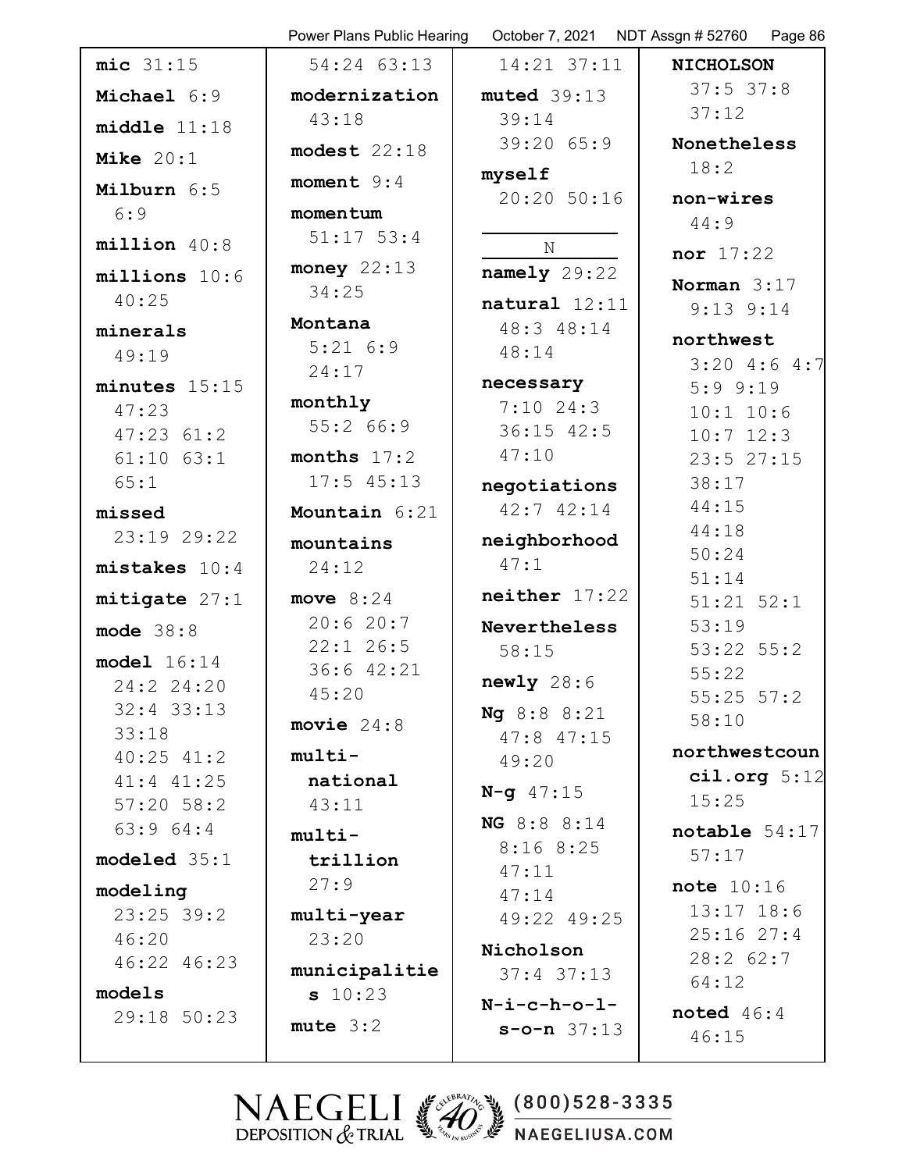|                            | Power Plans Public Hearing |                  | October 7, 2021 NDT Assgn #52760 Page 86 |
|----------------------------|----------------------------|------------------|------------------------------------------|
| mic 31:15                  | 54:24 63:13                | 14:21 37:11      | <b>NICHOLSON</b>                         |
| Michael 6:9                | modernization              | muted 39:13      | $37:5$ 37:8                              |
| middle 11:18               | 43:18                      | 39:14            | 37:12                                    |
| Mike $20:1$                | modest $22:18$             | 39:2065:9        | Nonetheless                              |
|                            | moment $9:4$               | myself           | 18:2                                     |
| Milburn 6:5<br>6:9         | momentum                   | 20:20 50:16      | non-wires                                |
|                            | $51:17$ 53:4               |                  | 44:9                                     |
| millicon 40:8              |                            | $\mathbf N$      | nor 17:22                                |
| $millions$ 10:6            | money $22:13$<br>34:25     | namely 29:22     | Norman $3:17$                            |
| 40:25                      |                            | natural 12:11    | $9:13$ $9:14$                            |
| minerals                   | Montana<br>5:216:9         | 48:3 48:14       | northwest                                |
| 49:19                      | 24:17                      | 48:14            | $3:20$ 4:6 4:7                           |
| minutes $15:15$            |                            | necessary        | $5:9$ $9:19$                             |
| 47:23                      | monthly<br>55:266:9        | $7:10$ 24:3      | $10:1$ $10:6$                            |
| $47:23$ $61:2$             |                            | $36:15$ 42:5     | $10:7$ 12:3                              |
| $61:10$ $63:1$             | months $17:2$              | 47:10            | 23:527:15                                |
| 65:1                       | $17:5$ 45:13               | negotiations     | 38:17<br>44:15                           |
| missed                     | Mountain 6:21              | $42:7$ $42:14$   | 44:18                                    |
| 23:19 29:22                | mountains                  | neighborhood     | 50:24                                    |
| mistakes 10:4              | 24:12                      | 47:1             | 51:14                                    |
| mitigate 27:1              | move $8:24$                | $neither$ 17:22  | $51:21$ $52:1$                           |
| mode $38:8$                | 20:620:7                   | Nevertheless     | 53:19                                    |
| model 16:14                | $22:1$ 26:5                | 58:15            | $53:22$ $55:2$                           |
| 24:2 24:20                 | 36:6 42:21<br>45:20        | newly 28:6       | 55:22                                    |
| $32:4$ 33:13               |                            | Ng 8:8 8:21      | $55:25$ $57:2$<br>58:10                  |
| 33:18                      | movie $24:8$               | $47:8$ $47:15$   |                                          |
| $40:25$ $41:2$             | $multi-$                   | 49:20            | northwestcoun                            |
| 41:4 41:25                 | national                   | $N - q$ 47:15    | cil.org 5:12<br>15:25                    |
| $57:20$ $58:2$<br>63:964:4 | 43:11                      | NG 8:8 8:14      |                                          |
|                            | multi-                     | 8:168:25         | notable $54:17$<br>57:17                 |
| modeled 35:1               | trillion                   | 47:11            |                                          |
| modeling                   | 27:9                       | 47:14            | note $10:16$                             |
| $23:25$ 39:2               | multi-year                 | 49:22 49:25      | $13:17$ $18:6$<br>$25:16$ $27:4$         |
| 46:20<br>46:22 46:23       | 23:20                      | Nicholson        | 28:262:7                                 |
|                            | municipalitie              | $37:4$ $37:13$   | 64:12                                    |
| models                     | s 10:23                    | $N-i-c-h-o-1-$   | noted $46:4$                             |
| 29:18 50:23                | $mute$ 3:2                 | $s$ -o-n $37:13$ | 46:15                                    |
|                            |                            |                  |                                          |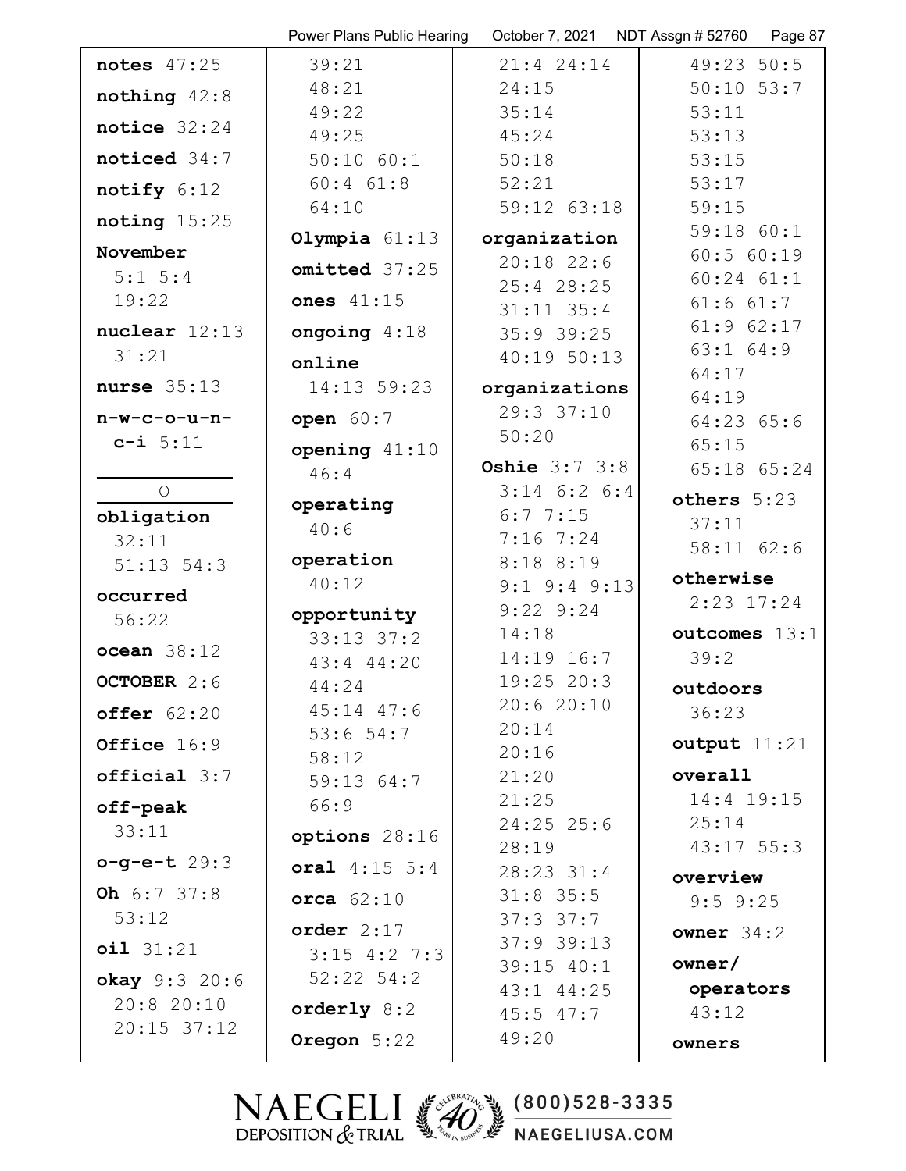|                            | Power Plans Public Hearing       | October 7, 2021      | NDT Assgn #52760 Page 87        |
|----------------------------|----------------------------------|----------------------|---------------------------------|
| notes $47:25$              | 39:21                            | $21:4$ 24:14         | 49:23 50:5                      |
| nothing $42:8$             | 48:21                            | 24:15                | $50:10$ $53:7$                  |
|                            | 49:22                            | 35:14                | 53:11                           |
| notice $32:24$             | 49:25                            | 45:24                | 53:13                           |
| noticed 34:7               | $50:10$ $60:1$                   | 50:18                | 53:15                           |
| notify 6:12                | $60:4$ $61:8$                    | 52:21                | 53:17                           |
| noting $15:25$             | 64:10                            | 59:12 63:18          | 59:15                           |
|                            | Olympia $61:13$                  | organization         | 59:18 60:1                      |
| November                   | omitted 37:25                    | $20:18$ 22:6         | 60:5 60:19                      |
| $5:1 \ 5:4$<br>19:22       | ones $41:15$                     | $25:4$ 28:25         | $60:24$ $61:1$                  |
|                            |                                  | $31:11$ $35:4$       | $61:6$ $61:7$                   |
| nuclear $12:13$            | ongoing $4:18$                   | $35:9$ 39:25         | $61:9$ $62:17$<br>$63:1$ $64:9$ |
| 31:21                      | online                           | 40:1950:13           | 64:17                           |
| nurse $35:13$              | 14:13 59:23                      | organizations        | 64:19                           |
| $n-w-c-o-u-n-$             | open $60:7$                      | 29:3 37:10           | $64:23$ $65:6$                  |
| $c - i 5:11$               | opening $41:10$                  | 50:20                | 65:15                           |
|                            | 46:4                             | <b>Oshie</b> 3:7 3:8 | 65:18 65:24                     |
| $\circ$                    |                                  | $3:14$ 6:2 6:4       | others 5:23                     |
| obligation                 | operating                        | 6:77:15              | 37:11                           |
| 32:11                      | 40:6                             | $7:16$ $7:24$        | 58:11 62:6                      |
| $51:13$ $54:3$             | operation                        | 8:18 8:19            |                                 |
| occurred                   | 40:12                            | $9:1$ $9:4$ $9:13$   | otherwise                       |
| 56:22                      | opportunity                      | $9:22$ $9:24$        | $2:23$ $17:24$                  |
| ocean 38:12                | $33:13$ $37:2$                   | 14:18                | outcomes 13:1                   |
|                            | $43:4$ $44:20$                   | 14:19 16:7           | 39:2                            |
| OCTOBER 2:6                | 44:24                            | $19:25$ 20:3         | outdoors                        |
| offer $62:20$              | $45:14$ $47:6$                   | 20:620:10            | 36:23                           |
| Office 16:9                | $53:6$ 54:7                      | 20:14                | output $11:21$                  |
| $official 3:7$             | 58:12                            | 20:16<br>21:20       | overall                         |
|                            | 59:1364:7                        | 21:25                | 14:4 19:15                      |
| off-peak                   | 66:9                             | $24:25$ 25:6         | 25:14                           |
| 33:11                      | options 28:16                    | 28:19                | $43:17$ 55:3                    |
| $o-g-e-t 29:3$             | oral $4:15$ 5:4                  | $28:23$ 31:4         | overview                        |
| Oh $6:7$ 37:8              | orca $62:10$                     | $31:8$ 35:5          | $9:5$ $9:25$                    |
| 53:12                      |                                  | $37:3$ $37:7$        |                                 |
| oil 31:21                  | order 2:17                       | $37:9$ 39:13         | owner $34:2$                    |
|                            | $3:15$ 4:2 7:3<br>$52:22$ $54:2$ | $39:15$ $40:1$       | owner/                          |
| okay 9:3 20:6<br>20:820:10 |                                  | $43:1$ $44:25$       | operators                       |
| $20:15$ 37:12              | orderly $8:2$                    | $45:5$ $47:7$        | 43:12                           |
|                            | Oregon 5:22                      | 49:20                | owners                          |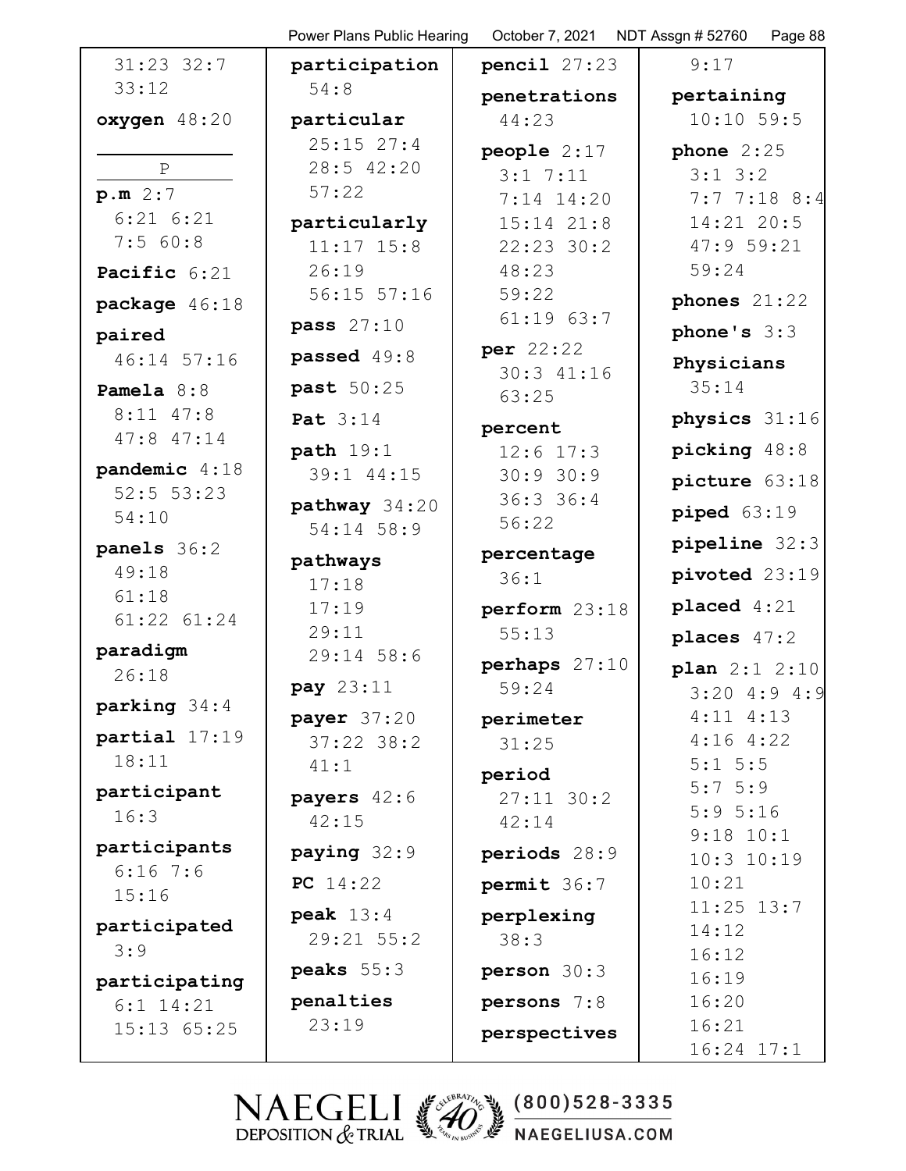|                      | Power Plans Public Hearing | October 7, 2021 | NDT Assgn # 52760<br>Page 88 |
|----------------------|----------------------------|-----------------|------------------------------|
| $31:23$ $32:7$       | participation              | pencil $27:23$  | 9:17                         |
| 33:12                | 54:8                       | penetrations    | pertaining                   |
| oxygen 48:20         | particular                 | 44:23           | 10:10 59:5                   |
|                      | $25:15$ $27:4$             | people $2:17$   | phone $2:25$                 |
| $\, {\bf P}$         | 28:5 42:20                 | $3:1$ 7:11      | $3:1 \ 3:2$                  |
| p.m. 2:7             | 57:22                      | 7:14 14:20      | $7:7$ 7:18 8:4               |
| $6:21$ $6:21$        | particularly               | $15:14$ $21:8$  | 14:21 20:5                   |
| 7:560:8              | $11:17$ $15:8$             | $22:23$ 30:2    | 47:959:21                    |
| Pacific 6:21         | 26:19                      | 48:23           | 59:24                        |
| package 46:18        | $56:15$ $57:16$            | 59:22           | phones $21:22$               |
| paired               | pass 27:10                 | $61:19$ $63:7$  | phone's $3:3$                |
| 46:14 57:16          | passed 49:8                | per 22:22       | Physicians                   |
| Pamela $8:8$         | past 50:25                 | 30:3 41:16      | 35:14                        |
| $8:11$ $47:8$        |                            | 63:25           | physics 31:16                |
| $47:8$ $47:14$       | Pat 3:14                   | percent         |                              |
| pandemic $4:18$      | path $19:1$                | $12:6$ 17:3     | picking 48:8                 |
| $52:5$ 53:23         | 39:1 44:15                 | 30:930:9        | picture 63:18                |
| 54:10                | pathway 34:20              | 36:336:4        | piped 63:19                  |
|                      | 54:14 58:9                 | 56:22           | pipeline 32:3                |
| panels 36:2<br>49:18 | pathways                   | percentage      |                              |
| 61:18                | 17:18                      | 36:1            | pivoted 23:19                |
| 61:22 61:24          | 17:19                      | perform 23:18   | placed $4:21$                |
|                      | 29:11                      | 55:13           | places $47:2$                |
| paradigm<br>26:18    | 29:14 58:6                 | perhaps $27:10$ | plan $2:1$ $2:10$            |
|                      | pay 23:11                  | 59:24           | $3:20$ 4:9 4:9               |
| parking 34:4         | payer $37:20$              | perimeter       | $4:11$ $4:13$                |
| partial 17:19        | $37:22$ $38:2$             | 31:25           | 4:164:22                     |
| 18:11                | 41:1                       | period          | $5:1 \ 5:5$                  |
| participant          | payers $42:6$              | $27:11$ 30:2    | $5:7 \ 5:9$                  |
| 16:3                 | 42:15                      | 42:14           | 5:95:16                      |
| participants         | paying $32:9$              | periods 28:9    | $9:18$ $10:1$                |
| $6:16$ 7:6           | PC $14:22$                 |                 | $10:3$ $10:19$<br>10:21      |
| 15:16                |                            | permit 36:7     | $11:25$ $13:7$               |
| participated         | peak $13:4$                | perplexing      | 14:12                        |
| 3:9                  | 29:21 55:2                 | 38:3            | 16:12                        |
| participating        | peaks $55:3$               | person 30:3     | 16:19                        |
| $6:1$ 14:21          | penalties                  | persons 7:8     | 16:20                        |
| 15:13 65:25          | 23:19                      | perspectives    | 16:21                        |
|                      |                            |                 | $16:24$ $17:1$               |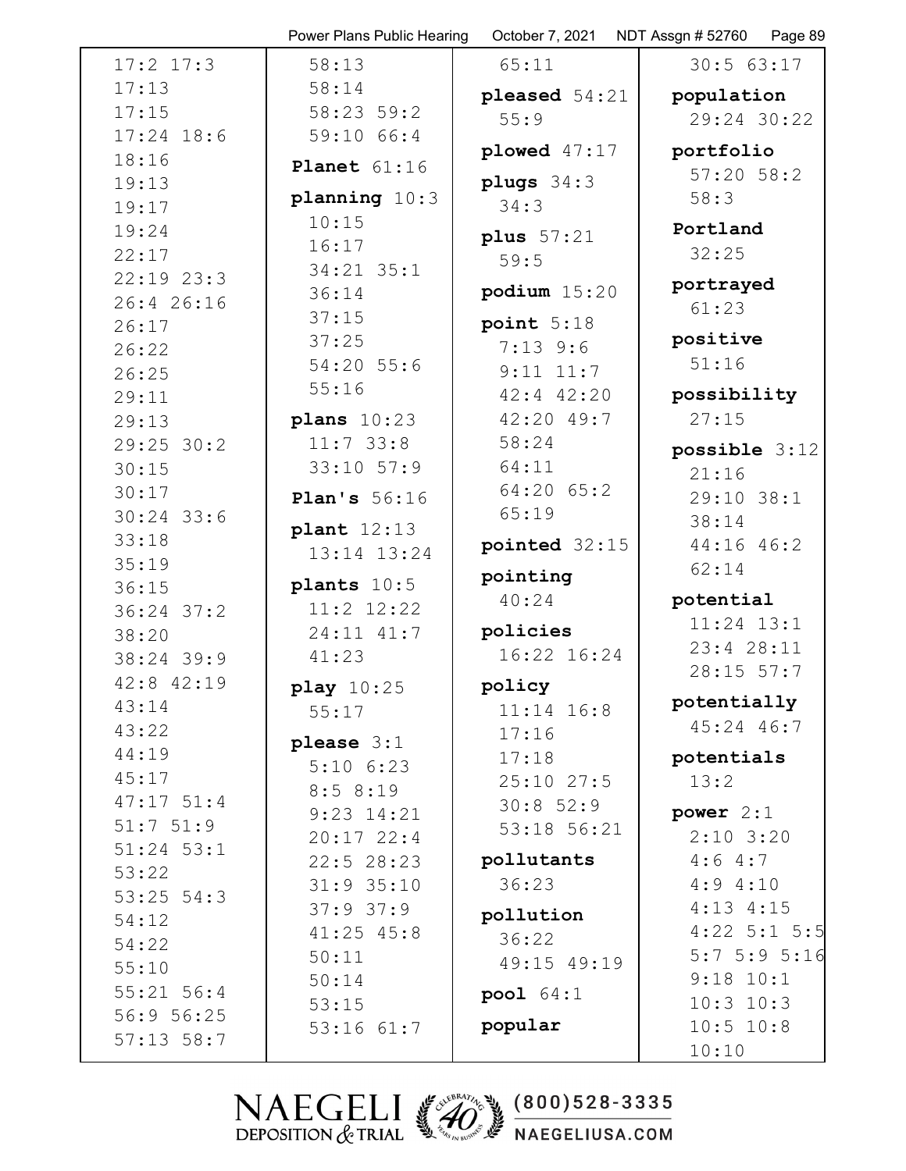|                | Power Plans Public Hearing | October 7, 2021 | NDT Assgn # 52760<br>Page 89 |
|----------------|----------------------------|-----------------|------------------------------|
| $17:2$ $17:3$  | 58:13                      | 65:11           | 30:563:17                    |
| 17:13          | 58:14                      | pleased $54:21$ | population                   |
| 17:15          | 58:23 59:2                 | 55:9            | 29:24 30:22                  |
| $17:24$ 18:6   | 59:10 66:4                 | plowed $47:17$  | portfolio                    |
| 18:16          | Planet $61:16$             |                 | $57:20$ $58:2$               |
| 19:13          | planning $10:3$            | plugs $34:3$    | 58:3                         |
| 19:17          | 10:15                      | 34:3            |                              |
| 19:24          | 16:17                      | plus $57:21$    | Portland                     |
| 22:17          | 34:21 35:1                 | 59:5            | 32:25                        |
| $22:19$ $23:3$ | 36:14                      | podium $15:20$  | portrayed                    |
| 26:4 26:16     | 37:15                      | point $5:18$    | 61:23                        |
| 26:17          | 37:25                      | $7:13$ 9:6      | positive                     |
| 26:22<br>26:25 | 54:20 55:6                 | $9:11$ $11:7$   | 51:16                        |
| 29:11          | 55:16                      | 42:4 42:20      | possibility                  |
| 29:13          | plans $10:23$              | 42:20 49:7      | 27:15                        |
| $29:25$ 30:2   | $11:7$ 33:8                | 58:24           |                              |
| 30:15          | $33:10$ $57:9$             | 64:11           | possible 3:12                |
| 30:17          |                            | 64:20 65:2      | 21:16                        |
| $30:24$ 33:6   | Plan's $56:16$             | 65:19           | 29:10 38:1<br>38:14          |
| 33:18          | plant 12:13                | pointed 32:15   | 44:16 46:2                   |
| 35:19          | 13:14 13:24                |                 | 62:14                        |
| 36:15          | plants $10:5$              | pointing        |                              |
| $36:24$ 37:2   | 11:2 12:22                 | 40:24           | potential                    |
| 38:20          | 24:11 41:7                 | policies        | $11:24$ $13:1$               |
| 38:24 39:9     | 41:23                      | 16:22 16:24     | 23:4 28:11                   |
| 42:8 42:19     | play $10:25$               | policy          | $28:15$ 57:7                 |
| 43:14          | 55:17                      | $11:14$ 16:8    | potentially                  |
| 43:22          | please $3:1$               | 17:16           | $45:24$ 46:7                 |
| 44:19          | $5:10$ $6:23$              | 17:18           | potentials                   |
| 45:17          | 8:58:19                    | $25:10$ $27:5$  | 13:2                         |
| $47:17$ 51:4   | $9:23$ $14:21$             | 30:852:9        | power $2:1$                  |
| 51:751:9       | $20:17$ 22:4               | 53:18 56:21     | $2:10$ 3:20                  |
| $51:24$ $53:1$ | $22:5$ 28:23               | pollutants      | 4:64:7                       |
| 53:22          | $31:9$ 35:10               | 36:23           | 4:94:10                      |
| $53:25$ $54:3$ | $37:9$ $37:9$              | pollution       | $4:13$ $4:15$                |
| 54:12<br>54:22 | $41:25$ $45:8$             | 36:22           | $4:22$ 5:1 5:5               |
| 55:10          | 50:11                      | 49:15 49:19     | 5:75:95:16                   |
| $55:21$ 56:4   | 50:14                      |                 | $9:18$ $10:1$                |
| 56:9 56:25     | 53:15                      | pool $64:1$     | $10:3$ $10:3$                |
| $57:13$ $58:7$ | $53:16$ $61:7$             | popular         | 10:5 10:8                    |
|                |                            |                 | 10:10                        |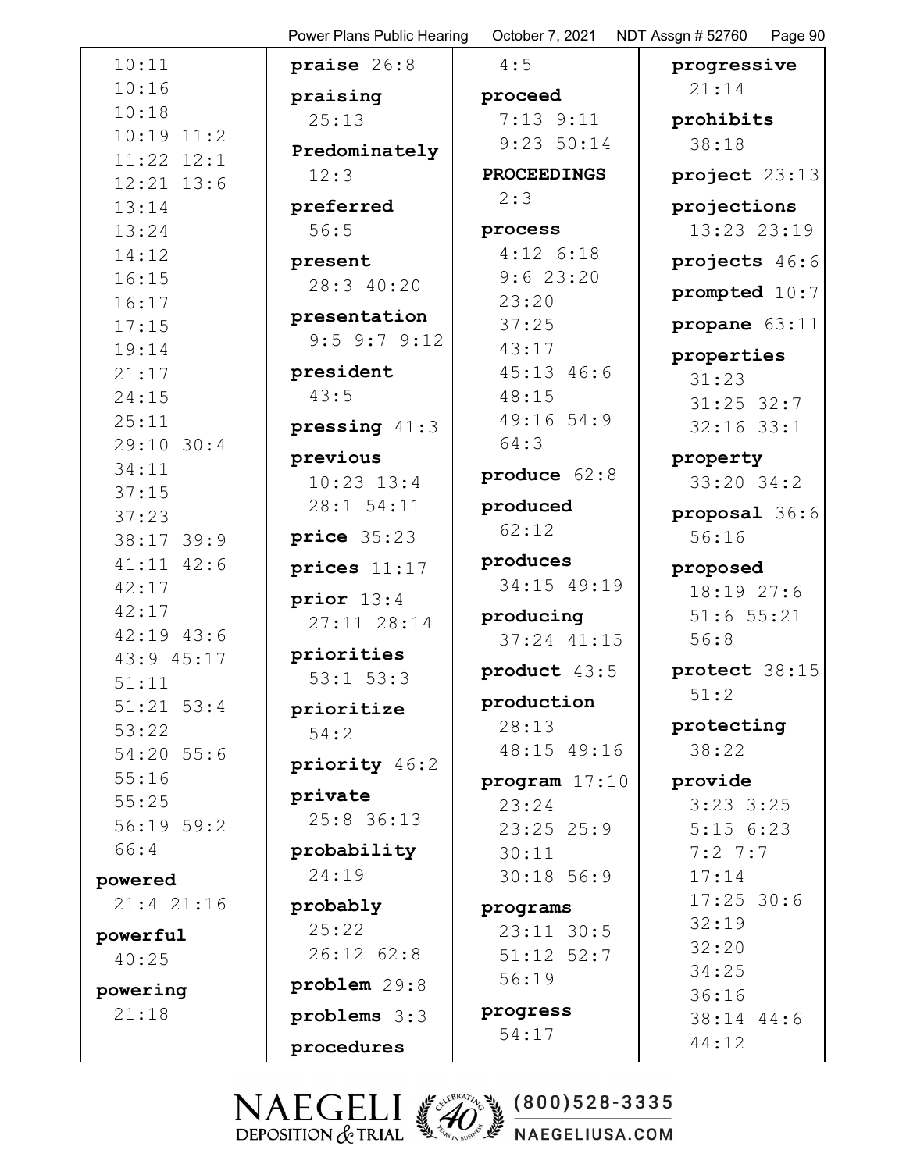10:11 10:16 10:18 10:19 11:2 11:22 12:1 12:21 13:6 13:14 13:24 14:12 16:15 16:17 17:15 19:14 21:17 24:15 25:11 29:10 30:4 34:11 37:15 37:23 38:17 39:9 41:11 42:6 42:17 42:17 42:19 43:6 43:9 45:17 51:11 51:21 53:4 53:22 54:20 55:6 55:16 55:25 56:19 59:2 66:4 **powered** 21:4 21:16 **powerful** 40:25 **powering** 21:18

**praise** 26:8 **praising** 25:13 **Predominately** 12:3 **preferred** 56:5 **present** 28:3 40:20 **presentation** 9:5 9:7 9:12 **president** 43:5 **pressing** 41:3 **previous** 10:23 13:4 28:1 54:11 **price** 35:23 **prices** 11:17 **prior** 13:4 27:11 28:14 **priorities** 53:1 53:3 **prioritize** 54:2 **priority** 46:2 **private** 25:8 36:13 **probability** 24:19 **probably** 25:22 26:12 62:8 **problem** 29:8 **problems** 3:3 **procedures**

Power Plans Public Hearing October 7, 2021 NDT Assgn # 52760 Page 90 4:5 **proceed** 7:13 9:11 9:23 50:14 **PROCEEDINGS** 2:3 **process** 4:12 6:18 9:6 23:20 23:20 37:25 43:17 45:13 46:6 48:15 49:16 54:9 64:3 **produce** 62:8 **produced** 62:12 **produces** 34:15 49:19 **producing** 37:24 41:15 **product** 43:5 **production** 28:13 48:15 49:16 **program** 17:10 23:24 23:25 25:9 30:11 30:18 56:9 **programs** 23:11 30:5 51:12 52:7 56:19 **progress** 54:17 **progressive** 56:8 51:2

21:14 **prohibits** 38:18 **project** 23:13 **projections** 13:23 23:19 **projects** 46:6 **prompted** 10:7 **propane** 63:11 **properties** 31:23 31:25 32:7 32:16 33:1 **property** 33:20 34:2 **proposal** 36:6 56:16 **proposed** 18:19 27:6 51:6 55:21 **protect** 38:15 **protecting** 38:22 **provide** 3:23 3:25 5:15 6:23 7:2 7:7 17:14 17:25 30:6 32:19 32:20 34:25 36:16 38:14 44:6 44:12

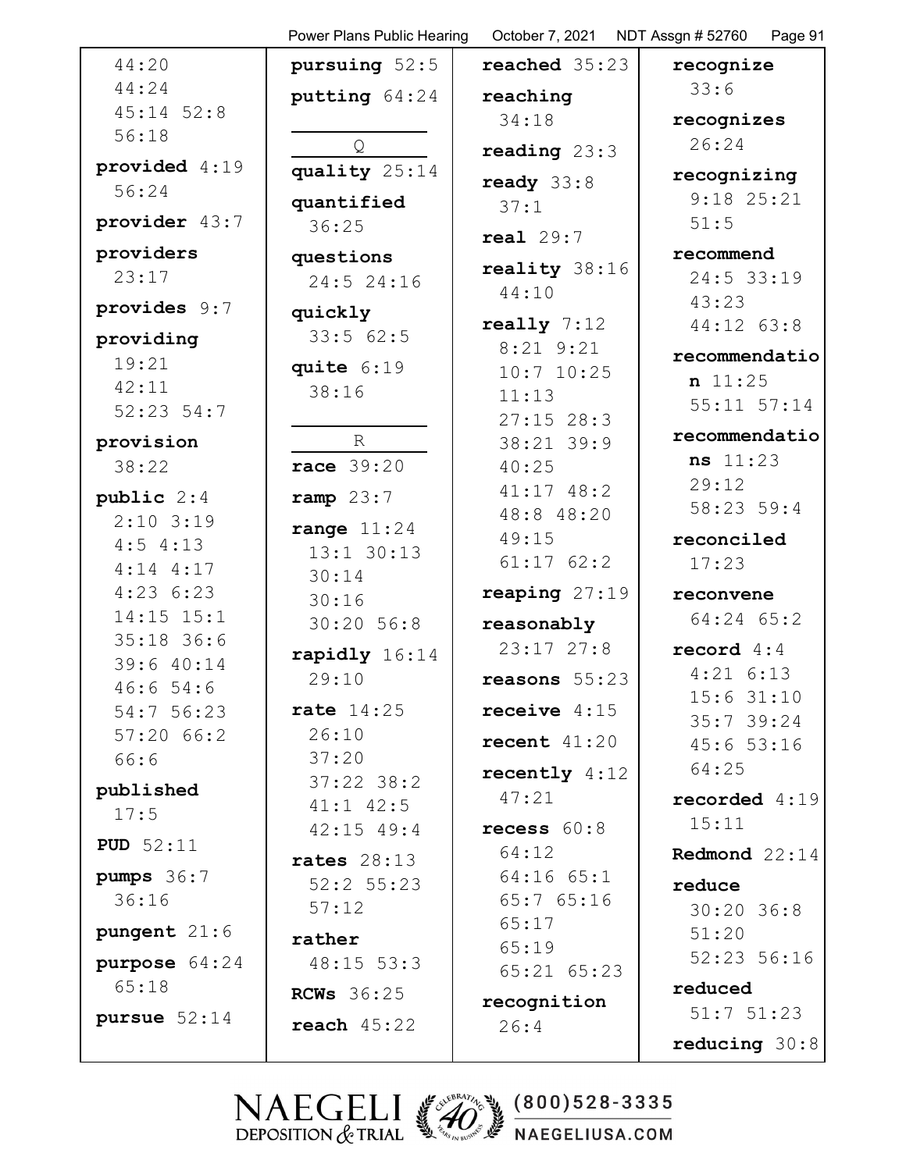|                           | Power Plans Public Hearing | October 7, 2021              | NDT Assgn # 52760<br>Page 91 |
|---------------------------|----------------------------|------------------------------|------------------------------|
| 44:20                     | pursuing $52:5$            | reached 35:23                | recognize                    |
| 44:24                     | putting 64:24              | reaching                     | 33:6                         |
| $45:14$ $52:8$            |                            | 34:18                        | recognizes                   |
| 56:18                     | Q                          | reading $23:3$               | 26:24                        |
| provided 4:19             | quality 25:14              | ready $33:8$                 | recognizing                  |
| 56:24                     | quantified                 | 37:1                         | $9:18$ 25:21                 |
| provider 43:7             | 36:25                      | real $29:7$                  | 51:5                         |
| providers                 | questions                  | reality 38:16                | recommend                    |
| 23:17                     | 24:5 24:16                 | 44:10                        | 24:5 33:19                   |
| provides 9:7              | quickly                    |                              | 43:23                        |
| providing                 | 33:562:5                   | really $7:12$<br>$8:21$ 9:21 | 44:12 63:8                   |
| 19:21                     | quite $6:19$               | $10:7$ $10:25$               | recommendatio                |
| 42:11                     | 38:16                      | 11:13                        | n 11:25<br>$55:11$ $57:14$   |
| 52:23:54:7                |                            | $27:15$ 28:3                 |                              |
| provision                 | R                          | 38:21 39:9                   | recommendatio                |
| 38:22                     | race 39:20                 | 40:25                        | ns 11:23<br>29:12            |
| public $2:4$              | ramp $23:7$                | $41:17$ $48:2$               | 58:23 59:4                   |
| $2:10$ 3:19               | range $11:24$              | 48:8 48:20<br>49:15          | reconciled                   |
| 4:54:13                   | $13:1$ 30:13               | $61:17$ $62:2$               | 17:23                        |
| $4:14$ $4:17$<br>4:236:23 | 30:14                      | reaping $27:19$              |                              |
| 14:15 15:1                | 30:16                      |                              | reconvene<br>64:24 65:2      |
| $35:18$ 36:6              | 30:20 56:8                 | reasonably<br>$23:17$ $27:8$ | record $4:4$                 |
| 39:6 40:14                | rapidly 16:14<br>29:10     |                              | $4:21$ 6:13                  |
| 46:654:6                  |                            | reasons $55:23$              | 15:631:10                    |
| 54:7 56:23                | rate $14:25$               | receive $4:15$               | $35:7$ 39:24                 |
| 57:2066:2<br>66:6         | 26:10<br>37:20             | recent $41:20$               | 45:653:16                    |
|                           | $37:22$ $38:2$             | recently $4:12$              | 64:25                        |
| published<br>17:5         | $41:1$ $42:5$              | 47:21                        | recorded 4:19                |
|                           | $42:15$ $49:4$             | recess $60:8$                | 15:11                        |
| <b>PUD</b> $52:11$        | rates $28:13$              | 64:12                        | Redmond 22:14                |
| pumps $36:7$              | $52:2$ 55:23               | $64:16$ $65:1$               | reduce                       |
| 36:16                     | 57:12                      | 65:765:16<br>65:17           | $30:20$ 36:8                 |
| pungent $21:6$            | rather                     | 65:19                        | 51:20                        |
| purpose $64:24$           | $48:15$ 53:3               | $65:21$ $65:23$              | 52:23 56:16                  |
| 65:18                     | <b>RCWs</b> 36:25          | recognition                  | reduced                      |
| pursue $52:14$            | reach $45:22$              | 26:4                         | $51:7$ $51:23$               |
|                           |                            |                              | reducing $30:8$              |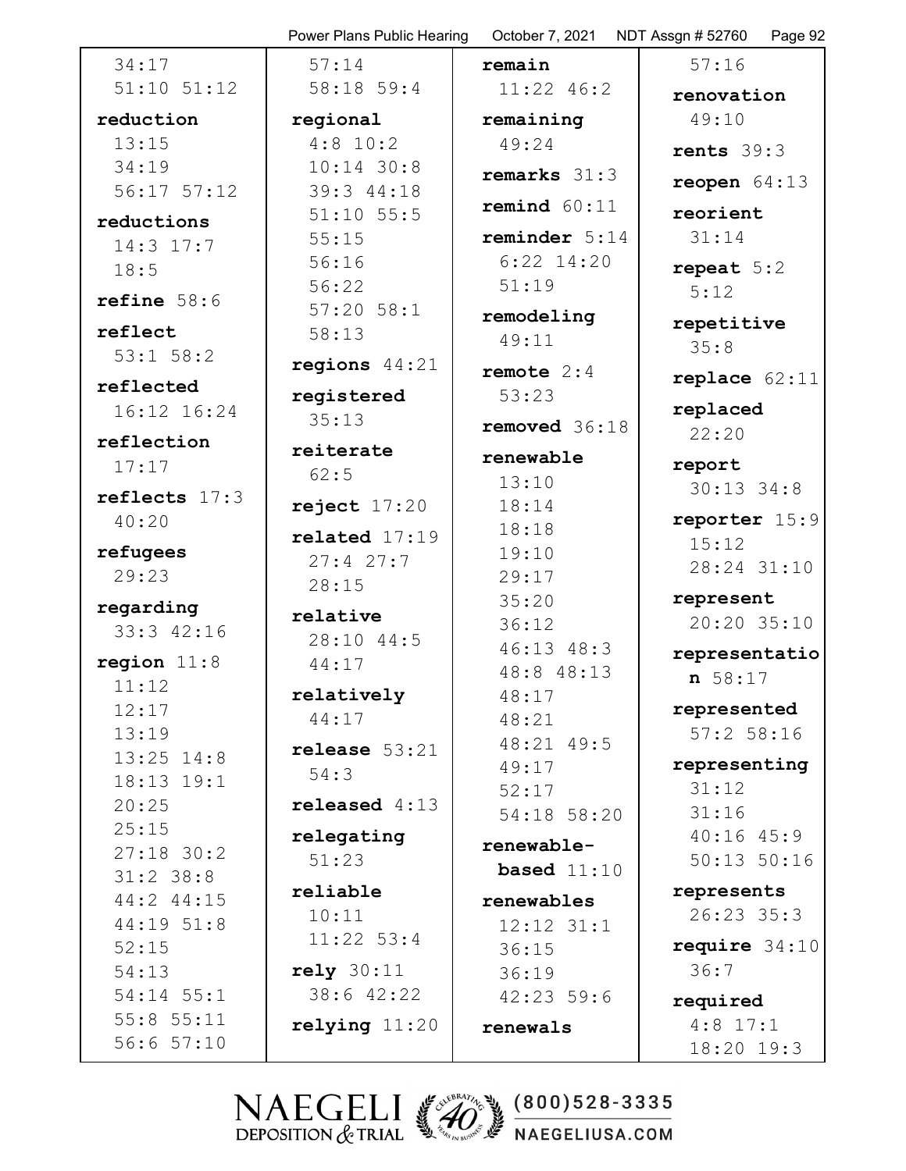|                             | Power Plans Public Hearing | October 7, 2021 | NDT Assgn # 52760<br>Page 92 |
|-----------------------------|----------------------------|-----------------|------------------------------|
| 34:17                       | 57:14                      | remain          | 57:16                        |
| $51:10$ $51:12$             | $58:18$ 59:4               | $11:22$ 46:2    | renovation                   |
| reduction                   | regional                   | remaining       | 49:10                        |
| 13:15                       | $4:8$ 10:2                 | 49:24           | rents $39:3$                 |
| 34:19                       | $10:14$ 30:8               | remarks 31:3    |                              |
| $56:17$ $57:12$             | 39:3 44:18                 |                 | reopen $64:13$               |
| reductions                  | $51:10$ $55:5$             | remind $60:11$  | reorient                     |
| $14:3$ 17:7                 | 55:15                      | reminder $5:14$ | 31:14                        |
| 18:5                        | 56:16                      | $6:22$ 14:20    | repeat $5:2$                 |
| refine $58:6$               | 56:22                      | 51:19           | 5:12                         |
|                             | $57:20$ $58:1$             | remodeling      | repetitive                   |
| reflect                     | 58:13                      | 49:11           | 35:8                         |
| $53:1$ $58:2$               | regions $44:21$            | remote $2:4$    |                              |
| reflected                   | registered                 | 53:23           | replace $62:11$              |
| 16:12 16:24                 | 35:13                      | removed 36:18   | replaced                     |
| reflection                  | reiterate                  |                 | 22:20                        |
| 17:17                       | 62:5                       | renewable       | report                       |
| reflects $17:3$             |                            | 13:10           | $30:13$ 34:8                 |
| 40:20                       | reject $17:20$             | 18:14           | reporter 15:9                |
| refugees                    | related $17:19$            | 18:18           | 15:12                        |
| 29:23                       | 27:427:7                   | 19:10<br>29:17  | 28:24 31:10                  |
|                             | 28:15                      | 35:20           | represent                    |
| regarding                   | relative                   | 36:12           | 20:20 35:10                  |
| 33:3 42:16                  | 28:10 44:5                 | $46:13$ $48:3$  |                              |
| region $11:8$               | 44:17                      | 48:8 48:13      | representatio                |
| 11:12                       | relatively                 | 48:17           | n 58:17                      |
| 12:17                       | 44:17                      | 48:21           | represented                  |
| 13:19                       | release $53:21$            | 48:21 49:5      | $57:2$ 58:16                 |
| $13:25$ $14:8$              | 54:3                       | 49:17           | representing                 |
| 18:13 19:1                  |                            | 52:17           | 31:12                        |
| 20:25                       | released $4:13$            | 54:18 58:20     | 31:16                        |
| 25:15                       | relegating                 | renewable-      | 40:1645:9                    |
| $27:18$ 30:2<br>$31:2$ 38:8 | 51:23                      | based $11:10$   | $50:13$ $50:16$              |
| 44:2 44:15                  | reliable                   | renewables      | represents                   |
| 44:19 51:8                  | 10:11                      | $12:12$ $31:1$  | $26:23$ 35:3                 |
| 52:15                       | $11:22$ 53:4               | 36:15           | require $34:10$              |
| 54:13                       | rely 30:11                 | 36:19           | 36:7                         |
| $54:14$ $55:1$              | 38:6 42:22                 | 42:2359:6       |                              |
| $55:8$ $55:11$              | $relying$ $11:20$          |                 | required<br>$4:8$ 17:1       |
| 56:657:10                   |                            | renewals        | 18:20 19:3                   |
|                             |                            |                 |                              |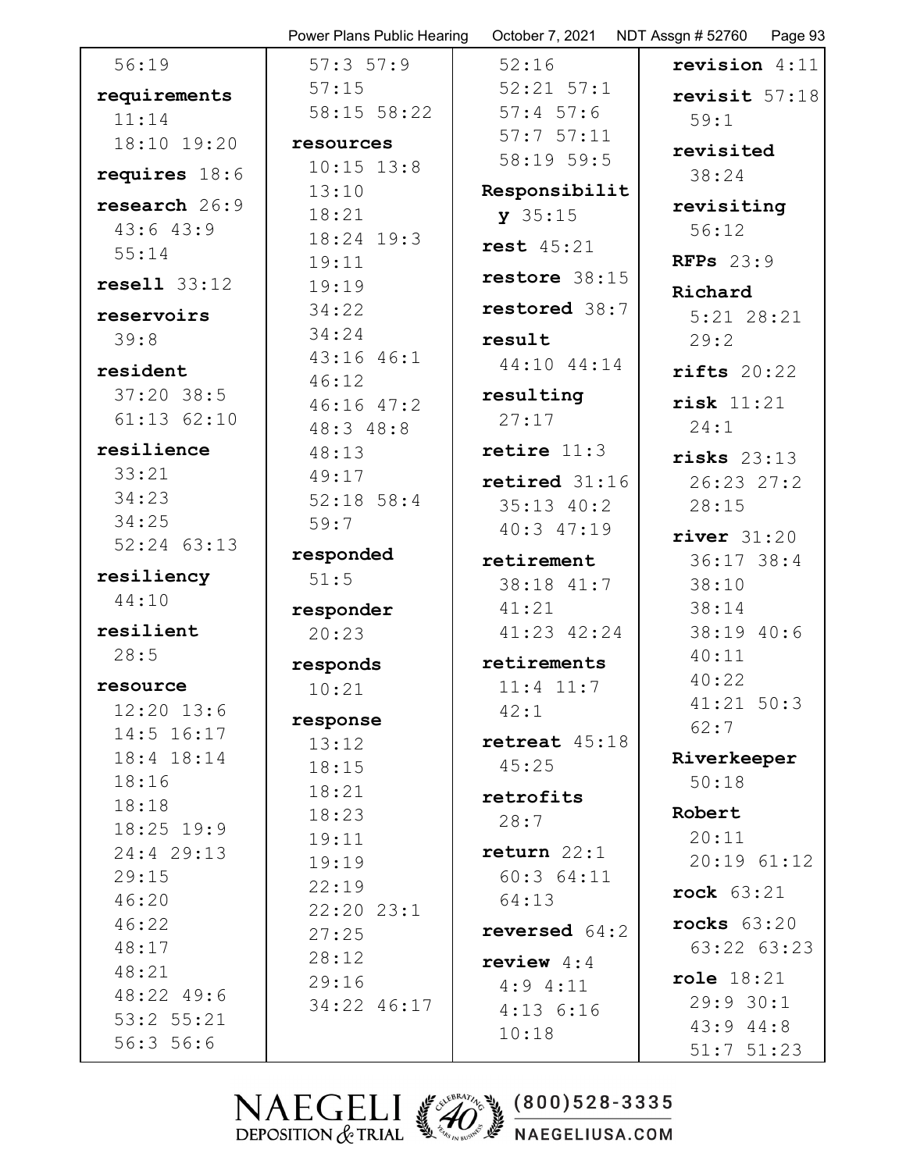|                 | Power Plans Public Hearing | October 7, 2021 | NDT Assgn # 52760<br>Page 93 |
|-----------------|----------------------------|-----------------|------------------------------|
| 56:19           | 57:357:9                   | 52:16           | revision $4:11$              |
| requirements    | 57:15                      | $52:21$ $57:1$  | revisit 57:18                |
| 11:14           | 58:15 58:22                | $57:4$ 57:6     | 59:1                         |
| 18:10 19:20     | resources                  | 57:757:11       | revisited                    |
| requires $18:6$ | $10:15$ $13:8$             | 58:19 59:5      | 38:24                        |
|                 | 13:10                      | Responsibilit   |                              |
| research 26:9   | 18:21                      | $y$ 35:15       | revisiting                   |
| 43:643:9        | 18:24 19:3                 | rest $45:21$    | 56:12                        |
| 55:14           | 19:11                      |                 | RFPs $23:9$                  |
| resel1 33:12    | 19:19                      | restore 38:15   | Richard                      |
| reservoirs      | 34:22                      | restored 38:7   | $5:21$ $28:21$               |
| 39:8            | 34:24                      | result          | 29:2                         |
| resident        | 43:16 46:1                 | 44:10 44:14     | $\texttt{rifts}$ 20:22       |
| $37:20$ 38:5    | 46:12                      | resulting       |                              |
| $61:13$ $62:10$ | $46:16$ $47:2$             | 27:17           | risk 11:21                   |
| resilience      | 48:3 48:8                  | retire $11:3$   | 24:1                         |
| 33:21           | 48:13                      |                 | risks $23:13$                |
| 34:23           | 49:17                      | retired 31:16   | 26:23 27:2                   |
| 34:25           | $52:18$ 58:4<br>59:7       | $35:13$ $40:2$  | 28:15                        |
| $52:24$ $63:13$ |                            | 40:3 47:19      | river $31:20$                |
|                 | responded                  | retirement      | $36:17$ 38:4                 |
| resiliency      | 51:5                       | 38:18 41:7      | 38:10                        |
| 44:10           | responder                  | 41:21           | 38:14                        |
| resilient       | 20:23                      | $41:23$ $42:24$ | 38:19 40:6                   |
| 28:5            | responds                   | retirements     | 40:11                        |
| resource        | 10:21                      | $11:4$ $11:7$   | 40:22                        |
| $12:20$ $13:6$  | response                   | 42:1            | $41:21$ 50:3                 |
| 14:5 16:17      | 13:12                      | retreat 45:18   | 62:7                         |
| 18:4 18:14      | 18:15                      | 45:25           | Riverkeeper                  |
| 18:16           | 18:21                      | retrofits       | 50:18                        |
| 18:18           | 18:23                      | 28:7            | Robert                       |
| 18:25 19:9      | 19:11                      |                 | 20:11                        |
| 24:4 29:13      | 19:19                      | return 22:1     | 20:19 61:12                  |
| 29:15           | 22:19                      | 60:364:11       | rock $63:21$                 |
| 46:20           | $22:20$ $23:1$             | 64:13           | rocks $63:20$                |
| 46:22<br>48:17  | 27:25                      | reversed $64:2$ | 63:22 63:23                  |
| 48:21           | 28:12                      | review $4:4$    |                              |
| 48:22 49:6      | 29:16                      | $4:9$ $4:11$    | role $18:21$                 |
| 53:2 55:21      | 34:22 46:17                | $4:13$ $6:16$   | 29:930:1                     |
| 56:356:6        |                            | 10:18           | 43:944:8                     |
|                 |                            |                 | $51:7$ $51:23$               |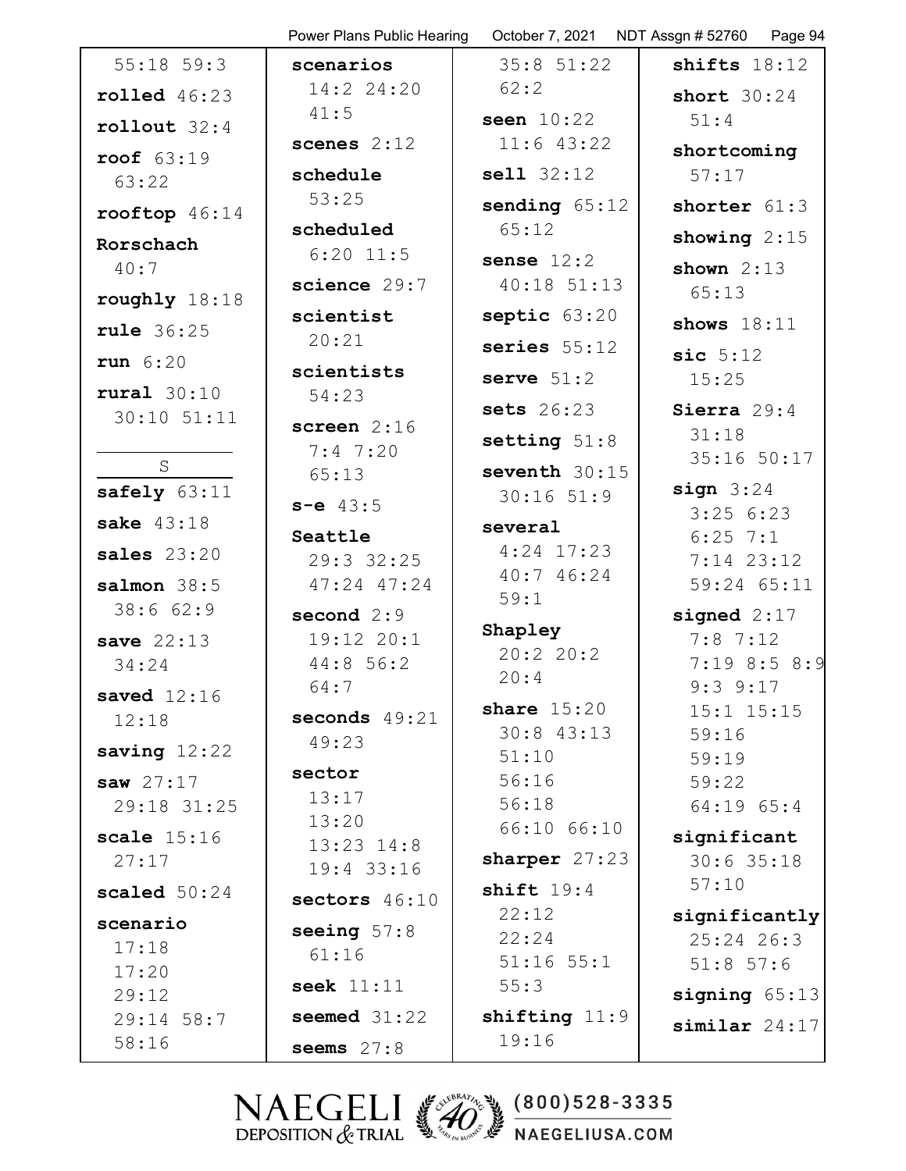|                         | Power Plans Public Hearing | October 7, 2021            | NDT Assgn # 52760<br>Page 94   |
|-------------------------|----------------------------|----------------------------|--------------------------------|
| $55:18$ 59:3            | scenarios                  | $35:8$ $51:22$             | shifts $18:12$                 |
| $\texttt{rolled}$ 46:23 | 14:2 24:20                 | 62:2                       | short $30:24$                  |
| rollout $32:4$          | 41:5                       | seen $10:22$               | 51:4                           |
| roof $63:19$            | scenes $2:12$              | $11:6$ 43:22               | shortcoming                    |
| 63:22                   | schedule                   | sell1 32:12                | 57:17                          |
| rooftop $46:14$         | 53:25                      | sending $65:12$            | shorter 61:3                   |
| Rorschach               | scheduled                  | 65:12                      | showing $2:15$                 |
| 40:7                    | $6:20$ 11:5                | sense $12:2$               | shown $2:13$                   |
| roughly $18:18$         | science 29:7               | $40:18$ 51:13              | 65:13                          |
|                         | scientist                  | $septic$ $63:20$           | shows $18:11$                  |
| <b>rule</b> 36:25       | 20:21                      | series $55:12$             | sic $5:12$                     |
| run $6:20$              | scientists                 | serve $51:2$               | 15:25                          |
| rural $30:10$           | 54:23                      | sets $26:23$               | Sierra 29:4                    |
| $30:10$ $51:11$         | screen $2:16$              |                            | 31:18                          |
| S                       | 7:47:20                    | setting $51:8$             | 35:16 50:17                    |
| safely $63:11$          | 65:13                      | seventh 30:15              | sign 3:24                      |
| sake $43:18$            | $s-e$ 43:5                 | $30:16$ 51:9               | 3:256:23                       |
|                         | Seattle                    | several                    | $6:25$ 7:1                     |
| sales $23:20$           | 29:3 32:25                 | $4:24$ 17:23<br>40:7 46:24 | $7:14$ 23:12                   |
| salmon $38:5$           | $47:24$ $47:24$            | 59:1                       | 59:24 65:11                    |
| 38:662:9                | second $2:9$               | Shapley                    | signed $2:17$                  |
| save $22:13$            | 19:12 20:1                 | 20:220:2                   | 7:87:12                        |
| 34:24                   | 44:856:2<br>64:7           | 20:4                       | $7:19$ 8:5 8:9                 |
| saved $12:16$           |                            | share $15:20$              | $9:3$ $9:17$<br>$15:1$ $15:15$ |
| 12:18                   | seconds $49:21$<br>49:23   | $30:8$ 43:13               | 59:16                          |
| saving $12:22$          |                            | 51:10                      | 59:19                          |
| saw $27:17$             | sector<br>13:17            | 56:16                      | 59:22                          |
| 29:18 31:25             | 13:20                      | 56:18                      | $64:19$ $65:4$                 |
| scale $15:16$           | $13:23$ $14:8$             | 66:10 66:10                | significant                    |
| 27:17                   | 19:4 33:16                 | sharper $27:23$            | $30:6$ 35:18                   |
| scaled $50:24$          | sectors 46:10              | shift $19:4$               | 57:10                          |
| scenario                | seeing $57:8$              | 22:12                      | significantly                  |
| 17:18                   | 61:16                      | 22:24<br>$51:16$ $55:1$    | $25:24$ 26:3                   |
| 17:20                   | seek $11:11$               | 55:3                       | $51:8$ 57:6                    |
| 29:12<br>29:14 58:7     | seemed $31:22$             | shifting $11:9$            | signing $65:13$                |
| 58:16                   |                            | 19:16                      | $similar$ 24:17                |
|                         | seems $27:8$               |                            |                                |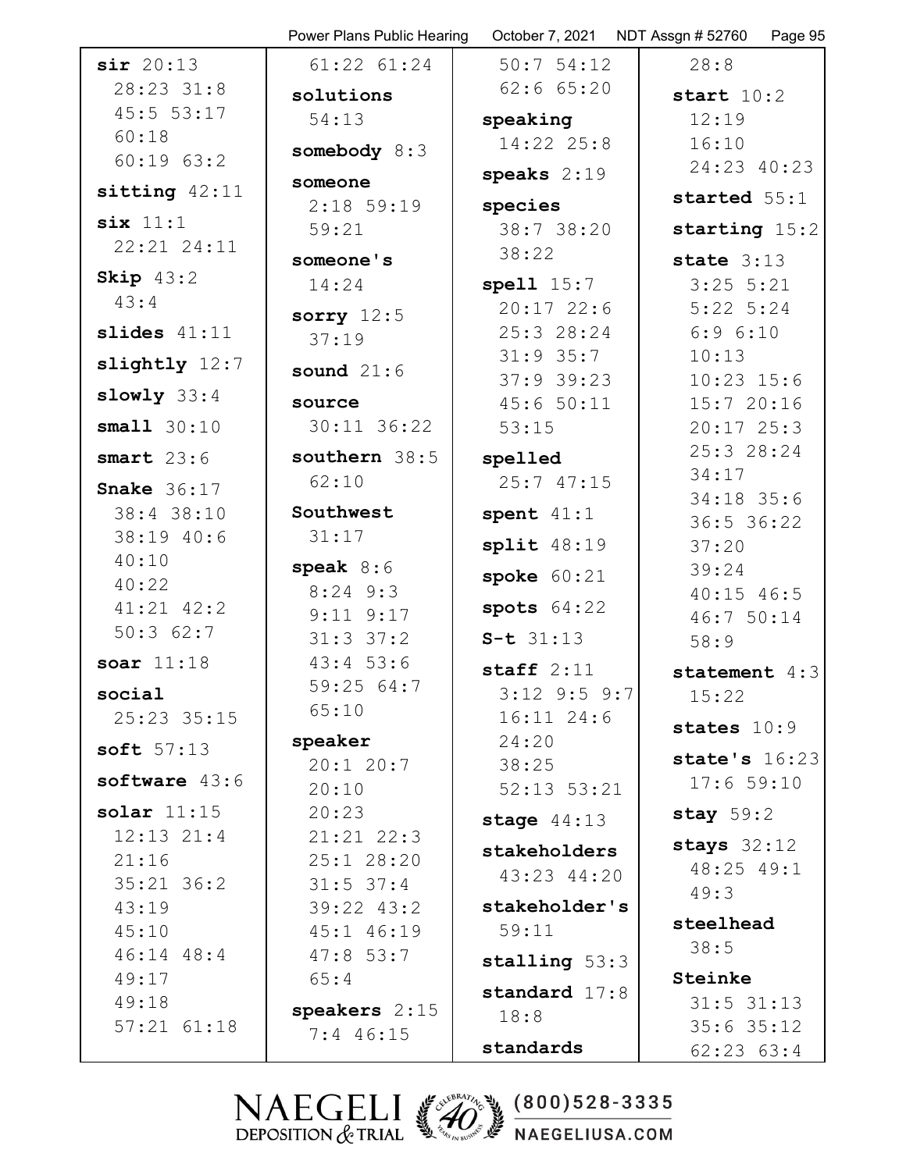|                 | Power Plans Public Hearing   |                              | October 7, 2021    NDT Assgn # 52760    Page 95 |
|-----------------|------------------------------|------------------------------|-------------------------------------------------|
| sir 20:13       | $61:22$ $61:24$              | 50:754:12                    | 28:8                                            |
| 28:23 31:8      | solutions                    | $62:6$ $65:20$               | start $10:2$                                    |
| 45:5 53:17      | 54:13                        | speaking                     | 12:19                                           |
| 60:18           | somebody 8:3                 | 14:22 25:8                   | 16:10                                           |
| $60:19$ $63:2$  |                              | speaks $2:19$                | 24:23 40:23                                     |
| sitting $42:11$ | someone<br>$2:18$ 59:19      | species                      | started 55:1                                    |
| six 11:1        | 59:21                        | 38:7 38:20                   | starting $15:2$                                 |
| 22:21 24:11     |                              | 38:22                        |                                                 |
| Skip $43:2$     | someone's                    |                              | state $3:13$                                    |
| 43:4            | 14:24                        | spell $15:7$<br>$20:17$ 22:6 | $3:25$ 5:21<br>$5:22$ $5:24$                    |
| slides $41:11$  | sorry $12:5$                 | 25:3 28:24                   | 6:96:10                                         |
|                 | 37:19                        | $31:9$ 35:7                  | 10:13                                           |
| slightly 12:7   | sound $21:6$                 | $37:9$ 39:23                 | $10:23$ $15:6$                                  |
| slowly $33:4$   | source                       | 45:650:11                    | 15:720:16                                       |
| small $30:10$   | $30:11$ $36:22$              | 53:15                        | $20:17$ $25:3$                                  |
| smart $23:6$    | southern 38:5                | spelled                      | 25:3 28:24                                      |
| Snake $36:17$   | 62:10                        | 25:747:15                    | 34:17                                           |
| 38:4 38:10      | Southwest                    | spent $41:1$                 | 34:18 35:6                                      |
| 38:19 40:6      | 31:17                        |                              | 36:5 36:22                                      |
| 40:10           |                              | split $48:19$                | 37:20                                           |
| 40:22           | speak $8:6$<br>$8:24$ 9:3    | spoke $60:21$                | 39:24<br>$40:15$ $46:5$                         |
| $41:21$ $42:2$  | $9:11$ $9:17$                | spots $64:22$                | 46:7 50:14                                      |
| 50:362:7        | $31:3$ $37:2$                | $S-t$ 31:13                  | 58:9                                            |
| soar $11:18$    | 43:453:6                     | staff $2:11$                 |                                                 |
| social          | 59:25 64:7                   | $3:12$ 9:5 9:7               | statement $4:3$<br>15:22                        |
| 25:23 35:15     | 65:10                        | $16:11$ $24:6$               |                                                 |
|                 | speaker                      | 24:20                        | states $10:9$                                   |
| soft $57:13$    | $20:1$ 20:7                  | 38:25                        | state's $16:23$                                 |
| software 43:6   | 20:10                        | $52:13$ $53:21$              | 17:659:10                                       |
| solar $11:15$   | 20:23                        | stage $44:13$                | stay $59:2$                                     |
| $12:13$ $21:4$  | $21:21$ $22:3$               | stakeholders                 | stays $32:12$                                   |
| 21:16           | 25:1 28:20                   | 43:23 44:20                  | 48:25 49:1                                      |
| $35:21$ $36:2$  | $31:5$ 37:4                  |                              | 49:3                                            |
| 43:19<br>45:10  | 39:22 43:2                   | stakeholder's<br>59:11       | steelhead                                       |
| $46:14$ $48:4$  | 45:1 46:19<br>47:853:7       |                              | 38:5                                            |
| 49:17           | 65:4                         | stalling $53:3$              | Steinke                                         |
| 49:18           |                              | standard 17:8                | $31:5$ $31:13$                                  |
| $57:21$ $61:18$ | speakers 2:15<br>$7:4$ 46:15 | 18:8                         | $35:6$ 35:12                                    |
|                 |                              | standards                    | $62:23$ $63:4$                                  |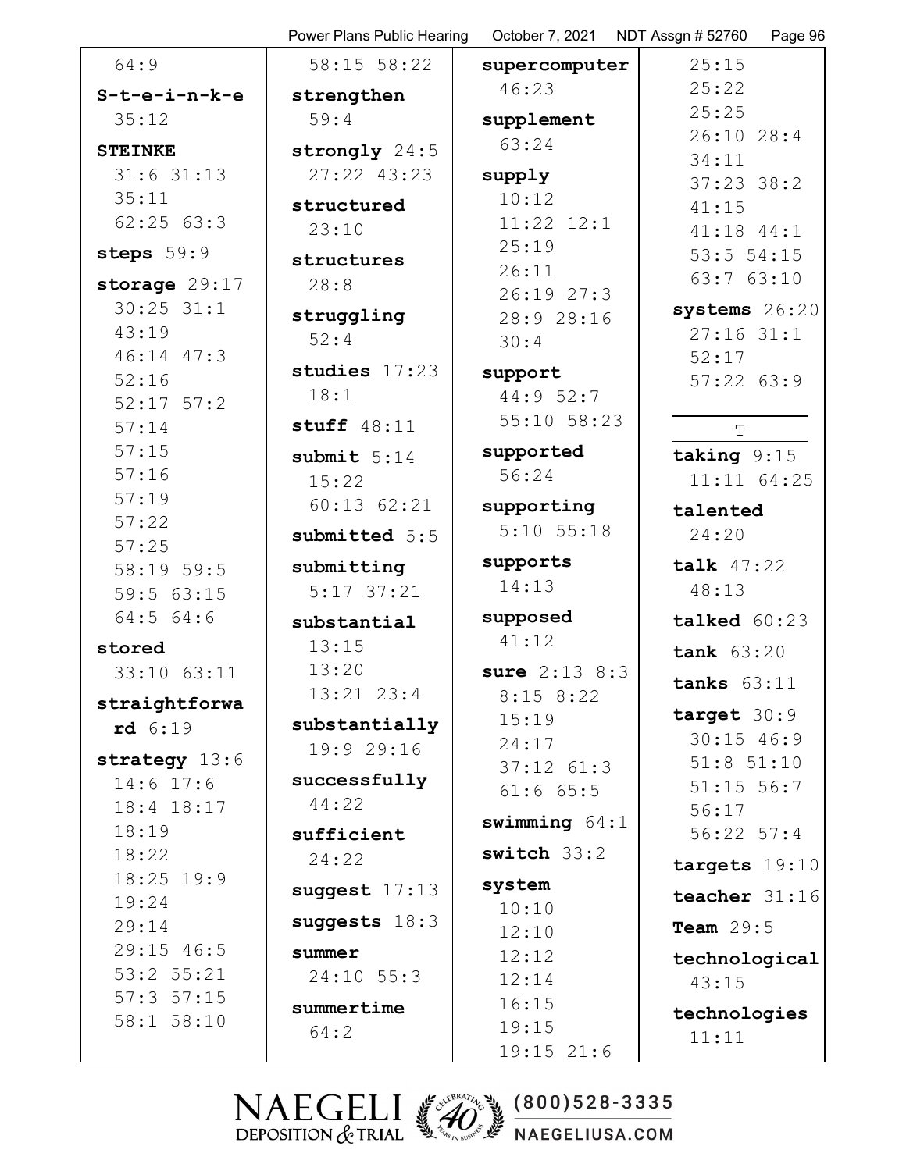|                               | Power Plans Public Hearing | October 7, 2021              | NDT Assgn # 52760<br>Page 96 |
|-------------------------------|----------------------------|------------------------------|------------------------------|
| 64:9                          | 58:15 58:22                | supercomputer                | 25:15                        |
| $S-t-e-i-n-k-e$               | strengthen                 | 46:23                        | 25:22                        |
| 35:12                         | 59:4                       | supplement                   | 25:25                        |
| <b>STEINKE</b>                | strongly 24:5              | 63:24                        | $26:10$ 28:4                 |
| $31:6$ $31:13$                | 27:22 43:23                | supply                       | 34:11                        |
| 35:11                         | structured                 | 10:12                        | $37:23$ 38:2                 |
| 62:2563:3                     | 23:10                      | $11:22$ $12:1$               | 41:15<br>41:18 44:1          |
| steps 59:9                    |                            | 25:19                        | $53:5$ $54:15$               |
|                               | structures                 | 26:11                        | 63:7 63:10                   |
| storage 29:17<br>$30:25$ 31:1 | 28:8                       | 26:1927:3                    |                              |
| 43:19                         | struggling                 | 28:9 28:16                   | systems 26:20                |
| 46:14 47:3                    | 52:4                       | 30:4                         | $27:16$ 31:1                 |
| 52:16                         | studies 17:23              | support                      | 52:17<br>$57:22$ $63:9$      |
| $52:17$ $57:2$                | 18:1                       | 44:9 52:7                    |                              |
| 57:14                         | stuff $48:11$              | 55:10 58:23                  | T                            |
| 57:15                         | submit $5:14$              | supported                    | taking $9:15$                |
| 57:16                         | 15:22                      | 56:24                        | 11:11 64:25                  |
| 57:19                         | $60:13$ $62:21$            |                              |                              |
| 57:22                         |                            | supporting<br>$5:10$ $55:18$ | talented                     |
| 57:25                         | submitted 5:5              |                              | 24:20                        |
| 58:19 59:5                    | submitting                 | supports                     | talk $47:22$                 |
| 59:5 63:15                    | $5:17$ 37:21               | 14:13                        | 48:13                        |
| 64:564:6                      | substantial                | supposed                     | talked 60:23                 |
| stored                        | 13:15                      | 41:12                        | tank $63:20$                 |
| 33:10 63:11                   | 13:20                      | sure $2:13$ $8:3$            | tanks $63:11$                |
| straightforwa                 | $13:21$ $23:4$             | $8:15$ $8:22$                |                              |
| rd 6:19                       | substantially              | 15:19                        | target $30:9$                |
| strategy 13:6                 | 19:9 29:16                 | 24:17                        | $30:15$ 46:9                 |
| $14:6$ 17:6                   | successfully               | $37:12$ $61:3$               | $51:8$ $51:10$               |
| 18:4 18:17                    | 44:22                      | $61:6$ $65:5$                | $51:15$ 56:7<br>56:17        |
| 18:19                         | sufficient                 | swimming $64:1$              | $56:22$ $57:4$               |
| 18:22                         | 24:22                      | switch $33:2$                |                              |
| $18:25$ 19:9                  |                            |                              | targets 19:10                |
| 19:24                         | suggest $17:13$            | system<br>10:10              | teacher 31:16                |
| 29:14                         | suggests $18:3$            | 12:10                        | Team $29:5$                  |
| $29:15$ 46:5                  | summer                     | 12:12                        | technological                |
| $53:2$ $55:21$                | $24:10$ 55:3               | 12:14                        | 43:15                        |
| $57:3$ $57:15$                | summertime                 | 16:15                        |                              |
| 58:1 58:10                    | 64:2                       | 19:15                        | technologies                 |
|                               |                            | $19:15$ 21:6                 | 11:11                        |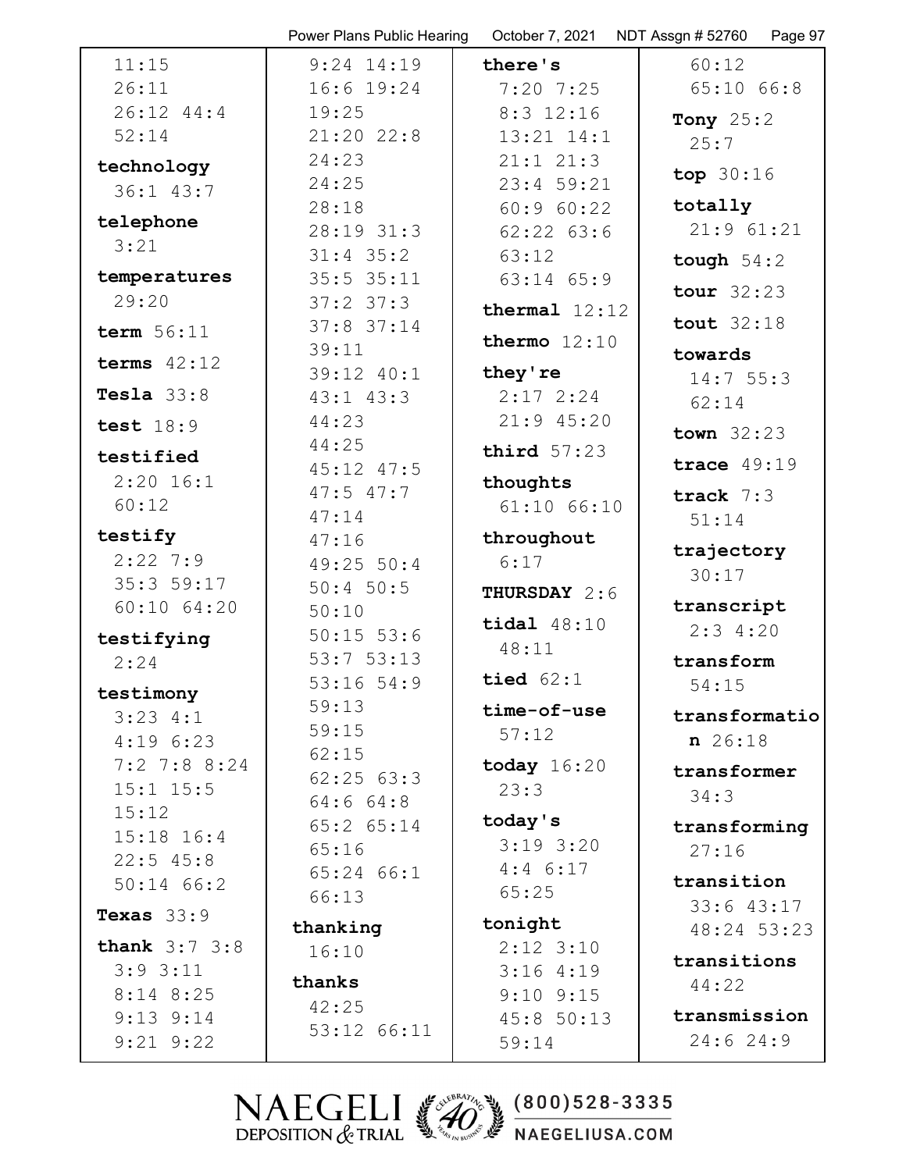|                          | Power Plans Public Hearing      | October 7, 2021 | NDT Assgn # 52760<br>Page 97 |
|--------------------------|---------------------------------|-----------------|------------------------------|
| 11:15                    | $9:24$ 14:19                    | there's         | 60:12                        |
| 26:11                    | $16:6$ $19:24$                  | $7:20$ $7:25$   | $65:10$ $66:8$               |
| 26:12 44:4               | 19:25                           | $8:3$ 12:16     | Tony 25:2                    |
| 52:14                    | $21:20$ 22:8                    | 13:21 14:1      | 25:7                         |
| technology               | 24:23                           | $21:1$ $21:3$   | top $30:16$                  |
| 36:1 43:7                | 24:25                           | $23:4$ 59:21    |                              |
| telephone                | 28:18                           | 60:9 60:22      | totally                      |
| 3:21                     | 28:19 31:3                      | $62:22$ $63:6$  | $21:9$ $61:21$               |
|                          | $31:4$ 35:2                     | 63:12           | tough $54:2$                 |
| temperatures             | $35:5$ $35:11$                  | $63:14$ $65:9$  | tour $32:23$                 |
| 29:20                    | $37:2$ $37:3$                   | thermal $12:12$ |                              |
| term $56:11$             | $37:8$ 37:14                    | thermo $12:10$  | tout $32:18$                 |
| terms $42:12$            | 39:11                           |                 | towards                      |
|                          | 39:12 40:1                      | they're         | 14:755:3                     |
| Tesla $33:8$             | $43:1$ $43:3$                   | $2:17$ $2:24$   | 62:14                        |
| test $18:9$              | 44:23                           | $21:9$ 45:20    | town $32:23$                 |
| testified                | 44:25                           | third $57:23$   | trace $49:19$                |
| $2:20$ 16:1              | $45:12$ $47:5$<br>$47:5$ $47:7$ | thoughts        |                              |
| 60:12                    | 47:14                           | $61:10$ $66:10$ | track $7:3$                  |
| testify                  | 47:16                           | throughout      | 51:14                        |
| $2:22$ 7:9               | 49:25 50:4                      | 6:17            | trajectory                   |
| 35:3 59:17               | $50:4$ 50:5                     |                 | 30:17                        |
| $60:10$ $64:20$          | 50:10                           | THURSDAY 2:6    | transcript                   |
| testifying               | $50:15$ 53:6                    | tidal $48:10$   | 2:34:20                      |
| 2:24                     | 53:753:13                       | 48:11           | transform                    |
|                          | $53:16$ $54:9$                  | tied $62:1$     | 54:15                        |
| testimony                | 59:13                           | time-of-use     | transformatio                |
| $3:23$ 4:1<br>4:196:23   | 59:15                           | 57:12           | $n \ 26:18$                  |
| $7:2$ 7:8 8:24           | 62:15                           | today $16:20$   |                              |
| $15:1$ $15:5$            | 62:2563:3                       | 23:3            | transformer                  |
| 15:12                    | 64:664:8                        |                 | 34:3                         |
| $15:18$ $16:4$           | $65:2$ $65:14$                  | today's         | transforming                 |
| $22:5$ 45:8              | 65:16                           | $3:19$ 3:20     | 27:16                        |
| $50:14$ 66:2             | $65:24$ $66:1$                  | $4:4$ 6:17      | transition                   |
| Texas $33:9$             | 66:13                           | 65:25           | 33:643:17                    |
|                          | thanking                        | tonight         | 48:24 53:23                  |
| <b>thank</b> $3:7$ $3:8$ | 16:10                           | $2:12$ $3:10$   | transitions                  |
| $3:9$ $3:11$             | thanks                          | 3:164:19        | 44:22                        |
| $8:14$ $8:25$            | 42:25                           | $9:10$ $9:15$   |                              |
| $9:13$ $9:14$            | 53:12 66:11                     | 45:8 50:13      | transmission                 |
| $9:21$ $9:22$            |                                 | 59:14           | 24:624:9                     |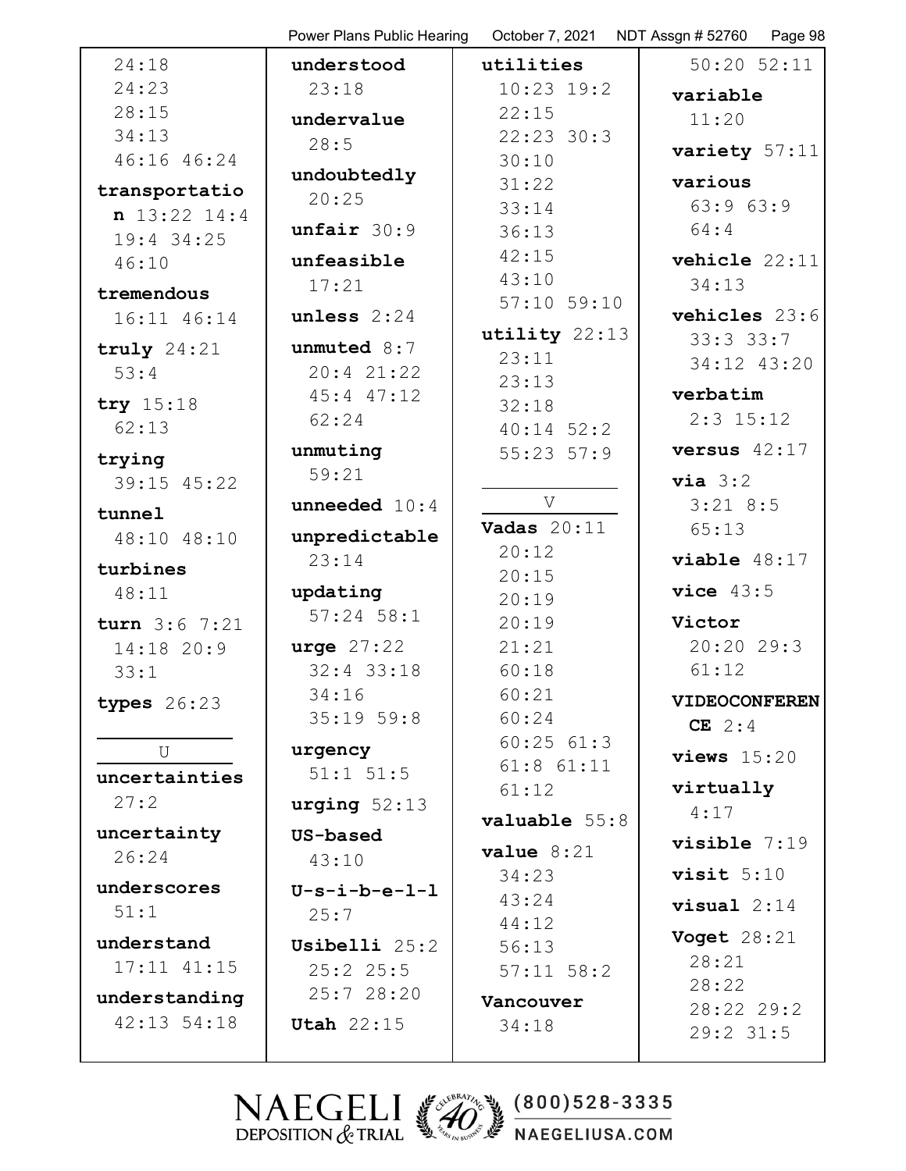|                    | Power Plans Public Hearing | October 7, 2021         | NDT Assgn # 52760<br>Page 98 |
|--------------------|----------------------------|-------------------------|------------------------------|
| 24:18              | understood                 | utilities               | $50:20$ $52:11$              |
| 24:23              | 23:18                      | $10:23$ 19:2            | variable                     |
| 28:15              | undervalue                 | 22:15                   | 11:20                        |
| 34:13              | 28:5                       | $22:23$ 30:3            | variety 57:11                |
| 46:16 46:24        | undoubtedly                | 30:10                   |                              |
| transportatio      | 20:25                      | 31:22                   | various                      |
| n 13:22 14:4       |                            | 33:14                   | 63:963:9                     |
| 19:4 34:25         | unfair 30:9                | 36:13                   | 64:4                         |
| 46:10              | unfeasible                 | 42:15                   | vehicle 22:11                |
| tremendous         | 17:21                      | 43:10                   | 34:13                        |
| 16:11 46:14        | unless $2:24$              | $57:10$ $59:10$         | vehicles 23:6                |
| truly $24:21$      | unmuted $8:7$              | utility 22:13           | 33:333:7                     |
| 53:4               | 20:421:22                  | 23:11                   | 34:12 43:20                  |
|                    | $45:4$ $47:12$             | 23:13                   | verbatim                     |
| try 15:18          | 62:24                      | 32:18                   | $2:3$ 15:12                  |
| 62:13              |                            | $40:14$ 52:2            |                              |
| trying             | unmuting                   | $55:23$ $57:9$          | versus $42:17$               |
| 39:15 45:22        | 59:21                      |                         | via 3:2                      |
| tunnel             | <b>unneeded</b> $10:4$     | V                       | $3:21$ 8:5                   |
| 48:10 48:10        | unpredictable              | Vadas $20:11$           | 65:13                        |
| turbines           | 23:14                      | 20:12                   | viable 48:17                 |
| 48:11              | updating                   | 20:15                   | vice $43:5$                  |
|                    | $57:24$ $58:1$             | 20:19                   | Victor                       |
| turn $3:6$ 7:21    | urge $27:22$               | 20:19<br>21:21          | 20:20 29:3                   |
| 14:18 20:9<br>33:1 | $32:4$ 33:18               | 60:18                   | 61:12                        |
|                    | 34:16                      | 60:21                   |                              |
| types $26:23$      | 35:1959:8                  | 60:24                   | <b>VIDEOCONFEREN</b>         |
|                    |                            | 60:2561:3               | CE $2:4$                     |
| U                  | urgency                    | $61:8$ $61:11$          | views $15:20$                |
| uncertainties      | $51:1$ $51:5$              | 61:12                   | virtually                    |
| 27:2               | urging $52:13$             | valuable 55:8           | 4:17                         |
| uncertainty        | US-based                   |                         | $visible$ 7:19               |
| 26:24              | 43:10                      | value $8:21$            |                              |
| underscores        | $U-s-i-b-e-1-1$            | 34:23                   | visit $5:10$                 |
| 51:1               | 25:7                       | 43:24                   | $visual 2:14$                |
| understand         | Usibelli 25:2              | 44:12                   | <b>Voget</b> 28:21           |
| $17:11$ $41:15$    | $25:2$ $25:5$              | 56:13<br>$57:11$ $58:2$ | 28:21                        |
|                    | 25:728:20                  |                         | 28:22                        |
| understanding      |                            | Vancouver               | 28:22 29:2                   |
| $42:13$ 54:18      | Utah $22:15$               | 34:18                   | 29:2 31:5                    |
|                    |                            |                         |                              |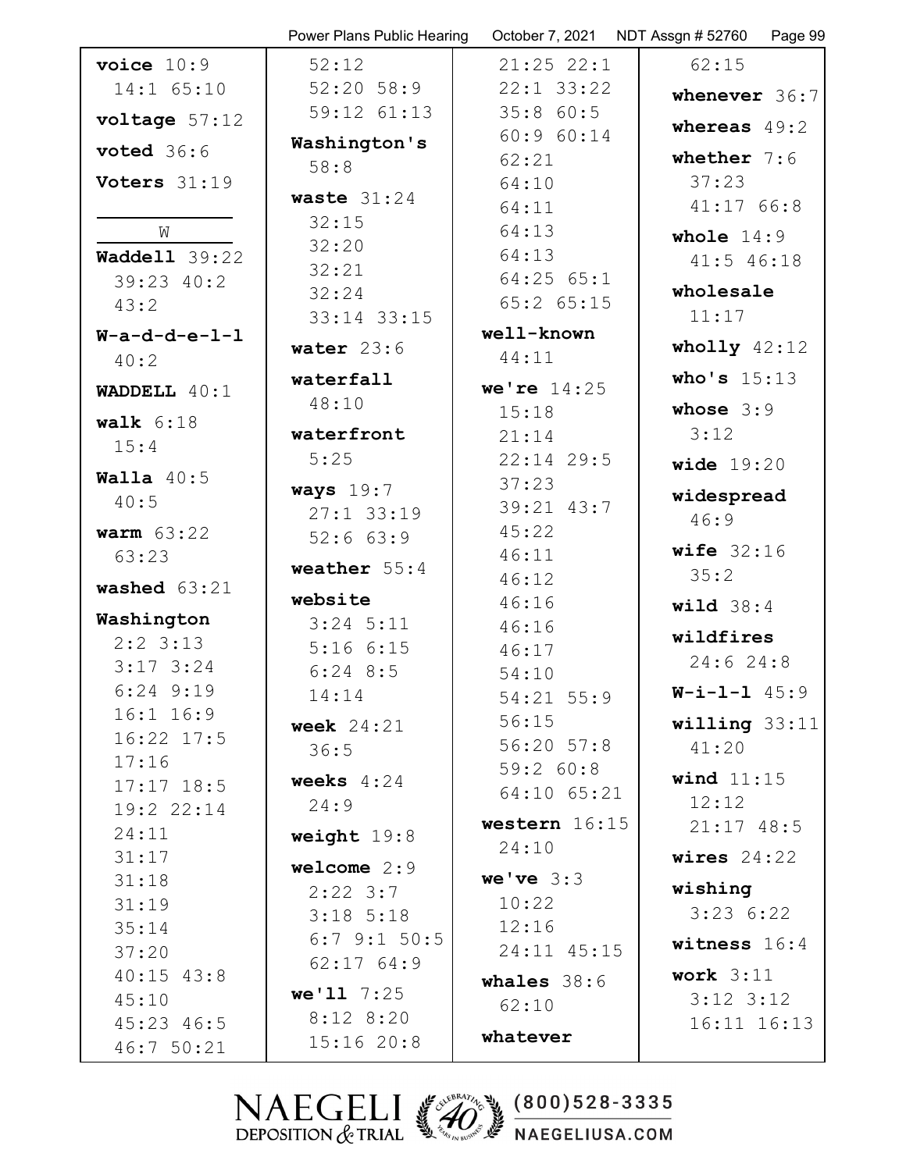|                      | Power Plans Public Hearing | October 7, 2021             | NDT Assgn # 52760<br>Page 99 |
|----------------------|----------------------------|-----------------------------|------------------------------|
| voice $10:9$         | 52:12                      | $21:25$ $22:1$              | 62:15                        |
| 14:1 65:10           | $52:20$ $58:9$             | $22:1$ 33:22                | whenever 36:7                |
| voltage 57:12        | 59:12 61:13                | 35:860:5                    | whereas $49:2$               |
| voted $36:6$         | Washington's               | 60:960:14                   |                              |
|                      | 58:8                       | 62:21                       | whether $7:6$                |
| Voters 31:19         | waste $31:24$              | 64:10                       | 37:23                        |
|                      | 32:15                      | 64:11                       | 41:1766:8                    |
| W                    | 32:20                      | 64:13                       | whole $14:9$                 |
| <b>Waddell</b> 39:22 | 32:21                      | 64:13                       | 41:5 46:18                   |
| $39:23$ $40:2$       | 32:24                      | $64:25$ $65:1$              | wholesale                    |
| 43:2                 | 33:14 33:15                | $65:2$ $65:15$              | 11:17                        |
| $W-a-d-d-e-1-1$      | water $23:6$               | well-known                  | wholly $42:12$               |
| 40:2                 |                            | 44:11                       |                              |
| WADDELL $40:1$       | waterfall                  | we're $14:25$               | who's $15:13$                |
| walk $6:18$          | 48:10                      | 15:18                       | whose $3:9$                  |
| 15:4                 | waterfront                 | 21:14                       | 3:12                         |
|                      | 5:25                       | $22:14$ 29:5                | wide $19:20$                 |
| Walla $40:5$         | ways $19:7$                | 37:23                       | widespread                   |
| 40:5                 | $27:1$ 33:19               | 39:21 43:7                  | 46:9                         |
| warm $63:22$         | 52:663:9                   | 45:22                       |                              |
| 63:23                | weather $55:4$             | 46:11                       | wife $32:16$                 |
| washed $63:21$       |                            | 46:12                       | 35:2                         |
| Washington           | website                    | 46:16                       | wild $38:4$                  |
| $2:2$ 3:13           | $3:24$ 5:11                | 46:16                       | wildfires                    |
| $3:17$ 3:24          | 5:166:15                   | 46:17                       | 24:624:8                     |
| $6:24$ $9:19$        | $6:24$ $8:5$               | 54:10                       | $W - i - 1 - 1$ 45:9         |
| 16:1 16:9            | 14:14                      | $54:21$ $55:9$              |                              |
| $16:22$ $17:5$       | week $24:21$               | 56:15                       | willing $33:11$              |
| 17:16                | 36:5                       | $56:20$ $57:8$<br>59:2 60:8 | 41:20                        |
| $17:17$ $18:5$       | weeks $4:24$               | $64:10$ $65:21$             | wind $11:15$                 |
| 19:22:14             | 24:9                       |                             | 12:12                        |
| 24:11                | weight $19:8$              | western $16:15$             | $21:17$ 48:5                 |
| 31:17                | welcome $2:9$              | 24:10                       | wires $24:22$                |
| 31:18                | $2:22$ 3:7                 | we've $3:3$                 | wishing                      |
| 31:19                | $3:18$ 5:18                | 10:22                       | 3:236:22                     |
| 35:14                | $6:7$ 9:1 50:5             | 12:16                       |                              |
| 37:20                | 62:1764:9                  | 24:11 45:15                 | witness $16:4$               |
| $40:15$ $43:8$       |                            | whales $38:6$               | work $3:11$                  |
| 45:10                | $we'11 \t7:25$             | 62:10                       | $3:12$ $3:12$                |
| $45:23$ $46:5$       | $8:12$ $8:20$              | whatever                    | $16:11$ $16:13$              |
| 46:750:21            | 15:1620:8                  |                             |                              |